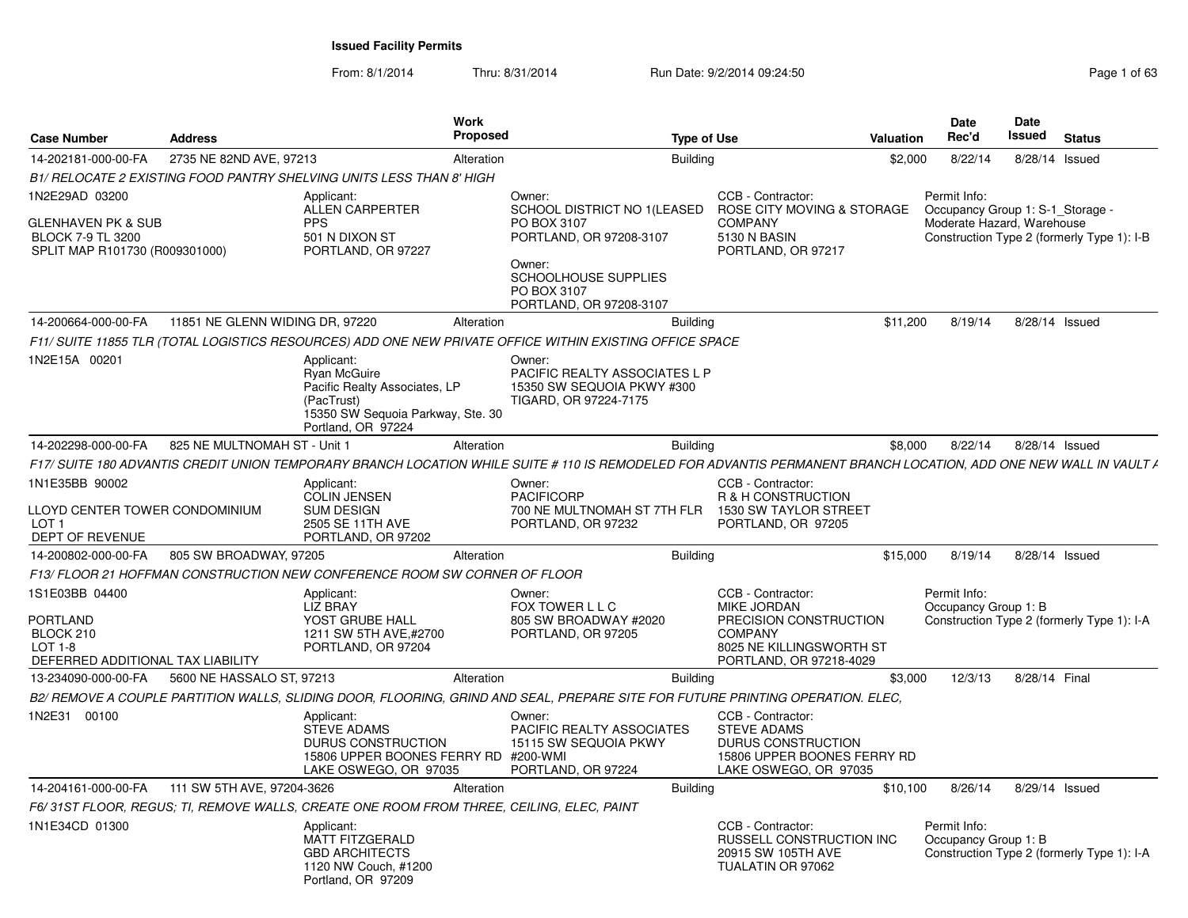| <b>Case Number</b>                                                                                    | <b>Address</b>                  | <b>Work</b><br><b>Proposed</b>                                                                                                       | <b>Type of Use</b>                                                                                                                                                |                                                                                                                                            | Valuation | <b>Date</b><br>Rec'd                                                           | <b>Date</b><br><b>Issued</b> | <b>Status</b>                              |
|-------------------------------------------------------------------------------------------------------|---------------------------------|--------------------------------------------------------------------------------------------------------------------------------------|-------------------------------------------------------------------------------------------------------------------------------------------------------------------|--------------------------------------------------------------------------------------------------------------------------------------------|-----------|--------------------------------------------------------------------------------|------------------------------|--------------------------------------------|
| 14-202181-000-00-FA                                                                                   | 2735 NE 82ND AVE, 97213         | Alteration                                                                                                                           | <b>Building</b>                                                                                                                                                   |                                                                                                                                            | \$2,000   | 8/22/14                                                                        | 8/28/14 Issued               |                                            |
|                                                                                                       |                                 | B1/ RELOCATE 2 EXISTING FOOD PANTRY SHELVING UNITS LESS THAN 8' HIGH                                                                 |                                                                                                                                                                   |                                                                                                                                            |           |                                                                                |                              |                                            |
| 1N2E29AD 03200<br>GLENHAVEN PK & SUB<br><b>BLOCK 7-9 TL 3200</b><br>SPLIT MAP R101730 (R009301000)    |                                 | Applicant:<br><b>ALLEN CARPERTER</b><br><b>PPS</b><br>501 N DIXON ST<br>PORTLAND, OR 97227                                           | Owner:<br>SCHOOL DISTRICT NO 1(LEASED<br>PO BOX 3107<br>PORTLAND, OR 97208-3107<br>Owner:<br>SCHOOLHOUSE SUPPLIES<br>PO BOX 3107<br>PORTLAND, OR 97208-3107       | CCB - Contractor:<br>ROSE CITY MOVING & STORAGE<br><b>COMPANY</b><br>5130 N BASIN<br>PORTLAND, OR 97217                                    |           | Permit Info:<br>Occupancy Group 1: S-1_Storage -<br>Moderate Hazard, Warehouse |                              | Construction Type 2 (formerly Type 1): I-B |
| 14-200664-000-00-FA                                                                                   | 11851 NE GLENN WIDING DR, 97220 | Alteration                                                                                                                           | <b>Building</b>                                                                                                                                                   |                                                                                                                                            | \$11,200  | 8/19/14                                                                        | 8/28/14 Issued               |                                            |
|                                                                                                       |                                 |                                                                                                                                      | F11/ SUITE 11855 TLR (TOTAL LOGISTICS RESOURCES) ADD ONE NEW PRIVATE OFFICE WITHIN EXISTING OFFICE SPACE                                                          |                                                                                                                                            |           |                                                                                |                              |                                            |
| 1N2E15A 00201                                                                                         |                                 | Applicant:<br>Ryan McGuire<br>Pacific Realty Associates, LP<br>(PacTrust)<br>15350 SW Sequoia Parkway, Ste. 30<br>Portland, OR 97224 | Owner:<br>PACIFIC REALTY ASSOCIATES L P<br>15350 SW SEQUOIA PKWY #300<br>TIGARD, OR 97224-7175                                                                    |                                                                                                                                            |           |                                                                                |                              |                                            |
| 14-202298-000-00-FA                                                                                   | 825 NE MULTNOMAH ST - Unit 1    | Alteration                                                                                                                           | <b>Building</b>                                                                                                                                                   |                                                                                                                                            | \$8,000   | 8/22/14                                                                        | 8/28/14 Issued               |                                            |
|                                                                                                       |                                 |                                                                                                                                      | F17/ SUITE 180 ADVANTIS CREDIT UNION TEMPORARY BRANCH LOCATION WHILE SUITE # 110 IS REMODELED FOR ADVANTIS PERMANENT BRANCH LOCATION. ADD ONE NEW WALL IN VAULT / |                                                                                                                                            |           |                                                                                |                              |                                            |
| 1N1E35BB 90002<br>LLOYD CENTER TOWER CONDOMINIUM<br>LOT 1<br>DEPT OF REVENUE                          |                                 | Applicant:<br><b>COLIN JENSEN</b><br><b>SUM DESIGN</b><br>2505 SE 11TH AVE<br>PORTLAND, OR 97202                                     | Owner:<br><b>PACIFICORP</b><br>700 NE MULTNOMAH ST 7TH FLR<br>PORTLAND, OR 97232                                                                                  | CCB - Contractor:<br>R & H CONSTRUCTION<br>1530 SW TAYLOR STREET<br>PORTLAND, OR 97205                                                     |           |                                                                                |                              |                                            |
| 14-200802-000-00-FA                                                                                   | 805 SW BROADWAY, 97205          | Alteration                                                                                                                           | <b>Building</b>                                                                                                                                                   |                                                                                                                                            | \$15,000  | 8/19/14                                                                        | 8/28/14 Issued               |                                            |
|                                                                                                       |                                 | F13/ FLOOR 21 HOFFMAN CONSTRUCTION NEW CONFERENCE ROOM SW CORNER OF FLOOR                                                            |                                                                                                                                                                   |                                                                                                                                            |           |                                                                                |                              |                                            |
| 1S1E03BB 04400<br><b>PORTLAND</b><br>BLOCK 210<br><b>LOT 1-8</b><br>DEFERRED ADDITIONAL TAX LIABILITY |                                 | Applicant:<br><b>LIZ BRAY</b><br>YOST GRUBE HALL<br>1211 SW 5TH AVE,#2700<br>PORTLAND, OR 97204                                      | Owner:<br>FOX TOWER L L C<br>805 SW BROADWAY #2020<br>PORTLAND, OR 97205                                                                                          | CCB - Contractor:<br><b>MIKE JORDAN</b><br>PRECISION CONSTRUCTION<br><b>COMPANY</b><br>8025 NE KILLINGSWORTH ST<br>PORTLAND, OR 97218-4029 |           | Permit Info:<br>Occupancy Group 1: B                                           |                              | Construction Type 2 (formerly Type 1): I-A |
| 13-234090-000-00-FA                                                                                   | 5600 NE HASSALO ST, 97213       | Alteration                                                                                                                           | <b>Building</b>                                                                                                                                                   |                                                                                                                                            | \$3,000   | 12/3/13                                                                        | 8/28/14 Final                |                                            |
|                                                                                                       |                                 |                                                                                                                                      | B2/ REMOVE A COUPLE PARTITION WALLS, SLIDING DOOR, FLOORING, GRIND AND SEAL, PREPARE SITE FOR FUTURE PRINTING OPERATION. ELEC,                                    |                                                                                                                                            |           |                                                                                |                              |                                            |
| 1N2E31 00100                                                                                          |                                 | Applicant:<br><b>STEVE ADAMS</b><br>DURUS CONSTRUCTION<br>15806 UPPER BOONES FERRY RD #200-WMI<br>LAKE OSWEGO, OR 97035              | Owner:<br>PACIFIC REALTY ASSOCIATES<br>15115 SW SEQUOIA PKWY<br>PORTLAND, OR 97224                                                                                | CCB - Contractor:<br><b>STEVE ADAMS</b><br>DURUS CONSTRUCTION<br>15806 UPPER BOONES FERRY RD<br>LAKE OSWEGO, OR 97035                      |           |                                                                                |                              |                                            |
| 14-204161-000-00-FA                                                                                   | 111 SW 5TH AVE, 97204-3626      | Alteration                                                                                                                           | <b>Building</b>                                                                                                                                                   |                                                                                                                                            | \$10,100  | 8/26/14                                                                        | 8/29/14 Issued               |                                            |
|                                                                                                       |                                 | F6/ 31ST FLOOR. REGUS: TI. REMOVE WALLS. CREATE ONE ROOM FROM THREE. CEILING. ELEC. PAINT                                            |                                                                                                                                                                   |                                                                                                                                            |           |                                                                                |                              |                                            |
| 1N1E34CD 01300                                                                                        |                                 | Applicant:<br><b>MATT FITZGERALD</b><br><b>GBD ARCHITECTS</b><br>1120 NW Couch, #1200<br>Portland, OR 97209                          |                                                                                                                                                                   | CCB - Contractor:<br>RUSSELL CONSTRUCTION INC<br>20915 SW 105TH AVE<br>TUALATIN OR 97062                                                   |           | Permit Info:<br>Occupancy Group 1: B                                           |                              | Construction Type 2 (formerly Type 1): I-A |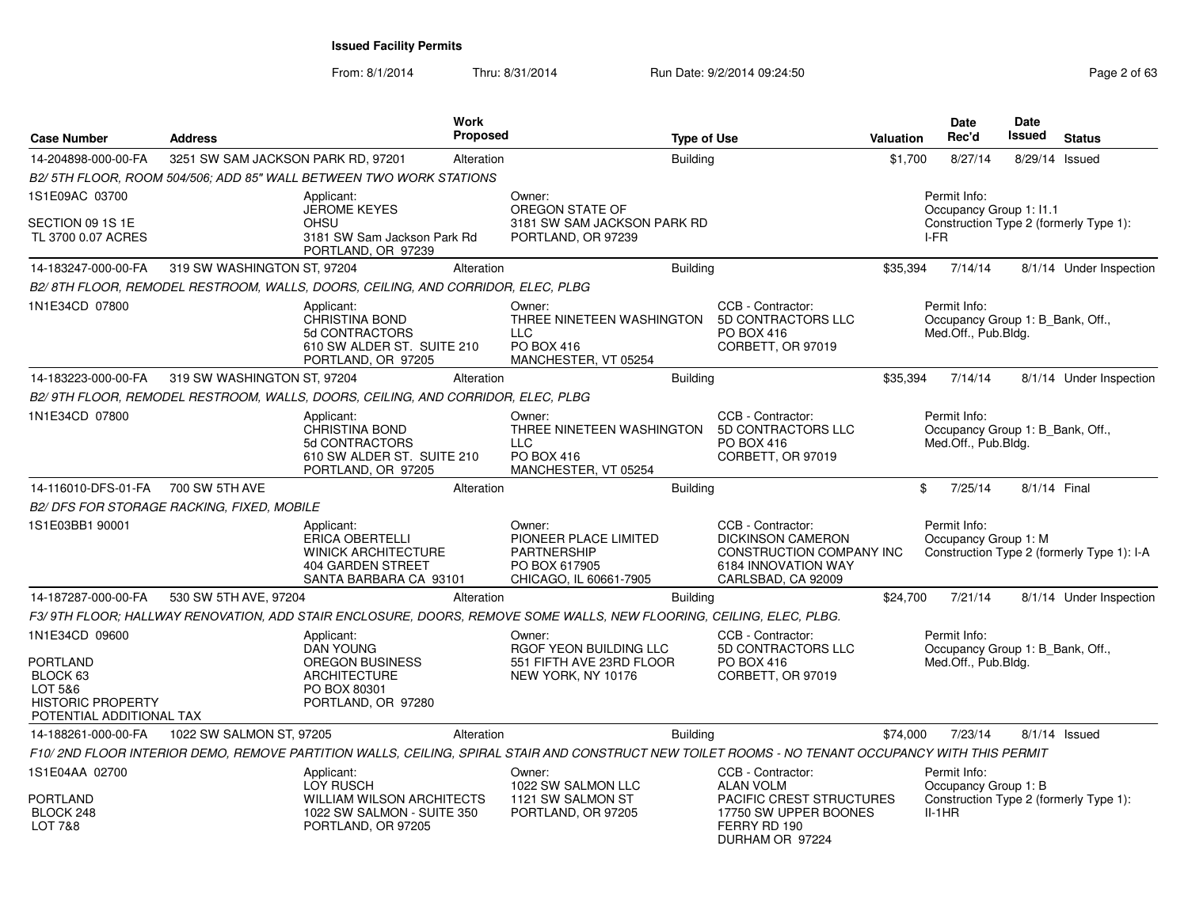| Case Number                                                                                               | <b>Address</b>                             | <b>Work</b><br>Proposed                                                                                                                          |                                                                                                  | <b>Type of Use</b>                                                                                                            | Valuation | <b>Date</b><br>Rec'd                                                                       | <b>Date</b><br>Issued | <b>Status</b>                              |
|-----------------------------------------------------------------------------------------------------------|--------------------------------------------|--------------------------------------------------------------------------------------------------------------------------------------------------|--------------------------------------------------------------------------------------------------|-------------------------------------------------------------------------------------------------------------------------------|-----------|--------------------------------------------------------------------------------------------|-----------------------|--------------------------------------------|
| 14-204898-000-00-FA                                                                                       | 3251 SW SAM JACKSON PARK RD, 97201         | Alteration                                                                                                                                       |                                                                                                  | <b>Building</b>                                                                                                               | \$1,700   | 8/27/14                                                                                    | 8/29/14 Issued        |                                            |
|                                                                                                           |                                            | B2/5TH FLOOR, ROOM 504/506; ADD 85" WALL BETWEEN TWO WORK STATIONS                                                                               |                                                                                                  |                                                                                                                               |           |                                                                                            |                       |                                            |
| 1S1E09AC 03700                                                                                            |                                            | Applicant:                                                                                                                                       | Owner:                                                                                           |                                                                                                                               |           | Permit Info:                                                                               |                       |                                            |
| SECTION 09 1S 1E<br>TL 3700 0.07 ACRES                                                                    |                                            | <b>JEROME KEYES</b><br>OHSU<br>3181 SW Sam Jackson Park Rd<br>PORTLAND, OR 97239                                                                 | OREGON STATE OF<br>3181 SW SAM JACKSON PARK RD<br>PORTLAND, OR 97239                             |                                                                                                                               |           | Occupancy Group 1: I1.1<br>Construction Type 2 (formerly Type 1):<br>I-FR                  |                       |                                            |
| 14-183247-000-00-FA                                                                                       | 319 SW WASHINGTON ST, 97204                | Alteration                                                                                                                                       |                                                                                                  | <b>Building</b>                                                                                                               | \$35,394  | 7/14/14                                                                                    |                       | 8/1/14 Under Inspection                    |
|                                                                                                           |                                            | B2/ 8TH FLOOR, REMODEL RESTROOM, WALLS, DOORS, CEILING, AND CORRIDOR, ELEC, PLBG                                                                 |                                                                                                  |                                                                                                                               |           |                                                                                            |                       |                                            |
| 1N1E34CD 07800                                                                                            |                                            | Applicant:<br><b>CHRISTINA BOND</b><br>5d CONTRACTORS<br>610 SW ALDER ST. SUITE 210<br>PORTLAND, OR 97205                                        | Owner:<br>THREE NINETEEN WASHINGTON<br><b>LLC</b><br><b>PO BOX 416</b><br>MANCHESTER, VT 05254   | CCB - Contractor:<br>5D CONTRACTORS LLC<br><b>PO BOX 416</b><br>CORBETT, OR 97019                                             |           | Permit Info:<br>Occupancy Group 1: B Bank, Off.,<br>Med.Off., Pub.Bldg.                    |                       |                                            |
| 14-183223-000-00-FA                                                                                       | 319 SW WASHINGTON ST, 97204                | Alteration                                                                                                                                       |                                                                                                  | <b>Building</b>                                                                                                               | \$35,394  | 7/14/14                                                                                    |                       | 8/1/14 Under Inspection                    |
|                                                                                                           |                                            | B2/9TH FLOOR, REMODEL RESTROOM, WALLS, DOORS, CEILING, AND CORRIDOR, ELEC, PLBG                                                                  |                                                                                                  |                                                                                                                               |           |                                                                                            |                       |                                            |
| 1N1E34CD 07800                                                                                            |                                            | Applicant:<br><b>CHRISTINA BOND</b><br>5d CONTRACTORS<br>610 SW ALDER ST. SUITE 210<br>PORTLAND, OR 97205                                        | Owner:<br>THREE NINETEEN WASHINGTON<br><b>LLC</b><br>PO BOX 416<br>MANCHESTER, VT 05254          | CCB - Contractor:<br>5D CONTRACTORS LLC<br>PO BOX 416<br>CORBETT, OR 97019                                                    |           | Permit Info:<br>Occupancy Group 1: B_Bank, Off.,<br>Med.Off., Pub.Bldg.                    |                       |                                            |
| 14-116010-DFS-01-FA                                                                                       | 700 SW 5TH AVE                             | Alteration                                                                                                                                       |                                                                                                  | <b>Building</b>                                                                                                               |           | \$<br>7/25/14                                                                              | 8/1/14 Final          |                                            |
|                                                                                                           | B2/ DFS FOR STORAGE RACKING, FIXED, MOBILE |                                                                                                                                                  |                                                                                                  |                                                                                                                               |           |                                                                                            |                       |                                            |
| 1S1E03BB1 90001                                                                                           |                                            | Applicant:<br>ERICA OBERTELLI<br><b>WINICK ARCHITECTURE</b><br>404 GARDEN STREET<br>SANTA BARBARA CA 93101                                       | Owner:<br>PIONEER PLACE LIMITED<br><b>PARTNERSHIP</b><br>PO BOX 617905<br>CHICAGO, IL 60661-7905 | CCB - Contractor:<br><b>DICKINSON CAMERON</b><br><b>CONSTRUCTION COMPANY INC</b><br>6184 INNOVATION WAY<br>CARLSBAD, CA 92009 |           | Permit Info:<br>Occupancy Group 1: M                                                       |                       | Construction Type 2 (formerly Type 1): I-A |
| 14-187287-000-00-FA                                                                                       | 530 SW 5TH AVE, 97204                      | Alteration                                                                                                                                       |                                                                                                  | <b>Building</b>                                                                                                               | \$24,700  | 7/21/14                                                                                    |                       | 8/1/14 Under Inspection                    |
|                                                                                                           |                                            | F3/9TH FLOOR; HALLWAY RENOVATION, ADD STAIR ENCLOSURE, DOORS, REMOVE SOME WALLS, NEW FLOORING, CEILING, ELEC, PLBG.                              |                                                                                                  |                                                                                                                               |           |                                                                                            |                       |                                            |
| 1N1E34CD 09600<br>PORTLAND<br>BLOCK 63<br>LOT 5&6<br><b>HISTORIC PROPERTY</b><br>POTENTIAL ADDITIONAL TAX |                                            | Applicant:<br><b>DAN YOUNG</b><br><b>OREGON BUSINESS</b><br><b>ARCHITECTURE</b><br>PO BOX 80301<br>PORTLAND, OR 97280                            | Owner:<br>RGOF YEON BUILDING LLC<br>551 FIFTH AVE 23RD FLOOR<br>NEW YORK, NY 10176               | CCB - Contractor:<br>5D CONTRACTORS LLC<br>PO BOX 416<br>CORBETT, OR 97019                                                    |           | Permit Info:<br>Occupancy Group 1: B_Bank, Off.,<br>Med.Off., Pub.Bldg.                    |                       |                                            |
| 14-188261-000-00-FA                                                                                       | 1022 SW SALMON ST, 97205                   | Alteration                                                                                                                                       |                                                                                                  | <b>Building</b>                                                                                                               | \$74,000  | 7/23/14                                                                                    |                       | 8/1/14 Issued                              |
|                                                                                                           |                                            | F10/2ND FLOOR INTERIOR DEMO, REMOVE PARTITION WALLS, CEILING, SPIRAL STAIR AND CONSTRUCT NEW TOILET ROOMS - NO TENANT OCCUPANCY WITH THIS PERMIT |                                                                                                  |                                                                                                                               |           |                                                                                            |                       |                                            |
| 1S1E04AA 02700<br>PORTLAND<br>BLOCK 248                                                                   |                                            | Applicant:<br><b>LOY RUSCH</b><br><b>WILLIAM WILSON ARCHITECTS</b><br>1022 SW SALMON - SUITE 350                                                 | Owner:<br>1022 SW SALMON LLC<br>1121 SW SALMON ST<br>PORTLAND, OR 97205                          | CCB - Contractor:<br><b>ALAN VOLM</b><br>PACIFIC CREST STRUCTURES<br>17750 SW UPPER BOONES                                    |           | Permit Info:<br>Occupancy Group 1: B<br>Construction Type 2 (formerly Type 1):<br>$II-1HR$ |                       |                                            |
| <b>LOT 7&amp;8</b>                                                                                        |                                            | PORTLAND, OR 97205                                                                                                                               |                                                                                                  | FERRY RD 190<br>DURHAM OR 97224                                                                                               |           |                                                                                            |                       |                                            |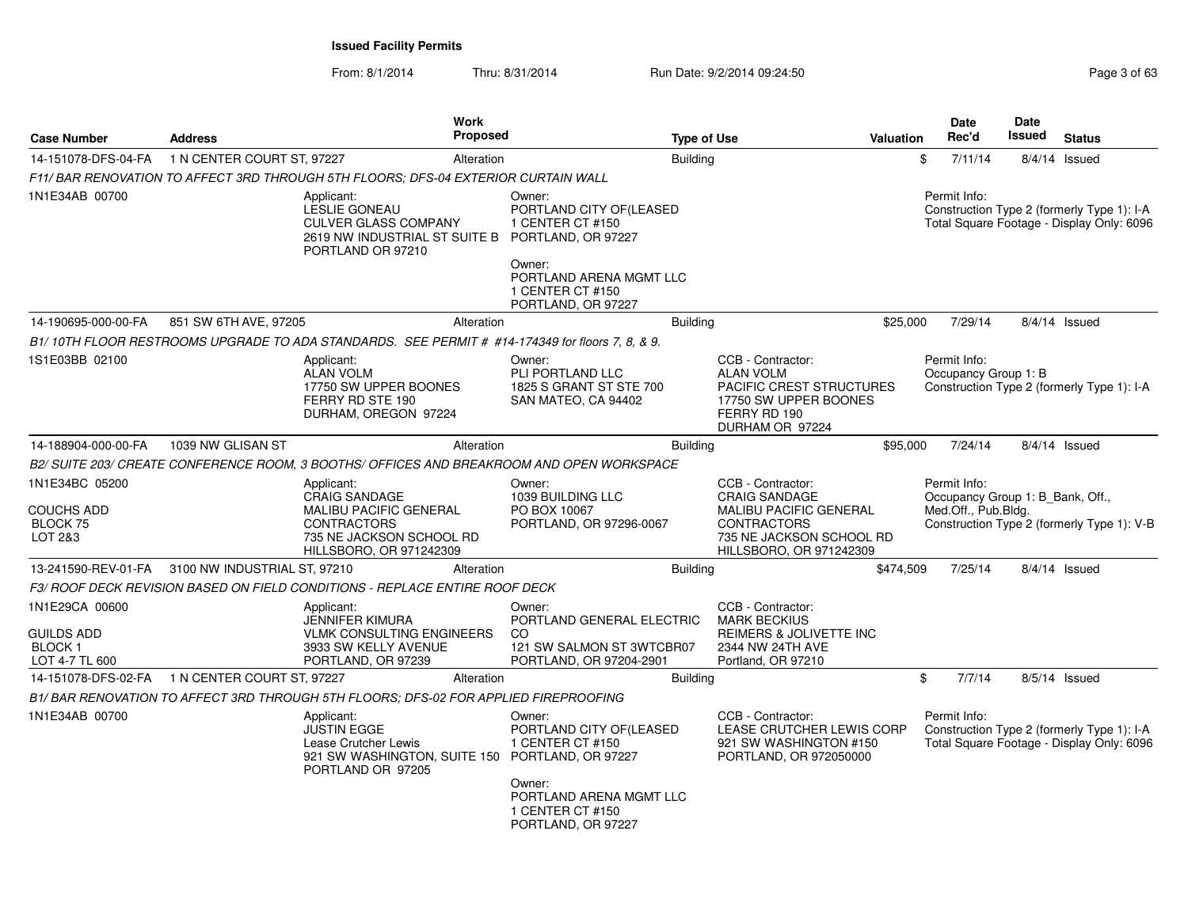|                                                                  |                                                  | Work<br><b>Proposed</b>                                                                                                                   |                                                                                                              |                    |                                                                                                                                                  |           | <b>Date</b><br>Rec'd                                                    | <b>Date</b><br><b>Issued</b> |                                                                                         |
|------------------------------------------------------------------|--------------------------------------------------|-------------------------------------------------------------------------------------------------------------------------------------------|--------------------------------------------------------------------------------------------------------------|--------------------|--------------------------------------------------------------------------------------------------------------------------------------------------|-----------|-------------------------------------------------------------------------|------------------------------|-----------------------------------------------------------------------------------------|
| <b>Case Number</b>                                               | <b>Address</b>                                   |                                                                                                                                           |                                                                                                              | <b>Type of Use</b> |                                                                                                                                                  | Valuation |                                                                         |                              | <b>Status</b>                                                                           |
| 14-151078-DFS-04-FA                                              | 1 N CENTER COURT ST, 97227                       | Alteration                                                                                                                                |                                                                                                              | <b>Building</b>    |                                                                                                                                                  |           | \$<br>7/11/14                                                           |                              | $8/4/14$ Issued                                                                         |
|                                                                  |                                                  | F11/ BAR RENOVATION TO AFFECT 3RD THROUGH 5TH FLOORS; DFS-04 EXTERIOR CURTAIN WALL                                                        |                                                                                                              |                    |                                                                                                                                                  |           |                                                                         |                              |                                                                                         |
| 1N1E34AB 00700                                                   |                                                  | Applicant:<br>LESLIE GONEAU<br>CULVER GLASS COMPANY<br>2619 NW INDUSTRIAL ST SUITE B<br>PORTLAND OR 97210                                 | Owner:<br>PORTLAND CITY OF(LEASED<br>1 CENTER CT #150<br>PORTLAND, OR 97227<br>Owner:                        |                    |                                                                                                                                                  |           | Permit Info:                                                            |                              | Construction Type 2 (formerly Type 1): I-A<br>Total Square Footage - Display Only: 6096 |
|                                                                  |                                                  |                                                                                                                                           | PORTLAND ARENA MGMT LLC<br>1 CENTER CT #150<br>PORTLAND, OR 97227                                            |                    |                                                                                                                                                  |           |                                                                         |                              |                                                                                         |
| 14-190695-000-00-FA                                              | 851 SW 6TH AVE, 97205                            | Alteration                                                                                                                                |                                                                                                              | Building           |                                                                                                                                                  | \$25,000  | 7/29/14                                                                 |                              | $8/4/14$ Issued                                                                         |
|                                                                  |                                                  | B1/10TH FLOOR RESTROOMS UPGRADE TO ADA STANDARDS. SEE PERMIT # #14-174349 for floors 7, 8, & 9.                                           |                                                                                                              |                    |                                                                                                                                                  |           |                                                                         |                              |                                                                                         |
| 1S1E03BB 02100                                                   |                                                  | Applicant:<br><b>ALAN VOLM</b><br>17750 SW UPPER BOONES<br>FERRY RD STE 190<br>DURHAM, OREGON 97224                                       | Owner:<br>PLI PORTLAND LLC<br>1825 S GRANT ST STE 700<br>SAN MATEO, CA 94402                                 |                    | CCB - Contractor:<br><b>ALAN VOLM</b><br><b>PACIFIC CREST STRUCTURES</b><br>17750 SW UPPER BOONES<br>FERRY RD 190<br>DURHAM OR 97224             |           | Permit Info:<br>Occupancy Group 1: B                                    |                              | Construction Type 2 (formerly Type 1): I-A                                              |
| 14-188904-000-00-FA                                              | 1039 NW GLISAN ST                                | Alteration                                                                                                                                |                                                                                                              | <b>Building</b>    |                                                                                                                                                  | \$95,000  | 7/24/14                                                                 |                              | $8/4/14$ Issued                                                                         |
|                                                                  |                                                  | B2/ SUITE 203/ CREATE CONFERENCE ROOM, 3 BOOTHS/ OFFICES AND BREAKROOM AND OPEN WORKSPACE                                                 |                                                                                                              |                    |                                                                                                                                                  |           |                                                                         |                              |                                                                                         |
| 1N1E34BC 05200<br>COUCHS ADD<br>BLOCK 75<br>LOT 2&3              |                                                  | Applicant:<br><b>CRAIG SANDAGE</b><br>MALIBU PACIFIC GENERAL<br><b>CONTRACTORS</b><br>735 NE JACKSON SCHOOL RD<br>HILLSBORO, OR 971242309 | Owner:<br>1039 BUILDING LLC<br>PO BOX 10067<br>PORTLAND, OR 97296-0067                                       |                    | CCB - Contractor:<br><b>CRAIG SANDAGE</b><br>MALIBU PACIFIC GENERAL<br><b>CONTRACTORS</b><br>735 NE JACKSON SCHOOL RD<br>HILLSBORO, OR 971242309 |           | Permit Info:<br>Occupancy Group 1: B_Bank, Off.,<br>Med.Off., Pub.Bldg. |                              | Construction Type 2 (formerly Type 1): V-B                                              |
|                                                                  | 13-241590-REV-01-FA 3100 NW INDUSTRIAL ST, 97210 | Alteration                                                                                                                                |                                                                                                              | Building           |                                                                                                                                                  | \$474,509 | 7/25/14                                                                 |                              | $8/4/14$ Issued                                                                         |
|                                                                  |                                                  | F3/ ROOF DECK REVISION BASED ON FIELD CONDITIONS - REPLACE ENTIRE ROOF DECK                                                               |                                                                                                              |                    |                                                                                                                                                  |           |                                                                         |                              |                                                                                         |
| 1N1E29CA 00600<br><b>GUILDS ADD</b><br>BLOCK 1<br>LOT 4-7 TL 600 |                                                  | Applicant:<br><b>JENNIFER KIMURA</b><br><b>VLMK CONSULTING ENGINEERS</b><br>3933 SW KELLY AVENUE<br>PORTLAND, OR 97239                    | Owner:<br>PORTLAND GENERAL ELECTRIC<br><sub>CO</sub><br>121 SW SALMON ST 3WTCBR07<br>PORTLAND, OR 97204-2901 |                    | CCB - Contractor:<br><b>MARK BECKIUS</b><br><b>REIMERS &amp; JOLIVETTE INC</b><br>2344 NW 24TH AVE<br>Portland, OR 97210                         |           |                                                                         |                              |                                                                                         |
| 14-151078-DFS-02-FA                                              | 1 N CENTER COURT ST, 97227                       | Alteration                                                                                                                                |                                                                                                              | <b>Building</b>    |                                                                                                                                                  |           | \$<br>7/7/14                                                            |                              | 8/5/14 Issued                                                                           |
|                                                                  |                                                  | B1/ BAR RENOVATION TO AFFECT 3RD THROUGH 5TH FLOORS: DFS-02 FOR APPLIED FIREPROOFING                                                      |                                                                                                              |                    |                                                                                                                                                  |           |                                                                         |                              |                                                                                         |
| 1N1E34AB 00700                                                   |                                                  | Applicant:<br><b>JUSTIN EGGE</b><br>Lease Crutcher Lewis<br>921 SW WASHINGTON, SUITE 150 PORTLAND, OR 97227<br>PORTLAND OR 97205          | Owner:<br>PORTLAND CITY OF(LEASED<br>1 CENTER CT #150<br>Owner:<br>PORTLAND ARENA MGMT LLC                   |                    | CCB - Contractor:<br>LEASE CRUTCHER LEWIS CORP<br>921 SW WASHINGTON #150<br>PORTLAND, OR 972050000                                               |           | Permit Info:                                                            |                              | Construction Type 2 (formerly Type 1): I-A<br>Total Square Footage - Display Only: 6096 |
|                                                                  |                                                  |                                                                                                                                           | 1 CENTER CT #150<br>PORTLAND, OR 97227                                                                       |                    |                                                                                                                                                  |           |                                                                         |                              |                                                                                         |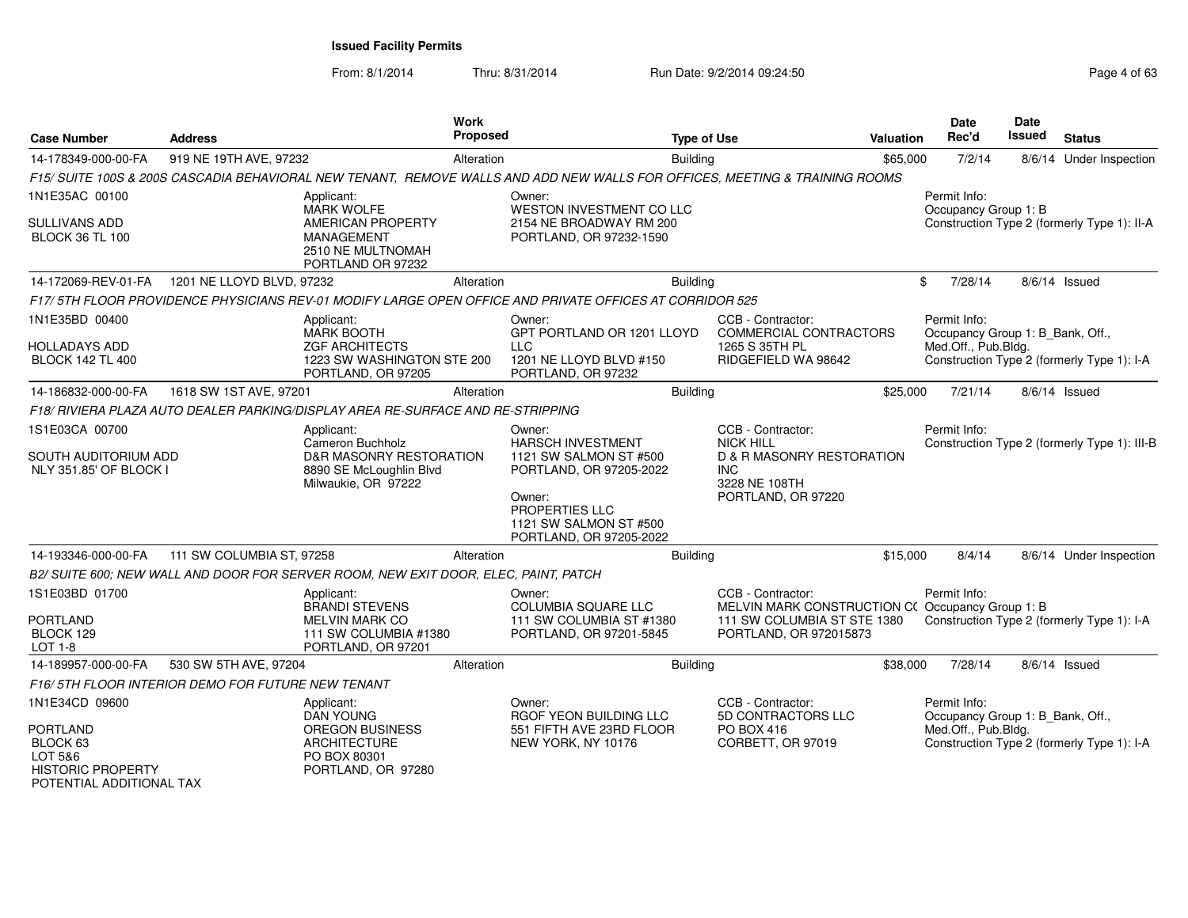From: 8/1/2014

Thru: 8/31/2014 Run Date: 9/2/2014 09:24:50 Run Date: 9/2/2014 09:24:50

| <b>Case Number</b><br><b>Address</b>                                                    |                                                   | <b>Work</b>                                                                         | Proposed<br><b>Type of Use</b> |                                                                                                                             |                 |                                                                       | <b>Date</b><br>Rec'd<br><b>Valuation</b> | <b>Date</b><br>Issued                                                   | <b>Status</b> |                                              |
|-----------------------------------------------------------------------------------------|---------------------------------------------------|-------------------------------------------------------------------------------------|--------------------------------|-----------------------------------------------------------------------------------------------------------------------------|-----------------|-----------------------------------------------------------------------|------------------------------------------|-------------------------------------------------------------------------|---------------|----------------------------------------------|
| 14-178349-000-00-FA                                                                     | 919 NE 19TH AVE, 97232                            |                                                                                     | Alteration                     |                                                                                                                             | <b>Building</b> |                                                                       | \$65,000                                 | 7/2/14                                                                  |               | 8/6/14 Under Inspection                      |
|                                                                                         |                                                   |                                                                                     |                                | F15/ SUITE 100S & 200S CASCADIA BEHAVIORAL NEW TENANT, REMOVE WALLS AND ADD NEW WALLS FOR OFFICES, MEETING & TRAINING ROOMS |                 |                                                                       |                                          |                                                                         |               |                                              |
| 1N1E35AC 00100                                                                          |                                                   | Applicant:<br><b>MARK WOLFE</b>                                                     |                                | Owner:<br>WESTON INVESTMENT CO LLC                                                                                          |                 |                                                                       |                                          | Permit Info:<br>Occupancy Group 1: B                                    |               |                                              |
| SULLIVANS ADD<br><b>BLOCK 36 TL 100</b>                                                 |                                                   | AMERICAN PROPERTY<br><b>MANAGEMENT</b><br>2510 NE MULTNOMAH<br>PORTLAND OR 97232    |                                | 2154 NE BROADWAY RM 200<br>PORTLAND, OR 97232-1590                                                                          |                 |                                                                       |                                          |                                                                         |               | Construction Type 2 (formerly Type 1): II-A  |
| 14-172069-REV-01-FA                                                                     | 1201 NE LLOYD BLVD, 97232                         |                                                                                     | Alteration                     |                                                                                                                             | <b>Building</b> |                                                                       |                                          | \$<br>7/28/14                                                           |               | 8/6/14 Issued                                |
|                                                                                         |                                                   |                                                                                     |                                | F17/5TH FLOOR PROVIDENCE PHYSICIANS REV-01 MODIFY LARGE OPEN OFFICE AND PRIVATE OFFICES AT CORRIDOR 525                     |                 |                                                                       |                                          |                                                                         |               |                                              |
| 1N1E35BD 00400<br><b>HOLLADAYS ADD</b>                                                  |                                                   | Applicant:<br><b>MARK BOOTH</b><br><b>ZGF ARCHITECTS</b>                            |                                | Owner:<br>GPT PORTLAND OR 1201 LLOYD<br>LLC                                                                                 |                 | CCB - Contractor:<br>COMMERCIAL CONTRACTORS<br>1265 S 35TH PL         |                                          | Permit Info:<br>Occupancy Group 1: B_Bank, Off.,<br>Med.Off., Pub.Bldg. |               |                                              |
| <b>BLOCK 142 TL 400</b>                                                                 |                                                   | 1223 SW WASHINGTON STE 200<br>PORTLAND, OR 97205                                    |                                | 1201 NE LLOYD BLVD #150<br>PORTLAND, OR 97232                                                                               |                 | RIDGEFIELD WA 98642                                                   |                                          |                                                                         |               | Construction Type 2 (formerly Type 1): I-A   |
| 14-186832-000-00-FA                                                                     | 1618 SW 1ST AVE, 97201                            |                                                                                     | Alteration                     |                                                                                                                             | <b>Building</b> |                                                                       | \$25,000                                 | 7/21/14                                                                 |               | 8/6/14 Issued                                |
|                                                                                         |                                                   | F18/ RIVIERA PLAZA AUTO DEALER PARKING/DISPLAY AREA RE-SURFACE AND RE-STRIPPING     |                                |                                                                                                                             |                 |                                                                       |                                          |                                                                         |               |                                              |
| 1S1E03CA 00700                                                                          |                                                   | Applicant:<br>Cameron Buchholz                                                      |                                | Owner:<br><b>HARSCH INVESTMENT</b>                                                                                          |                 | CCB - Contractor:<br><b>NICK HILL</b>                                 |                                          | Permit Info:                                                            |               | Construction Type 2 (formerly Type 1): III-B |
| SOUTH AUDITORIUM ADD<br>NLY 351.85' OF BLOCK I                                          |                                                   | D&R MASONRY RESTORATION<br>8890 SE McLoughlin Blvd<br>Milwaukie, OR 97222           |                                | 1121 SW SALMON ST #500<br>PORTLAND, OR 97205-2022                                                                           |                 | <b>D &amp; R MASONRY RESTORATION</b><br>INC.<br>3228 NE 108TH         |                                          |                                                                         |               |                                              |
|                                                                                         |                                                   |                                                                                     |                                | Owner:<br>PROPERTIES LLC<br>1121 SW SALMON ST #500<br>PORTLAND, OR 97205-2022                                               |                 | PORTLAND, OR 97220                                                    |                                          |                                                                         |               |                                              |
| 14-193346-000-00-FA                                                                     | 111 SW COLUMBIA ST, 97258                         |                                                                                     | Alteration                     |                                                                                                                             | <b>Building</b> |                                                                       | \$15,000                                 | 8/4/14                                                                  |               | 8/6/14 Under Inspection                      |
|                                                                                         |                                                   | B2/ SUITE 600; NEW WALL AND DOOR FOR SERVER ROOM, NEW EXIT DOOR, ELEC, PAINT, PATCH |                                |                                                                                                                             |                 |                                                                       |                                          |                                                                         |               |                                              |
| 1S1E03BD 01700                                                                          |                                                   | Applicant:<br><b>BRANDI STEVENS</b>                                                 |                                | Owner:<br>COLUMBIA SQUARE LLC                                                                                               |                 | CCB - Contractor:<br>MELVIN MARK CONSTRUCTION C(Occupancy Group 1: B) |                                          | Permit Info:                                                            |               |                                              |
| PORTLAND<br>BLOCK 129<br>LOT 1-8                                                        |                                                   | MELVIN MARK CO<br>111 SW COLUMBIA #1380<br>PORTLAND, OR 97201                       |                                | 111 SW COLUMBIA ST #1380<br>PORTLAND, OR 97201-5845                                                                         |                 | 111 SW COLUMBIA ST STE 1380<br>PORTLAND, OR 972015873                 |                                          |                                                                         |               | Construction Type 2 (formerly Type 1): I-A   |
| 14-189957-000-00-FA                                                                     | 530 SW 5TH AVE, 97204                             |                                                                                     | Alteration                     |                                                                                                                             | <b>Building</b> |                                                                       | \$38,000                                 | 7/28/14                                                                 |               | 8/6/14 Issued                                |
|                                                                                         | F16/5TH FLOOR INTERIOR DEMO FOR FUTURE NEW TENANT |                                                                                     |                                |                                                                                                                             |                 |                                                                       |                                          |                                                                         |               |                                              |
| 1N1E34CD 09600                                                                          |                                                   | Applicant:<br><b>DAN YOUNG</b>                                                      |                                | Owner:<br>RGOF YEON BUILDING LLC                                                                                            |                 | CCB - Contractor:<br>5D CONTRACTORS LLC                               |                                          | Permit Info:<br>Occupancy Group 1: B_Bank, Off.,                        |               |                                              |
| PORTLAND<br>BLOCK 63<br>LOT 5&6<br><b>HISTORIC PROPERTY</b><br>POTENTIAL ADDITIONAL TAX |                                                   | <b>OREGON BUSINESS</b><br><b>ARCHITECTURE</b><br>PO BOX 80301<br>PORTLAND, OR 97280 |                                | 551 FIFTH AVE 23RD FLOOR<br>NEW YORK, NY 10176                                                                              |                 | PO BOX 416<br>CORBETT, OR 97019                                       |                                          | Med.Off., Pub.Bldg.                                                     |               | Construction Type 2 (formerly Type 1): I-A   |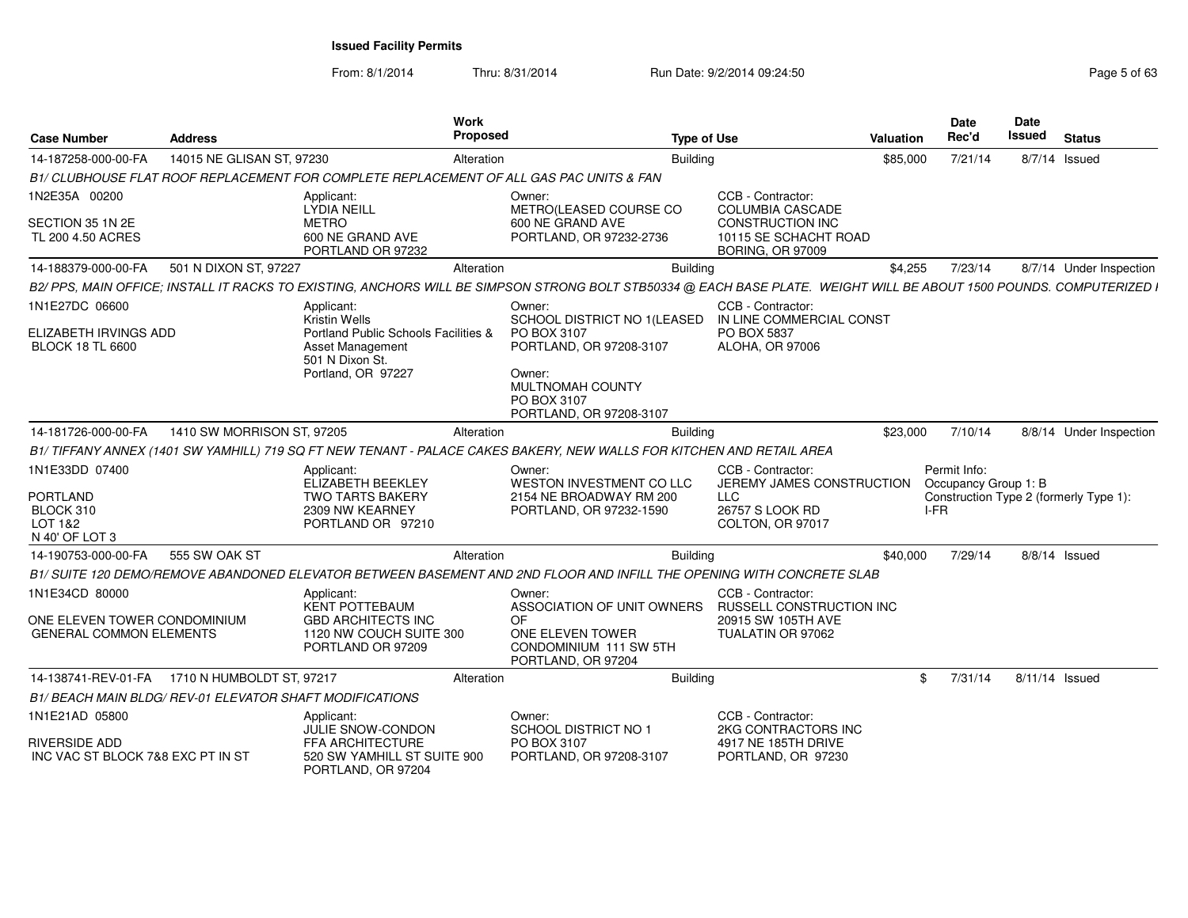From: 8/1/2014

| <b>Case Number</b>                                                               | <b>Address</b>                                           | Work                                                                                                                                                                 | <b>Proposed</b>                                                    | <b>Type of Use</b>                                                                |                                                                                                                             | <b>Valuation</b> | Date<br>Rec'd                                | <b>Date</b><br><b>Issued</b> | <b>Status</b>                          |
|----------------------------------------------------------------------------------|----------------------------------------------------------|----------------------------------------------------------------------------------------------------------------------------------------------------------------------|--------------------------------------------------------------------|-----------------------------------------------------------------------------------|-----------------------------------------------------------------------------------------------------------------------------|------------------|----------------------------------------------|------------------------------|----------------------------------------|
| 14-187258-000-00-FA                                                              | 14015 NE GLISAN ST, 97230                                |                                                                                                                                                                      | Alteration                                                         | <b>Building</b>                                                                   |                                                                                                                             | \$85,000         | 7/21/14                                      |                              | 8/7/14 Issued                          |
|                                                                                  |                                                          | B1/ CLUBHOUSE FLAT ROOF REPLACEMENT FOR COMPLETE REPLACEMENT OF ALL GAS PAC UNITS & FAN                                                                              |                                                                    |                                                                                   |                                                                                                                             |                  |                                              |                              |                                        |
| 1N2E35A 00200<br>SECTION 35 1N 2E<br>TL 200 4.50 ACRES                           |                                                          | Applicant:<br><b>LYDIA NEILL</b><br><b>METRO</b><br>600 NE GRAND AVE<br>PORTLAND OR 97232                                                                            | Owner:<br>600 NE GRAND AVE                                         | METRO(LEASED COURSE CO<br>PORTLAND, OR 97232-2736                                 | CCB - Contractor:<br><b>COLUMBIA CASCADE</b><br><b>CONSTRUCTION INC</b><br>10115 SE SCHACHT ROAD<br><b>BORING, OR 97009</b> |                  |                                              |                              |                                        |
| 14-188379-000-00-FA                                                              | 501 N DIXON ST, 97227                                    |                                                                                                                                                                      | Alteration                                                         | <b>Building</b>                                                                   |                                                                                                                             | \$4,255          | 7/23/14                                      |                              | 8/7/14 Under Inspection                |
|                                                                                  |                                                          | B2/ PPS, MAIN OFFICE; INSTALL IT RACKS TO EXISTING, ANCHORS WILL BE SIMPSON STRONG BOLT STB50334 @ EACH BASE PLATE. WEIGHT WILL BE ABOUT 1500 POUNDS. COMPUTERIZED I |                                                                    |                                                                                   |                                                                                                                             |                  |                                              |                              |                                        |
| 1N1E27DC 06600<br>ELIZABETH IRVINGS ADD<br><b>BLOCK 18 TL 6600</b>               |                                                          | Applicant:<br><b>Kristin Wells</b><br>Portland Public Schools Facilities &<br><b>Asset Management</b><br>501 N Dixon St.<br>Portland, OR 97227                       | Owner:<br>PO BOX 3107<br>Owner:<br>MULTNOMAH COUNTY<br>PO BOX 3107 | SCHOOL DISTRICT NO 1/LEASED<br>PORTLAND, OR 97208-3107<br>PORTLAND, OR 97208-3107 | CCB - Contractor:<br>IN LINE COMMERCIAL CONST<br>PO BOX 5837<br>ALOHA, OR 97006                                             |                  |                                              |                              |                                        |
| 14-181726-000-00-FA                                                              | 1410 SW MORRISON ST, 97205                               |                                                                                                                                                                      | Alteration                                                         | <b>Building</b>                                                                   |                                                                                                                             | \$23,000         | 7/10/14                                      |                              | 8/8/14 Under Inspection                |
|                                                                                  |                                                          | B1/TIFFANY ANNEX (1401 SW YAMHILL) 719 SQ FT NEW TENANT - PALACE CAKES BAKERY, NEW WALLS FOR KITCHEN AND RETAIL AREA                                                 |                                                                    |                                                                                   |                                                                                                                             |                  |                                              |                              |                                        |
| 1N1E33DD 07400<br><b>PORTLAND</b><br>BLOCK 310<br>LOT 1&2<br>N 40' OF LOT 3      |                                                          | Applicant:<br><b>ELIZABETH BEEKLEY</b><br><b>TWO TARTS BAKERY</b><br>2309 NW KEARNEY<br>PORTLAND OR 97210                                                            | Owner:                                                             | WESTON INVESTMENT CO LLC<br>2154 NE BROADWAY RM 200<br>PORTLAND, OR 97232-1590    | CCB - Contractor:<br>JEREMY JAMES CONSTRUCTION<br><b>LLC</b><br>26757 S LOOK RD<br>COLTON, OR 97017                         |                  | Permit Info:<br>Occupancy Group 1: B<br>I-FR |                              | Construction Type 2 (formerly Type 1): |
| 14-190753-000-00-FA                                                              | 555 SW OAK ST                                            |                                                                                                                                                                      | Alteration                                                         | <b>Building</b>                                                                   |                                                                                                                             | \$40,000         | 7/29/14                                      |                              | 8/8/14 Issued                          |
|                                                                                  |                                                          | B1/SUITE 120 DEMO/REMOVE ABANDONED ELEVATOR BETWEEN BASEMENT AND 2ND FLOOR AND INFILL THE OPENING WITH CONCRETE SLAB                                                 |                                                                    |                                                                                   |                                                                                                                             |                  |                                              |                              |                                        |
| 1N1E34CD 80000<br>ONE ELEVEN TOWER CONDOMINIUM<br><b>GENERAL COMMON ELEMENTS</b> |                                                          | Applicant:<br><b>KENT POTTEBAUM</b><br><b>GBD ARCHITECTS INC</b><br>1120 NW COUCH SUITE 300<br>PORTLAND OR 97209                                                     | Owner:<br><b>OF</b><br>ONE ELEVEN TOWER<br>PORTLAND, OR 97204      | ASSOCIATION OF UNIT OWNERS<br>CONDOMINIUM 111 SW 5TH                              | CCB - Contractor:<br><b>RUSSELL CONSTRUCTION INC</b><br>20915 SW 105TH AVE<br>TUALATIN OR 97062                             |                  |                                              |                              |                                        |
|                                                                                  | 14-138741-REV-01-FA 1710 N HUMBOLDT ST, 97217            |                                                                                                                                                                      | Alteration                                                         | <b>Building</b>                                                                   |                                                                                                                             |                  | 7/31/14<br>\$                                |                              | 8/11/14 Issued                         |
|                                                                                  | B1/ BEACH MAIN BLDG/ REV-01 ELEVATOR SHAFT MODIFICATIONS |                                                                                                                                                                      |                                                                    |                                                                                   |                                                                                                                             |                  |                                              |                              |                                        |
| 1N1E21AD 05800<br><b>RIVERSIDE ADD</b><br>INC VAC ST BLOCK 7&8 EXC PT IN ST      |                                                          | Applicant:<br><b>JULIE SNOW-CONDON</b><br><b>FFA ARCHITECTURE</b><br>520 SW YAMHILL ST SUITE 900<br>PORTLAND, OR 97204                                               | Owner:<br><b>SCHOOL DISTRICT NO 1</b><br>PO BOX 3107               | PORTLAND, OR 97208-3107                                                           | CCB - Contractor:<br>2KG CONTRACTORS INC<br>4917 NE 185TH DRIVE<br>PORTLAND, OR 97230                                       |                  |                                              |                              |                                        |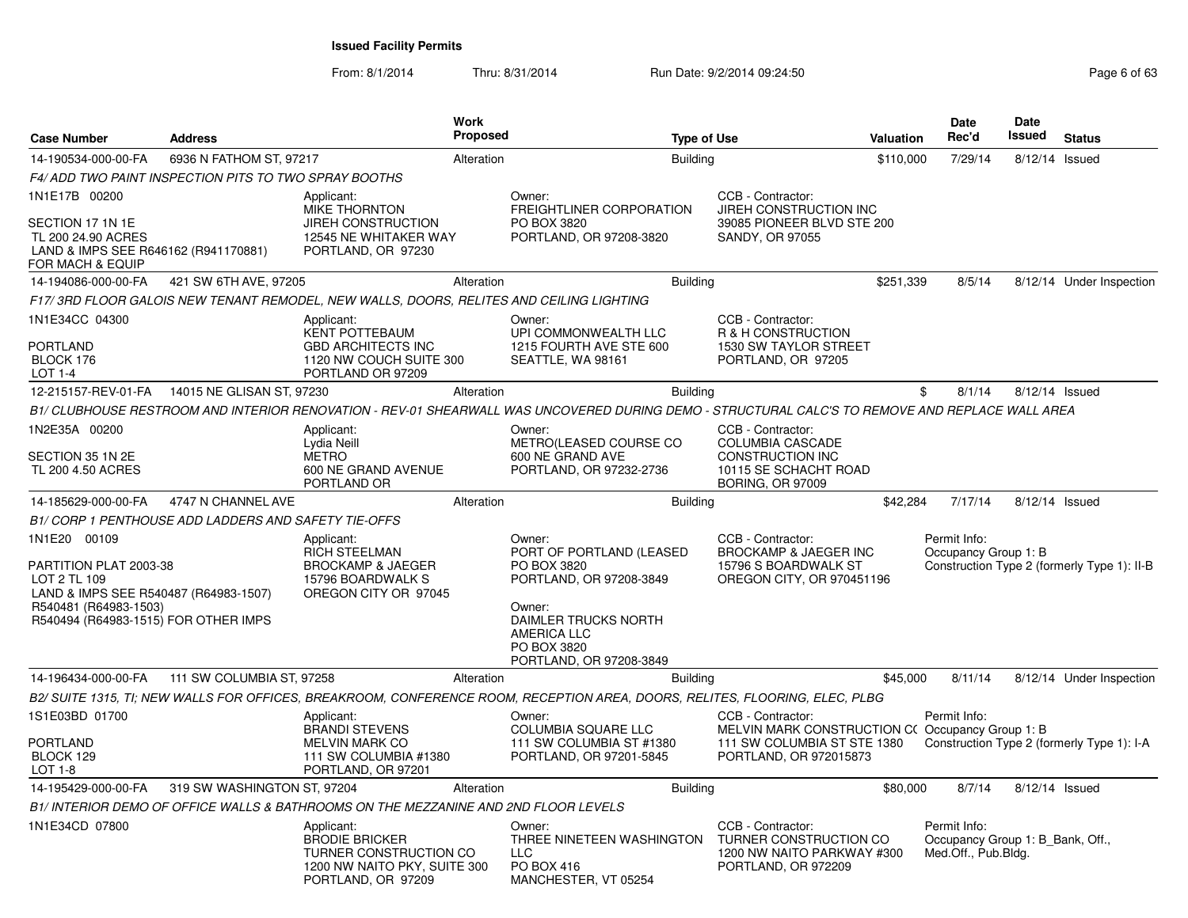From: 8/1/2014

| <b>Case Number</b>                                                                                                                                               | <b>Address</b>                                        |                                                                                                                     | Work<br><b>Proposed</b> |                                                                                                                                                                                | <b>Type of Use</b>                                                                                                            | Valuation | <b>Date</b><br>Rec'd                 | Date<br>Issued                   | <b>Status</b>                               |
|------------------------------------------------------------------------------------------------------------------------------------------------------------------|-------------------------------------------------------|---------------------------------------------------------------------------------------------------------------------|-------------------------|--------------------------------------------------------------------------------------------------------------------------------------------------------------------------------|-------------------------------------------------------------------------------------------------------------------------------|-----------|--------------------------------------|----------------------------------|---------------------------------------------|
| 14-190534-000-00-FA                                                                                                                                              | 6936 N FATHOM ST, 97217                               |                                                                                                                     | Alteration              | <b>Building</b>                                                                                                                                                                |                                                                                                                               | \$110,000 | 7/29/14                              | 8/12/14 Issued                   |                                             |
|                                                                                                                                                                  | F4/ ADD TWO PAINT INSPECTION PITS TO TWO SPRAY BOOTHS |                                                                                                                     |                         |                                                                                                                                                                                |                                                                                                                               |           |                                      |                                  |                                             |
| 1N1E17B 00200                                                                                                                                                    |                                                       | Applicant:                                                                                                          |                         | Owner:                                                                                                                                                                         | CCB - Contractor:                                                                                                             |           |                                      |                                  |                                             |
| SECTION 17 1N 1E<br>TL 200 24.90 ACRES<br>LAND & IMPS SEE R646162 (R941170881)<br>FOR MACH & EQUIP                                                               |                                                       | MIKE THORNTON<br><b>JIREH CONSTRUCTION</b><br>12545 NE WHITAKER WAY<br>PORTLAND, OR 97230                           |                         | FREIGHTLINER CORPORATION<br>PO BOX 3820<br>PORTLAND, OR 97208-3820                                                                                                             | JIREH CONSTRUCTION INC<br>39085 PIONEER BLVD STE 200<br>SANDY, OR 97055                                                       |           |                                      |                                  |                                             |
| 14-194086-000-00-FA                                                                                                                                              | 421 SW 6TH AVE, 97205                                 |                                                                                                                     | Alteration              | <b>Building</b>                                                                                                                                                                |                                                                                                                               | \$251,339 | 8/5/14                               |                                  | 8/12/14 Under Inspection                    |
|                                                                                                                                                                  |                                                       | F17/3RD FLOOR GALOIS NEW TENANT REMODEL, NEW WALLS, DOORS, RELITES AND CEILING LIGHTING                             |                         |                                                                                                                                                                                |                                                                                                                               |           |                                      |                                  |                                             |
| 1N1E34CC 04300<br><b>PORTLAND</b><br>BLOCK 176<br>LOT 1-4                                                                                                        |                                                       | Applicant:<br><b>KENT POTTEBAUM</b><br><b>GBD ARCHITECTS INC</b><br>1120 NW COUCH SUITE 300<br>PORTLAND OR 97209    |                         | Owner:<br>UPI COMMONWEALTH LLC<br>1215 FOURTH AVE STE 600<br>SEATTLE, WA 98161                                                                                                 | CCB - Contractor:<br><b>R &amp; H CONSTRUCTION</b><br>1530 SW TAYLOR STREET<br>PORTLAND, OR 97205                             |           |                                      |                                  |                                             |
|                                                                                                                                                                  | 12-215157-REV-01-FA 14015 NE GLISAN ST, 97230         |                                                                                                                     | Alteration              | <b>Building</b>                                                                                                                                                                |                                                                                                                               |           | \$<br>8/1/14                         | 8/12/14 Issued                   |                                             |
|                                                                                                                                                                  |                                                       |                                                                                                                     |                         | B1/ CLUBHOUSE RESTROOM AND INTERIOR RENOVATION - REV-01 SHEARWALL WAS UNCOVERED DURING DEMO - STRUCTURAL CALC'S TO REMOVE AND REPLACE WALL AREA                                |                                                                                                                               |           |                                      |                                  |                                             |
| 1N2E35A 00200<br>SECTION 35 1N 2E<br>TL 200 4.50 ACRES                                                                                                           |                                                       | Applicant:<br>Lydia Neill<br><b>METRO</b><br>600 NE GRAND AVENUE<br>PORTLAND OR                                     |                         | Owner:<br>METRO(LEASED COURSE CO<br>600 NE GRAND AVE<br>PORTLAND, OR 97232-2736                                                                                                | CCB - Contractor:<br>COLUMBIA CASCADE<br>CONSTRUCTION INC<br>10115 SE SCHACHT ROAD<br><b>BORING, OR 97009</b>                 |           |                                      |                                  |                                             |
| 14-185629-000-00-FA                                                                                                                                              | 4747 N CHANNEL AVE                                    |                                                                                                                     | Alteration              | <b>Building</b>                                                                                                                                                                |                                                                                                                               | \$42,284  | 7/17/14                              | 8/12/14 Issued                   |                                             |
|                                                                                                                                                                  | B1/ CORP 1 PENTHOUSE ADD LADDERS AND SAFETY TIE-OFFS  |                                                                                                                     |                         |                                                                                                                                                                                |                                                                                                                               |           |                                      |                                  |                                             |
| 1N1E20 00109<br>PARTITION PLAT 2003-38<br>LOT 2 TL 109<br>LAND & IMPS SEE R540487 (R64983-1507)<br>R540481 (R64983-1503)<br>R540494 (R64983-1515) FOR OTHER IMPS |                                                       | Applicant:<br><b>RICH STEELMAN</b><br><b>BROCKAMP &amp; JAEGER</b><br>15796 BOARDWALK S<br>OREGON CITY OR 97045     |                         | Owner:<br>PORT OF PORTLAND (LEASED<br>PO BOX 3820<br>PORTLAND, OR 97208-3849<br>Owner:<br>DAIMLER TRUCKS NORTH<br><b>AMERICA LLC</b><br>PO BOX 3820<br>PORTLAND, OR 97208-3849 | CCB - Contractor:<br><b>BROCKAMP &amp; JAEGER INC</b><br>15796 S BOARDWALK ST<br>OREGON CITY, OR 970451196                    |           | Permit Info:<br>Occupancy Group 1: B |                                  | Construction Type 2 (formerly Type 1): II-B |
| 14-196434-000-00-FA                                                                                                                                              | 111 SW COLUMBIA ST, 97258                             |                                                                                                                     | Alteration              | <b>Building</b>                                                                                                                                                                |                                                                                                                               | \$45,000  | 8/11/14                              |                                  | 8/12/14 Under Inspection                    |
|                                                                                                                                                                  |                                                       |                                                                                                                     |                         | B2/ SUITE 1315, TI; NEW WALLS FOR OFFICES, BREAKROOM, CONFERENCE ROOM, RECEPTION AREA, DOORS, RELITES, FLOORING, ELEC, PLBG                                                    |                                                                                                                               |           |                                      |                                  |                                             |
| 1S1E03BD 01700<br>PORTLAND<br>BLOCK 129<br><b>LOT 1-8</b>                                                                                                        |                                                       | Applicant:<br><b>BRANDI STEVENS</b><br><b>MELVIN MARK CO</b><br>111 SW COLUMBIA #1380<br>PORTLAND, OR 97201         |                         | Owner:<br><b>COLUMBIA SQUARE LLC</b><br>111 SW COLUMBIA ST #1380<br>PORTLAND, OR 97201-5845                                                                                    | CCB - Contractor:<br>MELVIN MARK CONSTRUCTION C(Occupancy Group 1: B<br>111 SW COLUMBIA ST STE 1380<br>PORTLAND, OR 972015873 |           | Permit Info:                         |                                  | Construction Type 2 (formerly Type 1): I-A  |
| 14-195429-000-00-FA                                                                                                                                              | 319 SW WASHINGTON ST, 97204                           |                                                                                                                     | Alteration              | <b>Building</b>                                                                                                                                                                |                                                                                                                               | \$80,000  | 8/7/14                               | 8/12/14 Issued                   |                                             |
|                                                                                                                                                                  |                                                       | B1/ INTERIOR DEMO OF OFFICE WALLS & BATHROOMS ON THE MEZZANINE AND 2ND FLOOR LEVELS                                 |                         |                                                                                                                                                                                |                                                                                                                               |           |                                      |                                  |                                             |
| 1N1E34CD 07800                                                                                                                                                   |                                                       | Applicant:<br><b>BRODIE BRICKER</b><br>TURNER CONSTRUCTION CO<br>1200 NW NAITO PKY, SUITE 300<br>PORTLAND, OR 97209 |                         | Owner:<br>THREE NINETEEN WASHINGTON<br><b>LLC</b><br>PO BOX 416<br>MANCHESTER, VT 05254                                                                                        | CCB - Contractor:<br>TURNER CONSTRUCTION CO<br>1200 NW NAITO PARKWAY #300<br>PORTLAND, OR 972209                              |           | Permit Info:<br>Med.Off., Pub.Bldg.  | Occupancy Group 1: B Bank, Off., |                                             |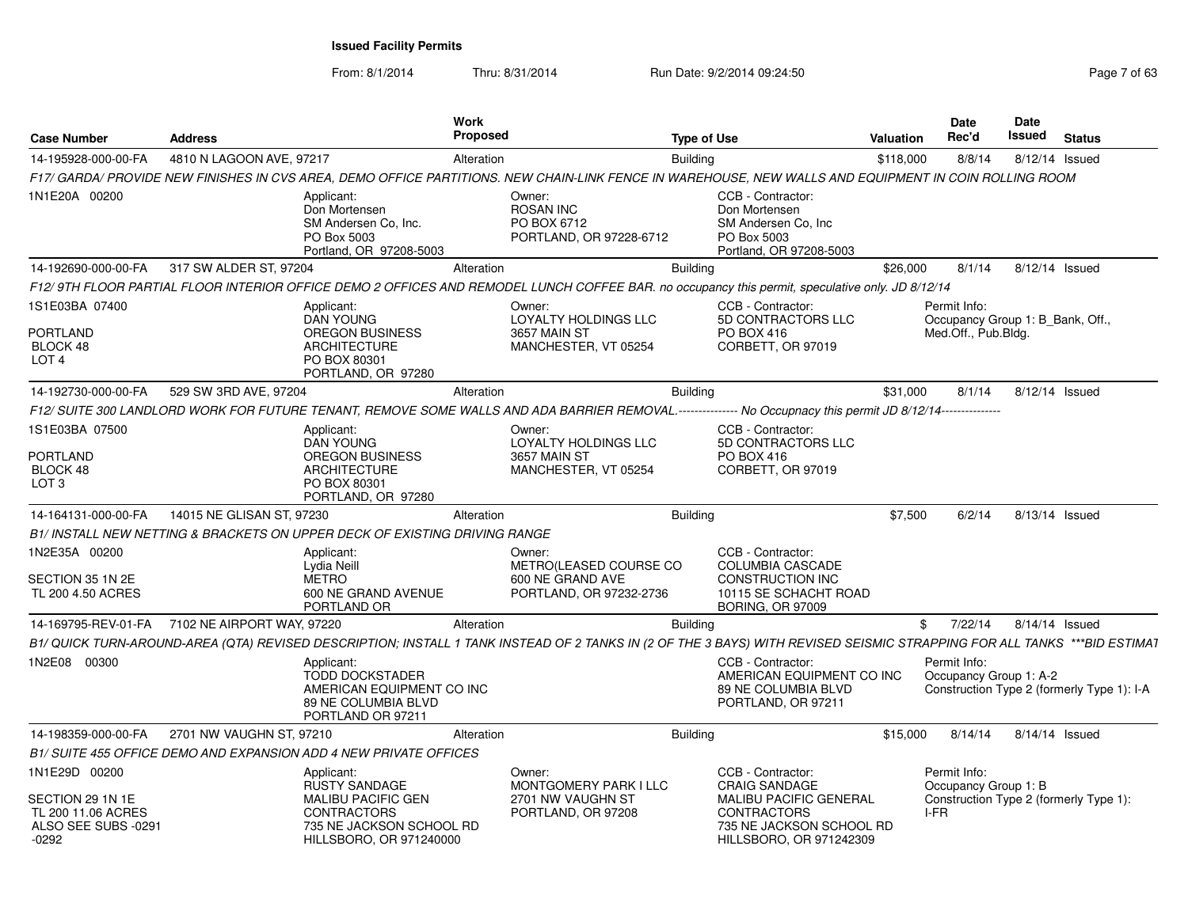| <b>Case Number</b>                                                     | <b>Address</b>             |                                                                                                               | Work<br>Proposed |                                                                                                                                                                          | <b>Type of Use</b> |                                                                                                            | <b>Valuation</b> | Date<br>Rec'd                                                           | <b>Date</b><br>Issued | <b>Status</b>                              |
|------------------------------------------------------------------------|----------------------------|---------------------------------------------------------------------------------------------------------------|------------------|--------------------------------------------------------------------------------------------------------------------------------------------------------------------------|--------------------|------------------------------------------------------------------------------------------------------------|------------------|-------------------------------------------------------------------------|-----------------------|--------------------------------------------|
| 14-195928-000-00-FA                                                    | 4810 N LAGOON AVE, 97217   |                                                                                                               | Alteration       |                                                                                                                                                                          | <b>Building</b>    |                                                                                                            | \$118,000        | 8/8/14                                                                  | 8/12/14 Issued        |                                            |
|                                                                        |                            |                                                                                                               |                  | F17/ GARDA/ PROVIDE NEW FINISHES IN CVS AREA, DEMO OFFICE PARTITIONS. NEW CHAIN-LINK FENCE IN WAREHOUSE, NEW WALLS AND EQUIPMENT IN COIN ROLLING ROOM                    |                    |                                                                                                            |                  |                                                                         |                       |                                            |
| 1N1E20A 00200                                                          |                            | Applicant:<br>Don Mortensen<br>SM Andersen Co, Inc.<br>PO Box 5003<br>Portland, OR 97208-5003                 |                  | Owner:<br><b>ROSAN INC</b><br>PO BOX 6712<br>PORTLAND, OR 97228-6712                                                                                                     |                    | CCB - Contractor:<br>Don Mortensen<br>SM Andersen Co, Inc.<br>PO Box 5003<br>Portland, OR 97208-5003       |                  |                                                                         |                       |                                            |
| 14-192690-000-00-FA                                                    | 317 SW ALDER ST, 97204     |                                                                                                               | Alteration       |                                                                                                                                                                          | <b>Building</b>    |                                                                                                            | \$26,000         | 8/1/14                                                                  | 8/12/14 Issued        |                                            |
|                                                                        |                            |                                                                                                               |                  | F12/ 9TH FLOOR PARTIAL FLOOR INTERIOR OFFICE DEMO 2 OFFICES AND REMODEL LUNCH COFFEE BAR. no occupancy this permit, speculative only. JD 8/12/14                         |                    |                                                                                                            |                  |                                                                         |                       |                                            |
| 1S1E03BA 07400<br><b>PORTLAND</b><br>BLOCK 48<br>LOT <sub>4</sub>      |                            | Applicant:<br><b>DAN YOUNG</b><br><b>OREGON BUSINESS</b><br><b>ARCHITECTURE</b><br>PO BOX 80301               |                  | Owner:<br>LOYALTY HOLDINGS LLC<br>3657 MAIN ST<br>MANCHESTER, VT 05254                                                                                                   |                    | CCB - Contractor:<br>5D CONTRACTORS LLC<br>PO BOX 416<br>CORBETT, OR 97019                                 |                  | Permit Info:<br>Occupancy Group 1: B_Bank, Off.,<br>Med.Off., Pub.Bldg. |                       |                                            |
|                                                                        |                            | PORTLAND, OR 97280                                                                                            |                  |                                                                                                                                                                          |                    |                                                                                                            |                  |                                                                         |                       |                                            |
| 14-192730-000-00-FA                                                    | 529 SW 3RD AVE, 97204      |                                                                                                               | Alteration       |                                                                                                                                                                          | <b>Building</b>    |                                                                                                            | \$31,000         | 8/1/14                                                                  | 8/12/14 Issued        |                                            |
|                                                                        |                            |                                                                                                               |                  | F12/ SUITE 300 LANDLORD WORK FOR FUTURE TENANT, REMOVE SOME WALLS AND ADA BARRIER REMOVAL.--------------- No Occupnacy this permit JD 8/12/14---------------             |                    |                                                                                                            |                  |                                                                         |                       |                                            |
| 1S1E03BA 07500                                                         |                            | Applicant:<br><b>DAN YOUNG</b>                                                                                |                  | Owner:<br>LOYALTY HOLDINGS LLC                                                                                                                                           |                    | CCB - Contractor:<br>5D CONTRACTORS LLC                                                                    |                  |                                                                         |                       |                                            |
| <b>PORTLAND</b><br>BLOCK 48<br>LOT <sub>3</sub>                        |                            | <b>OREGON BUSINESS</b><br><b>ARCHITECTURE</b><br>PO BOX 80301<br>PORTLAND, OR 97280                           |                  | 3657 MAIN ST<br>MANCHESTER, VT 05254                                                                                                                                     |                    | PO BOX 416<br>CORBETT, OR 97019                                                                            |                  |                                                                         |                       |                                            |
| 14-164131-000-00-FA                                                    | 14015 NE GLISAN ST, 97230  |                                                                                                               | Alteration       |                                                                                                                                                                          | <b>Building</b>    |                                                                                                            | \$7,500          | 6/2/14                                                                  | 8/13/14 Issued        |                                            |
|                                                                        |                            | B1/ INSTALL NEW NETTING & BRACKETS ON UPPER DECK OF EXISTING DRIVING RANGE                                    |                  |                                                                                                                                                                          |                    |                                                                                                            |                  |                                                                         |                       |                                            |
| 1N2E35A 00200                                                          |                            | Applicant:<br>Lydia Neill                                                                                     |                  | Owner:<br>METRO(LEASED COURSE CO                                                                                                                                         |                    | CCB - Contractor:<br><b>COLUMBIA CASCADE</b>                                                               |                  |                                                                         |                       |                                            |
| SECTION 35 1N 2E<br>TL 200 4.50 ACRES                                  |                            | <b>METRO</b><br>600 NE GRAND AVENUE<br>PORTLAND OR                                                            |                  | 600 NE GRAND AVE<br>PORTLAND, OR 97232-2736                                                                                                                              |                    | <b>CONSTRUCTION INC</b><br>10115 SE SCHACHT ROAD<br><b>BORING, OR 97009</b>                                |                  |                                                                         |                       |                                            |
| 14-169795-REV-01-FA                                                    | 7102 NE AIRPORT WAY, 97220 |                                                                                                               | Alteration       |                                                                                                                                                                          | <b>Building</b>    |                                                                                                            | \$               | 7/22/14                                                                 | 8/14/14 Issued        |                                            |
|                                                                        |                            |                                                                                                               |                  | B1/ QUICK TURN-AROUND-AREA (QTA) REVISED DESCRIPTION; INSTALL 1 TANK INSTEAD OF 2 TANKS IN (2 OF THE 3 BAYS) WITH REVISED SEISMIC STRAPPING FOR ALL TANKS ***BID ESTIMA1 |                    |                                                                                                            |                  |                                                                         |                       |                                            |
| 1N2E08 00300                                                           |                            | Applicant:<br><b>TODD DOCKSTADER</b><br>AMERICAN EQUIPMENT CO INC<br>89 NE COLUMBIA BLVD<br>PORTLAND OR 97211 |                  |                                                                                                                                                                          |                    | CCB - Contractor:<br>AMERICAN EQUIPMENT CO INC<br>89 NE COLUMBIA BLVD<br>PORTLAND, OR 97211                |                  | Permit Info:<br>Occupancy Group 1: A-2                                  |                       | Construction Type 2 (formerly Type 1): I-A |
| 14-198359-000-00-FA                                                    | 2701 NW VAUGHN ST, 97210   |                                                                                                               | Alteration       |                                                                                                                                                                          | Building           |                                                                                                            | \$15,000         | 8/14/14                                                                 | 8/14/14 Issued        |                                            |
|                                                                        |                            | B1/ SUITE 455 OFFICE DEMO AND EXPANSION ADD 4 NEW PRIVATE OFFICES                                             |                  |                                                                                                                                                                          |                    |                                                                                                            |                  |                                                                         |                       |                                            |
| 1N1E29D 00200                                                          |                            | Applicant:<br><b>RUSTY SANDAGE</b>                                                                            |                  | Owner:<br>MONTGOMERY PARK I LLC                                                                                                                                          |                    | CCB - Contractor:<br><b>CRAIG SANDAGE</b>                                                                  |                  | Permit Info:<br>Occupancy Group 1: B                                    |                       |                                            |
| SECTION 29 1N 1E<br>TL 200 11.06 ACRES<br>ALSO SEE SUBS -0291<br>-0292 |                            | MALIBU PACIFIC GEN<br><b>CONTRACTORS</b><br>735 NE JACKSON SCHOOL RD<br>HILLSBORO, OR 971240000               |                  | 2701 NW VAUGHN ST<br>PORTLAND, OR 97208                                                                                                                                  |                    | <b>MALIBU PACIFIC GENERAL</b><br><b>CONTRACTORS</b><br>735 NE JACKSON SCHOOL RD<br>HILLSBORO, OR 971242309 |                  | I-FR                                                                    |                       | Construction Type 2 (formerly Type 1):     |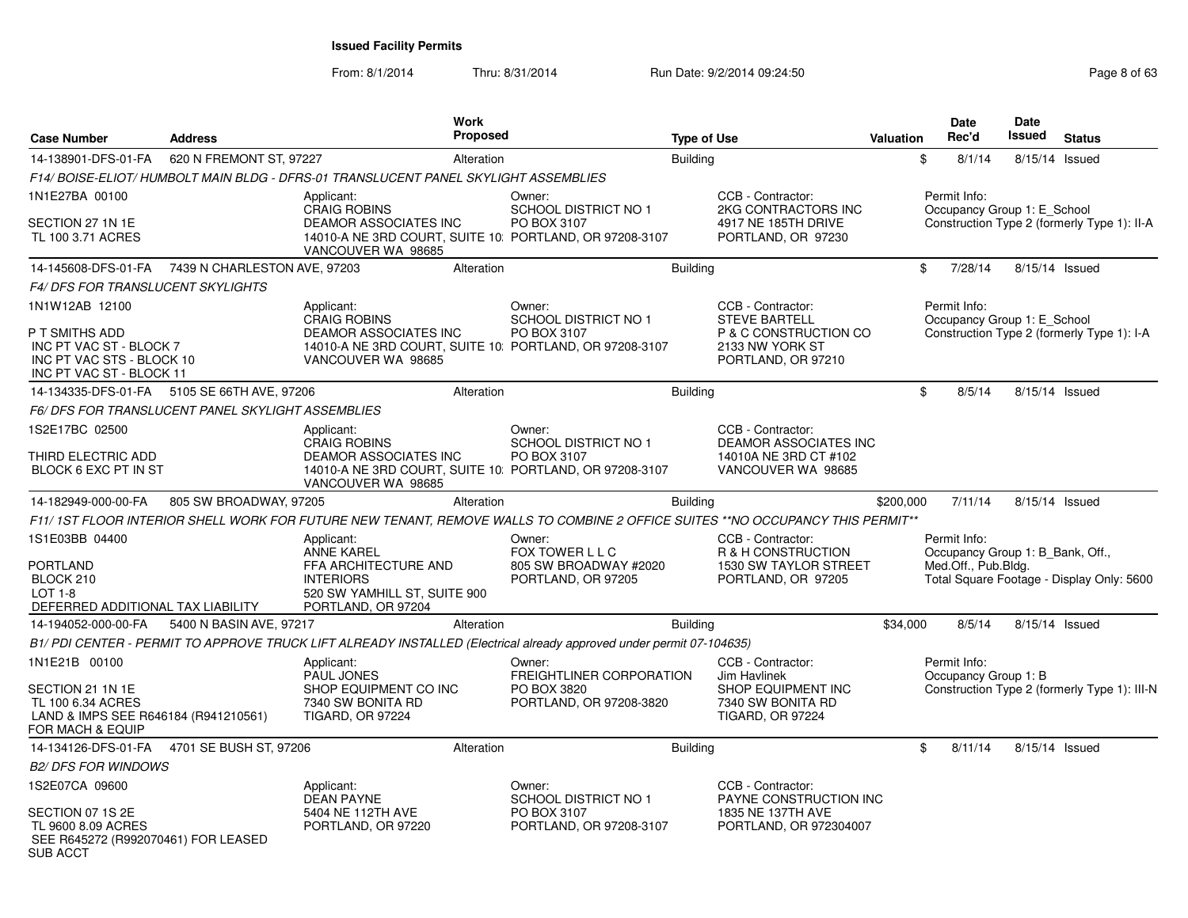From: 8/1/2014

| <b>Case Number</b>                                                                                 | <b>Address</b>                                    | Work<br><b>Proposed</b>                                                                                                       |                                          | <b>Type of Use</b> |                                                                    | Valuation | <b>Date</b><br>Rec'd                 | <b>Date</b><br><b>Issued</b>     | <b>Status</b>                                |
|----------------------------------------------------------------------------------------------------|---------------------------------------------------|-------------------------------------------------------------------------------------------------------------------------------|------------------------------------------|--------------------|--------------------------------------------------------------------|-----------|--------------------------------------|----------------------------------|----------------------------------------------|
| 14-138901-DFS-01-FA                                                                                | 620 N FREMONT ST, 97227                           | Alteration                                                                                                                    |                                          | <b>Building</b>    |                                                                    |           | \$<br>8/1/14                         |                                  | 8/15/14 Issued                               |
|                                                                                                    |                                                   | F14/ BOISE-ELIOT/ HUMBOLT MAIN BLDG - DFRS-01 TRANSLUCENT PANEL SKYLIGHT ASSEMBLIES                                           |                                          |                    |                                                                    |           |                                      |                                  |                                              |
| 1N1E27BA 00100                                                                                     |                                                   | Applicant:<br>CRAIG ROBINS                                                                                                    | Owner:<br><b>SCHOOL DISTRICT NO 1</b>    |                    | CCB - Contractor:<br>2KG CONTRACTORS INC                           |           | Permit Info:                         | Occupancy Group 1: E_School      |                                              |
| SECTION 27 1N 1E<br>TL 100 3.71 ACRES                                                              |                                                   | <b>DEAMOR ASSOCIATES INC</b><br>14010-A NE 3RD COURT, SUITE 10: PORTLAND, OR 97208-3107<br>VANCOUVER WA 98685                 | PO BOX 3107                              |                    | 4917 NE 185TH DRIVE<br>PORTLAND, OR 97230                          |           |                                      |                                  | Construction Type 2 (formerly Type 1): II-A  |
|                                                                                                    | 14-145608-DFS-01-FA  7439 N CHARLESTON AVE, 97203 | Alteration                                                                                                                    |                                          | <b>Building</b>    |                                                                    |           | \$<br>7/28/14                        |                                  | 8/15/14 Issued                               |
| <i>F4/ DFS FOR TRANSLUCENT SKYLIGHTS</i>                                                           |                                                   |                                                                                                                               |                                          |                    |                                                                    |           |                                      |                                  |                                              |
| 1N1W12AB 12100                                                                                     |                                                   | Applicant:<br><b>CRAIG ROBINS</b>                                                                                             | Owner:<br><b>SCHOOL DISTRICT NO 1</b>    |                    | CCB - Contractor:<br><b>STEVE BARTELL</b>                          |           | Permit Info:                         | Occupancy Group 1: E_School      |                                              |
| P T SMITHS ADD<br>INC PT VAC ST - BLOCK 7<br>INC PT VAC STS - BLOCK 10<br>INC PT VAC ST - BLOCK 11 |                                                   | <b>DEAMOR ASSOCIATES INC</b><br>14010-A NE 3RD COURT, SUITE 10: PORTLAND, OR 97208-3107<br>VANCOUVER WA 98685                 | PO BOX 3107                              |                    | P & C CONSTRUCTION CO<br>2133 NW YORK ST<br>PORTLAND, OR 97210     |           |                                      |                                  | Construction Type 2 (formerly Type 1): I-A   |
|                                                                                                    | 14-134335-DFS-01-FA 5105 SE 66TH AVE, 97206       | Alteration                                                                                                                    |                                          | Building           |                                                                    |           | \$<br>8/5/14                         |                                  | 8/15/14 Issued                               |
|                                                                                                    | F6/DFS FOR TRANSLUCENT PANEL SKYLIGHT ASSEMBLIES  |                                                                                                                               |                                          |                    |                                                                    |           |                                      |                                  |                                              |
| 1S2E17BC 02500                                                                                     |                                                   | Applicant:<br><b>CRAIG ROBINS</b>                                                                                             | Owner:<br><b>SCHOOL DISTRICT NO 1</b>    |                    | CCB - Contractor:<br><b>DEAMOR ASSOCIATES INC</b>                  |           |                                      |                                  |                                              |
| THIRD ELECTRIC ADD<br>BLOCK 6 EXC PT IN ST                                                         |                                                   | DEAMOR ASSOCIATES INC<br>14010-A NE 3RD COURT, SUITE 10: PORTLAND, OR 97208-3107<br>VANCOUVER WA 98685                        | PO BOX 3107                              |                    | 14010A NE 3RD CT #102<br>VANCOUVER WA 98685                        |           |                                      |                                  |                                              |
| 14-182949-000-00-FA                                                                                | 805 SW BROADWAY, 97205                            | Alteration                                                                                                                    |                                          | <b>Building</b>    |                                                                    | \$200,000 | 7/11/14                              |                                  | 8/15/14 Issued                               |
|                                                                                                    |                                                   | F11/1ST FLOOR INTERIOR SHELL WORK FOR FUTURE NEW TENANT, REMOVE WALLS TO COMBINE 2 OFFICE SUITES **NO OCCUPANCY THIS PERMIT** |                                          |                    |                                                                    |           |                                      |                                  |                                              |
| 1S1E03BB 04400                                                                                     |                                                   | Applicant:                                                                                                                    | Owner:                                   |                    | CCB - Contractor:                                                  |           | Permit Info:                         |                                  |                                              |
| PORTLAND                                                                                           |                                                   | <b>ANNE KAREL</b><br>FFA ARCHITECTURE AND                                                                                     | FOX TOWER L L C<br>805 SW BROADWAY #2020 |                    | R & H CONSTRUCTION<br>1530 SW TAYLOR STREET                        |           | Med.Off., Pub.Bldg.                  | Occupancy Group 1: B_Bank, Off., |                                              |
| BLOCK 210                                                                                          |                                                   | <b>INTERIORS</b>                                                                                                              | PORTLAND, OR 97205                       |                    | PORTLAND, OR 97205                                                 |           |                                      |                                  | Total Square Footage - Display Only: 5600    |
| $LOT 1-8$<br>DEFERRED ADDITIONAL TAX LIABILITY                                                     |                                                   | 520 SW YAMHILL ST, SUITE 900<br>PORTLAND, OR 97204                                                                            |                                          |                    |                                                                    |           |                                      |                                  |                                              |
| 14-194052-000-00-FA                                                                                | 5400 N BASIN AVE, 97217                           | Alteration                                                                                                                    |                                          | <b>Building</b>    |                                                                    | \$34,000  | 8/5/14                               |                                  | 8/15/14 Issued                               |
|                                                                                                    |                                                   | B1/ PDI CENTER - PERMIT TO APPROVE TRUCK LIFT ALREADY INSTALLED (Electrical already approved under permit 07-104635)          |                                          |                    |                                                                    |           |                                      |                                  |                                              |
| 1N1E21B 00100                                                                                      |                                                   | Applicant:<br><b>PAUL JONES</b>                                                                                               | Owner:<br>FREIGHTLINER CORPORATION       |                    | CCB - Contractor:<br>Jim Havlinek                                  |           | Permit Info:<br>Occupancy Group 1: B |                                  |                                              |
| SECTION 21 1N 1E<br>TL 100 6.34 ACRES<br>LAND & IMPS SEE R646184 (R941210561)<br>FOR MACH & EQUIP  |                                                   | SHOP EQUIPMENT CO INC<br>7340 SW BONITA RD<br><b>TIGARD, OR 97224</b>                                                         | PO BOX 3820<br>PORTLAND, OR 97208-3820   |                    | SHOP EQUIPMENT INC<br>7340 SW BONITA RD<br><b>TIGARD, OR 97224</b> |           |                                      |                                  | Construction Type 2 (formerly Type 1): III-N |
| 14-134126-DFS-01-FA                                                                                | 4701 SE BUSH ST, 97206                            | Alteration                                                                                                                    |                                          | <b>Building</b>    |                                                                    |           | \$<br>8/11/14                        |                                  | 8/15/14 Issued                               |
| <b>B2/ DFS FOR WINDOWS</b>                                                                         |                                                   |                                                                                                                               |                                          |                    |                                                                    |           |                                      |                                  |                                              |
| 1S2E07CA 09600                                                                                     |                                                   | Applicant:<br><b>DEAN PAYNE</b>                                                                                               | Owner:<br><b>SCHOOL DISTRICT NO 1</b>    |                    | CCB - Contractor:<br>PAYNE CONSTRUCTION INC                        |           |                                      |                                  |                                              |
| SECTION 07 1S 2E<br>TL 9600 8.09 ACRES<br>SEE R645272 (R992070461) FOR LEASED<br><b>SUB ACCT</b>   |                                                   | 5404 NE 112TH AVE<br>PORTLAND, OR 97220                                                                                       | PO BOX 3107<br>PORTLAND, OR 97208-3107   |                    | 1835 NE 137TH AVE<br>PORTLAND, OR 972304007                        |           |                                      |                                  |                                              |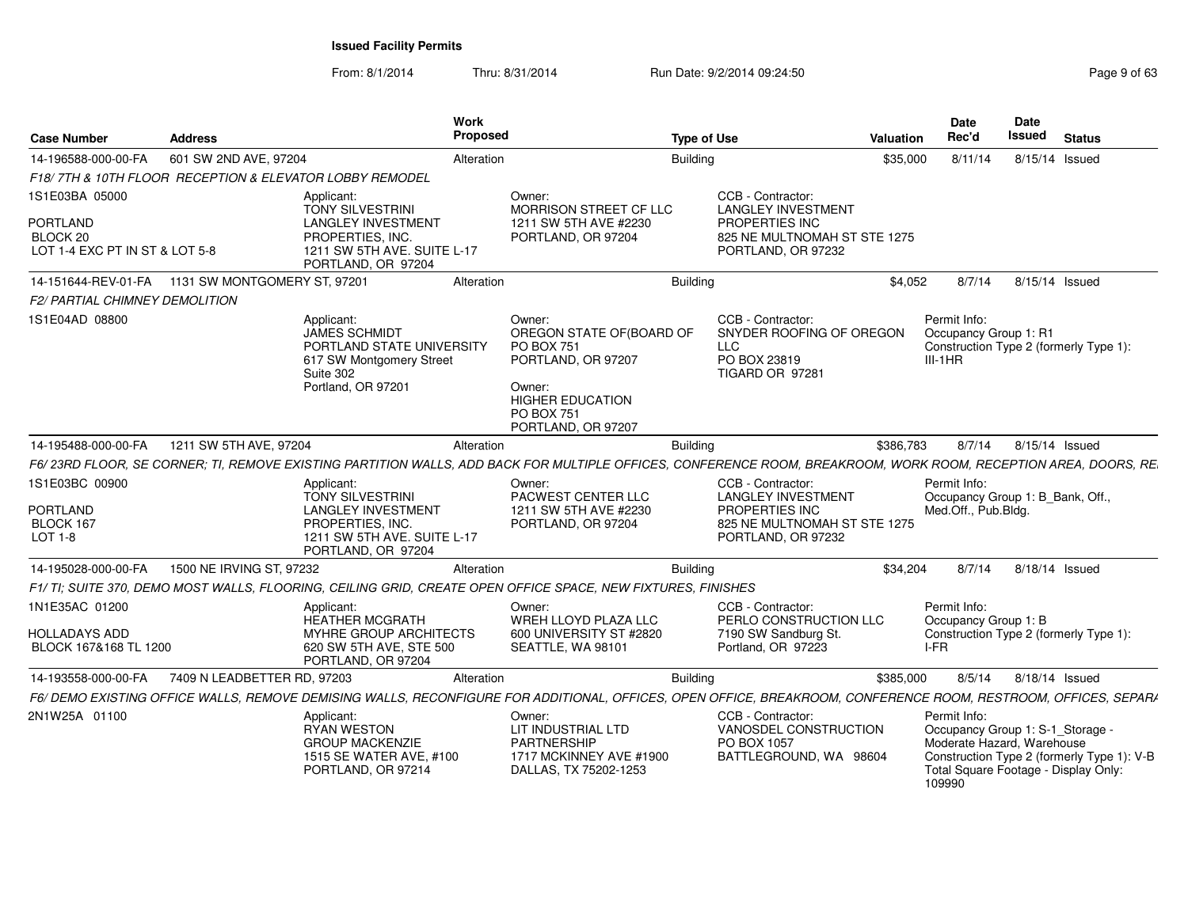From: 8/1/2014

| <b>Case Number</b>                                                       | <b>Address</b>                                          | <b>Work</b><br>Proposed                                                                                                                                         |                                                                                                                                                               | <b>Type of Use</b>                                                                                                     | <b>Valuation</b> | <b>Date</b><br>Rec'd                                                                                                             | Date<br>Issued | <b>Status</b>                              |
|--------------------------------------------------------------------------|---------------------------------------------------------|-----------------------------------------------------------------------------------------------------------------------------------------------------------------|---------------------------------------------------------------------------------------------------------------------------------------------------------------|------------------------------------------------------------------------------------------------------------------------|------------------|----------------------------------------------------------------------------------------------------------------------------------|----------------|--------------------------------------------|
| 14-196588-000-00-FA                                                      | 601 SW 2ND AVE, 97204                                   | Alteration                                                                                                                                                      |                                                                                                                                                               | <b>Building</b>                                                                                                        | \$35,000         | 8/11/14                                                                                                                          | 8/15/14 Issued |                                            |
|                                                                          | F18/7TH & 10TH FLOOR RECEPTION & ELEVATOR LOBBY REMODEL |                                                                                                                                                                 |                                                                                                                                                               |                                                                                                                        |                  |                                                                                                                                  |                |                                            |
| 1S1E03BA 05000                                                           |                                                         | Applicant:                                                                                                                                                      | Owner:                                                                                                                                                        | CCB - Contractor:                                                                                                      |                  |                                                                                                                                  |                |                                            |
| <b>PORTLAND</b><br>BLOCK <sub>20</sub><br>LOT 1-4 EXC PT IN ST & LOT 5-8 |                                                         | <b>TONY SILVESTRINI</b><br><b>LANGLEY INVESTMENT</b><br>PROPERTIES, INC.<br>1211 SW 5TH AVE, SUITE L-17<br>PORTLAND, OR 97204                                   | MORRISON STREET CF LLC<br>1211 SW 5TH AVE #2230<br>PORTLAND, OR 97204                                                                                         | <b>LANGLEY INVESTMENT</b><br>PROPERTIES INC<br>825 NE MULTNOMAH ST STE 1275<br>PORTLAND, OR 97232                      |                  |                                                                                                                                  |                |                                            |
|                                                                          | 14-151644-REV-01-FA   1131 SW MONTGOMERY ST, 97201      | Alteration                                                                                                                                                      |                                                                                                                                                               | <b>Building</b>                                                                                                        | \$4,052          | 8/7/14                                                                                                                           | 8/15/14 Issued |                                            |
| <b>F2/ PARTIAL CHIMNEY DEMOLITION</b>                                    |                                                         |                                                                                                                                                                 |                                                                                                                                                               |                                                                                                                        |                  |                                                                                                                                  |                |                                            |
| 1S1E04AD 08800                                                           |                                                         | Applicant:<br>JAMES SCHMIDT<br>PORTLAND STATE UNIVERSITY<br>617 SW Montgomery Street<br>Suite 302<br>Portland, OR 97201                                         | Owner:<br>OREGON STATE OF(BOARD OF<br><b>PO BOX 751</b><br>PORTLAND, OR 97207<br>Owner:<br><b>HIGHER EDUCATION</b><br><b>PO BOX 751</b><br>PORTLAND, OR 97207 | CCB - Contractor:<br>SNYDER ROOFING OF OREGON<br><b>LLC</b><br>PO BOX 23819<br>TIGARD OR 97281                         |                  | Permit Info:<br>Occupancy Group 1: R1<br>$III-1HR$                                                                               |                | Construction Type 2 (formerly Type 1):     |
| 14-195488-000-00-FA                                                      | 1211 SW 5TH AVE, 97204                                  | Alteration                                                                                                                                                      |                                                                                                                                                               | <b>Building</b>                                                                                                        | \$386,783        | 8/7/14                                                                                                                           | 8/15/14 Issued |                                            |
|                                                                          |                                                         | F6/23RD FLOOR, SE CORNER; TI, REMOVE EXISTING PARTITION WALLS, ADD BACK FOR MULTIPLE OFFICES, CONFERENCE ROOM, BREAKROOM, WORK ROOM, RECEPTION AREA, DOORS, RE. |                                                                                                                                                               |                                                                                                                        |                  |                                                                                                                                  |                |                                            |
| 1S1E03BC 00900<br><b>PORTLAND</b><br>BLOCK 167<br>LOT 1-8                |                                                         | Applicant:<br><b>TONY SILVESTRINI</b><br><b>LANGLEY INVESTMENT</b><br>PROPERTIES. INC.<br>1211 SW 5TH AVE. SUITE L-17<br>PORTLAND, OR 97204                     | Owner:<br>PACWEST CENTER LLC<br>1211 SW 5TH AVE #2230<br>PORTLAND, OR 97204                                                                                   | CCB - Contractor:<br><b>LANGLEY INVESTMENT</b><br>PROPERTIES INC<br>825 NE MULTNOMAH ST STE 1275<br>PORTLAND, OR 97232 |                  | Permit Info:<br>Occupancy Group 1: B Bank, Off.,<br>Med.Off., Pub.Bldg.                                                          |                |                                            |
| 14-195028-000-00-FA                                                      | 1500 NE IRVING ST, 97232                                | Alteration                                                                                                                                                      |                                                                                                                                                               | <b>Building</b>                                                                                                        | \$34,204         | 8/7/14                                                                                                                           | 8/18/14 Issued |                                            |
|                                                                          |                                                         | F1/TI; SUITE 370, DEMO MOST WALLS, FLOORING, CEILING GRID, CREATE OPEN OFFICE SPACE, NEW FIXTURES, FINISHES                                                     |                                                                                                                                                               |                                                                                                                        |                  |                                                                                                                                  |                |                                            |
| 1N1E35AC 01200<br>HOLLADAYS ADD<br>BLOCK 167&168 TL 1200                 |                                                         | Applicant:<br>HEATHER MCGRATH<br><b>MYHRE GROUP ARCHITECTS</b><br>620 SW 5TH AVE, STE 500<br>PORTLAND, OR 97204                                                 | Owner:<br>WREH LLOYD PLAZA LLC<br>600 UNIVERSITY ST #2820<br>SEATTLE, WA 98101                                                                                | CCB - Contractor:<br>PERLO CONSTRUCTION LLC<br>7190 SW Sandburg St.<br>Portland, OR 97223                              |                  | Permit Info:<br>Occupancy Group 1: B<br>I-FR                                                                                     |                | Construction Type 2 (formerly Type 1):     |
| 14-193558-000-00-FA                                                      | 7409 N LEADBETTER RD, 97203                             | Alteration                                                                                                                                                      |                                                                                                                                                               | <b>Building</b>                                                                                                        | \$385,000        | 8/5/14                                                                                                                           | 8/18/14 Issued |                                            |
|                                                                          |                                                         | F6/ DEMO EXISTING OFFICE WALLS, REMOVE DEMISING WALLS, RECONFIGURE FOR ADDITIONAL, OFFICES, OPEN OFFICE, BREAKROOM, CONFERENCE ROOM, RESTROOM, OFFICES, SEPARA  |                                                                                                                                                               |                                                                                                                        |                  |                                                                                                                                  |                |                                            |
| 2N1W25A 01100                                                            |                                                         | Applicant:<br><b>RYAN WESTON</b><br><b>GROUP MACKENZIE</b><br>1515 SE WATER AVE, #100<br>PORTLAND, OR 97214                                                     | Owner:<br>LIT INDUSTRIAL LTD<br><b>PARTNERSHIP</b><br>1717 MCKINNEY AVE #1900<br>DALLAS, TX 75202-1253                                                        | CCB - Contractor:<br>VANOSDEL CONSTRUCTION<br>PO BOX 1057<br>BATTLEGROUND, WA 98604                                    |                  | Permit Info:<br>Occupancy Group 1: S-1_Storage -<br>Moderate Hazard, Warehouse<br>Total Square Footage - Display Only:<br>109990 |                | Construction Type 2 (formerly Type 1): V-B |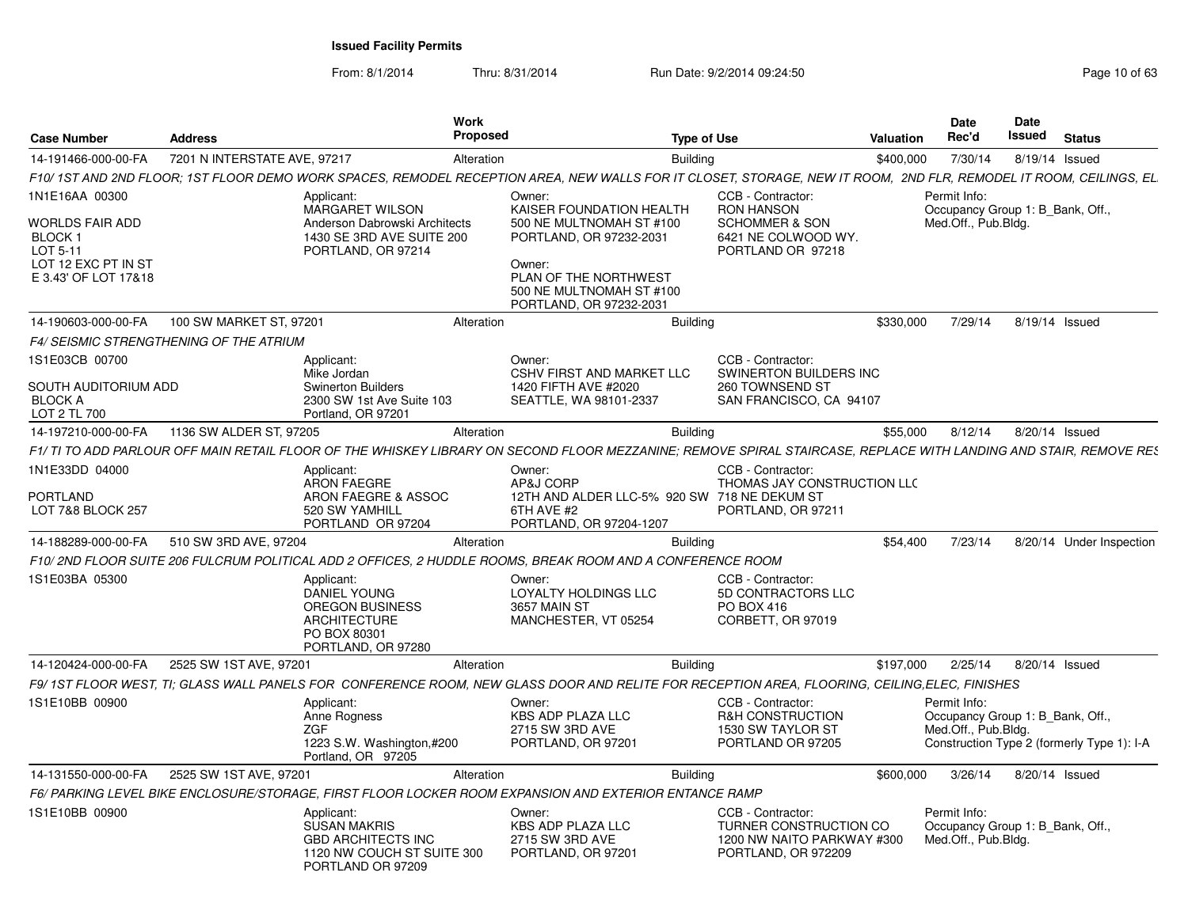From: 8/1/2014Thru: 8/31/2014 Run Date: 9/2/2014 09:24:50 Run Date: 9/2/2014 09:24:50

| <b>Case Number</b>                                                                    | <b>Address</b>                          |                                                                                                                                                                   | <b>Work</b><br>Proposed |                                                                                                                                               | <b>Type of Use</b> |                                                                                                  | Valuation | Date<br>Rec'd                                                           | Date<br>Issued | <b>Status</b>                              |
|---------------------------------------------------------------------------------------|-----------------------------------------|-------------------------------------------------------------------------------------------------------------------------------------------------------------------|-------------------------|-----------------------------------------------------------------------------------------------------------------------------------------------|--------------------|--------------------------------------------------------------------------------------------------|-----------|-------------------------------------------------------------------------|----------------|--------------------------------------------|
| 14-191466-000-00-FA                                                                   | 7201 N INTERSTATE AVE, 97217            |                                                                                                                                                                   | Alteration              |                                                                                                                                               | <b>Building</b>    |                                                                                                  | \$400,000 | 7/30/14                                                                 |                | 8/19/14 Issued                             |
|                                                                                       |                                         | F10/ 1ST AND 2ND FLOOR; 1ST FLOOR DEMO WORK SPACES, REMODEL RECEPTION AREA, NEW WALLS FOR IT CLOSET, STORAGE, NEW IT ROOM, 2ND FLR, REMODEL IT ROOM, CEILINGS, EL |                         |                                                                                                                                               |                    |                                                                                                  |           |                                                                         |                |                                            |
| 1N1E16AA 00300                                                                        |                                         | Applicant:<br><b>MARGARET WILSON</b>                                                                                                                              |                         | Owner:<br>KAISER FOUNDATION HEALTH                                                                                                            |                    | CCB - Contractor:<br><b>RON HANSON</b>                                                           |           | Permit Info:<br>Occupancy Group 1: B Bank, Off.,                        |                |                                            |
| WORLDS FAIR ADD<br>BLOCK 1<br>LOT 5-11<br>LOT 12 EXC PT IN ST<br>E 3.43' OF LOT 17&18 |                                         | Anderson Dabrowski Architects<br>1430 SE 3RD AVE SUITE 200<br>PORTLAND, OR 97214                                                                                  |                         | 500 NE MULTNOMAH ST #100<br>PORTLAND, OR 97232-2031<br>Owner:<br>PLAN OF THE NORTHWEST<br>500 NE MULTNOMAH ST #100<br>PORTLAND, OR 97232-2031 |                    | <b>SCHOMMER &amp; SON</b><br>6421 NE COLWOOD WY.<br>PORTLAND OR 97218                            |           | Med.Off., Pub.Bldg.                                                     |                |                                            |
| 14-190603-000-00-FA                                                                   | 100 SW MARKET ST, 97201                 |                                                                                                                                                                   | Alteration              |                                                                                                                                               | <b>Building</b>    |                                                                                                  | \$330,000 | 7/29/14                                                                 |                | 8/19/14 Issued                             |
|                                                                                       | F4/ SEISMIC STRENGTHENING OF THE ATRIUM |                                                                                                                                                                   |                         |                                                                                                                                               |                    |                                                                                                  |           |                                                                         |                |                                            |
| 1S1E03CB 00700<br>SOUTH AUDITORIUM ADD<br><b>BLOCK A</b><br>LOT 2 TL 700              |                                         | Applicant:<br>Mike Jordan<br><b>Swinerton Builders</b><br>2300 SW 1st Ave Suite 103<br>Portland, OR 97201                                                         |                         | Owner:<br><b>CSHV FIRST AND MARKET LLC</b><br>1420 FIFTH AVE #2020<br>SEATTLE, WA 98101-2337                                                  |                    | CCB - Contractor:<br>SWINERTON BUILDERS INC<br>260 TOWNSEND ST<br>SAN FRANCISCO, CA 94107        |           |                                                                         |                |                                            |
| 14-197210-000-00-FA                                                                   | 1136 SW ALDER ST, 97205                 |                                                                                                                                                                   | Alteration              |                                                                                                                                               | <b>Building</b>    |                                                                                                  | \$55,000  | 8/12/14                                                                 |                | 8/20/14 Issued                             |
|                                                                                       |                                         | F1/ TI TO ADD PARLOUR OFF MAIN RETAIL FLOOR OF THE WHISKEY LIBRARY ON SECOND FLOOR MEZZANINE; REMOVE SPIRAL STAIRCASE, REPLACE WITH LANDING AND STAIR, REMOVE RES |                         |                                                                                                                                               |                    |                                                                                                  |           |                                                                         |                |                                            |
| 1N1E33DD 04000                                                                        |                                         | Applicant:<br><b>ARON FAEGRE</b>                                                                                                                                  |                         | Owner:<br>AP&J CORP                                                                                                                           |                    | CCB - Contractor:<br>THOMAS JAY CONSTRUCTION LLC                                                 |           |                                                                         |                |                                            |
| PORTLAND<br>LOT 7&8 BLOCK 257                                                         |                                         | ARON FAEGRE & ASSOC<br>520 SW YAMHILL<br>PORTLAND OR 97204                                                                                                        |                         | 12TH AND ALDER LLC-5% 920 SW 718 NE DEKUM ST<br>6TH AVE #2<br>PORTLAND, OR 97204-1207                                                         |                    | PORTLAND, OR 97211                                                                               |           |                                                                         |                |                                            |
| 14-188289-000-00-FA                                                                   | 510 SW 3RD AVE, 97204                   |                                                                                                                                                                   | Alteration              |                                                                                                                                               | <b>Building</b>    |                                                                                                  | \$54,400  | 7/23/14                                                                 |                | 8/20/14 Under Inspection                   |
|                                                                                       |                                         | F10/ 2ND FLOOR SUITE 206 FULCRUM POLITICAL ADD 2 OFFICES, 2 HUDDLE ROOMS, BREAK ROOM AND A CONFERENCE ROOM                                                        |                         |                                                                                                                                               |                    |                                                                                                  |           |                                                                         |                |                                            |
| IS1E03BA 05300                                                                        |                                         | Applicant:<br>DANIEL YOUNG<br>OREGON BUSINESS<br><b>ARCHITECTURE</b><br>PO BOX 80301<br>PORTLAND, OR 97280                                                        |                         | Owner:<br>LOYALTY HOLDINGS LLC<br>3657 MAIN ST<br>MANCHESTER, VT 05254                                                                        |                    | CCB - Contractor:<br>5D CONTRACTORS LLC<br>PO BOX 416<br>CORBETT, OR 97019                       |           |                                                                         |                |                                            |
| 14-120424-000-00-FA                                                                   | 2525 SW 1ST AVE, 97201                  |                                                                                                                                                                   | Alteration              |                                                                                                                                               | <b>Building</b>    |                                                                                                  | \$197,000 | 2/25/14                                                                 |                | 8/20/14 Issued                             |
|                                                                                       |                                         | F9/ 1ST FLOOR WEST. TI: GLASS WALL PANELS FOR CONFERENCE ROOM, NEW GLASS DOOR AND RELITE FOR RECEPTION AREA, FLOORING, CEILING,ELEC, FINISHES                     |                         |                                                                                                                                               |                    |                                                                                                  |           |                                                                         |                |                                            |
| 1S1E10BB 00900                                                                        |                                         | Applicant:<br>Anne Rogness<br><b>ZGF</b><br>1223 S.W. Washington,#200<br>Portland, OR 97205                                                                       |                         | Owner:<br><b>KBS ADP PLAZA LLC</b><br>2715 SW 3RD AVE<br>PORTLAND, OR 97201                                                                   |                    | CCB - Contractor:<br><b>R&amp;H CONSTRUCTION</b><br>1530 SW TAYLOR ST<br>PORTLAND OR 97205       |           | Permit Info:<br>Occupancy Group 1: B Bank, Off.,<br>Med.Off., Pub.Bldg. |                | Construction Type 2 (formerly Type 1): I-A |
| 14-131550-000-00-FA                                                                   | 2525 SW 1ST AVE, 97201                  |                                                                                                                                                                   | Alteration              |                                                                                                                                               | <b>Building</b>    |                                                                                                  | \$600,000 | 3/26/14                                                                 |                | 8/20/14 Issued                             |
|                                                                                       |                                         | F6/ PARKING LEVEL BIKE ENCLOSURE/STORAGE, FIRST FLOOR LOCKER ROOM EXPANSION AND EXTERIOR ENTANCE RAMP                                                             |                         |                                                                                                                                               |                    |                                                                                                  |           |                                                                         |                |                                            |
| 1S1E10BB 00900                                                                        |                                         | Applicant:<br>SUSAN MAKRIS<br><b>GBD ARCHITECTS INC</b><br>1120 NW COUCH ST SUITE 300<br>PORTLAND OR 97209                                                        |                         | Owner:<br>KBS ADP PLAZA LLC<br>2715 SW 3RD AVE<br>PORTLAND, OR 97201                                                                          |                    | CCB - Contractor:<br>TURNER CONSTRUCTION CO<br>1200 NW NAITO PARKWAY #300<br>PORTLAND, OR 972209 |           | Permit Info:<br>Occupancy Group 1: B Bank, Off.,<br>Med.Off., Pub.Bldg. |                |                                            |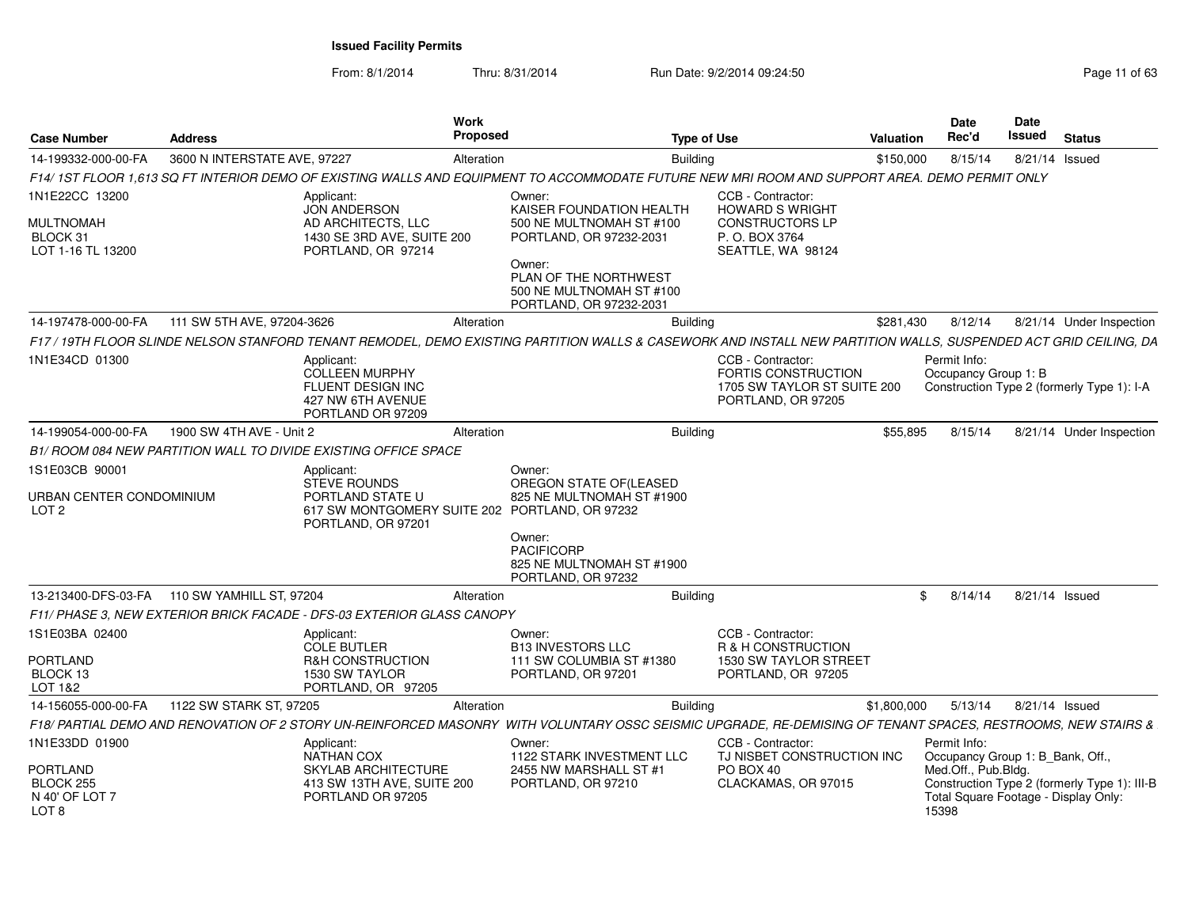From: 8/1/2014

| Page 11 of 63 |  |  |  |
|---------------|--|--|--|
|---------------|--|--|--|

| <b>Case Number</b>                                             | <b>Address</b>               |                                                                                                         | Work<br>Proposed |                                                                                                                                                                  | <b>Type of Use</b>                                                                                   | <b>Valuation</b> | <b>Date</b><br>Rec'd                             | <b>Date</b><br>Issued | <b>Status</b>                                                                        |
|----------------------------------------------------------------|------------------------------|---------------------------------------------------------------------------------------------------------|------------------|------------------------------------------------------------------------------------------------------------------------------------------------------------------|------------------------------------------------------------------------------------------------------|------------------|--------------------------------------------------|-----------------------|--------------------------------------------------------------------------------------|
| 14-199332-000-00-FA                                            | 3600 N INTERSTATE AVE, 97227 |                                                                                                         | Alteration       |                                                                                                                                                                  | <b>Building</b>                                                                                      | \$150,000        | 8/15/14                                          |                       | 8/21/14 Issued                                                                       |
|                                                                |                              |                                                                                                         |                  | F14/ 1ST FLOOR 1.613 SQ FT INTERIOR DEMO OF EXISTING WALLS AND EQUIPMENT TO ACCOMMODATE FUTURE NEW MRI ROOM AND SUPPORT AREA. DEMO PERMIT ONLY                   |                                                                                                      |                  |                                                  |                       |                                                                                      |
| 1N1E22CC 13200                                                 |                              | Applicant:<br><b>JON ANDERSON</b>                                                                       |                  | Owner:<br>KAISER FOUNDATION HEALTH                                                                                                                               | CCB - Contractor:<br><b>HOWARD S WRIGHT</b>                                                          |                  |                                                  |                       |                                                                                      |
| <b>MULTNOMAH</b><br>BLOCK 31<br>LOT 1-16 TL 13200              |                              | AD ARCHITECTS, LLC<br>1430 SE 3RD AVE, SUITE 200<br>PORTLAND, OR 97214                                  |                  | 500 NE MULTNOMAH ST #100<br>PORTLAND, OR 97232-2031                                                                                                              | <b>CONSTRUCTORS LP</b><br>P. O. BOX 3764<br>SEATTLE, WA 98124                                        |                  |                                                  |                       |                                                                                      |
|                                                                |                              |                                                                                                         |                  | Owner:<br>PLAN OF THE NORTHWEST<br>500 NE MULTNOMAH ST #100<br>PORTLAND, OR 97232-2031                                                                           |                                                                                                      |                  |                                                  |                       |                                                                                      |
| 14-197478-000-00-FA                                            | 111 SW 5TH AVE, 97204-3626   |                                                                                                         | Alteration       |                                                                                                                                                                  | <b>Building</b>                                                                                      | \$281,430        | 8/12/14                                          |                       | 8/21/14 Under Inspection                                                             |
|                                                                |                              |                                                                                                         |                  | F17 / 19TH FLOOR SLINDE NELSON STANFORD TENANT REMODEL, DEMO EXISTING PARTITION WALLS & CASEWORK AND INSTALL NEW PARTITION WALLS, SUSPENDED ACT GRID CEILING, DA |                                                                                                      |                  |                                                  |                       |                                                                                      |
| 1N1E34CD 01300                                                 |                              | Applicant:<br><b>COLLEEN MURPHY</b><br>FLUENT DESIGN INC<br>427 NW 6TH AVENUE<br>PORTLAND OR 97209      |                  |                                                                                                                                                                  | CCB - Contractor:<br><b>FORTIS CONSTRUCTION</b><br>1705 SW TAYLOR ST SUITE 200<br>PORTLAND, OR 97205 |                  | Permit Info:<br>Occupancy Group 1: B             |                       | Construction Type 2 (formerly Type 1): I-A                                           |
| 14-199054-000-00-FA                                            | 1900 SW 4TH AVE - Unit 2     |                                                                                                         | Alteration       |                                                                                                                                                                  | Building                                                                                             | \$55.895         | 8/15/14                                          |                       | 8/21/14 Under Inspection                                                             |
|                                                                |                              | B1/ ROOM 084 NEW PARTITION WALL TO DIVIDE EXISTING OFFICE SPACE                                         |                  |                                                                                                                                                                  |                                                                                                      |                  |                                                  |                       |                                                                                      |
| 1S1E03CB 90001<br>URBAN CENTER CONDOMINIUM<br>LOT <sub>2</sub> |                              | Applicant:<br><b>STEVE ROUNDS</b><br>PORTLAND STATE U<br>617 SW MONTGOMERY SUITE 202 PORTLAND, OR 97232 |                  | Owner:<br>OREGON STATE OF(LEASED<br>825 NE MULTNOMAH ST #1900                                                                                                    |                                                                                                      |                  |                                                  |                       |                                                                                      |
|                                                                |                              | PORTLAND, OR 97201                                                                                      |                  | Owner:<br>PACIFICORP<br>825 NE MULTNOMAH ST #1900<br>PORTLAND, OR 97232                                                                                          |                                                                                                      |                  |                                                  |                       |                                                                                      |
| 13-213400-DFS-03-FA                                            | 110 SW YAMHILL ST, 97204     |                                                                                                         | Alteration       |                                                                                                                                                                  | <b>Building</b>                                                                                      | \$               | 8/14/14                                          |                       | 8/21/14 Issued                                                                       |
|                                                                |                              | F11/ PHASE 3. NEW EXTERIOR BRICK FACADE - DFS-03 EXTERIOR GLASS CANOPY                                  |                  |                                                                                                                                                                  |                                                                                                      |                  |                                                  |                       |                                                                                      |
| 1S1E03BA 02400                                                 |                              | Applicant:<br><b>COLE BUTLER</b>                                                                        |                  | Owner:<br><b>B13 INVESTORS LLC</b>                                                                                                                               | CCB - Contractor:<br>R & H CONSTRUCTION                                                              |                  |                                                  |                       |                                                                                      |
| <b>PORTLAND</b><br>BLOCK 13<br>LOT 1&2                         |                              | R&H CONSTRUCTION<br>1530 SW TAYLOR<br>PORTLAND, OR 97205                                                |                  | 111 SW COLUMBIA ST #1380<br>PORTLAND, OR 97201                                                                                                                   | 1530 SW TAYLOR STREET<br>PORTLAND, OR 97205                                                          |                  |                                                  |                       |                                                                                      |
| 14-156055-000-00-FA                                            | 1122 SW STARK ST, 97205      |                                                                                                         | Alteration       |                                                                                                                                                                  | <b>Building</b>                                                                                      | \$1,800,000      | 5/13/14                                          |                       | 8/21/14 Issued                                                                       |
|                                                                |                              |                                                                                                         |                  | F18/ PARTIAL DEMO AND RENOVATION OF 2 STORY UN-REINFORCED MASONRY WITH VOLUNTARY OSSC SEISMIC UPGRADE, RE-DEMISING OF TENANT SPACES, RESTROOMS, NEW STAIRS &     |                                                                                                      |                  |                                                  |                       |                                                                                      |
| 1N1E33DD 01900                                                 |                              | Applicant:<br><b>NATHAN COX</b>                                                                         |                  | Owner:<br>1122 STARK INVESTMENT LLC                                                                                                                              | CCB - Contractor:<br>TJ NISBET CONSTRUCTION INC                                                      |                  | Permit Info:<br>Occupancy Group 1: B_Bank, Off., |                       |                                                                                      |
| PORTLAND<br>BLOCK 255<br>N 40' OF LOT 7<br>LOT <sub>8</sub>    |                              | SKYLAB ARCHITECTURE<br>413 SW 13TH AVE, SUITE 200<br>PORTLAND OR 97205                                  |                  | 2455 NW MARSHALL ST #1<br>PORTLAND, OR 97210                                                                                                                     | PO BOX 40<br>CLACKAMAS, OR 97015                                                                     |                  | Med.Off., Pub.Bldg.<br>15398                     |                       | Construction Type 2 (formerly Type 1): III-B<br>Total Square Footage - Display Only: |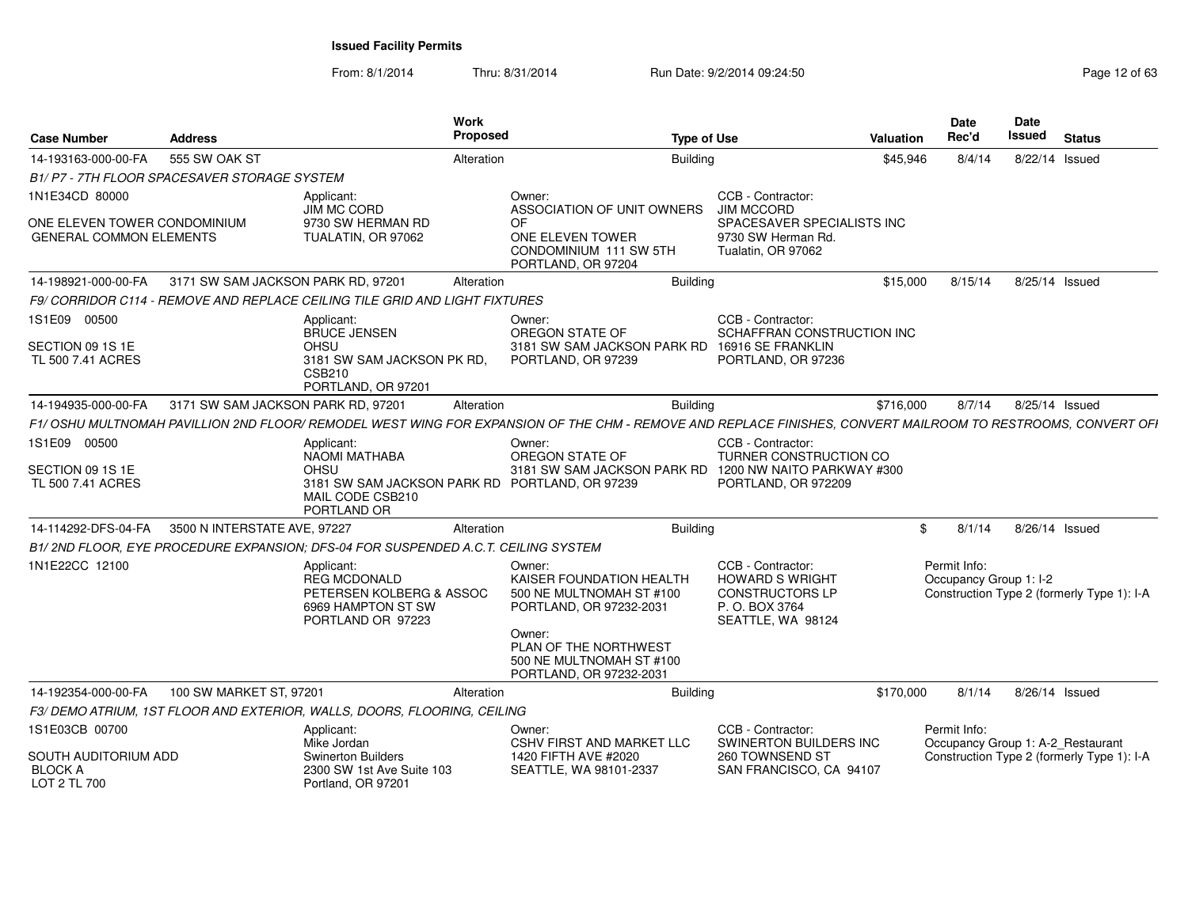From: 8/1/2014

| <b>Case Number</b>                                             | <b>Address</b>                               |                                                                                                          | Work<br>Proposed |                                                                                                                                                            | <b>Type of Use</b>                                                                                    | Valuation | Date<br>Rec'd                          | Date<br><b>Issued</b> | <b>Status</b>                              |
|----------------------------------------------------------------|----------------------------------------------|----------------------------------------------------------------------------------------------------------|------------------|------------------------------------------------------------------------------------------------------------------------------------------------------------|-------------------------------------------------------------------------------------------------------|-----------|----------------------------------------|-----------------------|--------------------------------------------|
| 14-193163-000-00-FA                                            | 555 SW OAK ST                                |                                                                                                          | Alteration       | <b>Building</b>                                                                                                                                            |                                                                                                       | \$45,946  | 8/4/14                                 | 8/22/14 Issued        |                                            |
|                                                                | B1/ P7 - 7TH FLOOR SPACESAVER STORAGE SYSTEM |                                                                                                          |                  |                                                                                                                                                            |                                                                                                       |           |                                        |                       |                                            |
| 1N1E34CD 80000                                                 |                                              | Applicant:                                                                                               |                  | Owner:                                                                                                                                                     | CCB - Contractor:                                                                                     |           |                                        |                       |                                            |
| ONE ELEVEN TOWER CONDOMINIUM<br><b>GENERAL COMMON ELEMENTS</b> |                                              | JIM MC CORD<br>9730 SW HERMAN RD<br>TUALATIN, OR 97062                                                   |                  | ASSOCIATION OF UNIT OWNERS<br>OF<br>ONE ELEVEN TOWER<br>CONDOMINIUM 111 SW 5TH<br>PORTLAND, OR 97204                                                       | <b>JIM MCCORD</b><br>SPACESAVER SPECIALISTS INC<br>9730 SW Herman Rd.<br>Tualatin, OR 97062           |           |                                        |                       |                                            |
| 14-198921-000-00-FA                                            | 3171 SW SAM JACKSON PARK RD, 97201           |                                                                                                          | Alteration       | <b>Building</b>                                                                                                                                            |                                                                                                       | \$15,000  | 8/15/14                                | 8/25/14 Issued        |                                            |
|                                                                |                                              | F9/ CORRIDOR C114 - REMOVE AND REPLACE CEILING TILE GRID AND LIGHT FIXTURES                              |                  |                                                                                                                                                            |                                                                                                       |           |                                        |                       |                                            |
| 1S1E09 00500<br>SECTION 09 1S 1E                               |                                              | Applicant:<br><b>BRUCE JENSEN</b><br>OHSU                                                                |                  | Owner:<br>OREGON STATE OF<br>3181 SW SAM JACKSON PARK RD 16916 SE FRANKLIN                                                                                 | CCB - Contractor:<br>SCHAFFRAN CONSTRUCTION INC                                                       |           |                                        |                       |                                            |
| TL 500 7.41 ACRES                                              |                                              | 3181 SW SAM JACKSON PK RD.<br><b>CSB210</b><br>PORTLAND, OR 97201                                        |                  | PORTLAND, OR 97239                                                                                                                                         | PORTLAND, OR 97236                                                                                    |           |                                        |                       |                                            |
| 14-194935-000-00-FA                                            | 3171 SW SAM JACKSON PARK RD, 97201           |                                                                                                          | Alteration       | <b>Building</b>                                                                                                                                            |                                                                                                       | \$716,000 | 8/7/14                                 | 8/25/14 Issued        |                                            |
|                                                                |                                              |                                                                                                          |                  | F1/OSHU MULTNOMAH PAVILLION 2ND FLOOR/REMODEL WEST WING FOR EXPANSION OF THE CHM - REMOVE AND REPLACE FINISHES, CONVERT MAILROOM TO RESTROOMS, CONVERT OFI |                                                                                                       |           |                                        |                       |                                            |
| 1S1E09 00500                                                   |                                              | Applicant:                                                                                               |                  | Owner:                                                                                                                                                     | CCB - Contractor:                                                                                     |           |                                        |                       |                                            |
| SECTION 09 1S 1E                                               |                                              | <b>NAOMI MATHABA</b><br>OHSU                                                                             |                  | OREGON STATE OF<br>3181 SW SAM JACKSON PARK RD 1200 NW NAITO PARKWAY #300                                                                                  | TURNER CONSTRUCTION CO                                                                                |           |                                        |                       |                                            |
| TL 500 7.41 ACRES                                              |                                              | 3181 SW SAM JACKSON PARK RD PORTLAND, OR 97239<br>MAIL CODE CSB210<br>PORTLAND OR                        |                  |                                                                                                                                                            | PORTLAND, OR 972209                                                                                   |           |                                        |                       |                                            |
| 14-114292-DFS-04-FA                                            | 3500 N INTERSTATE AVE, 97227                 |                                                                                                          | Alteration       | <b>Building</b>                                                                                                                                            |                                                                                                       |           | 8/1/14                                 | 8/26/14 Issued        |                                            |
|                                                                |                                              | B1/2ND FLOOR, EYE PROCEDURE EXPANSION; DFS-04 FOR SUSPENDED A.C.T. CEILING SYSTEM                        |                  |                                                                                                                                                            |                                                                                                       |           |                                        |                       |                                            |
| 1N1E22CC 12100                                                 |                                              | Applicant:<br><b>REG MCDONALD</b><br>PETERSEN KOLBERG & ASSOC<br>6969 HAMPTON ST SW<br>PORTLAND OR 97223 |                  | Owner:<br>KAISER FOUNDATION HEALTH<br>500 NE MULTNOMAH ST #100<br>PORTLAND, OR 97232-2031                                                                  | CCB - Contractor:<br>HOWARD S WRIGHT<br><b>CONSTRUCTORS LP</b><br>P. O. BOX 3764<br>SEATTLE, WA 98124 |           | Permit Info:<br>Occupancy Group 1: I-2 |                       | Construction Type 2 (formerly Type 1): I-A |
|                                                                |                                              |                                                                                                          |                  | Owner:<br>PLAN OF THE NORTHWEST<br>500 NE MULTNOMAH ST #100<br>PORTLAND, OR 97232-2031                                                                     |                                                                                                       |           |                                        |                       |                                            |
| 14-192354-000-00-FA                                            | 100 SW MARKET ST, 97201                      |                                                                                                          | Alteration       |                                                                                                                                                            | Building                                                                                              | \$170,000 | 8/1/14                                 | 8/26/14 Issued        |                                            |
|                                                                |                                              | F3/ DEMO ATRIUM, 1ST FLOOR AND EXTERIOR, WALLS, DOORS, FLOORING, CEILING                                 |                  |                                                                                                                                                            |                                                                                                       |           |                                        |                       |                                            |
| 1S1E03CB 00700                                                 |                                              | Applicant:                                                                                               |                  | Owner:                                                                                                                                                     | CCB - Contractor:                                                                                     |           | Permit Info:                           |                       |                                            |
| SOUTH AUDITORIUM ADD<br><b>BLOCK A</b><br>LOT 2 TL 700         |                                              | Mike Jordan<br><b>Swinerton Builders</b><br>2300 SW 1st Ave Suite 103<br>Portland, OR 97201              |                  | <b>CSHV FIRST AND MARKET LLC</b><br>1420 FIFTH AVE #2020<br>SEATTLE, WA 98101-2337                                                                         | SWINERTON BUILDERS INC<br>260 TOWNSEND ST<br>SAN FRANCISCO, CA 94107                                  |           | Occupancy Group 1: A-2_Restaurant      |                       | Construction Type 2 (formerly Type 1): I-A |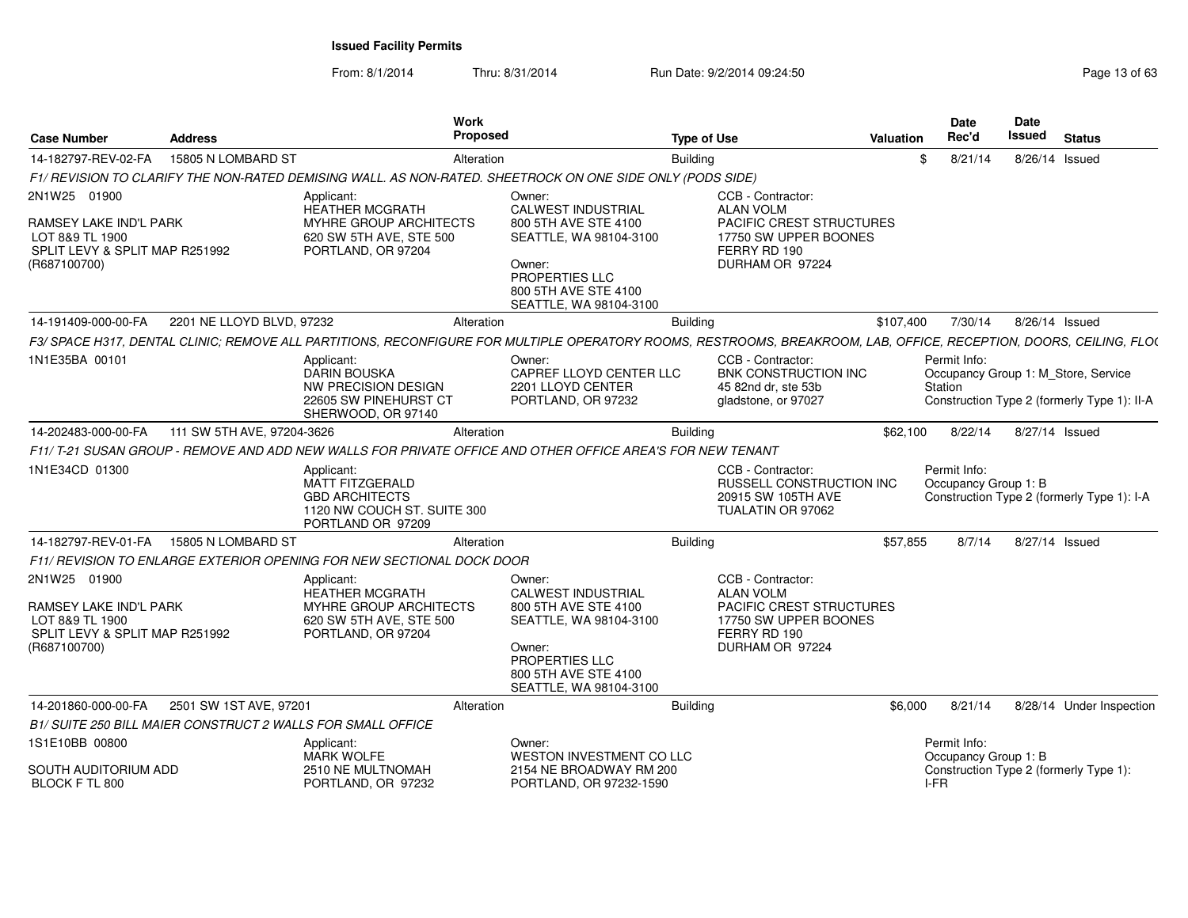| <b>Case Number</b>                                                                                          | <b>Address</b>             | Work<br><b>Proposed</b>                                                                                                                                            |                                                                                                                                                                     | <b>Type of Use</b> |                                                                                                                               | <b>Valuation</b> | Date<br>Rec'd                                | <b>Date</b><br>Issued | <b>Status</b>                                                                      |
|-------------------------------------------------------------------------------------------------------------|----------------------------|--------------------------------------------------------------------------------------------------------------------------------------------------------------------|---------------------------------------------------------------------------------------------------------------------------------------------------------------------|--------------------|-------------------------------------------------------------------------------------------------------------------------------|------------------|----------------------------------------------|-----------------------|------------------------------------------------------------------------------------|
| 14-182797-REV-02-FA                                                                                         | 15805 N LOMBARD ST         | Alteration                                                                                                                                                         |                                                                                                                                                                     | <b>Building</b>    |                                                                                                                               | \$.              | 8/21/14                                      |                       | 8/26/14 Issued                                                                     |
|                                                                                                             |                            | F1/ REVISION TO CLARIFY THE NON-RATED DEMISING WALL. AS NON-RATED. SHEETROCK ON ONE SIDE ONLY (PODS SIDE)                                                          |                                                                                                                                                                     |                    |                                                                                                                               |                  |                                              |                       |                                                                                    |
| 2N1W25 01900<br>RAMSEY LAKE IND'L PARK<br>LOT 8&9 TL 1900<br>SPLIT LEVY & SPLIT MAP R251992<br>(R687100700) |                            | Applicant:<br><b>HEATHER MCGRATH</b><br><b>MYHRE GROUP ARCHITECTS</b><br>620 SW 5TH AVE, STE 500<br>PORTLAND, OR 97204                                             | Owner:<br><b>CALWEST INDUSTRIAL</b><br>800 5TH AVE STE 4100<br>SEATTLE, WA 98104-3100<br>Owner:<br>PROPERTIES LLC<br>800 5TH AVE STE 4100<br>SEATTLE, WA 98104-3100 |                    | CCB - Contractor:<br><b>ALAN VOLM</b><br>PACIFIC CREST STRUCTURES<br>17750 SW UPPER BOONES<br>FERRY RD 190<br>DURHAM OR 97224 |                  |                                              |                       |                                                                                    |
| 14-191409-000-00-FA                                                                                         | 2201 NE LLOYD BLVD, 97232  | Alteration                                                                                                                                                         |                                                                                                                                                                     | <b>Building</b>    |                                                                                                                               | \$107,400        | 7/30/14                                      |                       | 8/26/14 Issued                                                                     |
|                                                                                                             |                            | F3/ SPACE H317, DENTAL CLINIC; REMOVE ALL PARTITIONS, RECONFIGURE FOR MULTIPLE OPERATORY ROOMS, RESTROOMS, BREAKROOM, LAB, OFFICE, RECEPTION, DOORS, CEILING, FLO( |                                                                                                                                                                     |                    |                                                                                                                               |                  |                                              |                       |                                                                                    |
| 1N1E35BA 00101                                                                                              |                            | Applicant:<br><b>DARIN BOUSKA</b><br><b>NW PRECISION DESIGN</b><br>22605 SW PINEHURST CT<br>SHERWOOD, OR 97140                                                     | Owner:<br>CAPREF LLOYD CENTER LLC<br>2201 LLOYD CENTER<br>PORTLAND, OR 97232                                                                                        |                    | CCB - Contractor:<br>BNK CONSTRUCTION INC<br>45 82nd dr. ste 53b<br>gladstone, or 97027                                       |                  | Permit Info:<br>Station                      |                       | Occupancy Group 1: M Store, Service<br>Construction Type 2 (formerly Type 1): II-A |
| 14-202483-000-00-FA                                                                                         | 111 SW 5TH AVE, 97204-3626 | Alteration                                                                                                                                                         |                                                                                                                                                                     | <b>Building</b>    |                                                                                                                               | \$62,100         | 8/22/14                                      |                       | 8/27/14 Issued                                                                     |
|                                                                                                             |                            | F11/ T-21 SUSAN GROUP - REMOVE AND ADD NEW WALLS FOR PRIVATE OFFICE AND OTHER OFFICE AREA'S FOR NEW TENANT                                                         |                                                                                                                                                                     |                    |                                                                                                                               |                  |                                              |                       |                                                                                    |
| 1N1E34CD 01300                                                                                              |                            | Applicant:<br>MATT FITZGERALD<br><b>GBD ARCHITECTS</b><br>1120 NW COUCH ST. SUITE 300<br>PORTLAND OR 97209                                                         |                                                                                                                                                                     |                    | CCB - Contractor:<br>RUSSELL CONSTRUCTION INC<br>20915 SW 105TH AVE<br>TUALATIN OR 97062                                      |                  | Permit Info:<br>Occupancy Group 1: B         |                       | Construction Type 2 (formerly Type 1): I-A                                         |
| 14-182797-REV-01-FA                                                                                         | 15805 N LOMBARD ST         | Alteration                                                                                                                                                         |                                                                                                                                                                     | <b>Building</b>    |                                                                                                                               | \$57,855         | 8/7/14                                       |                       | 8/27/14 Issued                                                                     |
|                                                                                                             |                            | F11/ REVISION TO ENLARGE EXTERIOR OPENING FOR NEW SECTIONAL DOCK DOOR                                                                                              |                                                                                                                                                                     |                    |                                                                                                                               |                  |                                              |                       |                                                                                    |
| 2N1W25 01900<br>RAMSEY LAKE IND'L PARK<br>LOT 8&9 TL 1900<br>SPLIT LEVY & SPLIT MAP R251992<br>(R687100700) |                            | Applicant:<br><b>HEATHER MCGRATH</b><br>MYHRE GROUP ARCHITECTS<br>620 SW 5TH AVE, STE 500<br>PORTLAND, OR 97204                                                    | Owner:<br><b>CALWEST INDUSTRIAL</b><br>800 5TH AVE STE 4100<br>SEATTLE, WA 98104-3100<br>Owner:<br>PROPERTIES LLC<br>800 5TH AVE STE 4100<br>SEATTLE, WA 98104-3100 |                    | CCB - Contractor:<br><b>ALAN VOLM</b><br>PACIFIC CREST STRUCTURES<br>17750 SW UPPER BOONES<br>FERRY RD 190<br>DURHAM OR 97224 |                  |                                              |                       |                                                                                    |
| 14-201860-000-00-FA                                                                                         | 2501 SW 1ST AVE, 97201     | Alteration                                                                                                                                                         |                                                                                                                                                                     | <b>Building</b>    |                                                                                                                               | \$6,000          | 8/21/14                                      |                       | 8/28/14 Under Inspection                                                           |
| B1/ SUITE 250 BILL MAIER CONSTRUCT 2 WALLS FOR SMALL OFFICE                                                 |                            |                                                                                                                                                                    |                                                                                                                                                                     |                    |                                                                                                                               |                  |                                              |                       |                                                                                    |
| 1S1E10BB 00800<br>SOUTH AUDITORIUM ADD<br>BLOCK F TL 800                                                    |                            | Applicant:<br><b>MARK WOLFE</b><br>2510 NE MULTNOMAH<br>PORTLAND, OR 97232                                                                                         | Owner:<br><b>WESTON INVESTMENT CO LLC</b><br>2154 NE BROADWAY RM 200<br>PORTLAND, OR 97232-1590                                                                     |                    |                                                                                                                               |                  | Permit Info:<br>Occupancy Group 1: B<br>I-FR |                       | Construction Type 2 (formerly Type 1):                                             |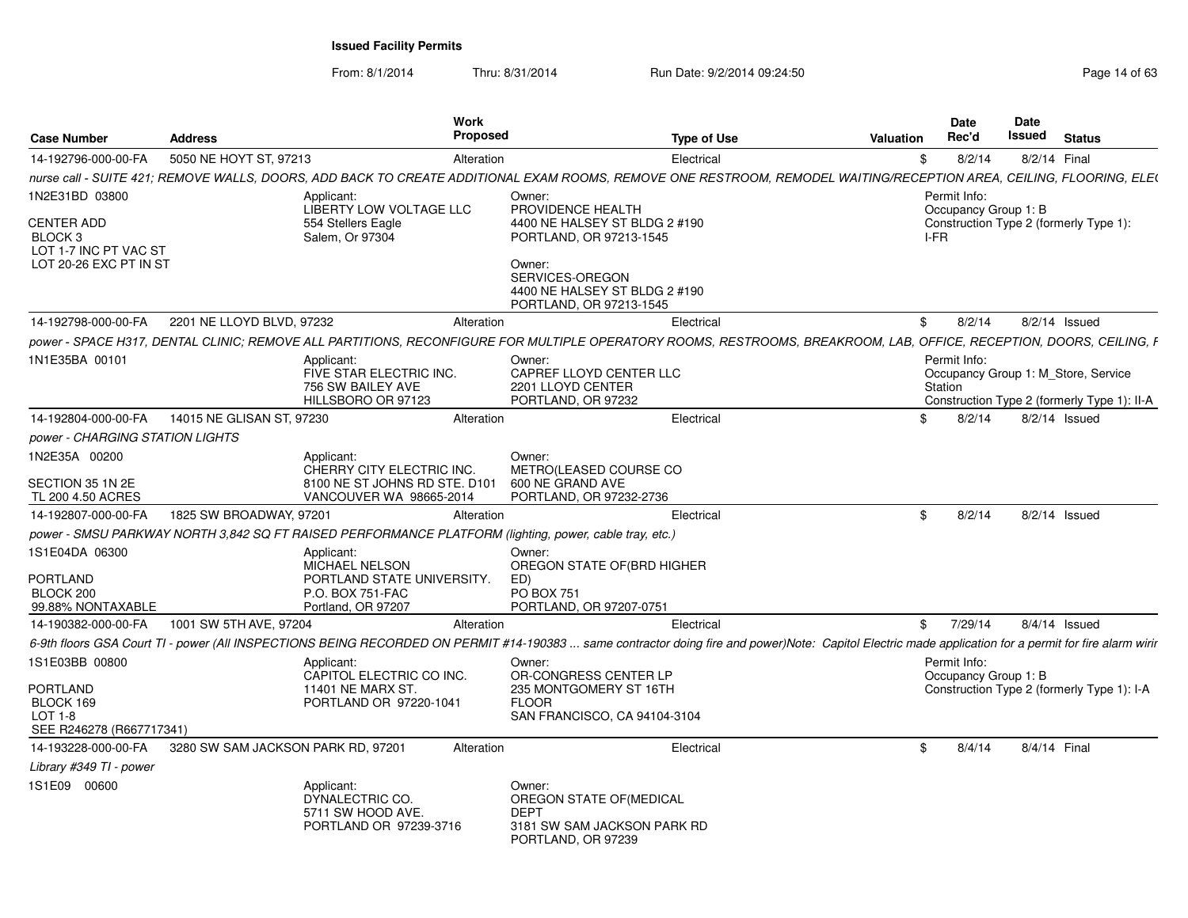From: 8/1/2014

| <b>Case Number</b>                                        | <b>Address</b>                     | Work<br><b>Proposed</b>                                                                                                                                                                                |                                                                                                        | <b>Type of Use</b> | <b>Valuation</b> | Date<br>Rec'd                                                  | Date<br>Issued | <b>Status</b>   |                                             |
|-----------------------------------------------------------|------------------------------------|--------------------------------------------------------------------------------------------------------------------------------------------------------------------------------------------------------|--------------------------------------------------------------------------------------------------------|--------------------|------------------|----------------------------------------------------------------|----------------|-----------------|---------------------------------------------|
| 14-192796-000-00-FA                                       | 5050 NE HOYT ST, 97213             | Alteration                                                                                                                                                                                             |                                                                                                        | Electrical         | \$               | 8/2/14                                                         |                | 8/2/14 Final    |                                             |
|                                                           |                                    | nurse call - SUITE 421; REMOVE WALLS, DOORS, ADD BACK TO CREATE ADDITIONAL EXAM ROOMS, REMOVE ONE RESTROOM, REMODEL WAITING/RECEPTION AREA, CEILING, FLOORING, ELE(                                    |                                                                                                        |                    |                  |                                                                |                |                 |                                             |
| 1N2E31BD 03800                                            |                                    | Applicant:<br><b>LIBERTY LOW VOLTAGE LLC</b>                                                                                                                                                           | Owner:<br>PROVIDENCE HEALTH                                                                            |                    |                  | Permit Info:<br>Occupancy Group 1: B                           |                |                 |                                             |
| CENTER ADD<br>BLOCK <sub>3</sub><br>LOT 1-7 INC PT VAC ST |                                    | 554 Stellers Eagle<br>Salem. Or 97304                                                                                                                                                                  | 4400 NE HALSEY ST BLDG 2 #190<br>PORTLAND, OR 97213-1545                                               |                    | I-FR             | Construction Type 2 (formerly Type 1):                         |                |                 |                                             |
| LOT 20-26 EXC PT IN ST                                    |                                    |                                                                                                                                                                                                        | Owner:<br>SERVICES-OREGON<br>4400 NE HALSEY ST BLDG 2 #190<br>PORTLAND, OR 97213-1545                  |                    |                  |                                                                |                |                 |                                             |
| 14-192798-000-00-FA                                       | 2201 NE LLOYD BLVD, 97232          | Alteration                                                                                                                                                                                             |                                                                                                        | Electrical         | \$               | 8/2/14                                                         |                | 8/2/14 Issued   |                                             |
|                                                           |                                    | power - SPACE H317, DENTAL CLINIC; REMOVE ALL PARTITIONS, RECONFIGURE FOR MULTIPLE OPERATORY ROOMS, RESTROOMS, BREAKROOM, LAB, OFFICE, RECEPTION, DOORS, CEILING, F                                    |                                                                                                        |                    |                  |                                                                |                |                 |                                             |
| 1N1E35BA 00101                                            |                                    | Applicant:<br>FIVE STAR ELECTRIC INC.<br>756 SW BAILEY AVE<br>HILLSBORO OR 97123                                                                                                                       | Owner:<br>CAPREF LLOYD CENTER LLC<br>2201 LLOYD CENTER<br>PORTLAND, OR 97232                           |                    |                  | Permit Info:<br>Occupancy Group 1: M Store, Service<br>Station |                |                 | Construction Type 2 (formerly Type 1): II-A |
| 14-192804-000-00-FA                                       | 14015 NE GLISAN ST. 97230          | Alteration                                                                                                                                                                                             |                                                                                                        | Electrical         | \$               | 8/2/14                                                         |                | $8/2/14$ Issued |                                             |
| power - CHARGING STATION LIGHTS                           |                                    |                                                                                                                                                                                                        |                                                                                                        |                    |                  |                                                                |                |                 |                                             |
| 1N2E35A 00200                                             |                                    | Applicant:<br>CHERRY CITY ELECTRIC INC.                                                                                                                                                                | Owner:<br>METRO(LEASED COURSE CO                                                                       |                    |                  |                                                                |                |                 |                                             |
| SECTION 35 1N 2E<br>TL 200 4.50 ACRES                     |                                    | 8100 NE ST JOHNS RD STE. D101<br>VANCOUVER WA 98665-2014                                                                                                                                               | 600 NE GRAND AVE<br>PORTLAND, OR 97232-2736                                                            |                    |                  |                                                                |                |                 |                                             |
| 14-192807-000-00-FA                                       | 1825 SW BROADWAY, 97201            | Alteration                                                                                                                                                                                             |                                                                                                        | Electrical         | \$               | 8/2/14                                                         |                | $8/2/14$ Issued |                                             |
|                                                           |                                    | power - SMSU PARKWAY NORTH 3,842 SQ FT RAISED PERFORMANCE PLATFORM (lighting, power, cable tray, etc.)                                                                                                 |                                                                                                        |                    |                  |                                                                |                |                 |                                             |
| 1S1E04DA 06300                                            |                                    | Applicant:<br>MICHAEL NELSON                                                                                                                                                                           | Owner:<br>OREGON STATE OF (BRD HIGHER                                                                  |                    |                  |                                                                |                |                 |                                             |
| <b>PORTLAND</b><br>BLOCK 200                              |                                    | PORTLAND STATE UNIVERSITY.<br>P.O. BOX 751-FAC                                                                                                                                                         | ED)<br>PO BOX 751                                                                                      |                    |                  |                                                                |                |                 |                                             |
| 99.88% NONTAXABLE                                         |                                    | Portland, OR 97207                                                                                                                                                                                     | PORTLAND, OR 97207-0751                                                                                |                    |                  |                                                                |                |                 |                                             |
| 14-190382-000-00-FA                                       | 1001 SW 5TH AVE, 97204             | Alteration                                                                                                                                                                                             |                                                                                                        | Electrical         | \$               | 7/29/14                                                        |                | $8/4/14$ Issued |                                             |
|                                                           |                                    | 6-9th floors GSA Court TI - power (All INSPECTIONS BEING RECORDED ON PERMIT #14-190383  same contractor doing fire and power)Note: Capitol Electric made application for a permit for fire alarm wirir |                                                                                                        |                    |                  |                                                                |                |                 |                                             |
| 1S1E03BB 00800                                            |                                    | Applicant:<br>CAPITOL ELECTRIC CO INC.                                                                                                                                                                 | Owner:<br>OR-CONGRESS CENTER LP                                                                        |                    |                  | Permit Info:<br>Occupancy Group 1: B                           |                |                 |                                             |
| PORTLAND<br>BLOCK 169                                     |                                    | 11401 NE MARX ST.<br>PORTLAND OR 97220-1041                                                                                                                                                            | 235 MONTGOMERY ST 16TH<br><b>FLOOR</b>                                                                 |                    |                  |                                                                |                |                 | Construction Type 2 (formerly Type 1): I-A  |
| $LOT 1-8$<br>SEE R246278 (R667717341)                     |                                    |                                                                                                                                                                                                        | SAN FRANCISCO, CA 94104-3104                                                                           |                    |                  |                                                                |                |                 |                                             |
| 14-193228-000-00-FA                                       | 3280 SW SAM JACKSON PARK RD, 97201 | Alteration                                                                                                                                                                                             |                                                                                                        | Electrical         | -\$              | 8/4/14                                                         |                | 8/4/14 Final    |                                             |
| Library #349 TI - power                                   |                                    |                                                                                                                                                                                                        |                                                                                                        |                    |                  |                                                                |                |                 |                                             |
| 1S1E09 00600                                              |                                    | Applicant:<br>DYNALECTRIC CO.<br>5711 SW HOOD AVE.<br>PORTLAND OR 97239-3716                                                                                                                           | Owner:<br>OREGON STATE OF (MEDICAL<br><b>DEPT</b><br>3181 SW SAM JACKSON PARK RD<br>PORTLAND, OR 97239 |                    |                  |                                                                |                |                 |                                             |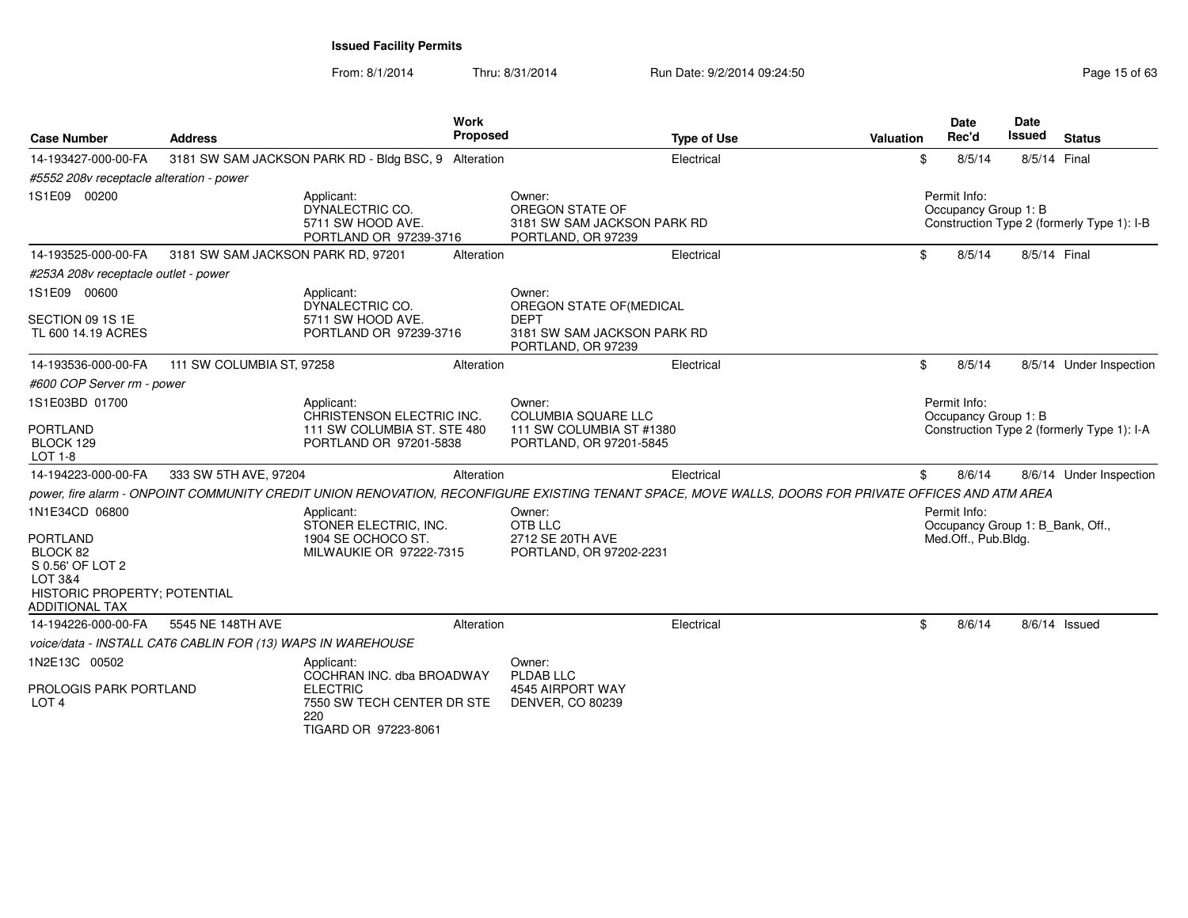| <b>Case Number</b>                                                                                                                               | <b>Address</b>                                              |                                                                                                                         | Work<br><b>Proposed</b> | <b>Type of Use</b>                                                                                                                                   | Valuation | <b>Date</b><br>Rec'd                                                    | <b>Date</b><br><b>Issued</b> | <b>Status</b>                              |
|--------------------------------------------------------------------------------------------------------------------------------------------------|-------------------------------------------------------------|-------------------------------------------------------------------------------------------------------------------------|-------------------------|------------------------------------------------------------------------------------------------------------------------------------------------------|-----------|-------------------------------------------------------------------------|------------------------------|--------------------------------------------|
| 14-193427-000-00-FA                                                                                                                              |                                                             | 3181 SW SAM JACKSON PARK RD - Bldg BSC, 9 Alteration                                                                    |                         | Electrical                                                                                                                                           | \$        | 8/5/14                                                                  | 8/5/14 Final                 |                                            |
| #5552 208v receptacle alteration - power                                                                                                         |                                                             |                                                                                                                         |                         |                                                                                                                                                      |           |                                                                         |                              |                                            |
| 1S1E09 00200                                                                                                                                     |                                                             | Applicant:<br>DYNALECTRIC CO.<br>5711 SW HOOD AVE.<br>PORTLAND OR 97239-3716                                            |                         | Owner:<br>OREGON STATE OF<br>3181 SW SAM JACKSON PARK RD<br>PORTLAND, OR 97239                                                                       |           | Permit Info:<br>Occupancy Group 1: B                                    |                              | Construction Type 2 (formerly Type 1): I-B |
| 14-193525-000-00-FA                                                                                                                              | 3181 SW SAM JACKSON PARK RD, 97201                          |                                                                                                                         | Alteration              | Electrical                                                                                                                                           | \$        | 8/5/14                                                                  | 8/5/14 Final                 |                                            |
| #253A 208v receptacle outlet - power                                                                                                             |                                                             |                                                                                                                         |                         |                                                                                                                                                      |           |                                                                         |                              |                                            |
| 1S1E09 00600                                                                                                                                     |                                                             | Applicant:<br>DYNALECTRIC CO.                                                                                           |                         | Owner:<br>OREGON STATE OF (MEDICAL                                                                                                                   |           |                                                                         |                              |                                            |
| SECTION 09 1S 1E<br>TL 600 14.19 ACRES                                                                                                           |                                                             | 5711 SW HOOD AVE.<br>PORTLAND OR 97239-3716                                                                             |                         | <b>DEPT</b><br>3181 SW SAM JACKSON PARK RD<br>PORTLAND, OR 97239                                                                                     |           |                                                                         |                              |                                            |
| 14-193536-000-00-FA                                                                                                                              | 111 SW COLUMBIA ST, 97258                                   |                                                                                                                         | Alteration              | Electrical                                                                                                                                           | \$        | 8/5/14                                                                  |                              | 8/5/14 Under Inspection                    |
| #600 COP Server rm - power                                                                                                                       |                                                             |                                                                                                                         |                         |                                                                                                                                                      |           |                                                                         |                              |                                            |
| 1S1E03BD 01700<br><b>PORTLAND</b><br>BLOCK 129<br><b>LOT 1-8</b>                                                                                 |                                                             | Applicant:<br>CHRISTENSON ELECTRIC INC.<br>111 SW COLUMBIA ST. STE 480<br>PORTLAND OR 97201-5838                        |                         | Owner:<br><b>COLUMBIA SQUARE LLC</b><br>111 SW COLUMBIA ST #1380<br>PORTLAND, OR 97201-5845                                                          |           | Permit Info:<br>Occupancy Group 1: B                                    |                              | Construction Type 2 (formerly Type 1): I-A |
| 14-194223-000-00-FA                                                                                                                              | 333 SW 5TH AVE, 97204                                       |                                                                                                                         | Alteration              | Electrical                                                                                                                                           | \$        | 8/6/14                                                                  |                              | 8/6/14 Under Inspection                    |
|                                                                                                                                                  |                                                             |                                                                                                                         |                         | power, fire alarm - ONPOINT COMMUNITY CREDIT UNION RENOVATION, RECONFIGURE EXISTING TENANT SPACE, MOVE WALLS, DOORS FOR PRIVATE OFFICES AND ATM AREA |           |                                                                         |                              |                                            |
| 1N1E34CD 06800<br><b>PORTLAND</b><br>BLOCK 82<br>S 0.56' OF LOT 2<br><b>LOT 3&amp;4</b><br>HISTORIC PROPERTY; POTENTIAL<br><b>ADDITIONAL TAX</b> |                                                             | Applicant:<br>STONER ELECTRIC, INC.<br>1904 SE OCHOCO ST.<br>MILWAUKIE OR 97222-7315                                    |                         | Owner:<br>OTB LLC<br>2712 SE 20TH AVE<br>PORTLAND, OR 97202-2231                                                                                     |           | Permit Info:<br>Occupancy Group 1: B Bank, Off.,<br>Med.Off., Pub.Bldg. |                              |                                            |
| 14-194226-000-00-FA                                                                                                                              | 5545 NE 148TH AVE                                           |                                                                                                                         | Alteration              | Electrical                                                                                                                                           | \$        | 8/6/14                                                                  |                              | 8/6/14 Issued                              |
|                                                                                                                                                  | voice/data - INSTALL CAT6 CABLIN FOR (13) WAPS IN WAREHOUSE |                                                                                                                         |                         |                                                                                                                                                      |           |                                                                         |                              |                                            |
| 1N2E13C 00502<br>PROLOGIS PARK PORTLAND<br>LOT <sub>4</sub>                                                                                      |                                                             | Applicant:<br>COCHRAN INC. dba BROADWAY<br><b>ELECTRIC</b><br>7550 SW TECH CENTER DR STE<br>220<br>TIGARD OR 97223-8061 |                         | Owner:<br>PLDAB LLC<br>4545 AIRPORT WAY<br><b>DENVER, CO 80239</b>                                                                                   |           |                                                                         |                              |                                            |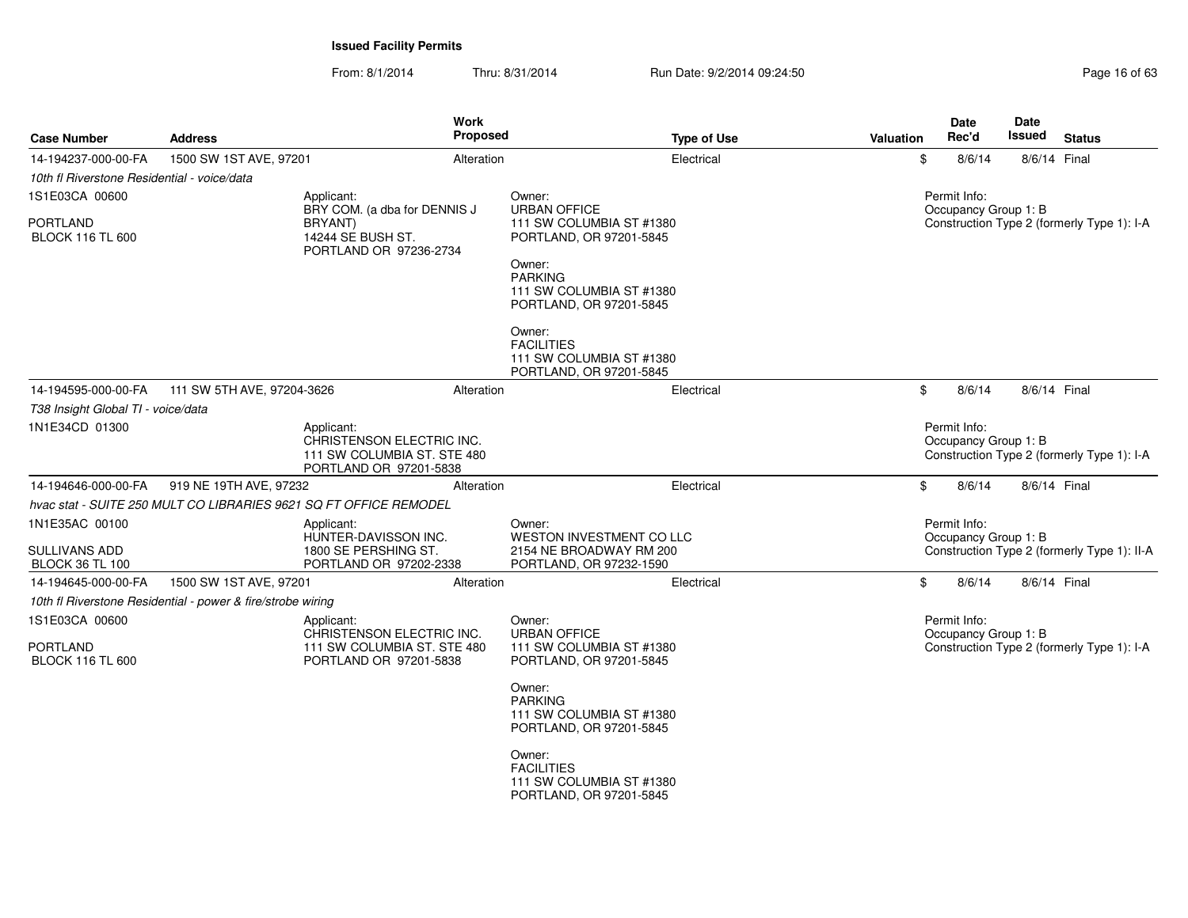| <b>Case Number</b>                                        | <b>Address</b>                                                    | Work<br><b>Proposed</b>                                                                          |                                                                                                                                                                       | <b>Type of Use</b> | <b>Valuation</b> | <b>Date</b><br>Rec'd                 | <b>Date</b><br><b>Issued</b> | <b>Status</b>                               |
|-----------------------------------------------------------|-------------------------------------------------------------------|--------------------------------------------------------------------------------------------------|-----------------------------------------------------------------------------------------------------------------------------------------------------------------------|--------------------|------------------|--------------------------------------|------------------------------|---------------------------------------------|
| 14-194237-000-00-FA                                       | 1500 SW 1ST AVE, 97201                                            | Alteration                                                                                       |                                                                                                                                                                       | Electrical         | \$               | 8/6/14                               | 8/6/14 Final                 |                                             |
| 10th fl Riverstone Residential - voice/data               |                                                                   |                                                                                                  |                                                                                                                                                                       |                    |                  |                                      |                              |                                             |
| 1S1E03CA 00600                                            |                                                                   | Applicant:<br>BRY COM. (a dba for DENNIS J                                                       | Owner:<br><b>URBAN OFFICE</b>                                                                                                                                         |                    |                  | Permit Info:<br>Occupancy Group 1: B |                              |                                             |
| <b>PORTLAND</b><br><b>BLOCK 116 TL 600</b>                |                                                                   | BRYANT)<br>14244 SE BUSH ST.<br>PORTLAND OR 97236-2734                                           | 111 SW COLUMBIA ST #1380<br>PORTLAND, OR 97201-5845<br>Owner:<br><b>PARKING</b><br>111 SW COLUMBIA ST #1380<br>PORTLAND, OR 97201-5845<br>Owner:<br><b>FACILITIES</b> |                    |                  |                                      |                              | Construction Type 2 (formerly Type 1): I-A  |
|                                                           |                                                                   |                                                                                                  | 111 SW COLUMBIA ST #1380<br>PORTLAND, OR 97201-5845                                                                                                                   |                    |                  |                                      |                              |                                             |
| 14-194595-000-00-FA                                       | 111 SW 5TH AVE, 97204-3626                                        | Alteration                                                                                       |                                                                                                                                                                       | Electrical         | \$               | 8/6/14                               | 8/6/14 Final                 |                                             |
| T38 Insight Global TI - voice/data                        |                                                                   |                                                                                                  |                                                                                                                                                                       |                    |                  |                                      |                              |                                             |
| 1N1E34CD 01300                                            |                                                                   | Applicant:<br>CHRISTENSON ELECTRIC INC.<br>111 SW COLUMBIA ST. STE 480<br>PORTLAND OR 97201-5838 |                                                                                                                                                                       |                    |                  | Permit Info:<br>Occupancy Group 1: B |                              | Construction Type 2 (formerly Type 1): I-A  |
| 14-194646-000-00-FA                                       | 919 NE 19TH AVE, 97232                                            | Alteration                                                                                       |                                                                                                                                                                       | Electrical         | \$               | 8/6/14                               | 8/6/14 Final                 |                                             |
|                                                           | hvac stat - SUITE 250 MULT CO LIBRARIES 9621 SQ FT OFFICE REMODEL |                                                                                                  |                                                                                                                                                                       |                    |                  |                                      |                              |                                             |
| 1N1E35AC 00100<br>SULLIVANS ADD<br><b>BLOCK 36 TL 100</b> |                                                                   | Applicant:<br>HUNTER-DAVISSON INC.<br>1800 SE PERSHING ST.<br>PORTLAND OR 97202-2338             | Owner:<br><b>WESTON INVESTMENT CO LLC</b><br>2154 NE BROADWAY RM 200<br>PORTLAND, OR 97232-1590                                                                       |                    |                  | Permit Info:<br>Occupancy Group 1: B |                              | Construction Type 2 (formerly Type 1): II-A |
| 14-194645-000-00-FA                                       | 1500 SW 1ST AVE, 97201                                            | Alteration                                                                                       |                                                                                                                                                                       | Electrical         | \$               | 8/6/14                               |                              | 8/6/14 Final                                |
|                                                           | 10th fl Riverstone Residential - power & fire/strobe wiring       |                                                                                                  |                                                                                                                                                                       |                    |                  |                                      |                              |                                             |
| 1S1E03CA 00600<br><b>PORTLAND</b>                         |                                                                   | Applicant:<br>CHRISTENSON ELECTRIC INC.<br>111 SW COLUMBIA ST. STE 480                           | Owner:<br><b>URBAN OFFICE</b><br>111 SW COLUMBIA ST #1380                                                                                                             |                    |                  | Permit Info:<br>Occupancy Group 1: B |                              | Construction Type 2 (formerly Type 1): I-A  |
| <b>BLOCK 116 TL 600</b>                                   |                                                                   | PORTLAND OR 97201-5838                                                                           | PORTLAND, OR 97201-5845                                                                                                                                               |                    |                  |                                      |                              |                                             |
|                                                           |                                                                   |                                                                                                  | Owner:<br><b>PARKING</b><br>111 SW COLUMBIA ST #1380<br>PORTLAND, OR 97201-5845                                                                                       |                    |                  |                                      |                              |                                             |
|                                                           |                                                                   |                                                                                                  | Owner:<br><b>FACILITIES</b><br>111 SW COLUMBIA ST #1380<br>PORTLAND, OR 97201-5845                                                                                    |                    |                  |                                      |                              |                                             |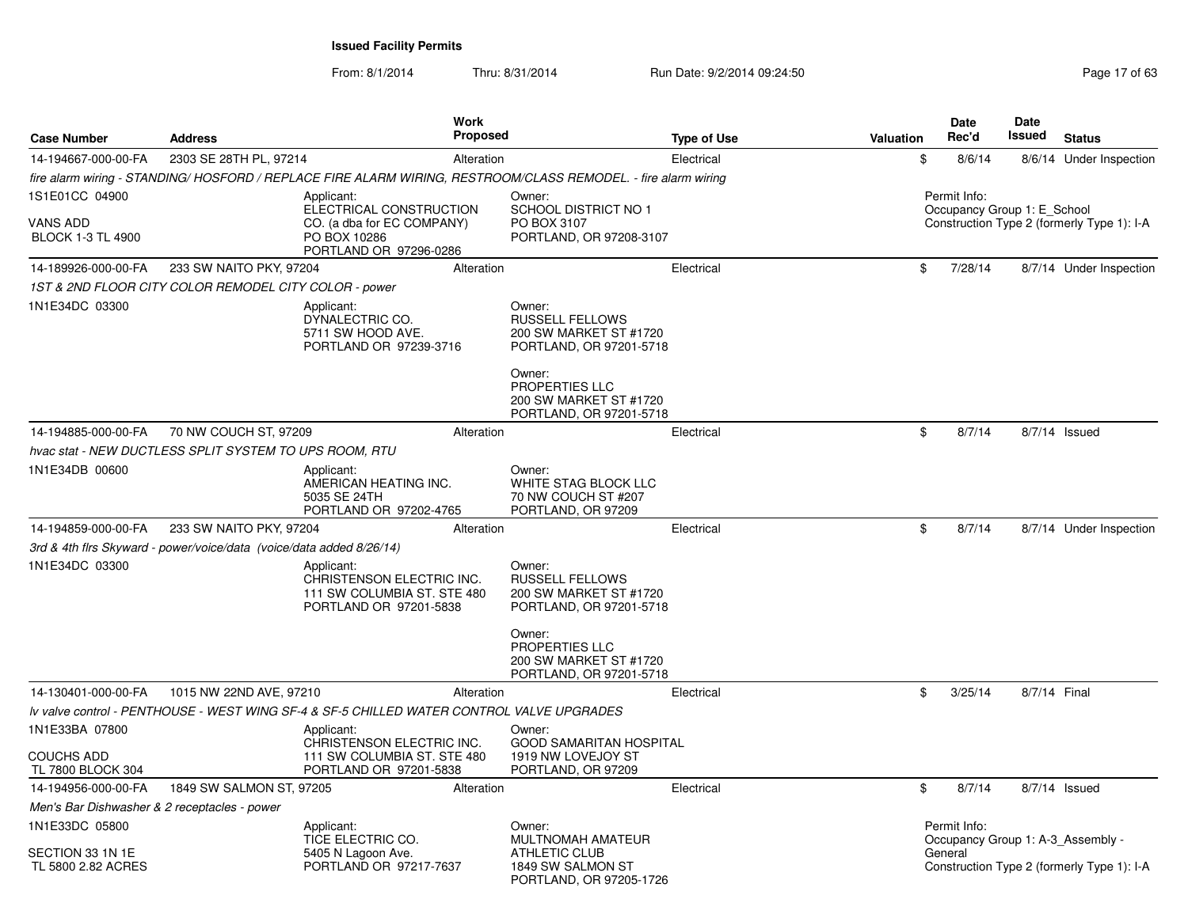From: 8/1/2014

|                                                               |                                                                      | Work                                                                                                          |                                                                                       |                    |           | Date                                        | <b>Date</b> |                                            |
|---------------------------------------------------------------|----------------------------------------------------------------------|---------------------------------------------------------------------------------------------------------------|---------------------------------------------------------------------------------------|--------------------|-----------|---------------------------------------------|-------------|--------------------------------------------|
| <b>Case Number</b>                                            | <b>Address</b>                                                       | <b>Proposed</b>                                                                                               |                                                                                       | <b>Type of Use</b> | Valuation | Rec'd                                       | Issued      | <b>Status</b>                              |
| 14-194667-000-00-FA                                           | 2303 SE 28TH PL, 97214                                               | Alteration                                                                                                    |                                                                                       | Electrical         | \$        | 8/6/14                                      |             | 8/6/14 Under Inspection                    |
|                                                               |                                                                      | fire alarm wiring - STANDING/HOSFORD / REPLACE FIRE ALARM WIRING, RESTROOM/CLASS REMODEL. - fire alarm wiring |                                                                                       |                    |           |                                             |             |                                            |
| 1S1E01CC 04900<br><b>VANS ADD</b><br><b>BLOCK 1-3 TL 4900</b> |                                                                      | Applicant:<br>ELECTRICAL CONSTRUCTION<br>CO. (a dba for EC COMPANY)<br>PO BOX 10286<br>PORTLAND OR 97296-0286 | Owner:<br>SCHOOL DISTRICT NO 1<br>PO BOX 3107<br>PORTLAND, OR 97208-3107              |                    |           | Permit Info:<br>Occupancy Group 1: E School |             | Construction Type 2 (formerly Type 1): I-A |
| 14-189926-000-00-FA                                           | 233 SW NAITO PKY, 97204                                              | Alteration                                                                                                    |                                                                                       | Electrical         | \$        | 7/28/14                                     |             | 8/7/14 Under Inspection                    |
|                                                               | 1ST & 2ND FLOOR CITY COLOR REMODEL CITY COLOR - power                |                                                                                                               |                                                                                       |                    |           |                                             |             |                                            |
| 1N1E34DC 03300                                                |                                                                      | Applicant:<br>DYNALECTRIC CO.<br>5711 SW HOOD AVE.<br>PORTLAND OR 97239-3716                                  | Owner:<br>RUSSELL FELLOWS<br>200 SW MARKET ST #1720<br>PORTLAND, OR 97201-5718        |                    |           |                                             |             |                                            |
|                                                               |                                                                      |                                                                                                               | Owner:<br>PROPERTIES LLC<br>200 SW MARKET ST #1720<br>PORTLAND, OR 97201-5718         |                    |           |                                             |             |                                            |
| 14-194885-000-00-FA                                           | 70 NW COUCH ST, 97209                                                | Alteration                                                                                                    |                                                                                       | Electrical         | \$        | 8/7/14                                      |             | 8/7/14 Issued                              |
|                                                               | hvac stat - NEW DUCTLESS SPLIT SYSTEM TO UPS ROOM, RTU               |                                                                                                               |                                                                                       |                    |           |                                             |             |                                            |
| 1N1E34DB 00600                                                |                                                                      | Applicant:<br>AMERICAN HEATING INC.<br>5035 SE 24TH<br>PORTLAND OR 97202-4765                                 | Owner:<br>WHITE STAG BLOCK LLC<br>70 NW COUCH ST #207<br>PORTLAND, OR 97209           |                    |           |                                             |             |                                            |
| 14-194859-000-00-FA                                           | 233 SW NAITO PKY, 97204                                              | Alteration                                                                                                    |                                                                                       | Electrical         | \$        | 8/7/14                                      |             | 8/7/14 Under Inspection                    |
|                                                               | 3rd & 4th firs Skyward - power/voice/data (voice/data added 8/26/14) |                                                                                                               |                                                                                       |                    |           |                                             |             |                                            |
| 1N1E34DC 03300                                                |                                                                      | Applicant:<br>CHRISTENSON ELECTRIC INC.<br>111 SW COLUMBIA ST. STE 480<br>PORTLAND OR 97201-5838              | Owner:<br><b>RUSSELL FELLOWS</b><br>200 SW MARKET ST #1720<br>PORTLAND, OR 97201-5718 |                    |           |                                             |             |                                            |
|                                                               |                                                                      |                                                                                                               | Owner:<br><b>PROPERTIES LLC</b><br>200 SW MARKET ST #1720<br>PORTLAND, OR 97201-5718  |                    |           |                                             |             |                                            |
| 14-130401-000-00-FA                                           | 1015 NW 22ND AVE, 97210                                              | Alteration                                                                                                    |                                                                                       | Electrical         | \$        | 3/25/14                                     |             | 8/7/14 Final                               |
|                                                               |                                                                      | Iv valve control - PENTHOUSE - WEST WING SF-4 & SF-5 CHILLED WATER CONTROL VALVE UPGRADES                     |                                                                                       |                    |           |                                             |             |                                            |
| 1N1E33BA 07800                                                |                                                                      | Applicant:<br>CHRISTENSON ELECTRIC INC.                                                                       | Owner:<br><b>GOOD SAMARITAN HOSPITAL</b>                                              |                    |           |                                             |             |                                            |
| <b>COUCHS ADD</b><br>TL 7800 BLOCK 304                        |                                                                      | 111 SW COLUMBIA ST. STE 480<br>PORTLAND OR 97201-5838                                                         | 1919 NW LOVEJOY ST<br>PORTLAND, OR 97209                                              |                    |           |                                             |             |                                            |
| 14-194956-000-00-FA                                           | 1849 SW SALMON ST, 97205                                             | Alteration                                                                                                    |                                                                                       | Electrical         | \$        | 8/7/14                                      |             | 8/7/14 Issued                              |
| Men's Bar Dishwasher & 2 receptacles - power                  |                                                                      |                                                                                                               |                                                                                       |                    |           |                                             |             |                                            |
| 1N1E33DC 05800                                                |                                                                      | Applicant:<br>TICE ELECTRIC CO.                                                                               | Owner:<br><b>MULTNOMAH AMATEUR</b>                                                    |                    |           | Permit Info:                                |             | Occupancy Group 1: A-3_Assembly -          |
| SECTION 33 1N 1E<br>TL 5800 2.82 ACRES                        |                                                                      | 5405 N Lagoon Ave.<br>PORTLAND OR 97217-7637                                                                  | <b>ATHLETIC CLUB</b><br>1849 SW SALMON ST<br>PORTLAND, OR 97205-1726                  |                    |           | General                                     |             | Construction Type 2 (formerly Type 1): I-A |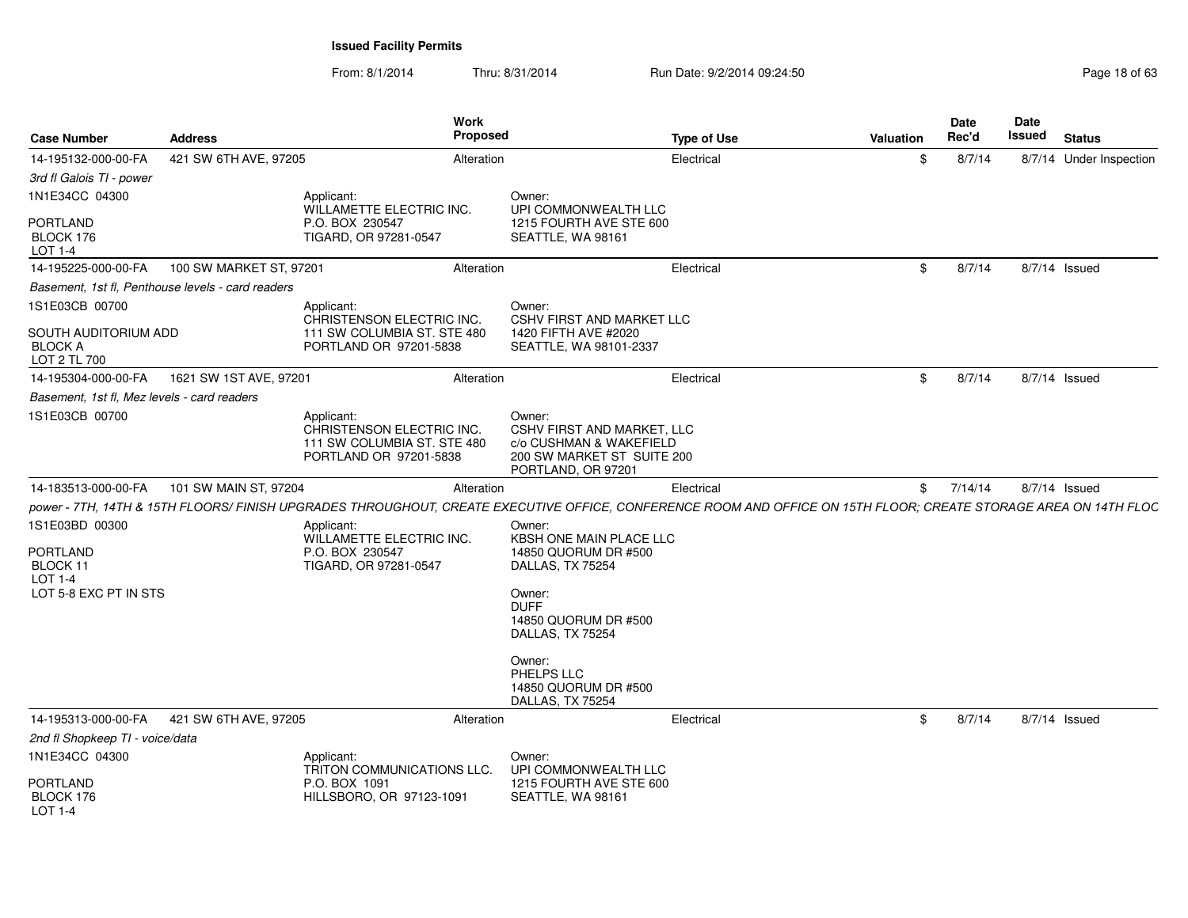| <b>Case Number</b>                                                                | <b>Address</b>                                    | <b>Work</b><br><b>Proposed</b>                                                                                                                                   |                                                                                                                                                                                                    | <b>Type of Use</b> | <b>Valuation</b> | Date<br>Rec'd | Date<br>Issued | <b>Status</b>           |
|-----------------------------------------------------------------------------------|---------------------------------------------------|------------------------------------------------------------------------------------------------------------------------------------------------------------------|----------------------------------------------------------------------------------------------------------------------------------------------------------------------------------------------------|--------------------|------------------|---------------|----------------|-------------------------|
| 14-195132-000-00-FA                                                               | 421 SW 6TH AVE, 97205                             | Alteration                                                                                                                                                       |                                                                                                                                                                                                    | Electrical         | \$               | 8/7/14        |                | 8/7/14 Under Inspection |
| 3rd fl Galois TI - power                                                          |                                                   |                                                                                                                                                                  |                                                                                                                                                                                                    |                    |                  |               |                |                         |
| 1N1E34CC 04300                                                                    |                                                   | Applicant:<br>WILLAMETTE ELECTRIC INC.                                                                                                                           | Owner:<br>UPI COMMONWEALTH LLC                                                                                                                                                                     |                    |                  |               |                |                         |
| PORTLAND<br>BLOCK 176<br>LOT 1-4                                                  |                                                   | P.O. BOX 230547<br>TIGARD, OR 97281-0547                                                                                                                         | 1215 FOURTH AVE STE 600<br>SEATTLE, WA 98161                                                                                                                                                       |                    |                  |               |                |                         |
| 14-195225-000-00-FA                                                               | 100 SW MARKET ST, 97201                           | Alteration                                                                                                                                                       |                                                                                                                                                                                                    | Electrical         | \$               | 8/7/14        |                | 8/7/14 Issued           |
|                                                                                   | Basement, 1st fl, Penthouse levels - card readers |                                                                                                                                                                  |                                                                                                                                                                                                    |                    |                  |               |                |                         |
| 1S1E03CB 00700                                                                    |                                                   | Applicant:<br>CHRISTENSON ELECTRIC INC.                                                                                                                          | Owner:<br><b>CSHV FIRST AND MARKET LLC</b>                                                                                                                                                         |                    |                  |               |                |                         |
| SOUTH AUDITORIUM ADD<br><b>BLOCK A</b><br>LOT 2 TL 700                            |                                                   | 111 SW COLUMBIA ST. STE 480<br>PORTLAND OR 97201-5838                                                                                                            | 1420 FIFTH AVE #2020<br>SEATTLE, WA 98101-2337                                                                                                                                                     |                    |                  |               |                |                         |
| 14-195304-000-00-FA                                                               | 1621 SW 1ST AVE, 97201                            | Alteration                                                                                                                                                       |                                                                                                                                                                                                    | Electrical         | \$               | 8/7/14        |                | 8/7/14 Issued           |
| Basement, 1st fl, Mez levels - card readers                                       |                                                   |                                                                                                                                                                  |                                                                                                                                                                                                    |                    |                  |               |                |                         |
| 1S1E03CB 00700                                                                    |                                                   | Applicant:<br>CHRISTENSON ELECTRIC INC.<br>111 SW COLUMBIA ST. STE 480<br>PORTLAND OR 97201-5838                                                                 | Owner:<br>CSHV FIRST AND MARKET, LLC<br>c/o CUSHMAN & WAKEFIELD<br>200 SW MARKET ST SUITE 200<br>PORTLAND, OR 97201                                                                                |                    |                  |               |                |                         |
| 14-183513-000-00-FA                                                               | 101 SW MAIN ST, 97204                             | Alteration                                                                                                                                                       |                                                                                                                                                                                                    | Electrical         | \$               | 7/14/14       |                | $8/7/14$ Issued         |
|                                                                                   |                                                   | power - 7TH, 14TH & 15TH FLOORS/ FINISH UPGRADES THROUGHOUT, CREATE EXECUTIVE OFFICE, CONFERENCE ROOM AND OFFICE ON 15TH FLOOR; CREATE STORAGE AREA ON 14TH FLOC |                                                                                                                                                                                                    |                    |                  |               |                |                         |
| 1S1E03BD 00300<br>PORTLAND<br>BLOCK 11<br><b>LOT 1-4</b><br>LOT 5-8 EXC PT IN STS |                                                   | Applicant:<br>WILLAMETTE ELECTRIC INC.<br>P.O. BOX 230547<br>TIGARD, OR 97281-0547                                                                               | Owner:<br>KBSH ONE MAIN PLACE LLC<br>14850 QUORUM DR #500<br>DALLAS, TX 75254<br>Owner:<br><b>DUFF</b><br>14850 QUORUM DR #500<br>DALLAS, TX 75254<br>Owner:<br>PHELPS LLC<br>14850 QUORUM DR #500 |                    |                  |               |                |                         |
|                                                                                   |                                                   |                                                                                                                                                                  | DALLAS, TX 75254                                                                                                                                                                                   |                    |                  |               |                |                         |
| 14-195313-000-00-FA                                                               | 421 SW 6TH AVE, 97205                             | Alteration                                                                                                                                                       |                                                                                                                                                                                                    | Electrical         | \$               | 8/7/14        |                | 8/7/14 Issued           |
| 2nd fl Shopkeep TI - voice/data                                                   |                                                   |                                                                                                                                                                  |                                                                                                                                                                                                    |                    |                  |               |                |                         |
| 1N1E34CC 04300<br>PORTLAND<br>BLOCK 176<br><b>LOT 1-4</b>                         |                                                   | Applicant:<br>TRITON COMMUNICATIONS LLC.<br>P.O. BOX 1091<br>HILLSBORO, OR 97123-1091                                                                            | Owner:<br>UPI COMMONWEALTH LLC<br>1215 FOURTH AVE STE 600<br>SEATTLE, WA 98161                                                                                                                     |                    |                  |               |                |                         |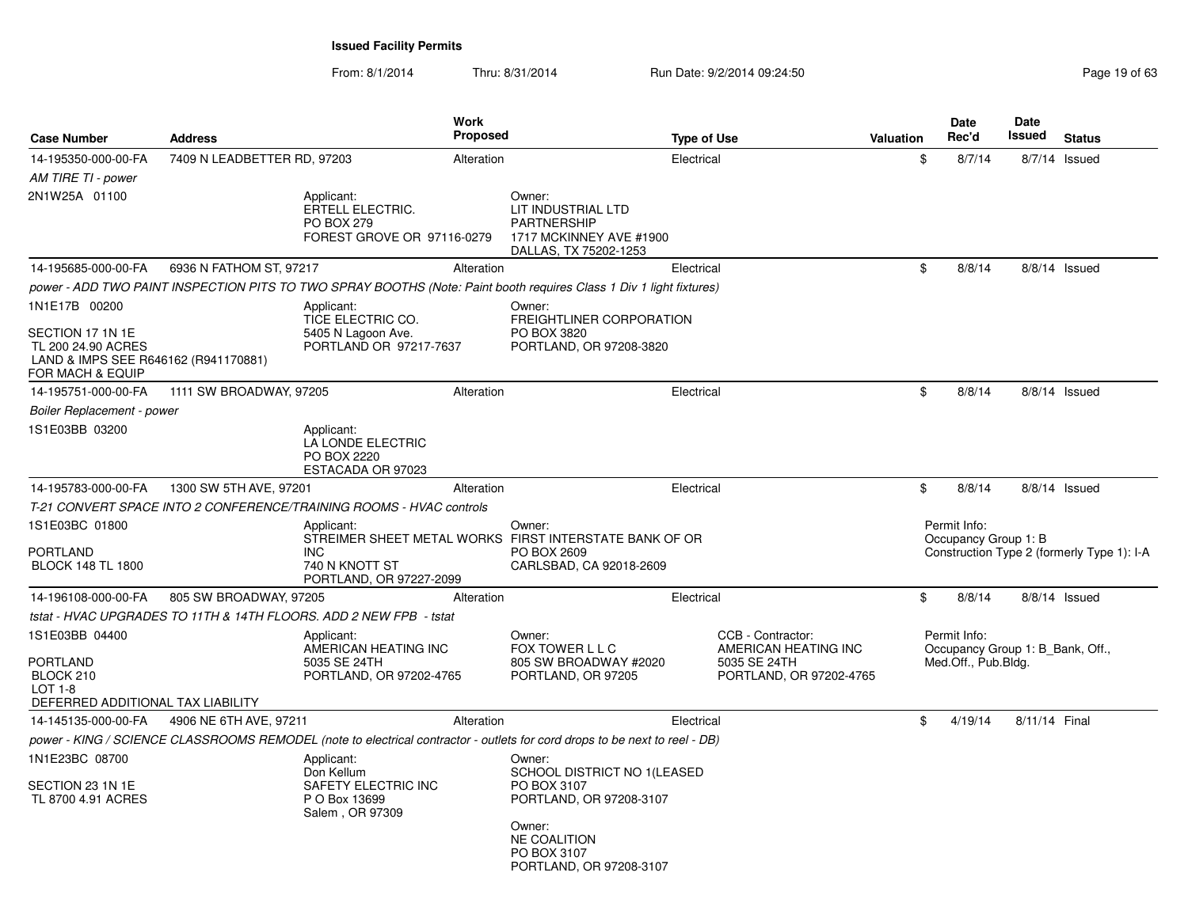| <b>Case Number</b>                                                                        | <b>Address</b>              |                                                                                          | Work<br><b>Proposed</b> |                                                                                                                                                     | <b>Type of Use</b> |                                                                                      | <b>Valuation</b> | Date<br>Rec'd                        | <b>Date</b><br>Issued | <b>Status</b>                              |
|-------------------------------------------------------------------------------------------|-----------------------------|------------------------------------------------------------------------------------------|-------------------------|-----------------------------------------------------------------------------------------------------------------------------------------------------|--------------------|--------------------------------------------------------------------------------------|------------------|--------------------------------------|-----------------------|--------------------------------------------|
| 14-195350-000-00-FA                                                                       | 7409 N LEADBETTER RD, 97203 |                                                                                          | Alteration              |                                                                                                                                                     | Electrical         |                                                                                      | \$               | 8/7/14                               | $8/7/14$ Issued       |                                            |
| AM TIRE TI - power                                                                        |                             |                                                                                          |                         |                                                                                                                                                     |                    |                                                                                      |                  |                                      |                       |                                            |
| 2N1W25A 01100                                                                             |                             | Applicant:<br><b>ERTELL ELECTRIC.</b><br><b>PO BOX 279</b><br>FOREST GROVE OR 97116-0279 |                         | Owner:<br>LIT INDUSTRIAL LTD<br><b>PARTNERSHIP</b><br>1717 MCKINNEY AVE #1900<br>DALLAS, TX 75202-1253                                              |                    |                                                                                      |                  |                                      |                       |                                            |
| 14-195685-000-00-FA                                                                       | 6936 N FATHOM ST, 97217     |                                                                                          | Alteration              |                                                                                                                                                     | Electrical         |                                                                                      | \$               | 8/8/14                               | $8/8/14$ Issued       |                                            |
|                                                                                           |                             |                                                                                          |                         | power - ADD TWO PAINT INSPECTION PITS TO TWO SPRAY BOOTHS (Note: Paint booth requires Class 1 Div 1 light fixtures)                                 |                    |                                                                                      |                  |                                      |                       |                                            |
| 1N1E17B 00200<br>SECTION 17 1N 1E<br>TL 200 24.90 ACRES                                   |                             | Applicant:<br>TICE ELECTRIC CO.<br>5405 N Lagoon Ave.<br>PORTLAND OR 97217-7637          |                         | Owner:<br>FREIGHTLINER CORPORATION<br>PO BOX 3820<br>PORTLAND, OR 97208-3820                                                                        |                    |                                                                                      |                  |                                      |                       |                                            |
| LAND & IMPS SEE R646162 (R941170881)<br>FOR MACH & EQUIP                                  |                             |                                                                                          |                         |                                                                                                                                                     |                    |                                                                                      |                  |                                      |                       |                                            |
| 14-195751-000-00-FA                                                                       | 1111 SW BROADWAY, 97205     |                                                                                          | Alteration              |                                                                                                                                                     | Electrical         |                                                                                      | \$               | 8/8/14                               | $8/8/14$ Issued       |                                            |
| <b>Boiler Replacement - power</b>                                                         |                             |                                                                                          |                         |                                                                                                                                                     |                    |                                                                                      |                  |                                      |                       |                                            |
| 1S1E03BB 03200                                                                            |                             | Applicant:<br>LA LONDE ELECTRIC<br>PO BOX 2220<br>ESTACADA OR 97023                      |                         |                                                                                                                                                     |                    |                                                                                      |                  |                                      |                       |                                            |
| 14-195783-000-00-FA                                                                       | 1300 SW 5TH AVE, 97201      |                                                                                          | Alteration              |                                                                                                                                                     | Electrical         |                                                                                      | \$               | 8/8/14                               | 8/8/14 Issued         |                                            |
|                                                                                           |                             | T-21 CONVERT SPACE INTO 2 CONFERENCE/TRAINING ROOMS - HVAC controls                      |                         |                                                                                                                                                     |                    |                                                                                      |                  |                                      |                       |                                            |
| 1S1E03BC 01800<br><b>PORTLAND</b><br><b>BLOCK 148 TL 1800</b>                             |                             | Applicant:<br><b>INC</b><br>740 N KNOTT ST<br>PORTLAND, OR 97227-2099                    |                         | Owner:<br>STREIMER SHEET METAL WORKS FIRST INTERSTATE BANK OF OR<br>PO BOX 2609<br>CARLSBAD, CA 92018-2609                                          |                    |                                                                                      |                  | Permit Info:<br>Occupancy Group 1: B |                       | Construction Type 2 (formerly Type 1): I-A |
| 14-196108-000-00-FA                                                                       | 805 SW BROADWAY, 97205      |                                                                                          | Alteration              |                                                                                                                                                     | Electrical         |                                                                                      | \$               | 8/8/14                               | 8/8/14 Issued         |                                            |
|                                                                                           |                             | tstat - HVAC UPGRADES TO 11TH & 14TH FLOORS. ADD 2 NEW FPB - tstat                       |                         |                                                                                                                                                     |                    |                                                                                      |                  |                                      |                       |                                            |
| 1S1E03BB 04400<br>PORTLAND<br>BLOCK 210<br>$LOT 1-8$<br>DEFERRED ADDITIONAL TAX LIABILITY |                             | Applicant:<br>AMERICAN HEATING INC<br>5035 SE 24TH<br>PORTLAND, OR 97202-4765            |                         | Owner:<br>FOX TOWER L L C<br>805 SW BROADWAY #2020<br>PORTLAND, OR 97205                                                                            |                    | CCB - Contractor:<br>AMERICAN HEATING INC<br>5035 SE 24TH<br>PORTLAND, OR 97202-4765 |                  | Permit Info:<br>Med.Off., Pub.Bldg.  |                       | Occupancy Group 1: B Bank, Off.,           |
| 14-145135-000-00-FA                                                                       | 4906 NE 6TH AVE, 97211      |                                                                                          | Alteration              |                                                                                                                                                     | Electrical         |                                                                                      | \$               | 4/19/14                              | 8/11/14 Final         |                                            |
|                                                                                           |                             |                                                                                          |                         | power - KING / SCIENCE CLASSROOMS REMODEL (note to electrical contractor - outlets for cord drops to be next to reel - DB)                          |                    |                                                                                      |                  |                                      |                       |                                            |
| 1N1E23BC 08700<br>SECTION 23 1N 1E<br>TL 8700 4.91 ACRES                                  |                             | Applicant:<br>Don Kellum<br>SAFETY ELECTRIC INC<br>P O Box 13699<br>Salem, OR 97309      |                         | Owner:<br>SCHOOL DISTRICT NO 1(LEASED<br>PO BOX 3107<br>PORTLAND, OR 97208-3107<br>Owner:<br>NE COALITION<br>PO BOX 3107<br>PORTLAND, OR 97208-3107 |                    |                                                                                      |                  |                                      |                       |                                            |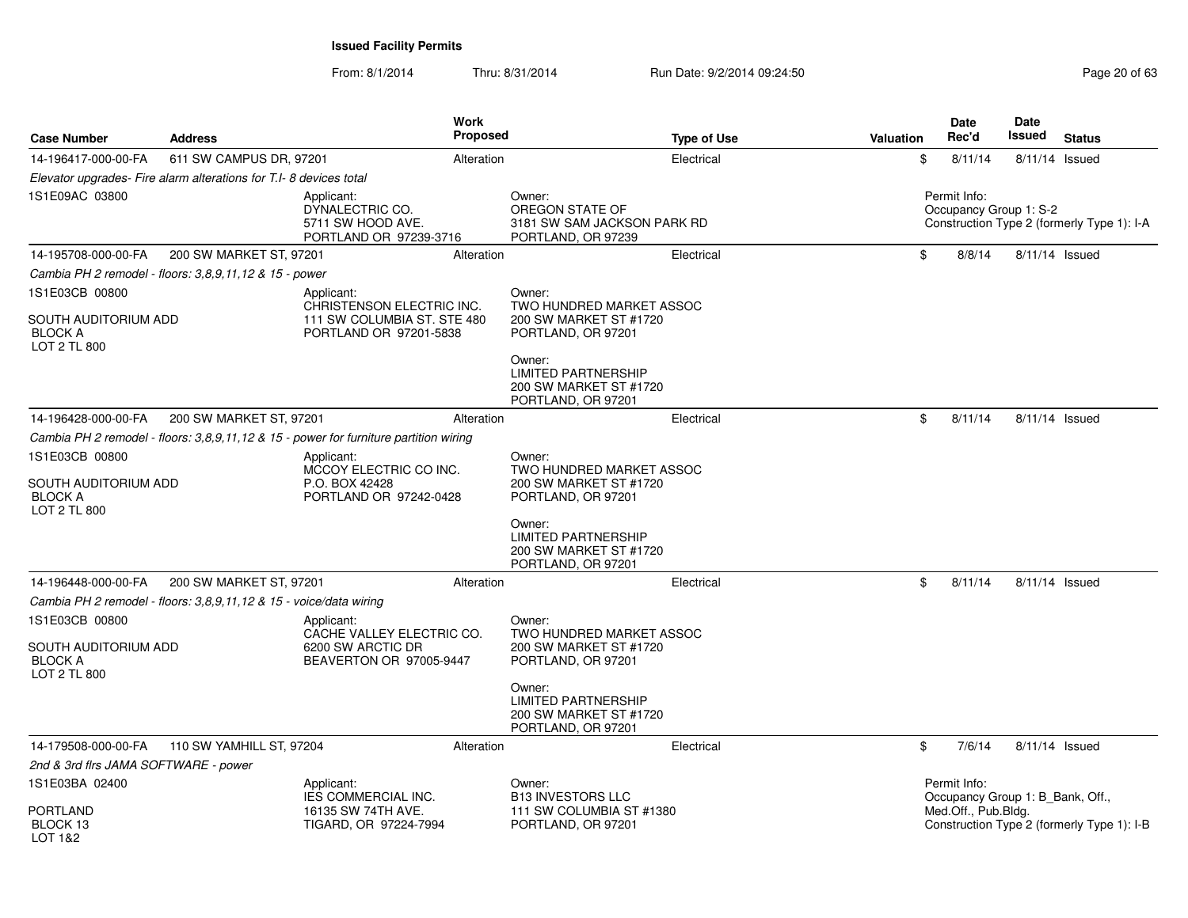| <b>Case Number</b>                                                       | <b>Address</b>                                                     |                                                                                                  | Work<br>Proposed |                                                                                      | <b>Type of Use</b> | <b>Valuation</b> | Date<br>Rec'd       | Date<br>Issued                   | <b>Status</b>                              |
|--------------------------------------------------------------------------|--------------------------------------------------------------------|--------------------------------------------------------------------------------------------------|------------------|--------------------------------------------------------------------------------------|--------------------|------------------|---------------------|----------------------------------|--------------------------------------------|
| 14-196417-000-00-FA                                                      | 611 SW CAMPUS DR, 97201                                            |                                                                                                  | Alteration       |                                                                                      | Electrical         |                  | \$<br>8/11/14       | 8/11/14 Issued                   |                                            |
|                                                                          | Elevator upgrades- Fire alarm alterations for T.I- 8 devices total |                                                                                                  |                  |                                                                                      |                    |                  |                     |                                  |                                            |
| 1S1E09AC 03800                                                           |                                                                    | Applicant:<br>DYNALECTRIC CO.<br>5711 SW HOOD AVE.<br>PORTLAND OR 97239-3716                     |                  | Owner:<br>OREGON STATE OF<br>3181 SW SAM JACKSON PARK RD<br>PORTLAND, OR 97239       |                    |                  | Permit Info:        | Occupancy Group 1: S-2           | Construction Type 2 (formerly Type 1): I-A |
| 14-195708-000-00-FA                                                      | 200 SW MARKET ST, 97201                                            |                                                                                                  | Alteration       |                                                                                      | Electrical         |                  | \$<br>8/8/14        | 8/11/14 Issued                   |                                            |
|                                                                          | Cambia PH 2 remodel - floors: 3,8,9,11,12 & 15 - power             |                                                                                                  |                  |                                                                                      |                    |                  |                     |                                  |                                            |
| 1S1E03CB 00800<br>SOUTH AUDITORIUM ADD<br><b>BLOCK A</b>                 |                                                                    | Applicant:<br>CHRISTENSON ELECTRIC INC.<br>111 SW COLUMBIA ST. STE 480<br>PORTLAND OR 97201-5838 |                  | Owner:<br>TWO HUNDRED MARKET ASSOC<br>200 SW MARKET ST #1720<br>PORTLAND, OR 97201   |                    |                  |                     |                                  |                                            |
| LOT 2 TL 800                                                             |                                                                    |                                                                                                  |                  | Owner:<br><b>LIMITED PARTNERSHIP</b><br>200 SW MARKET ST #1720<br>PORTLAND, OR 97201 |                    |                  |                     |                                  |                                            |
| 14-196428-000-00-FA                                                      | 200 SW MARKET ST, 97201                                            |                                                                                                  | Alteration       |                                                                                      | Electrical         |                  | \$<br>8/11/14       | 8/11/14 Issued                   |                                            |
|                                                                          |                                                                    | Cambia PH 2 remodel - floors: 3,8,9,11,12 & 15 - power for furniture partition wiring            |                  |                                                                                      |                    |                  |                     |                                  |                                            |
| 1S1E03CB 00800<br>SOUTH AUDITORIUM ADD<br><b>BLOCK A</b><br>LOT 2 TL 800 |                                                                    | Applicant:<br>MCCOY ELECTRIC CO INC.<br>P.O. BOX 42428<br>PORTLAND OR 97242-0428                 |                  | Owner:<br>TWO HUNDRED MARKET ASSOC<br>200 SW MARKET ST #1720<br>PORTLAND, OR 97201   |                    |                  |                     |                                  |                                            |
|                                                                          |                                                                    |                                                                                                  |                  | Owner:<br><b>LIMITED PARTNERSHIP</b><br>200 SW MARKET ST #1720<br>PORTLAND, OR 97201 |                    |                  |                     |                                  |                                            |
| 14-196448-000-00-FA                                                      | 200 SW MARKET ST, 97201                                            |                                                                                                  | Alteration       |                                                                                      | Electrical         |                  | \$<br>8/11/14       | 8/11/14 Issued                   |                                            |
|                                                                          | Cambia PH 2 remodel - floors: 3,8,9,11,12 & 15 - voice/data wiring |                                                                                                  |                  |                                                                                      |                    |                  |                     |                                  |                                            |
| 1S1E03CB 00800<br>SOUTH AUDITORIUM ADD<br><b>BLOCK A</b><br>LOT 2 TL 800 |                                                                    | Applicant:<br>CACHE VALLEY ELECTRIC CO.<br>6200 SW ARCTIC DR<br>BEAVERTON OR 97005-9447          |                  | Owner:<br>TWO HUNDRED MARKET ASSOC<br>200 SW MARKET ST #1720<br>PORTLAND, OR 97201   |                    |                  |                     |                                  |                                            |
|                                                                          |                                                                    |                                                                                                  |                  | Owner:<br><b>LIMITED PARTNERSHIP</b><br>200 SW MARKET ST #1720<br>PORTLAND, OR 97201 |                    |                  |                     |                                  |                                            |
| 14-179508-000-00-FA                                                      | 110 SW YAMHILL ST, 97204                                           |                                                                                                  | Alteration       |                                                                                      | Electrical         |                  | \$<br>7/6/14        | 8/11/14 Issued                   |                                            |
| 2nd & 3rd firs JAMA SOFTWARE - power                                     |                                                                    |                                                                                                  |                  |                                                                                      |                    |                  |                     |                                  |                                            |
| 1S1E03BA 02400                                                           |                                                                    | Applicant:<br>IES COMMERCIAL INC.                                                                |                  | Owner:<br><b>B13 INVESTORS LLC</b>                                                   |                    |                  | Permit Info:        | Occupancy Group 1: B Bank, Off., |                                            |
| <b>PORTLAND</b><br>BLOCK 13<br>LOT 1&2                                   |                                                                    | 16135 SW 74TH AVE.<br>TIGARD, OR 97224-7994                                                      |                  | 111 SW COLUMBIA ST #1380<br>PORTLAND, OR 97201                                       |                    |                  | Med.Off., Pub.Bldg. |                                  | Construction Type 2 (formerly Type 1): I-B |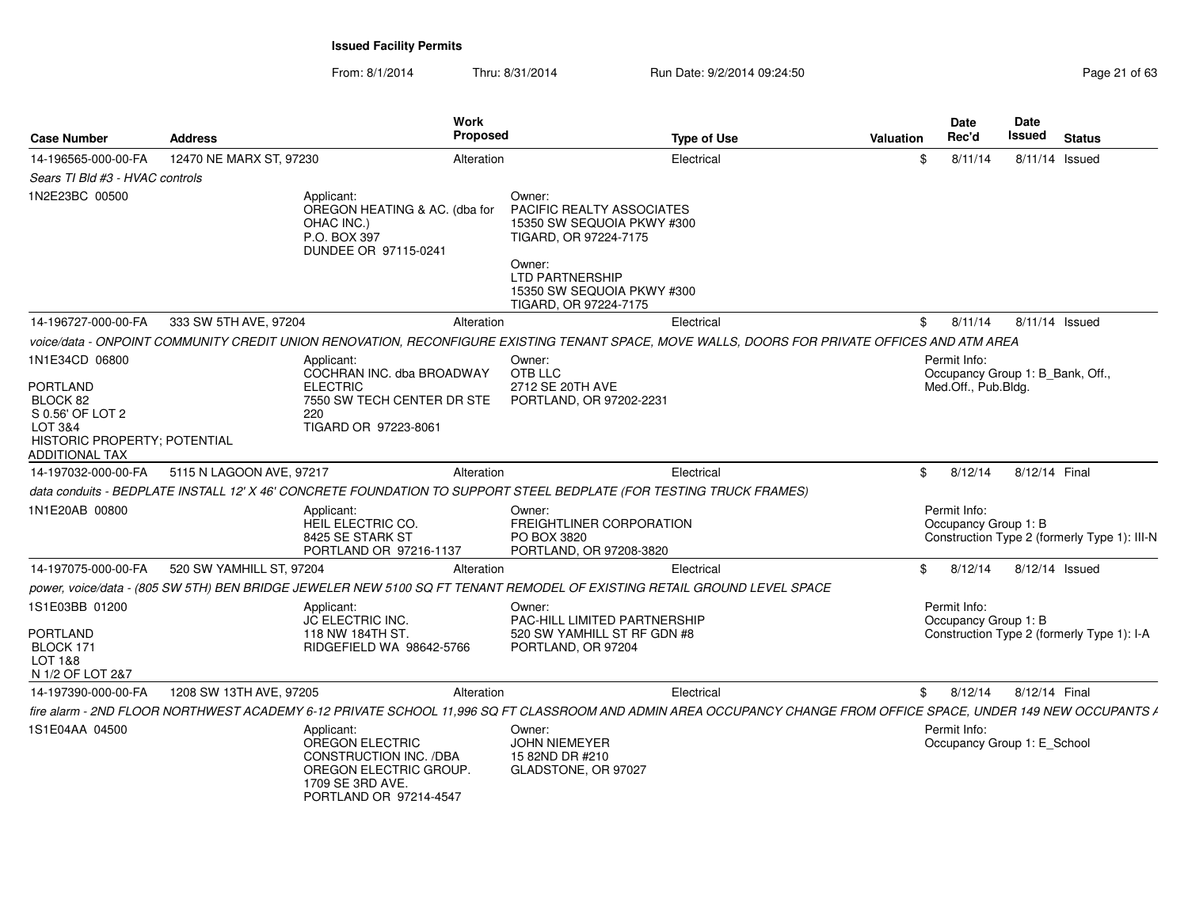| <b>Case Number</b>                                                                                                             | <b>Address</b>           |                                                                                                                                 | Work<br>Proposed |                                                                                                                                                                                       | <b>Type of Use</b>                                                                                                                                               | <b>Valuation</b> | <b>Date</b><br>Rec'd                                                    | <b>Date</b><br>Issued |                | <b>Status</b>                                |
|--------------------------------------------------------------------------------------------------------------------------------|--------------------------|---------------------------------------------------------------------------------------------------------------------------------|------------------|---------------------------------------------------------------------------------------------------------------------------------------------------------------------------------------|------------------------------------------------------------------------------------------------------------------------------------------------------------------|------------------|-------------------------------------------------------------------------|-----------------------|----------------|----------------------------------------------|
| 14-196565-000-00-FA                                                                                                            | 12470 NE MARX ST, 97230  |                                                                                                                                 | Alteration       |                                                                                                                                                                                       | Electrical                                                                                                                                                       |                  | 8/11/14                                                                 |                       | 8/11/14 Issued |                                              |
| Sears TI Bld #3 - HVAC controls                                                                                                |                          |                                                                                                                                 |                  |                                                                                                                                                                                       |                                                                                                                                                                  |                  |                                                                         |                       |                |                                              |
| 1N2E23BC 00500                                                                                                                 |                          | Applicant:<br>OREGON HEATING & AC. (dba for<br>OHAC INC.)<br>P.O. BOX 397<br>DUNDEE OR 97115-0241                               |                  | Owner:<br><b>PACIFIC REALTY ASSOCIATES</b><br>15350 SW SEQUOIA PKWY #300<br>TIGARD, OR 97224-7175<br>Owner:<br>LTD PARTNERSHIP<br>15350 SW SEQUOIA PKWY #300<br>TIGARD, OR 97224-7175 |                                                                                                                                                                  |                  |                                                                         |                       |                |                                              |
| 14-196727-000-00-FA                                                                                                            | 333 SW 5TH AVE, 97204    |                                                                                                                                 | Alteration       |                                                                                                                                                                                       | Electrical                                                                                                                                                       | \$               | 8/11/14                                                                 |                       | 8/11/14 Issued |                                              |
|                                                                                                                                |                          |                                                                                                                                 |                  |                                                                                                                                                                                       | voice/data - ONPOINT COMMUNITY CREDIT UNION RENOVATION. RECONFIGURE EXISTING TENANT SPACE, MOVE WALLS, DOORS FOR PRIVATE OFFICES AND ATM AREA                    |                  |                                                                         |                       |                |                                              |
| 1N1E34CD 06800<br><b>PORTLAND</b><br>BLOCK 82<br>S 0.56' OF LOT 2<br>LOT 3&4<br>HISTORIC PROPERTY; POTENTIAL<br>ADDITIONAL TAX |                          | Applicant:<br>COCHRAN INC. dba BROADWAY<br><b>ELECTRIC</b><br>7550 SW TECH CENTER DR STE<br>220<br>TIGARD OR 97223-8061         |                  | Owner:<br>OTB LLC<br>2712 SE 20TH AVE<br>PORTLAND, OR 97202-2231                                                                                                                      |                                                                                                                                                                  |                  | Permit Info:<br>Occupancy Group 1: B_Bank, Off.,<br>Med.Off., Pub.Bldg. |                       |                |                                              |
| 14-197032-000-00-FA                                                                                                            | 5115 N LAGOON AVE, 97217 |                                                                                                                                 | Alteration       |                                                                                                                                                                                       | Electrical                                                                                                                                                       | -SS              | 8/12/14                                                                 |                       | 8/12/14 Final  |                                              |
|                                                                                                                                |                          |                                                                                                                                 |                  | data conduits - BEDPLATE INSTALL 12' X 46' CONCRETE FOUNDATION TO SUPPORT STEEL BEDPLATE (FOR TESTING TRUCK FRAMES)                                                                   |                                                                                                                                                                  |                  |                                                                         |                       |                |                                              |
| 1N1E20AB 00800                                                                                                                 |                          | Applicant:<br>HEIL ELECTRIC CO.<br>8425 SE STARK ST<br>PORTLAND OR 97216-1137                                                   |                  | Owner:<br>FREIGHTLINER CORPORATION<br>PO BOX 3820<br>PORTLAND, OR 97208-3820                                                                                                          |                                                                                                                                                                  |                  | Permit Info:<br>Occupancy Group 1: B                                    |                       |                | Construction Type 2 (formerly Type 1): III-N |
| 14-197075-000-00-FA                                                                                                            | 520 SW YAMHILL ST, 97204 |                                                                                                                                 | Alteration       |                                                                                                                                                                                       | Electrical                                                                                                                                                       | \$               | 8/12/14                                                                 |                       | 8/12/14 Issued |                                              |
|                                                                                                                                |                          |                                                                                                                                 |                  |                                                                                                                                                                                       | power, voice/data - (805 SW 5TH) BEN BRIDGE JEWELER NEW 5100 SQ FT TENANT REMODEL OF EXISTING RETAIL GROUND LEVEL SPACE                                          |                  |                                                                         |                       |                |                                              |
| 1S1E03BB 01200<br><b>PORTLAND</b><br>BLOCK 171<br>LOT 1&8<br>N 1/2 OF LOT 2&7                                                  |                          | Applicant:<br>JC ELECTRIC INC.<br>118 NW 184TH ST.<br>RIDGEFIELD WA 98642-5766                                                  |                  | Owner:<br>PAC-HILL LIMITED PARTNERSHIP<br>520 SW YAMHILL ST RF GDN #8<br>PORTLAND, OR 97204                                                                                           |                                                                                                                                                                  |                  | Permit Info:<br>Occupancy Group 1: B                                    |                       |                | Construction Type 2 (formerly Type 1): I-A   |
| 14-197390-000-00-FA                                                                                                            | 1208 SW 13TH AVE, 97205  |                                                                                                                                 | Alteration       |                                                                                                                                                                                       | Electrical                                                                                                                                                       | \$               | 8/12/14                                                                 | 8/12/14 Final         |                |                                              |
|                                                                                                                                |                          |                                                                                                                                 |                  |                                                                                                                                                                                       | fire alarm - 2ND FLOOR NORTHWEST ACADEMY 6-12 PRIVATE SCHOOL 11,996 SQ FT CLASSROOM AND ADMIN AREA OCCUPANCY CHANGE FROM OFFICE SPACE, UNDER 149 NEW OCCUPANTS / |                  |                                                                         |                       |                |                                              |
| 1S1E04AA 04500                                                                                                                 |                          | Applicant:<br>OREGON ELECTRIC<br>CONSTRUCTION INC. /DBA<br>OREGON ELECTRIC GROUP.<br>1709 SE 3RD AVE.<br>PORTLAND OR 97214-4547 |                  | Owner:<br>JOHN NIEMEYER<br>15 82ND DR #210<br>GLADSTONE, OR 97027                                                                                                                     |                                                                                                                                                                  |                  | Permit Info:<br>Occupancy Group 1: E School                             |                       |                |                                              |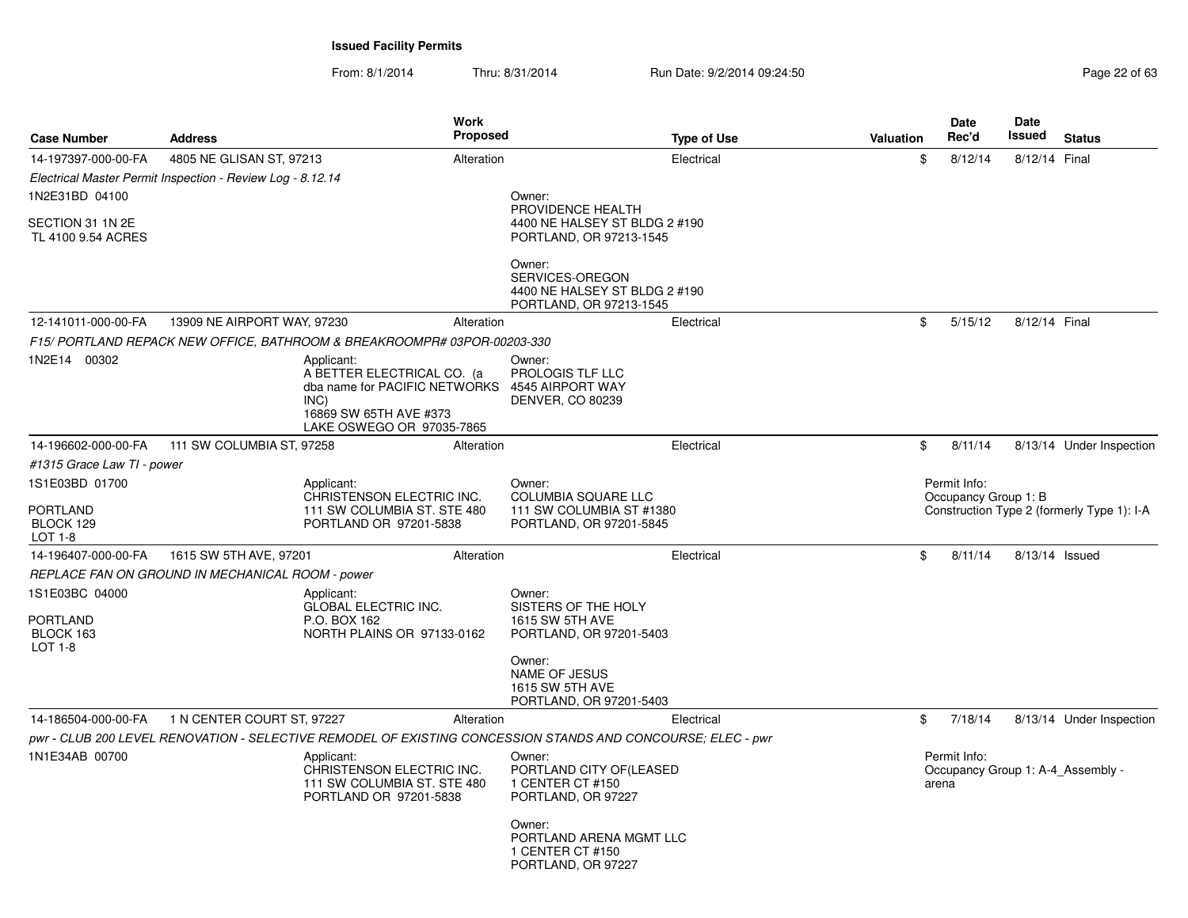| <b>Case Number</b>                      | <b>Address</b>                                             | <b>Work</b><br><b>Proposed</b>                                                                                                           |                                                                                       | <b>Type of Use</b> | <b>Valuation</b> | Date<br>Rec'd         | Date<br>Issued | <b>Status</b>                              |
|-----------------------------------------|------------------------------------------------------------|------------------------------------------------------------------------------------------------------------------------------------------|---------------------------------------------------------------------------------------|--------------------|------------------|-----------------------|----------------|--------------------------------------------|
| 14-197397-000-00-FA                     | 4805 NE GLISAN ST, 97213                                   | Alteration                                                                                                                               |                                                                                       | Electrical         | \$               | 8/12/14               | 8/12/14 Final  |                                            |
|                                         | Electrical Master Permit Inspection - Review Log - 8.12.14 |                                                                                                                                          |                                                                                       |                    |                  |                       |                |                                            |
| 1N2E31BD 04100                          |                                                            |                                                                                                                                          | Owner:<br>PROVIDENCE HEALTH                                                           |                    |                  |                       |                |                                            |
| SECTION 31 1N 2E<br>TL 4100 9.54 ACRES  |                                                            |                                                                                                                                          | 4400 NE HALSEY ST BLDG 2 #190<br>PORTLAND, OR 97213-1545                              |                    |                  |                       |                |                                            |
|                                         |                                                            |                                                                                                                                          | Owner:<br>SERVICES-OREGON<br>4400 NE HALSEY ST BLDG 2 #190<br>PORTLAND, OR 97213-1545 |                    |                  |                       |                |                                            |
| 12-141011-000-00-FA                     | 13909 NE AIRPORT WAY, 97230                                | Alteration                                                                                                                               |                                                                                       | Electrical         | \$               | 5/15/12               | 8/12/14 Final  |                                            |
|                                         |                                                            | F15/ PORTLAND REPACK NEW OFFICE, BATHROOM & BREAKROOMPR# 03POR-00203-330                                                                 |                                                                                       |                    |                  |                       |                |                                            |
| 1N2E14 00302                            |                                                            | Applicant:<br>A BETTER ELECTRICAL CO. (a<br>dba name for PACIFIC NETWORKS<br>INC)<br>16869 SW 65TH AVE #373<br>LAKE OSWEGO OR 97035-7865 | Owner:<br>PROLOGIS TLF LLC<br>4545 AIRPORT WAY<br><b>DENVER, CO 80239</b>             |                    |                  |                       |                |                                            |
| 14-196602-000-00-FA                     | 111 SW COLUMBIA ST, 97258                                  | Alteration                                                                                                                               |                                                                                       | Electrical         | \$               | 8/11/14               |                | 8/13/14 Under Inspection                   |
| #1315 Grace Law TI - power              |                                                            |                                                                                                                                          |                                                                                       |                    |                  |                       |                |                                            |
| 1S1E03BD 01700                          |                                                            | Applicant:                                                                                                                               | Owner:                                                                                |                    |                  | Permit Info:          |                |                                            |
| <b>PORTLAND</b><br>BLOCK 129<br>LOT 1-8 |                                                            | CHRISTENSON ELECTRIC INC.<br>111 SW COLUMBIA ST. STE 480<br>PORTLAND OR 97201-5838                                                       | <b>COLUMBIA SQUARE LLC</b><br>111 SW COLUMBIA ST #1380<br>PORTLAND, OR 97201-5845     |                    |                  | Occupancy Group 1: B  |                | Construction Type 2 (formerly Type 1): I-A |
| 14-196407-000-00-FA                     | 1615 SW 5TH AVE, 97201                                     | Alteration                                                                                                                               |                                                                                       | Electrical         | \$               | 8/11/14               | 8/13/14 Issued |                                            |
|                                         | REPLACE FAN ON GROUND IN MECHANICAL ROOM - power           |                                                                                                                                          |                                                                                       |                    |                  |                       |                |                                            |
| 1S1E03BC 04000                          |                                                            | Applicant:<br><b>GLOBAL ELECTRIC INC.</b>                                                                                                | Owner:<br>SISTERS OF THE HOLY                                                         |                    |                  |                       |                |                                            |
| PORTLAND<br>BLOCK 163<br><b>LOT 1-8</b> |                                                            | P.O. BOX 162<br>NORTH PLAINS OR 97133-0162                                                                                               | 1615 SW 5TH AVE<br>PORTLAND, OR 97201-5403                                            |                    |                  |                       |                |                                            |
|                                         |                                                            |                                                                                                                                          | Owner:<br><b>NAME OF JESUS</b><br>1615 SW 5TH AVE<br>PORTLAND, OR 97201-5403          |                    |                  |                       |                |                                            |
| 14-186504-000-00-FA                     | 1 N CENTER COURT ST, 97227                                 | Alteration                                                                                                                               |                                                                                       | Electrical         | \$               | 7/18/14               |                | 8/13/14 Under Inspection                   |
|                                         |                                                            | pwr - CLUB 200 LEVEL RENOVATION - SELECTIVE REMODEL OF EXISTING CONCESSION STANDS AND CONCOURSE; ELEC - pwr                              |                                                                                       |                    |                  |                       |                |                                            |
| 1N1E34AB 00700                          |                                                            | Applicant:<br>CHRISTENSON ELECTRIC INC.<br>111 SW COLUMBIA ST. STE 480<br>PORTLAND OR 97201-5838                                         | Owner:<br>PORTLAND CITY OF (LEASED<br>1 CENTER CT #150<br>PORTLAND, OR 97227          |                    |                  | Permit Info:<br>arena |                | Occupancy Group 1: A-4 Assembly -          |
|                                         |                                                            |                                                                                                                                          | Owner:<br>PORTLAND ARENA MGMT LLC<br>1 CENTER CT #150<br>PORTLAND, OR 97227           |                    |                  |                       |                |                                            |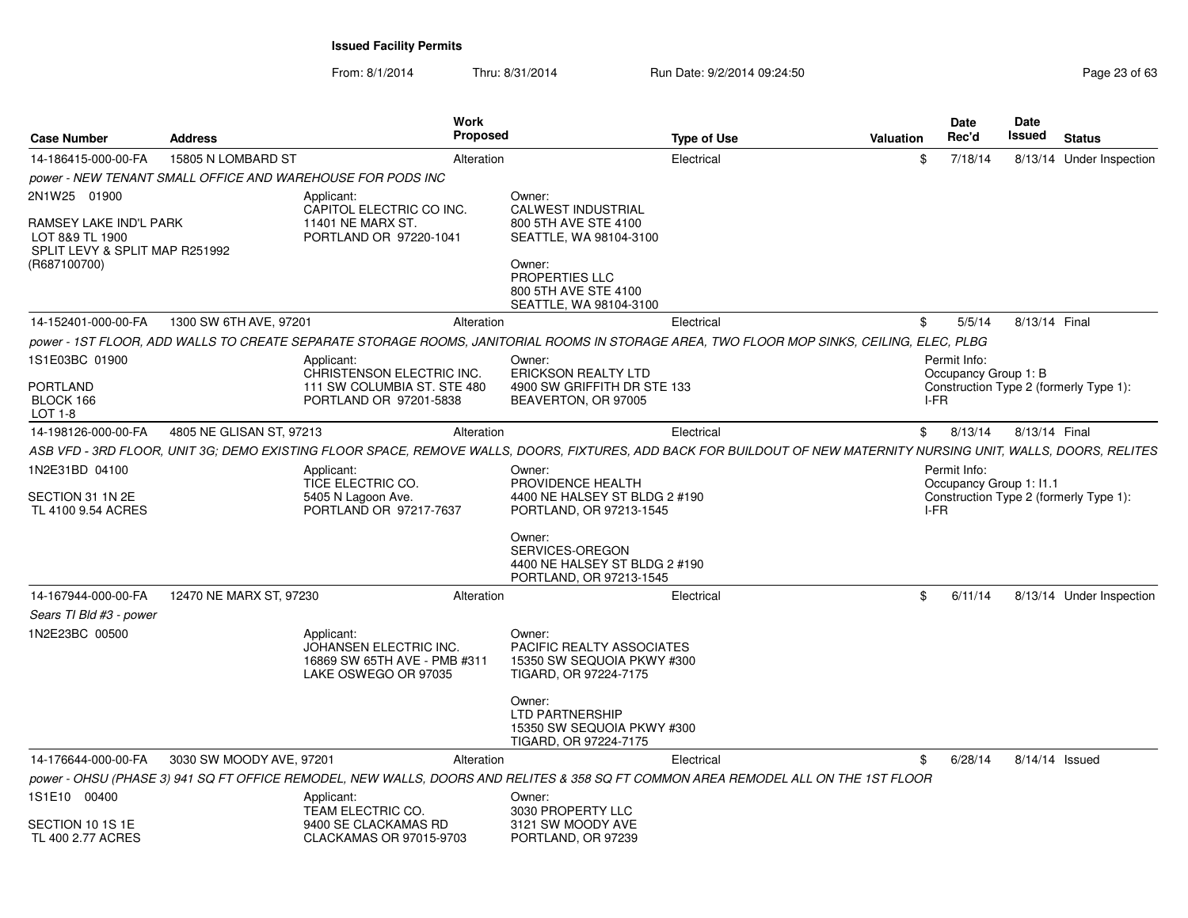| Electrical<br><b>CALWEST INDUSTRIAL</b><br>800 5TH AVE STE 4100<br>SEATTLE, WA 98104-3100<br>800 5TH AVE STE 4100<br>SEATTLE, WA 98104-3100<br>Electrical<br>power - 1ST FLOOR, ADD WALLS TO CREATE SEPARATE STORAGE ROOMS, JANITORIAL ROOMS IN STORAGE AREA, TWO FLOOR MOP SINKS, CEILING, ELEC, PLBG<br><b>ERICKSON REALTY LTD</b><br>4900 SW GRIFFITH DR STE 133<br>BEAVERTON, OR 97005<br>Electrical | \$<br>$$^{\circ}$ | 7/18/14<br>5/5/14<br>Permit Info:<br>Occupancy Group 1: B                                                                          | 8/13/14 Under Inspection<br>8/13/14 Final |
|----------------------------------------------------------------------------------------------------------------------------------------------------------------------------------------------------------------------------------------------------------------------------------------------------------------------------------------------------------------------------------------------------------|-------------------|------------------------------------------------------------------------------------------------------------------------------------|-------------------------------------------|
|                                                                                                                                                                                                                                                                                                                                                                                                          |                   |                                                                                                                                    |                                           |
|                                                                                                                                                                                                                                                                                                                                                                                                          |                   |                                                                                                                                    |                                           |
|                                                                                                                                                                                                                                                                                                                                                                                                          |                   |                                                                                                                                    |                                           |
|                                                                                                                                                                                                                                                                                                                                                                                                          |                   |                                                                                                                                    |                                           |
|                                                                                                                                                                                                                                                                                                                                                                                                          |                   |                                                                                                                                    |                                           |
|                                                                                                                                                                                                                                                                                                                                                                                                          |                   | I-FR                                                                                                                               | Construction Type 2 (formerly Type 1):    |
|                                                                                                                                                                                                                                                                                                                                                                                                          |                   | \$8/13/14                                                                                                                          | 8/13/14 Final                             |
| ASB VFD - 3RD FLOOR, UNIT 3G; DEMO EXISTING FLOOR SPACE, REMOVE WALLS, DOORS, FIXTURES, ADD BACK FOR BUILDOUT OF NEW MATERNITY NURSING UNIT, WALLS, DOORS, RELITES                                                                                                                                                                                                                                       |                   |                                                                                                                                    |                                           |
| PROVIDENCE HEALTH                                                                                                                                                                                                                                                                                                                                                                                        |                   | Permit Info:<br>Occupancy Group 1: 11.1                                                                                            |                                           |
| 4400 NE HALSEY ST BLDG 2 #190<br>PORTLAND, OR 97213-1545                                                                                                                                                                                                                                                                                                                                                 |                   |                                                                                                                                    | Construction Type 2 (formerly Type 1):    |
| 4400 NE HALSEY ST BLDG 2 #190<br>PORTLAND, OR 97213-1545                                                                                                                                                                                                                                                                                                                                                 |                   |                                                                                                                                    |                                           |
| Electrical                                                                                                                                                                                                                                                                                                                                                                                               |                   | 6/11/14                                                                                                                            | 8/13/14 Under Inspection                  |
|                                                                                                                                                                                                                                                                                                                                                                                                          |                   |                                                                                                                                    |                                           |
| PACIFIC REALTY ASSOCIATES<br>15350 SW SEQUOIA PKWY #300<br>TIGARD, OR 97224-7175                                                                                                                                                                                                                                                                                                                         |                   |                                                                                                                                    |                                           |
| 15350 SW SEQUOIA PKWY #300<br>TIGARD, OR 97224-7175                                                                                                                                                                                                                                                                                                                                                      |                   |                                                                                                                                    |                                           |
| Electrical                                                                                                                                                                                                                                                                                                                                                                                               | \$                | 6/28/14                                                                                                                            | 8/14/14 Issued                            |
|                                                                                                                                                                                                                                                                                                                                                                                                          |                   |                                                                                                                                    |                                           |
|                                                                                                                                                                                                                                                                                                                                                                                                          |                   |                                                                                                                                    |                                           |
| 3121 SW MOODY AVE<br>PORTLAND, OR 97239                                                                                                                                                                                                                                                                                                                                                                  |                   |                                                                                                                                    |                                           |
| 3030 PROPERTY LLC                                                                                                                                                                                                                                                                                                                                                                                        |                   | power - OHSU (PHASE 3) 941 SQ FT OFFICE REMODEL, NEW WALLS, DOORS AND RELITES & 358 SQ FT COMMON AREA REMODEL ALL ON THE 1ST FLOOR | I-FR<br>$^{\circ}$                        |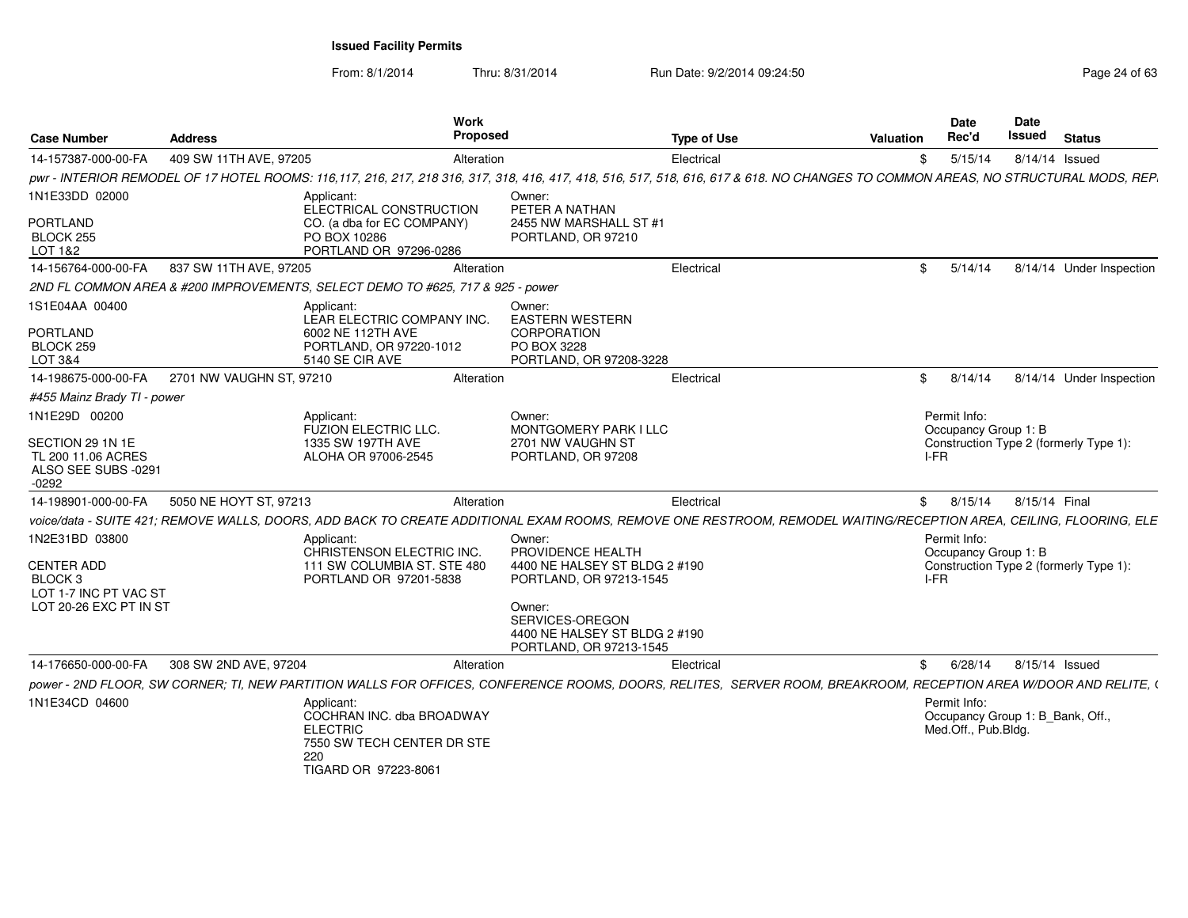| <b>Case Number</b>                                                              | Address                  | Work<br>Proposed                                                                                                                                                                   |                                                                                                                                                   | <b>Type of Use</b> | <b>Valuation</b> |      | <b>Date</b><br>Rec'd                                                    | <b>Date</b><br>Issued | <b>Status</b>                          |
|---------------------------------------------------------------------------------|--------------------------|------------------------------------------------------------------------------------------------------------------------------------------------------------------------------------|---------------------------------------------------------------------------------------------------------------------------------------------------|--------------------|------------------|------|-------------------------------------------------------------------------|-----------------------|----------------------------------------|
| 14-157387-000-00-FA                                                             | 409 SW 11TH AVE, 97205   | Alteration                                                                                                                                                                         |                                                                                                                                                   | Electrical         |                  | \$   | 5/15/14                                                                 |                       | 8/14/14 Issued                         |
|                                                                                 |                          | pwr - INTERIOR REMODEL OF 17 HOTEL ROOMS: 116,117, 216, 217, 218 316, 317, 318, 416, 417, 418, 516, 517, 518, 616, 617 & 618. NO CHANGES TO COMMON AREAS, NO STRUCTURAL MODS, REP. |                                                                                                                                                   |                    |                  |      |                                                                         |                       |                                        |
| 1N1E33DD 02000                                                                  |                          | Applicant:<br>ELECTRICAL CONSTRUCTION                                                                                                                                              | Owner:<br>PETER A NATHAN                                                                                                                          |                    |                  |      |                                                                         |                       |                                        |
| <b>PORTLAND</b><br>BLOCK 255<br>LOT 1&2                                         |                          | CO. (a dba for EC COMPANY)<br>PO BOX 10286<br>PORTLAND OR 97296-0286                                                                                                               | 2455 NW MARSHALL ST #1<br>PORTLAND, OR 97210                                                                                                      |                    |                  |      |                                                                         |                       |                                        |
| 14-156764-000-00-FA                                                             | 837 SW 11TH AVE, 97205   | Alteration                                                                                                                                                                         |                                                                                                                                                   | Electrical         |                  | \$   | 5/14/14                                                                 |                       | 8/14/14 Under Inspection               |
|                                                                                 |                          | 2ND FL COMMON AREA & #200 IMPROVEMENTS, SELECT DEMO TO #625, 717 & 925 - power                                                                                                     |                                                                                                                                                   |                    |                  |      |                                                                         |                       |                                        |
| 1S1E04AA 00400                                                                  |                          | Applicant:<br>LEAR ELECTRIC COMPANY INC.                                                                                                                                           | Owner:<br><b>EASTERN WESTERN</b>                                                                                                                  |                    |                  |      |                                                                         |                       |                                        |
| <b>PORTLAND</b><br>BLOCK 259<br>LOT 3&4                                         |                          | 6002 NE 112TH AVE<br>PORTLAND, OR 97220-1012<br>5140 SE CIR AVE                                                                                                                    | <b>CORPORATION</b><br>PO BOX 3228<br>PORTLAND, OR 97208-3228                                                                                      |                    |                  |      |                                                                         |                       |                                        |
| 14-198675-000-00-FA                                                             | 2701 NW VAUGHN ST, 97210 | Alteration                                                                                                                                                                         |                                                                                                                                                   | Electrical         |                  | \$   | 8/14/14                                                                 |                       | 8/14/14 Under Inspection               |
| #455 Mainz Brady TI - power                                                     |                          |                                                                                                                                                                                    |                                                                                                                                                   |                    |                  |      |                                                                         |                       |                                        |
| 1N1E29D 00200                                                                   |                          | Applicant:<br><b>FUZION ELECTRIC LLC.</b>                                                                                                                                          | Owner:<br><b>MONTGOMERY PARK I LLC</b>                                                                                                            |                    |                  |      | Permit Info:<br>Occupancy Group 1: B                                    |                       |                                        |
| SECTION 29 1N 1E<br>TL 200 11.06 ACRES<br>ALSO SEE SUBS -0291<br>$-0292$        |                          | 1335 SW 197TH AVE<br>ALOHA OR 97006-2545                                                                                                                                           | 2701 NW VAUGHN ST<br>PORTLAND, OR 97208                                                                                                           |                    |                  | I-FR |                                                                         |                       | Construction Type 2 (formerly Type 1): |
| 14-198901-000-00-FA                                                             | 5050 NE HOYT ST, 97213   | Alteration                                                                                                                                                                         |                                                                                                                                                   | Electrical         |                  | \$   | 8/15/14                                                                 | 8/15/14 Final         |                                        |
|                                                                                 |                          | voice/data - SUITE 421; REMOVE WALLS, DOORS, ADD BACK TO CREATE ADDITIONAL EXAM ROOMS, REMOVE ONE RESTROOM, REMODEL WAITING/RECEPTION AREA, CEILING, FLOORING, ELE                 |                                                                                                                                                   |                    |                  |      |                                                                         |                       |                                        |
| 1N2E31BD 03800                                                                  |                          | Applicant:<br>CHRISTENSON ELECTRIC INC.                                                                                                                                            | Owner:<br>PROVIDENCE HEALTH                                                                                                                       |                    |                  |      | Permit Info:<br>Occupancy Group 1: B                                    |                       |                                        |
| <b>CENTER ADD</b><br>BLOCK 3<br>LOT 1-7 INC PT VAC ST<br>LOT 20-26 EXC PT IN ST |                          | 111 SW COLUMBIA ST. STE 480<br>PORTLAND OR 97201-5838                                                                                                                              | 4400 NE HALSEY ST BLDG 2 #190<br>PORTLAND, OR 97213-1545<br>Owner:<br>SERVICES-OREGON<br>4400 NE HALSEY ST BLDG 2 #190<br>PORTLAND, OR 97213-1545 |                    |                  | I-FR |                                                                         |                       | Construction Type 2 (formerly Type 1): |
| 14-176650-000-00-FA                                                             | 308 SW 2ND AVE, 97204    | Alteration                                                                                                                                                                         |                                                                                                                                                   | Electrical         |                  | \$   | 6/28/14                                                                 |                       | 8/15/14 Issued                         |
|                                                                                 |                          | power - 2ND FLOOR, SW CORNER; TI, NEW PARTITION WALLS FOR OFFICES, CONFERENCE ROOMS, DOORS, RELITES, SERVER ROOM, BREAKROOM, RECEPTION AREA W/DOOR AND RELITE, (                   |                                                                                                                                                   |                    |                  |      |                                                                         |                       |                                        |
| 1N1E34CD 04600                                                                  |                          | Applicant:<br>COCHRAN INC. dba BROADWAY<br><b>ELECTRIC</b><br>7550 SW TECH CENTER DR STE<br>220<br>TIGARD OR 97223-8061                                                            |                                                                                                                                                   |                    |                  |      | Permit Info:<br>Occupancy Group 1: B_Bank, Off.,<br>Med.Off., Pub.Bldg. |                       |                                        |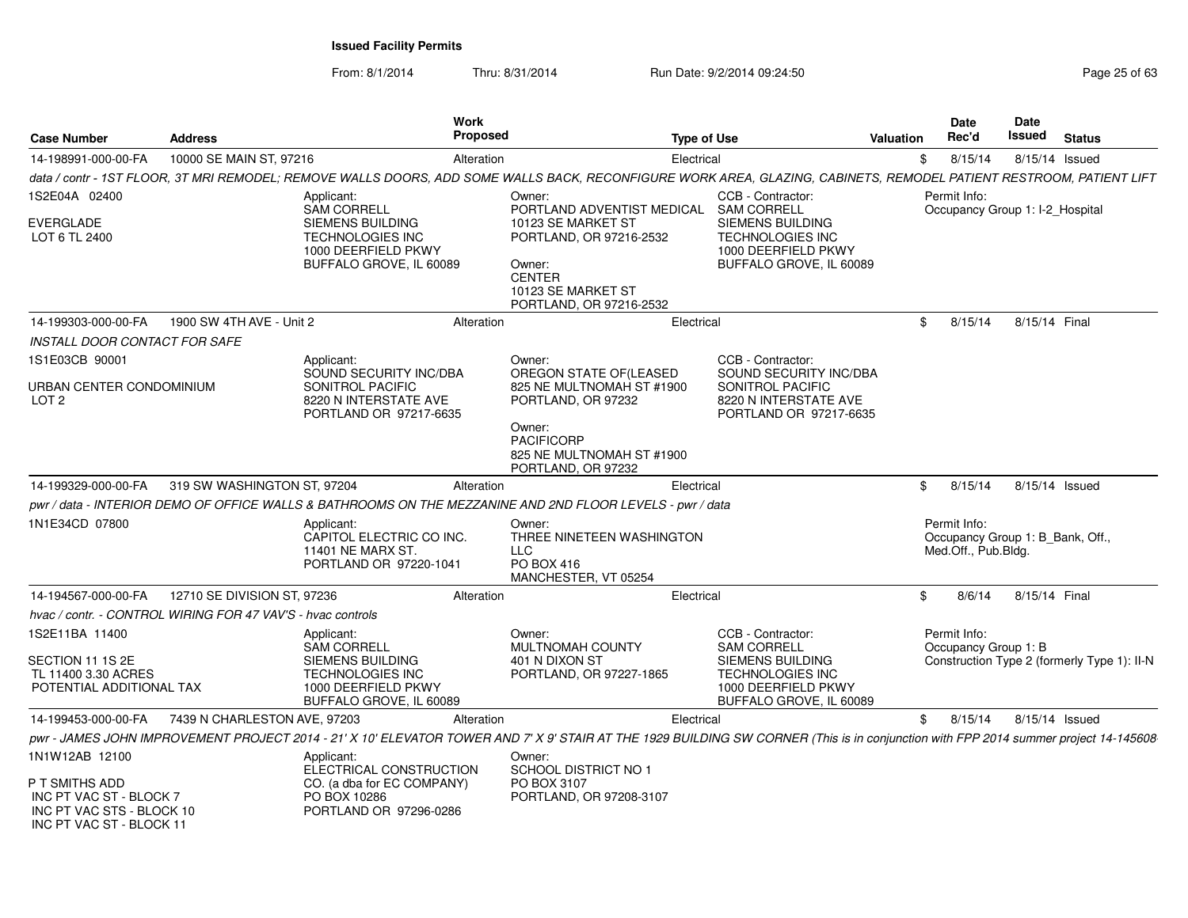From: 8/1/2014Thru: 8/31/2014 Run Date: 9/2/2014 09:24:50 Run Date: 9/2/2014 09:24:50

| <b>Case Number</b>                                                                                 | <b>Address</b>               | <b>Work</b><br><b>Proposed</b>                                                                                                                                                       |                                                                                                                           | <b>Type of Use</b>                                                                                                                       | Valuation | Date<br>Rec'd                                                           | <b>Date</b><br>Issued | <b>Status</b>                               |
|----------------------------------------------------------------------------------------------------|------------------------------|--------------------------------------------------------------------------------------------------------------------------------------------------------------------------------------|---------------------------------------------------------------------------------------------------------------------------|------------------------------------------------------------------------------------------------------------------------------------------|-----------|-------------------------------------------------------------------------|-----------------------|---------------------------------------------|
| 14-198991-000-00-FA                                                                                | 10000 SE MAIN ST, 97216      | Alteration                                                                                                                                                                           | Electrical                                                                                                                |                                                                                                                                          | \$        | 8/15/14                                                                 | 8/15/14 Issued        |                                             |
|                                                                                                    |                              | data / contr - 1ST FLOOR, 3T MRI REMODEL; REMOVE WALLS DOORS, ADD SOME WALLS BACK, RECONFIGURE WORK AREA, GLAZING, CABINETS, REMODEL PATIENT RESTROOM, PATIENT LIFT                  |                                                                                                                           |                                                                                                                                          |           |                                                                         |                       |                                             |
| 1S2E04A 02400                                                                                      |                              | Applicant:<br><b>SAM CORRELL</b>                                                                                                                                                     | Owner:<br>PORTLAND ADVENTIST MEDICAL                                                                                      | CCB - Contractor:<br><b>SAM CORRELL</b>                                                                                                  |           | Permit Info:<br>Occupancy Group 1: I-2 Hospital                         |                       |                                             |
| <b>EVERGLADE</b><br>LOT 6 TL 2400                                                                  |                              | SIEMENS BUILDING<br><b>TECHNOLOGIES INC</b><br>1000 DEERFIELD PKWY<br>BUFFALO GROVE, IL 60089                                                                                        | 10123 SE MARKET ST<br>PORTLAND, OR 97216-2532<br>Owner:<br><b>CENTER</b><br>10123 SE MARKET ST<br>PORTLAND, OR 97216-2532 | SIEMENS BUILDING<br><b>TECHNOLOGIES INC</b><br>1000 DEERFIELD PKWY<br>BUFFALO GROVE, IL 60089                                            |           |                                                                         |                       |                                             |
| 14-199303-000-00-FA                                                                                | 1900 SW 4TH AVE - Unit 2     | Alteration                                                                                                                                                                           | Electrical                                                                                                                |                                                                                                                                          | \$        | 8/15/14                                                                 | 8/15/14 Final         |                                             |
| <b>INSTALL DOOR CONTACT FOR SAFE</b>                                                               |                              |                                                                                                                                                                                      |                                                                                                                           |                                                                                                                                          |           |                                                                         |                       |                                             |
| 1S1E03CB 90001                                                                                     |                              | Applicant:<br>SOUND SECURITY INC/DBA                                                                                                                                                 | Owner:<br>OREGON STATE OF(LEASED                                                                                          | CCB - Contractor:<br>SOUND SECURITY INC/DBA                                                                                              |           |                                                                         |                       |                                             |
| URBAN CENTER CONDOMINIUM<br>LOT <sub>2</sub>                                                       |                              | SONITROL PACIFIC<br>8220 N INTERSTATE AVE<br>PORTLAND OR 97217-6635                                                                                                                  | 825 NE MULTNOMAH ST #1900<br>PORTLAND, OR 97232                                                                           | SONITROL PACIFIC<br>8220 N INTERSTATE AVE<br>PORTLAND OR 97217-6635                                                                      |           |                                                                         |                       |                                             |
|                                                                                                    |                              |                                                                                                                                                                                      | Owner:<br><b>PACIFICORP</b><br>825 NE MULTNOMAH ST #1900<br>PORTLAND, OR 97232                                            |                                                                                                                                          |           |                                                                         |                       |                                             |
| 14-199329-000-00-FA                                                                                | 319 SW WASHINGTON ST, 97204  | Alteration                                                                                                                                                                           | Electrical                                                                                                                |                                                                                                                                          | \$        | 8/15/14                                                                 |                       | 8/15/14 Issued                              |
|                                                                                                    |                              | pwr / data - INTERIOR DEMO OF OFFICE WALLS & BATHROOMS ON THE MEZZANINE AND 2ND FLOOR LEVELS - pwr / data                                                                            |                                                                                                                           |                                                                                                                                          |           |                                                                         |                       |                                             |
| 1N1E34CD 07800                                                                                     |                              | Applicant:<br>CAPITOL ELECTRIC CO INC.<br>11401 NE MARX ST.<br>PORTLAND OR 97220-1041                                                                                                | Owner:<br>THREE NINETEEN WASHINGTON<br><b>LLC</b><br>PO BOX 416<br>MANCHESTER, VT 05254                                   |                                                                                                                                          |           | Permit Info:<br>Occupancy Group 1: B_Bank, Off.,<br>Med.Off., Pub.Bldg. |                       |                                             |
| 14-194567-000-00-FA                                                                                | 12710 SE DIVISION ST, 97236  | Alteration                                                                                                                                                                           | Electrical                                                                                                                |                                                                                                                                          | \$        | 8/6/14                                                                  | 8/15/14 Final         |                                             |
| hvac / contr. - CONTROL WIRING FOR 47 VAV'S - hvac controls                                        |                              |                                                                                                                                                                                      |                                                                                                                           |                                                                                                                                          |           |                                                                         |                       |                                             |
| 1S2E11BA 11400<br>SECTION 11 1S 2E<br>TL 11400 3.30 ACRES<br>POTENTIAL ADDITIONAL TAX              |                              | Applicant:<br><b>SAM CORRELL</b><br><b>SIEMENS BUILDING</b><br><b>TECHNOLOGIES INC</b><br>1000 DEERFIELD PKWY<br>BUFFALO GROVE, IL 60089                                             | Owner:<br>MULTNOMAH COUNTY<br>401 N DIXON ST<br>PORTLAND, OR 97227-1865                                                   | CCB - Contractor:<br><b>SAM CORRELL</b><br>SIEMENS BUILDING<br><b>TECHNOLOGIES INC</b><br>1000 DEERFIELD PKWY<br>BUFFALO GROVE, IL 60089 |           | Permit Info:<br>Occupancy Group 1: B                                    |                       | Construction Type 2 (formerly Type 1): II-N |
| 14-199453-000-00-FA                                                                                | 7439 N CHARLESTON AVE, 97203 | Alteration                                                                                                                                                                           | Electrical                                                                                                                |                                                                                                                                          | \$        | 8/15/14                                                                 | 8/15/14 Issued        |                                             |
|                                                                                                    |                              | pwr - JAMES JOHN IMPROVEMENT PROJECT 2014 - 21' X 10' ELEVATOR TOWER AND 7' X 9' STAIR AT THE 1929 BUILDING SW CORNER (This is in conjunction with FPP 2014 summer project 14-145608 |                                                                                                                           |                                                                                                                                          |           |                                                                         |                       |                                             |
| 1N1W12AB 12100                                                                                     |                              | Applicant:<br>ELECTRICAL CONSTRUCTION                                                                                                                                                | Owner:<br>SCHOOL DISTRICT NO 1                                                                                            |                                                                                                                                          |           |                                                                         |                       |                                             |
| P T SMITHS ADD<br>INC PT VAC ST - BLOCK 7<br>INC PT VAC STS - BLOCK 10<br>INC PT VAC ST - BLOCK 11 |                              | CO. (a dba for EC COMPANY)<br>PO BOX 10286<br>PORTLAND OR 97296-0286                                                                                                                 | PO BOX 3107<br>PORTLAND, OR 97208-3107                                                                                    |                                                                                                                                          |           |                                                                         |                       |                                             |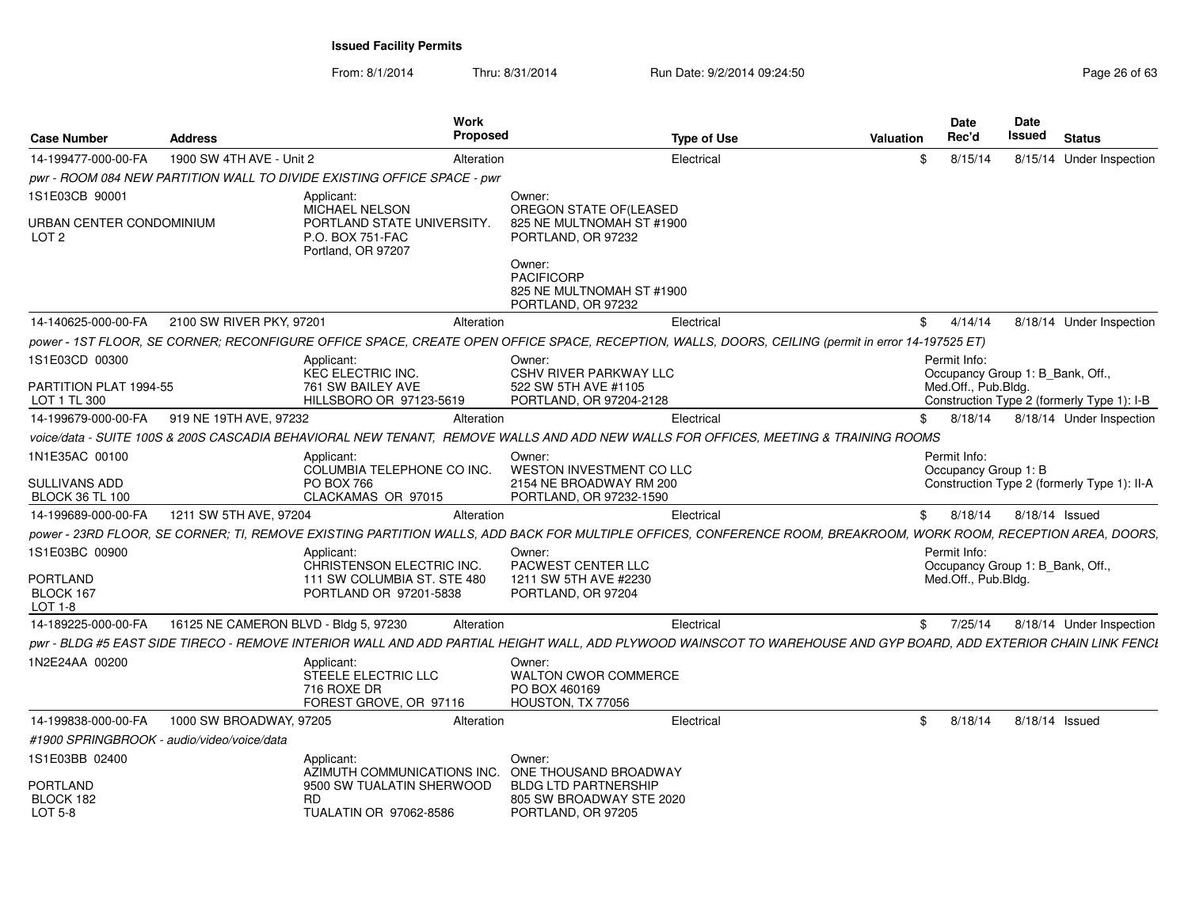| <b>Case Number</b>                         | <b>Address</b>                        | <b>Work</b><br><b>Proposed</b>                                             | <b>Type of Use</b>                                                                                                                                                | Valuation | Date<br>Rec'd                        |         | Date<br>Issued | <b>Status</b>                               |
|--------------------------------------------|---------------------------------------|----------------------------------------------------------------------------|-------------------------------------------------------------------------------------------------------------------------------------------------------------------|-----------|--------------------------------------|---------|----------------|---------------------------------------------|
| 14-199477-000-00-FA                        | 1900 SW 4TH AVE - Unit 2              | Alteration                                                                 | Electrical                                                                                                                                                        |           | \$.                                  | 8/15/14 |                | 8/15/14 Under Inspection                    |
|                                            |                                       | pwr - ROOM 084 NEW PARTITION WALL TO DIVIDE EXISTING OFFICE SPACE - pwr    |                                                                                                                                                                   |           |                                      |         |                |                                             |
| 1S1E03CB 90001                             |                                       | Applicant:<br><b>MICHAEL NELSON</b>                                        | Owner:<br>OREGON STATE OF(LEASED                                                                                                                                  |           |                                      |         |                |                                             |
| URBAN CENTER CONDOMINIUM<br>LOT 2          |                                       | PORTLAND STATE UNIVERSITY.<br>P.O. BOX 751-FAC<br>Portland, OR 97207       | 825 NE MULTNOMAH ST #1900<br>PORTLAND, OR 97232                                                                                                                   |           |                                      |         |                |                                             |
|                                            |                                       |                                                                            | Owner:<br><b>PACIFICORP</b><br>825 NE MULTNOMAH ST #1900<br>PORTLAND, OR 97232                                                                                    |           |                                      |         |                |                                             |
| 14-140625-000-00-FA                        | 2100 SW RIVER PKY, 97201              | Alteration                                                                 | Electrical                                                                                                                                                        |           | \$                                   | 4/14/14 |                | 8/18/14 Under Inspection                    |
|                                            |                                       |                                                                            | power - 1ST FLOOR, SE CORNER; RECONFIGURE OFFICE SPACE, CREATE OPEN OFFICE SPACE, RECEPTION, WALLS, DOORS, CEILING (permit in error 14-197525 ET)                 |           |                                      |         |                |                                             |
| 1S1E03CD 00300                             |                                       | Applicant:<br>KEC ELECTRIC INC.                                            | Owner:<br><b>CSHV RIVER PARKWAY LLC</b>                                                                                                                           |           | Permit Info:                         |         |                | Occupancy Group 1: B Bank, Off.,            |
| PARTITION PLAT 1994-55<br>LOT 1 TL 300     |                                       | 761 SW BAILEY AVE<br>HILLSBORO OR 97123-5619                               | 522 SW 5TH AVE #1105<br>PORTLAND, OR 97204-2128                                                                                                                   |           | Med.Off., Pub.Bldg.                  |         |                | Construction Type 2 (formerly Type 1): I-B  |
| 14-199679-000-00-FA                        | 919 NE 19TH AVE, 97232                | Alteration                                                                 | Electrical                                                                                                                                                        |           |                                      | 8/18/14 |                | 8/18/14 Under Inspection                    |
|                                            |                                       |                                                                            | voice/data - SUITE 100S & 200S CASCADIA BEHAVIORAL NEW TENANT, REMOVE WALLS AND ADD NEW WALLS FOR OFFICES, MEETING & TRAINING ROOMS                               |           |                                      |         |                |                                             |
| 1N1E35AC 00100<br><b>SULLIVANS ADD</b>     |                                       | Applicant:<br>COLUMBIA TELEPHONE CO INC.<br><b>PO BOX 766</b>              | Owner:<br><b>WESTON INVESTMENT CO LLC</b><br>2154 NE BROADWAY RM 200                                                                                              |           | Permit Info:<br>Occupancy Group 1: B |         |                | Construction Type 2 (formerly Type 1): II-A |
| <b>BLOCK 36 TL 100</b>                     |                                       | CLACKAMAS OR 97015                                                         | PORTLAND, OR 97232-1590                                                                                                                                           |           |                                      |         |                |                                             |
| 14-199689-000-00-FA                        | 1211 SW 5TH AVE, 97204                | Alteration                                                                 | Electrical                                                                                                                                                        |           | 8/18/14<br>\$                        |         |                | 8/18/14 Issued                              |
|                                            |                                       |                                                                            | power - 23RD FLOOR, SE CORNER; TI, REMOVE EXISTING PARTITION WALLS, ADD BACK FOR MULTIPLE OFFICES, CONFERENCE ROOM, BREAKROOM, WORK ROOM, RECEPTION AREA, DOORS,  |           |                                      |         |                |                                             |
| 1S1E03BC 00900                             |                                       | Applicant:                                                                 | Owner:                                                                                                                                                            |           | Permit Info:                         |         |                |                                             |
| <b>PORTLAND</b>                            |                                       | CHRISTENSON ELECTRIC INC.<br>111 SW COLUMBIA ST. STE 480                   | PACWEST CENTER LLC<br>1211 SW 5TH AVE #2230                                                                                                                       |           | Med.Off., Pub.Bldg.                  |         |                | Occupancy Group 1: B_Bank, Off.,            |
| BLOCK 167<br>LOT 1-8                       |                                       | PORTLAND OR 97201-5838                                                     | PORTLAND, OR 97204                                                                                                                                                |           |                                      |         |                |                                             |
| 14-189225-000-00-FA                        | 16125 NE CAMERON BLVD - Bldg 5, 97230 | Alteration                                                                 | Electrical                                                                                                                                                        |           | \$.                                  | 7/25/14 |                | 8/18/14 Under Inspection                    |
|                                            |                                       |                                                                            | pwr - BLDG #5 EAST SIDE TIRECO - REMOVE INTERIOR WALL AND ADD PARTIAL HEIGHT WALL, ADD PLYWOOD WAINSCOT TO WAREHOUSE AND GYP BOARD, ADD EXTERIOR CHAIN LINK FENCI |           |                                      |         |                |                                             |
| 1N2E24AA 00200                             |                                       | Applicant:<br>STEELE ELECTRIC LLC<br>716 ROXE DR<br>FOREST GROVE, OR 97116 | Owner:<br><b>WALTON CWOR COMMERCE</b><br>PO BOX 460169<br>HOUSTON, TX 77056                                                                                       |           |                                      |         |                |                                             |
| 14-199838-000-00-FA                        | 1000 SW BROADWAY, 97205               | Alteration                                                                 | Electrical                                                                                                                                                        |           | \$                                   | 8/18/14 |                | 8/18/14 Issued                              |
| #1900 SPRINGBROOK - audio/video/voice/data |                                       |                                                                            |                                                                                                                                                                   |           |                                      |         |                |                                             |
| 1S1E03BB 02400                             |                                       | Applicant:<br>AZIMUTH COMMUNICATIONS INC.                                  | Owner:<br>ONE THOUSAND BROADWAY                                                                                                                                   |           |                                      |         |                |                                             |
| PORTLAND<br>BLOCK 182<br>LOT 5-8           |                                       | 9500 SW TUALATIN SHERWOOD<br>RD.<br>TUALATIN OR 97062-8586                 | <b>BLDG LTD PARTNERSHIP</b><br>805 SW BROADWAY STE 2020<br>PORTLAND, OR 97205                                                                                     |           |                                      |         |                |                                             |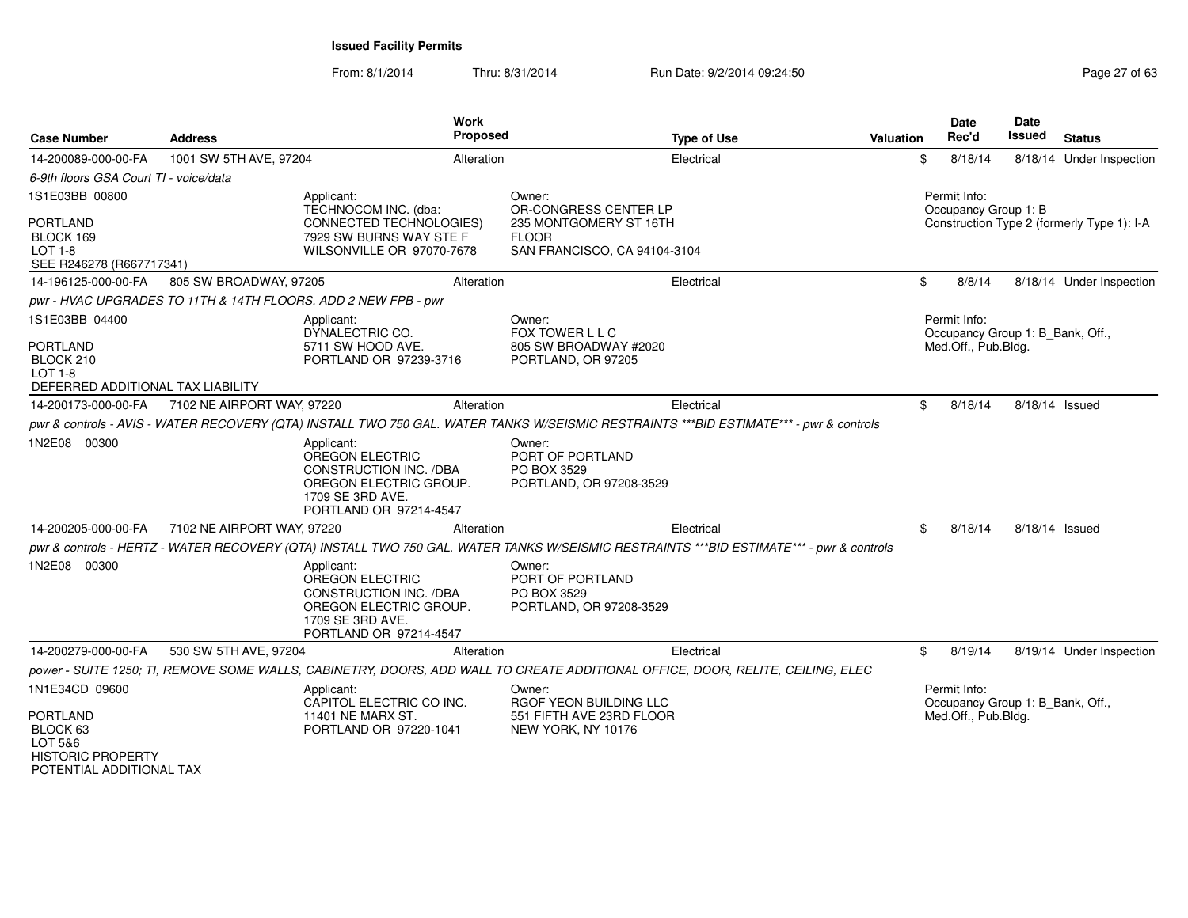From: 8/1/2014Thru: 8/31/2014 Run Date: 9/2/2014 09:24:50 Run Date: 9/2/2014 09:24:50

| <b>Case Number</b>                                                  | <b>Address</b>                                                 |                                                                                                                                               | <b>Work</b><br>Proposed | <b>Type of Use</b>                                                                                                                      | <b>Valuation</b> | <b>Date</b><br>Rec'd                                                    | <b>Date</b><br>Issued | <b>Status</b>                              |
|---------------------------------------------------------------------|----------------------------------------------------------------|-----------------------------------------------------------------------------------------------------------------------------------------------|-------------------------|-----------------------------------------------------------------------------------------------------------------------------------------|------------------|-------------------------------------------------------------------------|-----------------------|--------------------------------------------|
| 14-200089-000-00-FA                                                 | 1001 SW 5TH AVE, 97204                                         |                                                                                                                                               | Alteration              | Electrical                                                                                                                              | \$               | 8/18/14                                                                 |                       | 8/18/14 Under Inspection                   |
| 6-9th floors GSA Court TI - voice/data                              |                                                                |                                                                                                                                               |                         |                                                                                                                                         |                  |                                                                         |                       |                                            |
| 1S1E03BB 00800                                                      |                                                                | Applicant:<br>TECHNOCOM INC. (dba:                                                                                                            |                         | Owner:<br>OR-CONGRESS CENTER LP                                                                                                         |                  | Permit Info:<br>Occupancy Group 1: B                                    |                       |                                            |
| <b>PORTLAND</b><br>BLOCK 169<br>LOT 1-8<br>SEE R246278 (R667717341) |                                                                | <b>CONNECTED TECHNOLOGIES)</b><br>7929 SW BURNS WAY STE F<br>WILSONVILLE OR 97070-7678                                                        |                         | 235 MONTGOMERY ST 16TH<br><b>FLOOR</b><br>SAN FRANCISCO, CA 94104-3104                                                                  |                  |                                                                         |                       | Construction Type 2 (formerly Type 1): I-A |
| 14-196125-000-00-FA                                                 | 805 SW BROADWAY, 97205                                         |                                                                                                                                               | Alteration              | Electrical                                                                                                                              | \$               | 8/8/14                                                                  |                       | 8/18/14 Under Inspection                   |
|                                                                     | pwr - HVAC UPGRADES TO 11TH & 14TH FLOORS. ADD 2 NEW FPB - pwr |                                                                                                                                               |                         |                                                                                                                                         |                  |                                                                         |                       |                                            |
| 1S1E03BB 04400<br><b>PORTLAND</b><br>BLOCK 210                      |                                                                | Applicant:<br>DYNALECTRIC CO.<br>5711 SW HOOD AVE.<br>PORTLAND OR 97239-3716                                                                  |                         | Owner:<br>FOX TOWER L L C<br>805 SW BROADWAY #2020<br>PORTLAND, OR 97205                                                                |                  | Permit Info:<br>Occupancy Group 1: B_Bank, Off.,<br>Med.Off., Pub.Bldg. |                       |                                            |
| LOT 1-8<br>DEFERRED ADDITIONAL TAX LIABILITY                        |                                                                |                                                                                                                                               |                         |                                                                                                                                         |                  |                                                                         |                       |                                            |
| 14-200173-000-00-FA                                                 | 7102 NE AIRPORT WAY, 97220                                     |                                                                                                                                               | Alteration              | Electrical                                                                                                                              | \$               | 8/18/14                                                                 | 8/18/14 Issued        |                                            |
|                                                                     |                                                                |                                                                                                                                               |                         | pwr & controls - AVIS - WATER RECOVERY (QTA) INSTALL TWO 750 GAL. WATER TANKS W/SEISMIC RESTRAINTS ***BID ESTIMATE*** - pwr & controls  |                  |                                                                         |                       |                                            |
| 1N2E08 00300                                                        |                                                                | Applicant:<br>OREGON ELECTRIC<br>CONSTRUCTION INC. /DBA<br>OREGON ELECTRIC GROUP.<br>1709 SE 3RD AVE.<br>PORTLAND OR 97214-4547               |                         | Owner:<br>PORT OF PORTLAND<br>PO BOX 3529<br>PORTLAND, OR 97208-3529                                                                    |                  |                                                                         |                       |                                            |
| 14-200205-000-00-FA                                                 | 7102 NE AIRPORT WAY, 97220                                     |                                                                                                                                               | Alteration              | Electrical                                                                                                                              | \$               | 8/18/14                                                                 | 8/18/14 Issued        |                                            |
|                                                                     |                                                                |                                                                                                                                               |                         | pwr & controls - HERTZ - WATER RECOVERY (QTA) INSTALL TWO 750 GAL. WATER TANKS W/SEISMIC RESTRAINTS ***BID ESTIMATE*** - pwr & controls |                  |                                                                         |                       |                                            |
| 1N2E08 00300                                                        |                                                                | Applicant:<br><b>OREGON ELECTRIC</b><br><b>CONSTRUCTION INC. /DBA</b><br>OREGON ELECTRIC GROUP.<br>1709 SE 3RD AVE.<br>PORTLAND OR 97214-4547 |                         | Owner:<br>PORT OF PORTLAND<br>PO BOX 3529<br>PORTLAND, OR 97208-3529                                                                    |                  |                                                                         |                       |                                            |
| 14-200279-000-00-FA                                                 | 530 SW 5TH AVE, 97204                                          |                                                                                                                                               | Alteration              | Electrical                                                                                                                              | \$               | 8/19/14                                                                 |                       | 8/19/14 Under Inspection                   |
|                                                                     |                                                                |                                                                                                                                               |                         | power - SUITE 1250; TI, REMOVE SOME WALLS, CABINETRY, DOORS, ADD WALL TO CREATE ADDITIONAL OFFICE, DOOR, RELITE, CEILING, ELEC          |                  |                                                                         |                       |                                            |
| 1N1E34CD 09600                                                      |                                                                | Applicant:<br>CAPITOL ELECTRIC CO INC.                                                                                                        |                         | Owner:<br>RGOF YEON BUILDING LLC                                                                                                        |                  | Permit Info:<br>Occupancy Group 1: B_Bank, Off.,                        |                       |                                            |
| PORTLAND<br>BLOCK 63<br>LOT 5&6<br><b>HISTORIC PROPERTY</b>         |                                                                | 11401 NE MARX ST.<br>PORTLAND OR 97220-1041                                                                                                   |                         | 551 FIFTH AVE 23RD FLOOR<br>NEW YORK, NY 10176                                                                                          |                  | Med.Off., Pub.Bldg.                                                     |                       |                                            |

POTENTIAL ADDITIONAL TAX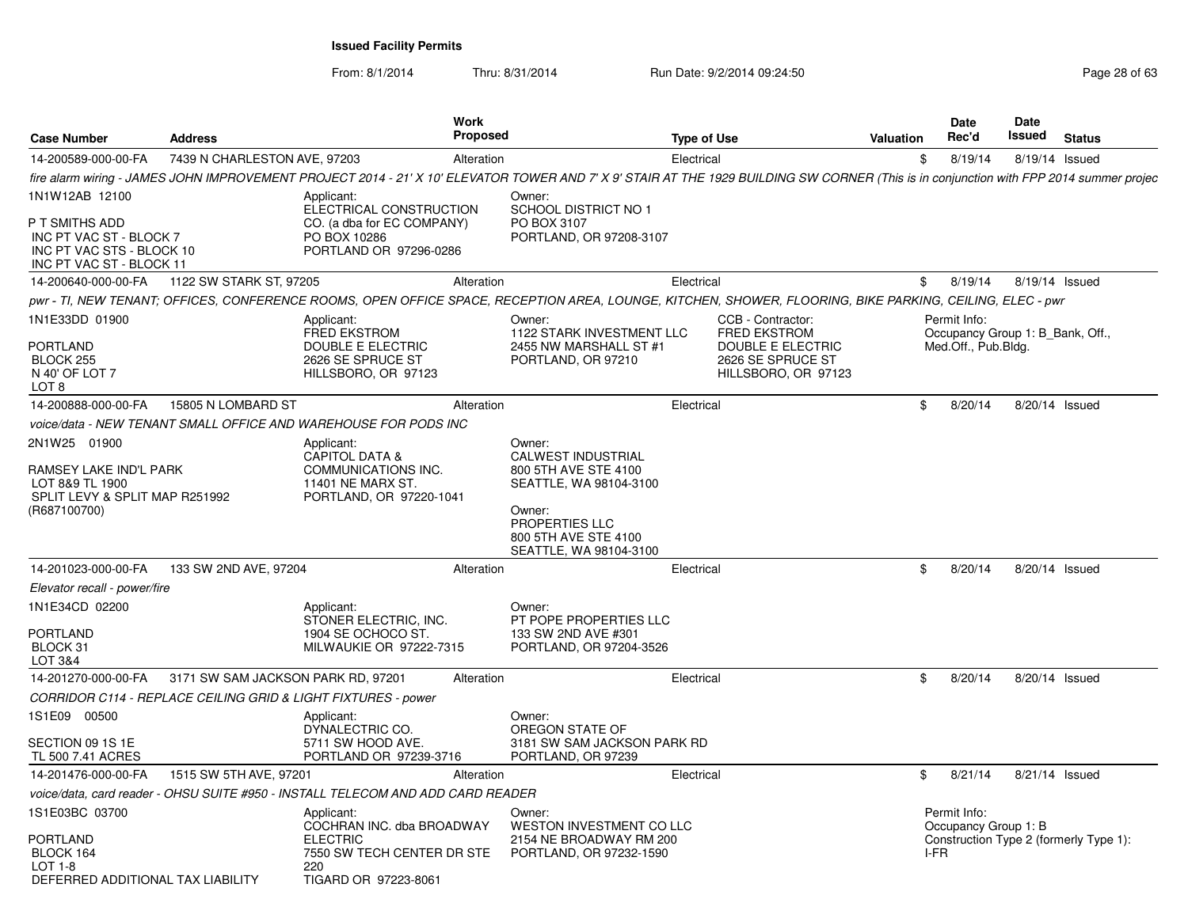From: 8/1/2014

| <b>Case Number</b>                                                                                 | <b>Address</b>                     | <b>Work</b>                                                                                             | <b>Proposed</b>                                                                                                                                                                         | <b>Type of Use</b> |                                                                                                           | Valuation | Date<br>Rec'd                                                           | Date<br>Issued | <b>Status</b>                          |
|----------------------------------------------------------------------------------------------------|------------------------------------|---------------------------------------------------------------------------------------------------------|-----------------------------------------------------------------------------------------------------------------------------------------------------------------------------------------|--------------------|-----------------------------------------------------------------------------------------------------------|-----------|-------------------------------------------------------------------------|----------------|----------------------------------------|
| 14-200589-000-00-FA                                                                                | 7439 N CHARLESTON AVE, 97203       |                                                                                                         | Alteration                                                                                                                                                                              | Electrical         |                                                                                                           | \$        | 8/19/14                                                                 |                | 8/19/14 Issued                         |
|                                                                                                    |                                    |                                                                                                         | fire alarm wiring - JAMES JOHN IMPROVEMENT PROJECT 2014 - 21' X 10' ELEVATOR TOWER AND 7' X 9' STAIR AT THE 1929 BUILDING SW CORNER (This is in conjunction with FPP 2014 summer projec |                    |                                                                                                           |           |                                                                         |                |                                        |
| 1N1W12AB 12100                                                                                     |                                    | Applicant:<br>ELECTRICAL CONSTRUCTION                                                                   | Owner:<br><b>SCHOOL DISTRICT NO 1</b>                                                                                                                                                   |                    |                                                                                                           |           |                                                                         |                |                                        |
| P T SMITHS ADD<br>INC PT VAC ST - BLOCK 7<br>INC PT VAC STS - BLOCK 10<br>INC PT VAC ST - BLOCK 11 |                                    | CO. (a dba for EC COMPANY)<br>PO BOX 10286<br>PORTLAND OR 97296-0286                                    | PO BOX 3107<br>PORTLAND, OR 97208-3107                                                                                                                                                  |                    |                                                                                                           |           |                                                                         |                |                                        |
| 14-200640-000-00-FA                                                                                | 1122 SW STARK ST, 97205            |                                                                                                         | Alteration                                                                                                                                                                              | Electrical         |                                                                                                           | \$        | 8/19/14                                                                 |                | 8/19/14 Issued                         |
|                                                                                                    |                                    |                                                                                                         | pwr - TI, NEW TENANT; OFFICES, CONFERENCE ROOMS, OPEN OFFICE SPACE, RECEPTION AREA, LOUNGE, KITCHEN, SHOWER, FLOORING, BIKE PARKING, CEILING, ELEC - pwr                                |                    |                                                                                                           |           |                                                                         |                |                                        |
| 1N1E33DD 01900<br><b>PORTLAND</b><br>BLOCK 255<br>N 40' OF LOT 7                                   |                                    | Applicant:<br><b>FRED EKSTROM</b><br>DOUBLE E ELECTRIC<br>2626 SE SPRUCE ST<br>HILLSBORO, OR 97123      | Owner:<br>1122 STARK INVESTMENT LLC<br>2455 NW MARSHALL ST #1<br>PORTLAND, OR 97210                                                                                                     |                    | CCB - Contractor:<br><b>FRED EKSTROM</b><br>DOUBLE E ELECTRIC<br>2626 SE SPRUCE ST<br>HILLSBORO, OR 97123 |           | Permit Info:<br>Occupancy Group 1: B Bank, Off.,<br>Med.Off., Pub.Bldg. |                |                                        |
| LOT 8<br>14-200888-000-00-FA                                                                       | 15805 N LOMBARD ST                 |                                                                                                         | Alteration                                                                                                                                                                              | Electrical         |                                                                                                           | \$        | 8/20/14                                                                 |                | 8/20/14 Issued                         |
|                                                                                                    |                                    | voice/data - NEW TENANT SMALL OFFICE AND WAREHOUSE FOR PODS INC                                         |                                                                                                                                                                                         |                    |                                                                                                           |           |                                                                         |                |                                        |
| 2N1W25 01900                                                                                       |                                    | Applicant:                                                                                              | Owner:                                                                                                                                                                                  |                    |                                                                                                           |           |                                                                         |                |                                        |
| RAMSEY LAKE IND'L PARK<br>LOT 8&9 TL 1900<br>SPLIT LEVY & SPLIT MAP R251992<br>(R687100700)        |                                    | <b>CAPITOL DATA &amp;</b><br><b>COMMUNICATIONS INC.</b><br>11401 NE MARX ST.<br>PORTLAND, OR 97220-1041 | <b>CALWEST INDUSTRIAL</b><br>800 5TH AVE STE 4100<br>SEATTLE, WA 98104-3100<br>Owner:<br>PROPERTIES LLC<br>800 5TH AVE STE 4100<br>SEATTLE, WA 98104-3100                               |                    |                                                                                                           |           |                                                                         |                |                                        |
| 14-201023-000-00-FA                                                                                | 133 SW 2ND AVE, 97204              |                                                                                                         | Alteration                                                                                                                                                                              | Electrical         |                                                                                                           | \$        | 8/20/14                                                                 |                | 8/20/14 Issued                         |
| Elevator recall - power/fire                                                                       |                                    |                                                                                                         |                                                                                                                                                                                         |                    |                                                                                                           |           |                                                                         |                |                                        |
| 1N1E34CD 02200<br><b>PORTLAND</b><br>BLOCK 31<br>LOT 3&4                                           |                                    | Applicant:<br>STONER ELECTRIC, INC.<br>1904 SE OCHOCO ST.<br>MILWAUKIE OR 97222-7315                    | Owner:<br>PT POPE PROPERTIES LLC<br>133 SW 2ND AVE #301<br>PORTLAND, OR 97204-3526                                                                                                      |                    |                                                                                                           |           |                                                                         |                |                                        |
| 14-201270-000-00-FA                                                                                | 3171 SW SAM JACKSON PARK RD, 97201 |                                                                                                         | Alteration                                                                                                                                                                              | Electrical         |                                                                                                           | \$        | 8/20/14                                                                 |                | 8/20/14 Issued                         |
|                                                                                                    |                                    | CORRIDOR C114 - REPLACE CEILING GRID & LIGHT FIXTURES - power                                           |                                                                                                                                                                                         |                    |                                                                                                           |           |                                                                         |                |                                        |
| 1S1E09 00500                                                                                       |                                    | Applicant:<br>DYNALECTRIC CO.                                                                           | Owner:<br>OREGON STATE OF                                                                                                                                                               |                    |                                                                                                           |           |                                                                         |                |                                        |
| SECTION 09 1S 1E<br>TL 500 7.41 ACRES                                                              |                                    | 5711 SW HOOD AVE.<br>PORTLAND OR 97239-3716                                                             | 3181 SW SAM JACKSON PARK RD<br>PORTLAND, OR 97239                                                                                                                                       |                    |                                                                                                           |           |                                                                         |                |                                        |
| 14-201476-000-00-FA                                                                                | 1515 SW 5TH AVE, 97201             |                                                                                                         | Alteration                                                                                                                                                                              | Electrical         |                                                                                                           | \$        | 8/21/14                                                                 |                | 8/21/14 Issued                         |
|                                                                                                    |                                    | voice/data, card reader - OHSU SUITE #950 - INSTALL TELECOM AND ADD CARD READER                         |                                                                                                                                                                                         |                    |                                                                                                           |           |                                                                         |                |                                        |
| 1S1E03BC 03700                                                                                     |                                    | Applicant:<br>COCHRAN INC. dba BROADWAY                                                                 | Owner:<br>WESTON INVESTMENT CO LLC                                                                                                                                                      |                    |                                                                                                           |           | Permit Info:<br>Occupancy Group 1: B                                    |                |                                        |
| <b>PORTLAND</b><br>BLOCK 164<br>LOT 1-8<br>DEFERRED ADDITIONAL TAX LIABILITY                       |                                    | <b>ELECTRIC</b><br>7550 SW TECH CENTER DR STE<br>220<br>TIGARD OR 97223-8061                            | 2154 NE BROADWAY RM 200<br>PORTLAND, OR 97232-1590                                                                                                                                      |                    |                                                                                                           |           | I-FR                                                                    |                | Construction Type 2 (formerly Type 1): |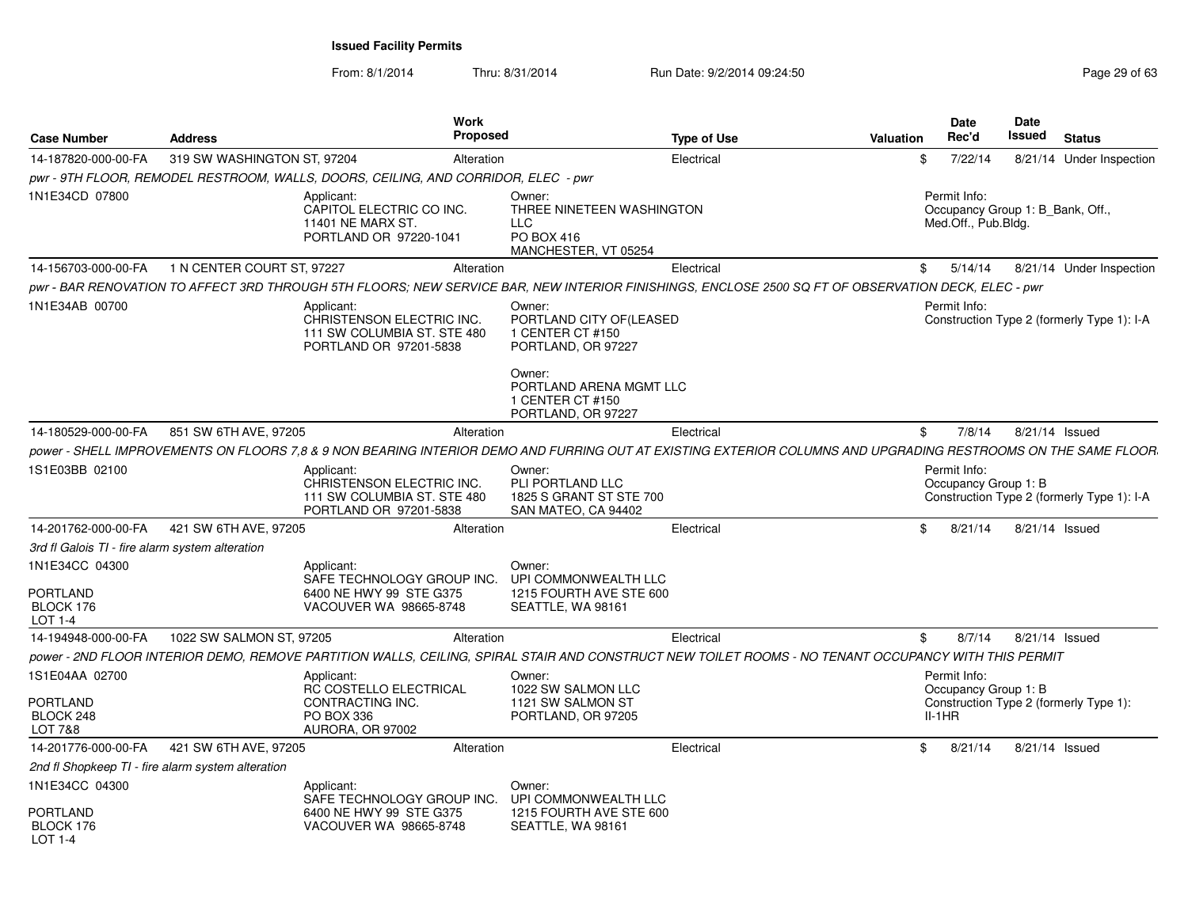| <b>Case Number</b>                                | <b>Address</b>              | <b>Work</b>                                                                                      | Proposed                                                                                                                                                      | Type of Use | <b>Valuation</b> | <b>Date</b><br>Rec'd                                                    | Date<br>Issued | <b>Status</b>                              |
|---------------------------------------------------|-----------------------------|--------------------------------------------------------------------------------------------------|---------------------------------------------------------------------------------------------------------------------------------------------------------------|-------------|------------------|-------------------------------------------------------------------------|----------------|--------------------------------------------|
| 14-187820-000-00-FA                               | 319 SW WASHINGTON ST, 97204 |                                                                                                  | Alteration                                                                                                                                                    | Electrical  | \$               | 7/22/14                                                                 |                | 8/21/14 Under Inspection                   |
|                                                   |                             | pwr - 9TH FLOOR, REMODEL RESTROOM, WALLS, DOORS, CEILING, AND CORRIDOR, ELEC - pwr               |                                                                                                                                                               |             |                  |                                                                         |                |                                            |
| 1N1E34CD 07800                                    |                             | Applicant:<br>CAPITOL ELECTRIC CO INC.<br>11401 NE MARX ST.<br>PORTLAND OR 97220-1041            | Owner:<br>THREE NINETEEN WASHINGTON<br><b>LLC</b><br><b>PO BOX 416</b><br>MANCHESTER, VT 05254                                                                |             |                  | Permit Info:<br>Occupancy Group 1: B_Bank, Off.,<br>Med.Off., Pub.Bldg. |                |                                            |
| 14-156703-000-00-FA                               | 1 N CENTER COURT ST, 97227  |                                                                                                  | Alteration                                                                                                                                                    | Electrical  | \$               | 5/14/14                                                                 |                | 8/21/14 Under Inspection                   |
|                                                   |                             |                                                                                                  | pwr - BAR RENOVATION TO AFFECT 3RD THROUGH 5TH FLOORS; NEW SERVICE BAR, NEW INTERIOR FINISHINGS, ENCLOSE 2500 SQ FT OF OBSERVATION DECK, ELEC - pwr           |             |                  |                                                                         |                |                                            |
| 1N1E34AB 00700                                    |                             | Applicant:<br>CHRISTENSON ELECTRIC INC.<br>111 SW COLUMBIA ST. STE 480<br>PORTLAND OR 97201-5838 | Owner:<br>PORTLAND CITY OF(LEASED<br>1 CENTER CT #150<br>PORTLAND, OR 97227                                                                                   |             |                  | Permit Info:                                                            |                | Construction Type 2 (formerly Type 1): I-A |
|                                                   |                             |                                                                                                  | Owner:<br>PORTLAND ARENA MGMT LLC<br>1 CENTER CT #150<br>PORTLAND, OR 97227                                                                                   |             |                  |                                                                         |                |                                            |
| 14-180529-000-00-FA                               | 851 SW 6TH AVE, 97205       |                                                                                                  | Alteration                                                                                                                                                    | Electrical  | \$               | 7/8/14                                                                  | 8/21/14 Issued |                                            |
|                                                   |                             |                                                                                                  | power - SHELL IMPROVEMENTS ON FLOORS 7.8 & 9 NON BEARING INTERIOR DEMO AND FURRING OUT AT EXISTING EXTERIOR COLUMNS AND UPGRADING RESTROOMS ON THE SAME FLOOR |             |                  |                                                                         |                |                                            |
| 1S1E03BB 02100                                    |                             | Applicant:<br>CHRISTENSON ELECTRIC INC.<br>111 SW COLUMBIA ST. STE 480<br>PORTLAND OR 97201-5838 | Owner:<br>PLI PORTLAND LLC<br>1825 S GRANT ST STE 700<br>SAN MATEO, CA 94402                                                                                  |             |                  | Permit Info:<br>Occupancy Group 1: B                                    |                | Construction Type 2 (formerly Type 1): I-A |
| 14-201762-000-00-FA                               | 421 SW 6TH AVE, 97205       |                                                                                                  | Alteration                                                                                                                                                    | Electrical  | $\mathfrak{S}$   | 8/21/14                                                                 | 8/21/14 Issued |                                            |
| 3rd fl Galois TI - fire alarm system alteration   |                             |                                                                                                  |                                                                                                                                                               |             |                  |                                                                         |                |                                            |
| 1N1E34CC 04300                                    |                             | Applicant:<br>SAFE TECHNOLOGY GROUP INC.                                                         | Owner:<br>UPI COMMONWEALTH LLC                                                                                                                                |             |                  |                                                                         |                |                                            |
| PORTLAND<br>BLOCK 176<br>LOT 1-4                  |                             | 6400 NE HWY 99 STE G375<br>VACOUVER WA 98665-8748                                                | 1215 FOURTH AVE STE 600<br>SEATTLE, WA 98161                                                                                                                  |             |                  |                                                                         |                |                                            |
| 14-194948-000-00-FA                               | 1022 SW SALMON ST, 97205    |                                                                                                  | Alteration                                                                                                                                                    | Electrical  | \$               | 8/7/14                                                                  | 8/21/14 Issued |                                            |
|                                                   |                             |                                                                                                  | power - 2ND FLOOR INTERIOR DEMO, REMOVE PARTITION WALLS, CEILING, SPIRAL STAIR AND CONSTRUCT NEW TOILET ROOMS - NO TENANT OCCUPANCY WITH THIS PERMIT          |             |                  |                                                                         |                |                                            |
| 1S1E04AA 02700                                    |                             | Applicant:<br><b>RC COSTELLO ELECTRICAL</b>                                                      | Owner:<br>1022 SW SALMON LLC                                                                                                                                  |             |                  | Permit Info:<br>Occupancy Group 1: B                                    |                |                                            |
| PORTLAND<br>BLOCK 248<br>LOT 7&8                  |                             | CONTRACTING INC.<br>PO BOX 336<br>AURORA, OR 97002                                               | 1121 SW SALMON ST<br>PORTLAND, OR 97205                                                                                                                       |             |                  | $II-1HR$                                                                |                | Construction Type 2 (formerly Type 1):     |
| 14-201776-000-00-FA                               | 421 SW 6TH AVE, 97205       |                                                                                                  | Alteration                                                                                                                                                    | Electrical  | \$               | 8/21/14                                                                 | 8/21/14 Issued |                                            |
| 2nd fl Shopkeep TI - fire alarm system alteration |                             |                                                                                                  |                                                                                                                                                               |             |                  |                                                                         |                |                                            |
| 1N1E34CC 04300                                    |                             | Applicant:<br>SAFE TECHNOLOGY GROUP INC.                                                         | Owner:<br>UPI COMMONWEALTH LLC                                                                                                                                |             |                  |                                                                         |                |                                            |
| PORTLAND<br>BLOCK 176<br>$LOT 1-4$                |                             | 6400 NE HWY 99 STE G375<br>VACOUVER WA 98665-8748                                                | 1215 FOURTH AVE STE 600<br>SEATTLE, WA 98161                                                                                                                  |             |                  |                                                                         |                |                                            |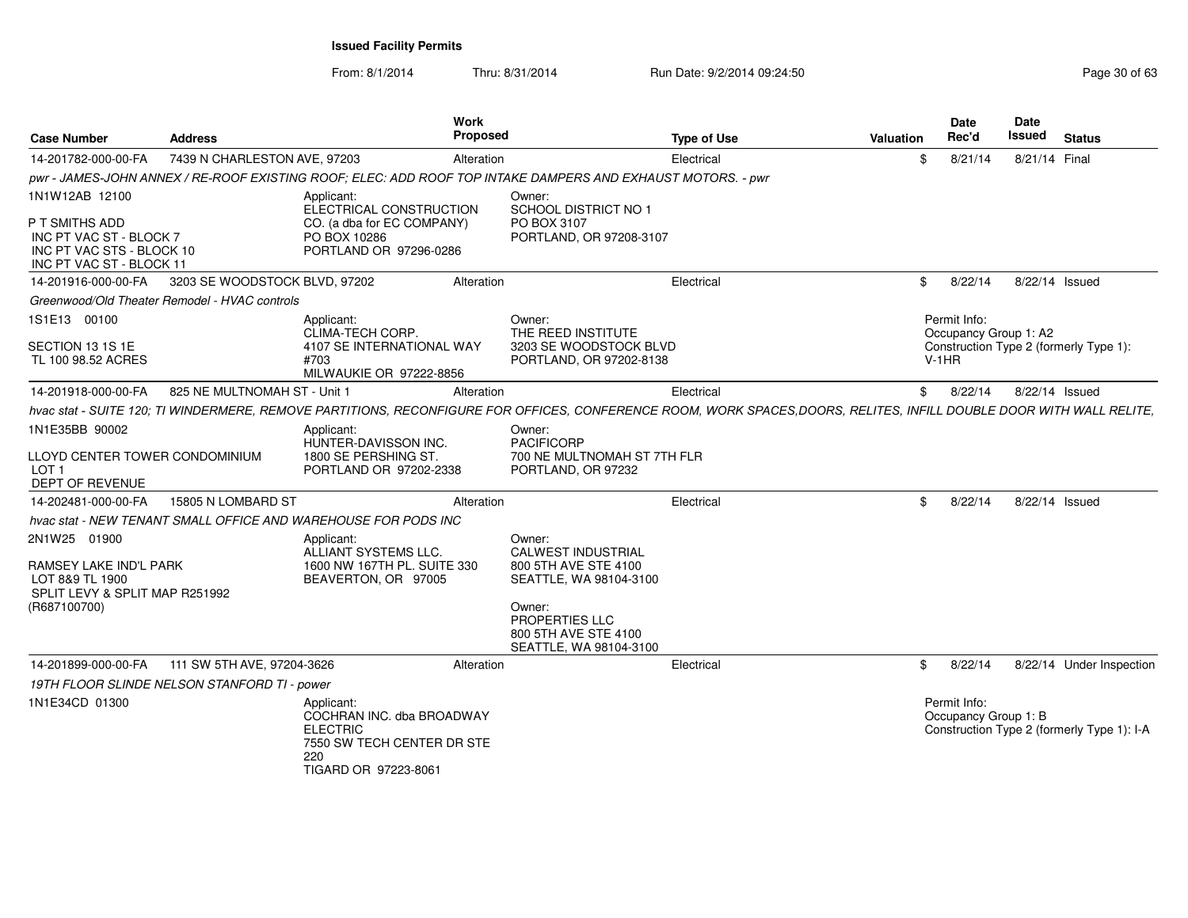| <b>Case Number</b>                                                                                 | <b>Address</b>                | Work                                                                                                                                                                | Proposed                    |                                                   | <b>Type of Use</b> | Valuation |                | Date<br>Rec'd                         | Date<br>Issued | <b>Status</b>                              |
|----------------------------------------------------------------------------------------------------|-------------------------------|---------------------------------------------------------------------------------------------------------------------------------------------------------------------|-----------------------------|---------------------------------------------------|--------------------|-----------|----------------|---------------------------------------|----------------|--------------------------------------------|
| 14-201782-000-00-FA                                                                                | 7439 N CHARLESTON AVE, 97203  |                                                                                                                                                                     | Alteration                  |                                                   | Electrical         |           | \$             | 8/21/14                               | 8/21/14 Final  |                                            |
|                                                                                                    |                               | pwr - JAMES-JOHN ANNEX / RE-ROOF EXISTING ROOF; ELEC: ADD ROOF TOP INTAKE DAMPERS AND EXHAUST MOTORS. - pwr                                                         |                             |                                                   |                    |           |                |                                       |                |                                            |
| 1N1W12AB 12100                                                                                     |                               | Applicant:<br>ELECTRICAL CONSTRUCTION                                                                                                                               | Owner:                      | SCHOOL DISTRICT NO 1                              |                    |           |                |                                       |                |                                            |
| P T SMITHS ADD<br>INC PT VAC ST - BLOCK 7<br>INC PT VAC STS - BLOCK 10<br>INC PT VAC ST - BLOCK 11 |                               | CO. (a dba for EC COMPANY)<br>PO BOX 10286<br>PORTLAND OR 97296-0286                                                                                                | PO BOX 3107                 | PORTLAND, OR 97208-3107                           |                    |           |                |                                       |                |                                            |
| 14-201916-000-00-FA                                                                                | 3203 SE WOODSTOCK BLVD, 97202 |                                                                                                                                                                     | Alteration                  |                                                   | Electrical         |           | $\mathfrak{S}$ | 8/22/14                               |                | 8/22/14 Issued                             |
| Greenwood/Old Theater Remodel - HVAC controls                                                      |                               |                                                                                                                                                                     |                             |                                                   |                    |           |                |                                       |                |                                            |
| 1S1E13 00100                                                                                       |                               | Applicant:<br><b>CLIMA-TECH CORP.</b>                                                                                                                               | Owner:                      | THE REED INSTITUTE                                |                    |           |                | Permit Info:<br>Occupancy Group 1: A2 |                |                                            |
| SECTION 13 1S 1E<br>TL 100 98.52 ACRES                                                             |                               | 4107 SE INTERNATIONAL WAY<br>#703<br>MILWAUKIE OR 97222-8856                                                                                                        |                             | 3203 SE WOODSTOCK BLVD<br>PORTLAND, OR 97202-8138 |                    |           |                | $V-1HR$                               |                | Construction Type 2 (formerly Type 1):     |
| 14-201918-000-00-FA                                                                                | 825 NE MULTNOMAH ST - Unit 1  |                                                                                                                                                                     | Alteration                  |                                                   | Electrical         |           | \$             | 8/22/14                               |                | 8/22/14 Issued                             |
|                                                                                                    |                               | hvac stat - SUITE 120; TI WINDERMERE, REMOVE PARTITIONS, RECONFIGURE FOR OFFICES, CONFERENCE ROOM, WORK SPACES,DOORS, RELITES, INFILL DOUBLE DOOR WITH WALL RELITE, |                             |                                                   |                    |           |                |                                       |                |                                            |
| 1N1E35BB 90002                                                                                     |                               | Applicant:<br>HUNTER-DAVISSON INC.                                                                                                                                  | Owner:<br><b>PACIFICORP</b> |                                                   |                    |           |                |                                       |                |                                            |
| LLOYD CENTER TOWER CONDOMINIUM<br>LOT 1<br>DEPT OF REVENUE                                         |                               | 1800 SE PERSHING ST.<br>PORTLAND OR 97202-2338                                                                                                                      |                             | 700 NE MULTNOMAH ST 7TH FLR<br>PORTLAND, OR 97232 |                    |           |                |                                       |                |                                            |
| 14-202481-000-00-FA                                                                                | 15805 N LOMBARD ST            |                                                                                                                                                                     | Alteration                  |                                                   | Electrical         |           | \$             | 8/22/14                               |                | 8/22/14 Issued                             |
|                                                                                                    |                               | hvac stat - NEW TENANT SMALL OFFICE AND WAREHOUSE FOR PODS INC                                                                                                      |                             |                                                   |                    |           |                |                                       |                |                                            |
| 2N1W25 01900                                                                                       |                               | Applicant:<br>ALLIANT SYSTEMS LLC.                                                                                                                                  | Owner:                      | <b>CALWEST INDUSTRIAL</b>                         |                    |           |                |                                       |                |                                            |
| RAMSEY LAKE IND'L PARK<br>LOT 8&9 TL 1900<br>SPLIT LEVY & SPLIT MAP R251992                        |                               | 1600 NW 167TH PL. SUITE 330<br>BEAVERTON, OR 97005                                                                                                                  |                             | 800 5TH AVE STE 4100<br>SEATTLE, WA 98104-3100    |                    |           |                |                                       |                |                                            |
| (R687100700)                                                                                       |                               |                                                                                                                                                                     | Owner:<br>PROPERTIES LLC    | 800 5TH AVE STE 4100<br>SEATTLE, WA 98104-3100    |                    |           |                |                                       |                |                                            |
| 14-201899-000-00-FA                                                                                | 111 SW 5TH AVE, 97204-3626    |                                                                                                                                                                     | Alteration                  |                                                   | Electrical         |           | \$             | 8/22/14                               |                | 8/22/14 Under Inspection                   |
| 19TH FLOOR SLINDE NELSON STANFORD TI - power                                                       |                               |                                                                                                                                                                     |                             |                                                   |                    |           |                |                                       |                |                                            |
| 1N1E34CD 01300                                                                                     |                               | Applicant:<br>COCHRAN INC. dba BROADWAY<br><b>ELECTRIC</b><br>7550 SW TECH CENTER DR STE<br>220<br>TIGARD OR 97223-8061                                             |                             |                                                   |                    |           |                | Permit Info:<br>Occupancy Group 1: B  |                | Construction Type 2 (formerly Type 1): I-A |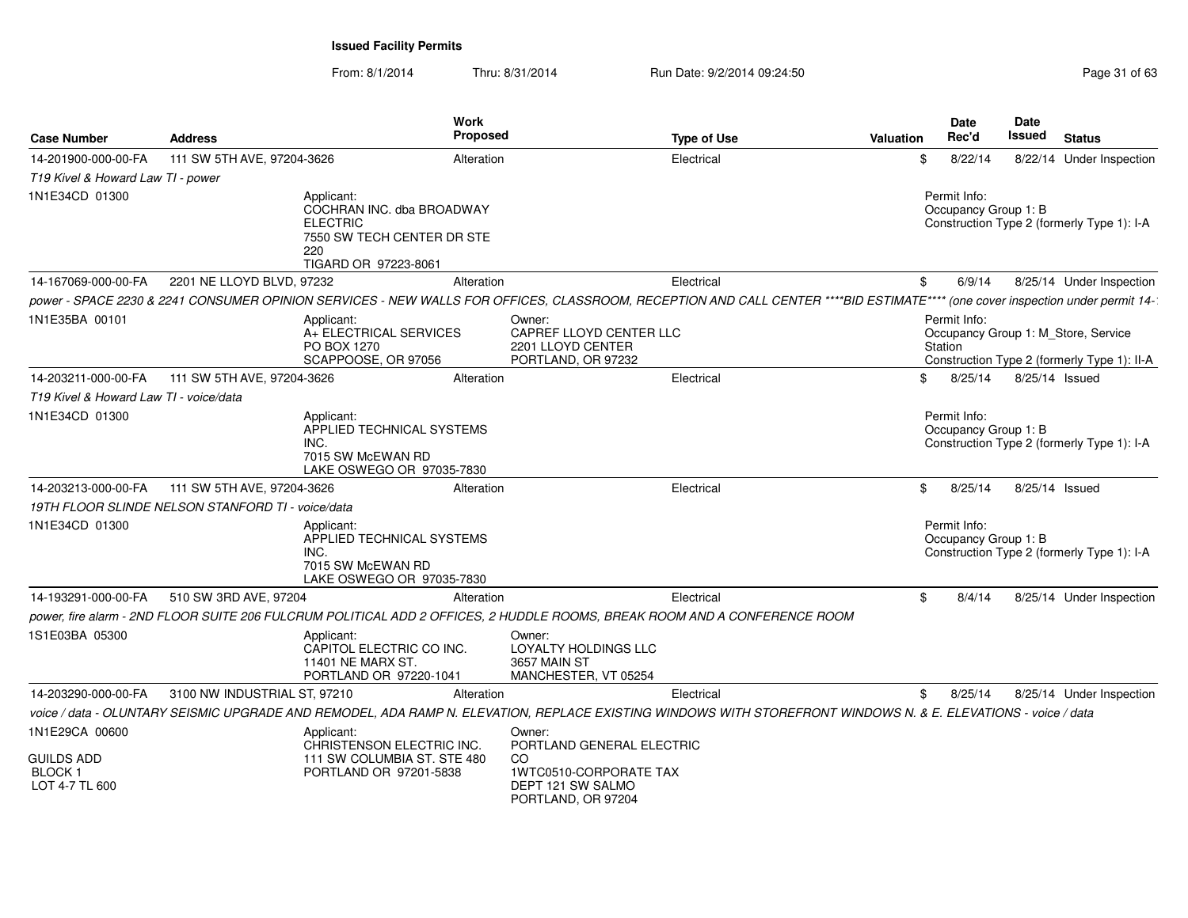| <b>Case Number</b>                                                     | <b>Address</b>               |                                                                                                                         | Work<br>Proposed                                                                   |                                                                                                                | <b>Type of Use</b>                                                                                                                                                             | Valuation |         | Date<br>Rec'd                        | Date<br>Issued | <b>Status</b>                                                                      |
|------------------------------------------------------------------------|------------------------------|-------------------------------------------------------------------------------------------------------------------------|------------------------------------------------------------------------------------|----------------------------------------------------------------------------------------------------------------|--------------------------------------------------------------------------------------------------------------------------------------------------------------------------------|-----------|---------|--------------------------------------|----------------|------------------------------------------------------------------------------------|
| 14-201900-000-00-FA                                                    | 111 SW 5TH AVE, 97204-3626   |                                                                                                                         | Alteration                                                                         |                                                                                                                | Electrical                                                                                                                                                                     |           | \$      | 8/22/14                              |                | 8/22/14 Under Inspection                                                           |
| T19 Kivel & Howard Law TI - power                                      |                              |                                                                                                                         |                                                                                    |                                                                                                                |                                                                                                                                                                                |           |         |                                      |                |                                                                                    |
| 1N1E34CD 01300                                                         |                              | Applicant:<br>COCHRAN INC. dba BROADWAY<br><b>ELECTRIC</b><br>7550 SW TECH CENTER DR STE<br>220<br>TIGARD OR 97223-8061 | Permit Info:<br>Occupancy Group 1: B<br>Construction Type 2 (formerly Type 1): I-A |                                                                                                                |                                                                                                                                                                                |           |         |                                      |                |                                                                                    |
| 14-167069-000-00-FA                                                    | 2201 NE LLOYD BLVD, 97232    |                                                                                                                         | Alteration                                                                         |                                                                                                                | Electrical                                                                                                                                                                     |           | \$      | 6/9/14                               |                | 8/25/14 Under Inspection                                                           |
|                                                                        |                              |                                                                                                                         |                                                                                    |                                                                                                                | power - SPACE 2230 & 2241 CONSUMER OPINION SERVICES - NEW WALLS FOR OFFICES, CLASSROOM, RECEPTION AND CALL CENTER ****BID ESTIMATE**** (one cover inspection under permit 14-1 |           |         |                                      |                |                                                                                    |
| 1N1E35BA 00101                                                         |                              | Applicant:<br>A+ ELECTRICAL SERVICES<br>PO BOX 1270<br>SCAPPOOSE, OR 97056                                              |                                                                                    | Owner:<br>CAPREF LLOYD CENTER LLC<br>2201 LLOYD CENTER<br>PORTLAND, OR 97232                                   |                                                                                                                                                                                |           | Station | Permit Info:                         |                | Occupancy Group 1: M_Store, Service<br>Construction Type 2 (formerly Type 1): II-A |
| 14-203211-000-00-FA                                                    | 111 SW 5TH AVE, 97204-3626   |                                                                                                                         | Alteration                                                                         |                                                                                                                | Electrical                                                                                                                                                                     |           | \$.     | 8/25/14                              | 8/25/14 Issued |                                                                                    |
| T19 Kivel & Howard Law TI - voice/data                                 |                              |                                                                                                                         |                                                                                    |                                                                                                                |                                                                                                                                                                                |           |         |                                      |                |                                                                                    |
| 1N1E34CD 01300                                                         |                              | Applicant:<br>APPLIED TECHNICAL SYSTEMS<br>INC.<br>7015 SW McEWAN RD<br>LAKE OSWEGO OR 97035-7830                       |                                                                                    |                                                                                                                |                                                                                                                                                                                |           |         | Permit Info:<br>Occupancy Group 1: B |                | Construction Type 2 (formerly Type 1): I-A                                         |
| 14-203213-000-00-FA                                                    | 111 SW 5TH AVE, 97204-3626   |                                                                                                                         | Alteration                                                                         |                                                                                                                | Electrical                                                                                                                                                                     |           | \$      | 8/25/14                              | 8/25/14 Issued |                                                                                    |
| 19TH FLOOR SLINDE NELSON STANFORD TI - voice/data                      |                              |                                                                                                                         |                                                                                    |                                                                                                                |                                                                                                                                                                                |           |         |                                      |                |                                                                                    |
| 1N1E34CD 01300                                                         |                              | Applicant:<br>APPLIED TECHNICAL SYSTEMS<br>INC.<br>7015 SW McEWAN RD<br>LAKE OSWEGO OR 97035-7830                       |                                                                                    |                                                                                                                |                                                                                                                                                                                |           |         | Permit Info:<br>Occupancy Group 1: B |                | Construction Type 2 (formerly Type 1): I-A                                         |
| 14-193291-000-00-FA                                                    | 510 SW 3RD AVE, 97204        |                                                                                                                         | Alteration                                                                         |                                                                                                                | Electrical                                                                                                                                                                     |           | \$      | 8/4/14                               |                | 8/25/14 Under Inspection                                                           |
|                                                                        |                              |                                                                                                                         |                                                                                    |                                                                                                                | power, fire alarm - 2ND FLOOR SUITE 206 FULCRUM POLITICAL ADD 2 OFFICES, 2 HUDDLE ROOMS, BREAK ROOM AND A CONFERENCE ROOM                                                      |           |         |                                      |                |                                                                                    |
| 1S1E03BA 05300                                                         |                              | Applicant:<br>CAPITOL ELECTRIC CO INC.<br>11401 NE MARX ST.<br>PORTLAND OR 97220-1041                                   |                                                                                    | Owner:<br>LOYALTY HOLDINGS LLC<br><b>3657 MAIN ST</b><br>MANCHESTER, VT 05254                                  |                                                                                                                                                                                |           |         |                                      |                |                                                                                    |
| 14-203290-000-00-FA                                                    | 3100 NW INDUSTRIAL ST, 97210 |                                                                                                                         | Alteration                                                                         |                                                                                                                | Electrical                                                                                                                                                                     |           | \$      | 8/25/14                              |                | 8/25/14 Under Inspection                                                           |
|                                                                        |                              |                                                                                                                         |                                                                                    |                                                                                                                | voice / data - OLUNTARY SEISMIC UPGRADE AND REMODEL, ADA RAMP N. ELEVATION, REPLACE EXISTING WINDOWS WITH STOREFRONT WINDOWS N. & E. ELEVATIONS - voice / data                 |           |         |                                      |                |                                                                                    |
| 1N1E29CA 00600<br><b>GUILDS ADD</b><br><b>BLOCK1</b><br>LOT 4-7 TL 600 |                              | Applicant:<br>CHRISTENSON ELECTRIC INC.<br>111 SW COLUMBIA ST. STE 480<br>PORTLAND OR 97201-5838                        |                                                                                    | Owner:<br>PORTLAND GENERAL ELECTRIC<br>CO<br>1WTC0510-CORPORATE TAX<br>DEPT 121 SW SALMO<br>PORTLAND, OR 97204 |                                                                                                                                                                                |           |         |                                      |                |                                                                                    |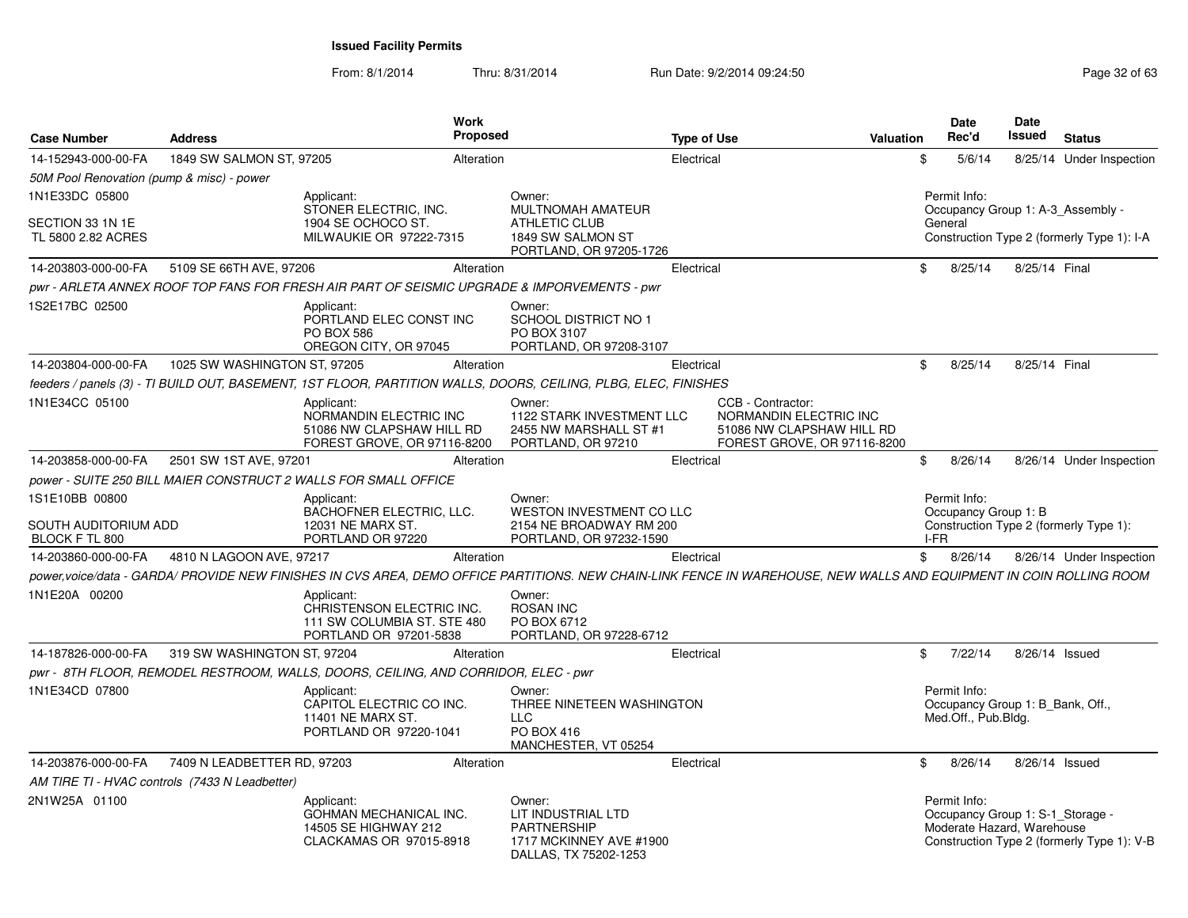| <b>Case Number</b>                        | <b>Address</b>                                 |                                                                                                  | Work<br><b>Proposed</b> |                                                                                                                                                                     | <b>Type of Use</b> |                                                                                                         | <b>Valuation</b> |            | Date<br>Rec'd                                                                  | <b>Date</b><br>Issued | <b>Status</b>                              |
|-------------------------------------------|------------------------------------------------|--------------------------------------------------------------------------------------------------|-------------------------|---------------------------------------------------------------------------------------------------------------------------------------------------------------------|--------------------|---------------------------------------------------------------------------------------------------------|------------------|------------|--------------------------------------------------------------------------------|-----------------------|--------------------------------------------|
| 14-152943-000-00-FA                       | 1849 SW SALMON ST, 97205                       |                                                                                                  | Alteration              |                                                                                                                                                                     | Electrical         |                                                                                                         |                  | \$         | 5/6/14                                                                         |                       | 8/25/14 Under Inspection                   |
| 50M Pool Renovation (pump & misc) - power |                                                |                                                                                                  |                         |                                                                                                                                                                     |                    |                                                                                                         |                  |            |                                                                                |                       |                                            |
| 1N1E33DC 05800                            |                                                | Applicant:<br>STONER ELECTRIC, INC.                                                              |                         | Owner:<br>MULTNOMAH AMATEUR                                                                                                                                         |                    |                                                                                                         |                  |            | Permit Info:                                                                   |                       | Occupancy Group 1: A-3_Assembly -          |
| SECTION 33 1N 1E<br>TL 5800 2.82 ACRES    |                                                | 1904 SE OCHOCO ST.<br>MILWAUKIE OR 97222-7315                                                    |                         | <b>ATHLETIC CLUB</b><br>1849 SW SALMON ST<br>PORTLAND, OR 97205-1726                                                                                                |                    |                                                                                                         |                  |            | General                                                                        |                       | Construction Type 2 (formerly Type 1): I-A |
| 14-203803-000-00-FA                       | 5109 SE 66TH AVE, 97206                        |                                                                                                  | Alteration              |                                                                                                                                                                     | Electrical         |                                                                                                         |                  | \$         | 8/25/14                                                                        | 8/25/14 Final         |                                            |
|                                           |                                                |                                                                                                  |                         | pwr - ARLETA ANNEX ROOF TOP FANS FOR FRESH AIR PART OF SEISMIC UPGRADE & IMPORVEMENTS - pwr                                                                         |                    |                                                                                                         |                  |            |                                                                                |                       |                                            |
| 1S2E17BC 02500                            |                                                | Applicant:<br>PORTLAND ELEC CONST INC<br><b>PO BOX 586</b><br>OREGON CITY, OR 97045              |                         | Owner:<br><b>SCHOOL DISTRICT NO 1</b><br>PO BOX 3107<br>PORTLAND, OR 97208-3107                                                                                     |                    |                                                                                                         |                  |            |                                                                                |                       |                                            |
| 14-203804-000-00-FA                       | 1025 SW WASHINGTON ST, 97205                   |                                                                                                  | Alteration              |                                                                                                                                                                     | Electrical         |                                                                                                         |                  | \$         | 8/25/14                                                                        | 8/25/14 Final         |                                            |
|                                           |                                                |                                                                                                  |                         | feeders / panels (3) - TI BUILD OUT, BASEMENT, 1ST FLOOR, PARTITION WALLS, DOORS, CEILING, PLBG, ELEC, FINISHES                                                     |                    |                                                                                                         |                  |            |                                                                                |                       |                                            |
| 1N1E34CC 05100                            |                                                | Applicant:<br>NORMANDIN ELECTRIC INC<br>51086 NW CLAPSHAW HILL RD<br>FOREST GROVE, OR 97116-8200 |                         | Owner:<br><b>1122 STARK INVESTMENT LLC</b><br>2455 NW MARSHALL ST #1<br>PORTLAND, OR 97210                                                                          |                    | CCB - Contractor:<br>NORMANDIN ELECTRIC INC<br>51086 NW CLAPSHAW HILL RD<br>FOREST GROVE, OR 97116-8200 |                  |            |                                                                                |                       |                                            |
| 14-203858-000-00-FA                       | 2501 SW 1ST AVE, 97201                         |                                                                                                  | Alteration              |                                                                                                                                                                     | Electrical         |                                                                                                         |                  | \$         | 8/26/14                                                                        |                       | 8/26/14 Under Inspection                   |
|                                           |                                                | power - SUITE 250 BILL MAIER CONSTRUCT 2 WALLS FOR SMALL OFFICE                                  |                         |                                                                                                                                                                     |                    |                                                                                                         |                  |            |                                                                                |                       |                                            |
| 1S1E10BB 00800<br>SOUTH AUDITORIUM ADD    |                                                | Applicant:<br>BACHOFNER ELECTRIC, LLC.<br>12031 NE MARX ST.                                      |                         | Owner:<br>WESTON INVESTMENT CO LLC<br>2154 NE BROADWAY RM 200                                                                                                       |                    |                                                                                                         |                  |            | Permit Info:<br>Occupancy Group 1: B                                           |                       | Construction Type 2 (formerly Type 1):     |
| BLOCK F TL 800<br>14-203860-000-00-FA     | 4810 N LAGOON AVE, 97217                       | PORTLAND OR 97220                                                                                | Alteration              | PORTLAND, OR 97232-1590                                                                                                                                             | Electrical         |                                                                                                         |                  | I-FR<br>\$ | 8/26/14                                                                        |                       |                                            |
|                                           |                                                |                                                                                                  |                         | power.voice/data - GARDA/ PROVIDE NEW FINISHES IN CVS AREA. DEMO OFFICE PARTITIONS. NEW CHAIN-LINK FENCE IN WAREHOUSE. NEW WALLS AND EQUIPMENT IN COIN ROLLING ROOM |                    |                                                                                                         |                  |            |                                                                                |                       | 8/26/14 Under Inspection                   |
| 1N1E20A 00200                             |                                                | Applicant:<br>CHRISTENSON ELECTRIC INC.<br>111 SW COLUMBIA ST. STE 480<br>PORTLAND OR 97201-5838 |                         | Owner:<br><b>ROSAN INC</b><br>PO BOX 6712<br>PORTLAND, OR 97228-6712                                                                                                |                    |                                                                                                         |                  |            |                                                                                |                       |                                            |
| 14-187826-000-00-FA                       | 319 SW WASHINGTON ST, 97204                    |                                                                                                  | Alteration              |                                                                                                                                                                     | Electrical         |                                                                                                         |                  | \$         | 7/22/14                                                                        | 8/26/14 Issued        |                                            |
|                                           |                                                | pwr - 8TH FLOOR, REMODEL RESTROOM, WALLS, DOORS, CEILING, AND CORRIDOR, ELEC - pwr               |                         |                                                                                                                                                                     |                    |                                                                                                         |                  |            |                                                                                |                       |                                            |
| 1N1E34CD 07800                            |                                                | Applicant:<br>CAPITOL ELECTRIC CO INC.<br>11401 NE MARX ST.<br>PORTLAND OR 97220-1041            |                         | Owner:<br>THREE NINETEEN WASHINGTON<br><b>LLC</b><br><b>PO BOX 416</b><br>MANCHESTER, VT 05254                                                                      |                    |                                                                                                         |                  |            | Permit Info:<br>Occupancy Group 1: B_Bank, Off.,<br>Med.Off., Pub.Bldg.        |                       |                                            |
| 14-203876-000-00-FA                       | 7409 N LEADBETTER RD, 97203                    |                                                                                                  | Alteration              |                                                                                                                                                                     | Electrical         |                                                                                                         |                  | \$         | 8/26/14                                                                        | 8/26/14 Issued        |                                            |
|                                           | AM TIRE TI - HVAC controls (7433 N Leadbetter) |                                                                                                  |                         |                                                                                                                                                                     |                    |                                                                                                         |                  |            |                                                                                |                       |                                            |
| 2N1W25A 01100                             |                                                | Applicant:<br>GOHMAN MECHANICAL INC.<br>14505 SE HIGHWAY 212<br>CLACKAMAS OR 97015-8918          |                         | Owner:<br>LIT INDUSTRIAL LTD<br><b>PARTNERSHIP</b><br>1717 MCKINNEY AVE #1900<br>DALLAS, TX 75202-1253                                                              |                    |                                                                                                         |                  |            | Permit Info:<br>Occupancy Group 1: S-1 Storage -<br>Moderate Hazard, Warehouse |                       | Construction Type 2 (formerly Type 1): V-B |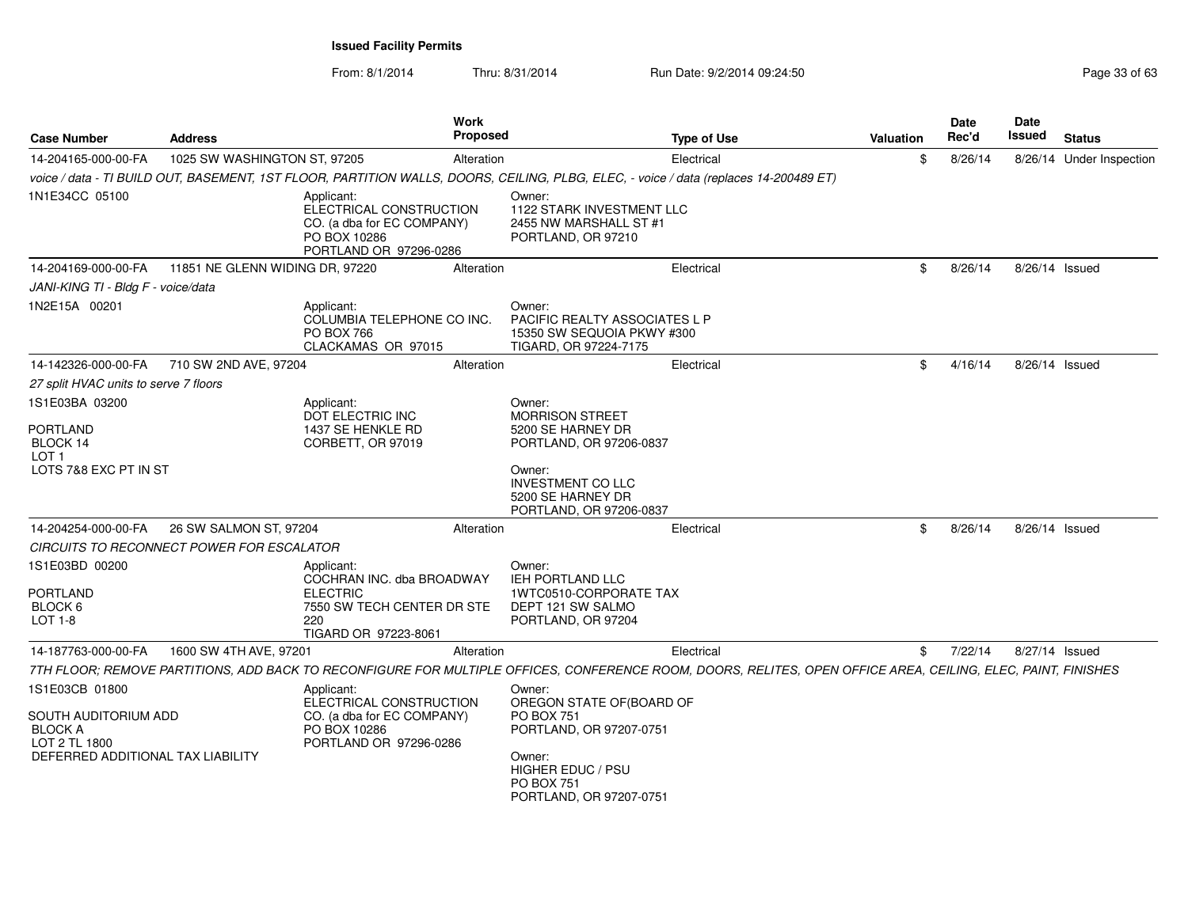| <b>Case Number</b>                                                                                             | <b>Address</b>                            |                                                                                                                         | Work<br><b>Proposed</b> |                                                                                                                                                            | <b>Type of Use</b>                                                                                                                                            | Valuation | Date<br>Rec'd | <b>Date</b><br>Issued | <b>Status</b>            |
|----------------------------------------------------------------------------------------------------------------|-------------------------------------------|-------------------------------------------------------------------------------------------------------------------------|-------------------------|------------------------------------------------------------------------------------------------------------------------------------------------------------|---------------------------------------------------------------------------------------------------------------------------------------------------------------|-----------|---------------|-----------------------|--------------------------|
| 14-204165-000-00-FA                                                                                            | 1025 SW WASHINGTON ST, 97205              |                                                                                                                         | Alteration              |                                                                                                                                                            | Electrical                                                                                                                                                    | \$        | 8/26/14       |                       | 8/26/14 Under Inspection |
|                                                                                                                |                                           |                                                                                                                         |                         |                                                                                                                                                            | voice / data - TI BUILD OUT, BASEMENT, 1ST FLOOR, PARTITION WALLS, DOORS, CEILING, PLBG, ELEC, - voice / data (replaces 14-200489 ET)                         |           |               |                       |                          |
| 1N1E34CC 05100                                                                                                 |                                           | Applicant:<br>ELECTRICAL CONSTRUCTION<br>CO. (a dba for EC COMPANY)<br>PO BOX 10286<br>PORTLAND OR 97296-0286           |                         | Owner:<br>1122 STARK INVESTMENT LLC<br>2455 NW MARSHALL ST #1<br>PORTLAND, OR 97210                                                                        |                                                                                                                                                               |           |               |                       |                          |
| 14-204169-000-00-FA                                                                                            | 11851 NE GLENN WIDING DR, 97220           |                                                                                                                         | Alteration              |                                                                                                                                                            | Electrical                                                                                                                                                    | \$        | 8/26/14       | 8/26/14 Issued        |                          |
| JANI-KING TI - Bldg F - voice/data                                                                             |                                           |                                                                                                                         |                         |                                                                                                                                                            |                                                                                                                                                               |           |               |                       |                          |
| 1N2E15A 00201                                                                                                  |                                           | Applicant:<br>COLUMBIA TELEPHONE CO INC.<br><b>PO BOX 766</b><br>CLACKAMAS OR 97015                                     |                         | Owner:<br>PACIFIC REALTY ASSOCIATES L P<br>15350 SW SEQUOIA PKWY #300<br>TIGARD, OR 97224-7175                                                             |                                                                                                                                                               |           |               |                       |                          |
| 14-142326-000-00-FA                                                                                            | 710 SW 2ND AVE, 97204                     |                                                                                                                         | Alteration              |                                                                                                                                                            | Electrical                                                                                                                                                    | \$        | 4/16/14       | 8/26/14 Issued        |                          |
| 27 split HVAC units to serve 7 floors                                                                          |                                           |                                                                                                                         |                         |                                                                                                                                                            |                                                                                                                                                               |           |               |                       |                          |
| 1S1E03BA 03200<br>PORTLAND<br>BLOCK 14                                                                         |                                           | Applicant:<br>DOT ELECTRIC INC<br>1437 SE HENKLE RD<br>CORBETT, OR 97019                                                |                         | Owner:<br><b>MORRISON STREET</b><br>5200 SE HARNEY DR<br>PORTLAND, OR 97206-0837                                                                           |                                                                                                                                                               |           |               |                       |                          |
| LOT <sub>1</sub><br>LOTS 7&8 EXC PT IN ST                                                                      |                                           |                                                                                                                         |                         | Owner:<br><b>INVESTMENT CO LLC</b><br>5200 SE HARNEY DR<br>PORTLAND, OR 97206-0837                                                                         |                                                                                                                                                               |           |               |                       |                          |
| 14-204254-000-00-FA                                                                                            | 26 SW SALMON ST, 97204                    |                                                                                                                         | Alteration              |                                                                                                                                                            | Electrical                                                                                                                                                    | \$        | 8/26/14       | 8/26/14 Issued        |                          |
|                                                                                                                | CIRCUITS TO RECONNECT POWER FOR ESCALATOR |                                                                                                                         |                         |                                                                                                                                                            |                                                                                                                                                               |           |               |                       |                          |
| 1S1E03BD 00200<br><b>PORTLAND</b><br>BLOCK 6<br>$LOT 1-8$                                                      |                                           | Applicant:<br>COCHRAN INC. dba BROADWAY<br><b>ELECTRIC</b><br>7550 SW TECH CENTER DR STE<br>220<br>TIGARD OR 97223-8061 |                         | Owner:<br>IEH PORTLAND LLC<br>1WTC0510-CORPORATE TAX<br>DEPT 121 SW SALMO<br>PORTLAND, OR 97204                                                            |                                                                                                                                                               |           |               |                       |                          |
| 14-187763-000-00-FA                                                                                            | 1600 SW 4TH AVE, 97201                    |                                                                                                                         | Alteration              |                                                                                                                                                            | Electrical                                                                                                                                                    | \$        | 7/22/14       | 8/27/14 Issued        |                          |
|                                                                                                                |                                           |                                                                                                                         |                         |                                                                                                                                                            | 7TH FLOOR; REMOVE PARTITIONS, ADD BACK TO RECONFIGURE FOR MULTIPLE OFFICES, CONFERENCE ROOM, DOORS, RELITES, OPEN OFFICE AREA, CEILING, ELEC, PAINT, FINISHES |           |               |                       |                          |
| 1S1E03CB 01800<br>SOUTH AUDITORIUM ADD<br><b>BLOCK A</b><br>LOT 2 TL 1800<br>DEFERRED ADDITIONAL TAX LIABILITY |                                           | Applicant:<br>ELECTRICAL CONSTRUCTION<br>CO. (a dba for EC COMPANY)<br>PO BOX 10286<br>PORTLAND OR 97296-0286           |                         | Owner:<br>OREGON STATE OF(BOARD OF<br>PO BOX 751<br>PORTLAND, OR 97207-0751<br>Owner:<br><b>HIGHER EDUC / PSU</b><br>PO BOX 751<br>PORTLAND, OR 97207-0751 |                                                                                                                                                               |           |               |                       |                          |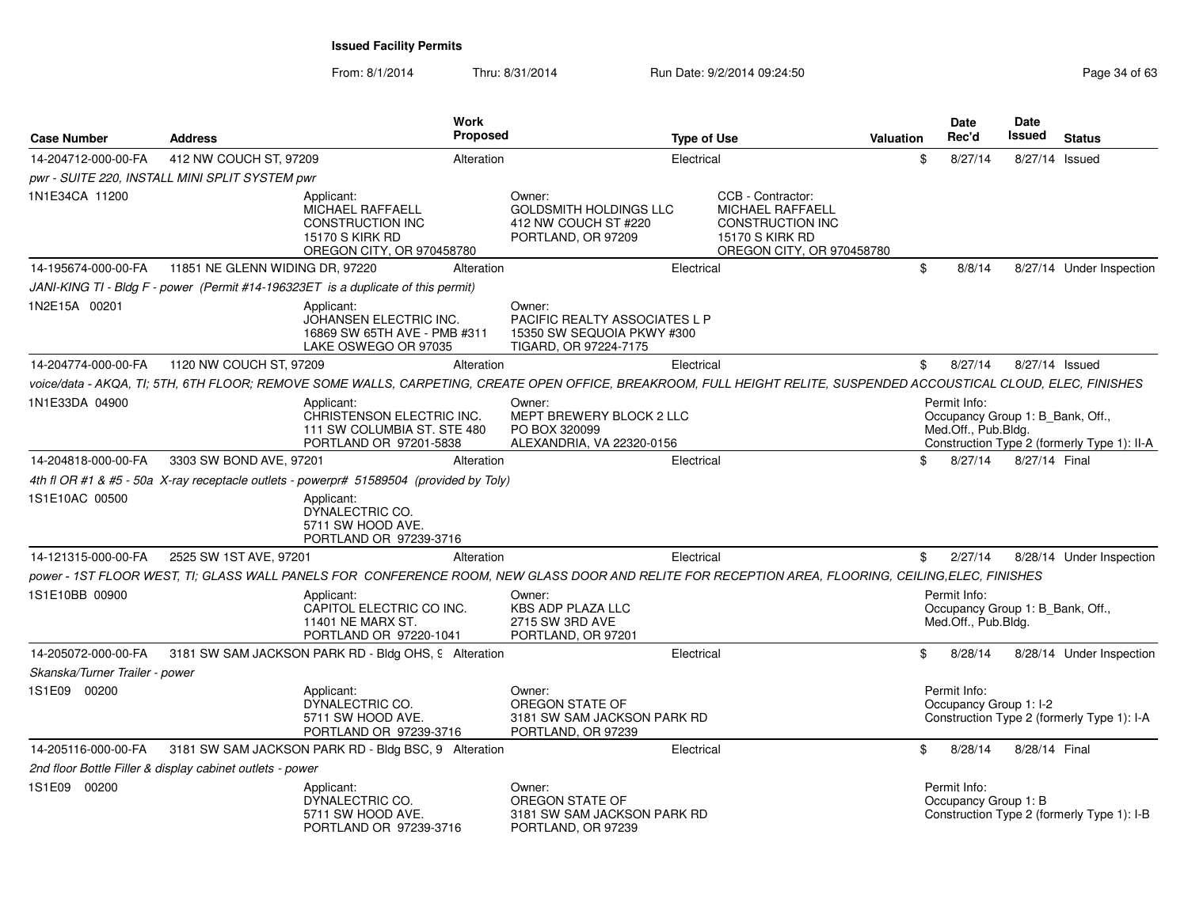From: 8/1/2014

| <b>Case Number</b>             | <b>Address</b>                                                                                                                                                      | <b>Work</b><br>Proposed |                                                                                                       | <b>Type of Use</b>                                                                                                             | Valuation | <b>Date</b><br>Rec'd                                                    | Date<br><b>Issued</b> | <b>Status</b>                               |
|--------------------------------|---------------------------------------------------------------------------------------------------------------------------------------------------------------------|-------------------------|-------------------------------------------------------------------------------------------------------|--------------------------------------------------------------------------------------------------------------------------------|-----------|-------------------------------------------------------------------------|-----------------------|---------------------------------------------|
| 14-204712-000-00-FA            | 412 NW COUCH ST, 97209                                                                                                                                              | Alteration              | Electrical                                                                                            |                                                                                                                                | \$        | 8/27/14                                                                 | 8/27/14 Issued        |                                             |
|                                | pwr - SUITE 220, INSTALL MINI SPLIT SYSTEM pwr                                                                                                                      |                         |                                                                                                       |                                                                                                                                |           |                                                                         |                       |                                             |
| 1N1E34CA 11200                 | Applicant:<br>MICHAEL RAFFAELL<br><b>CONSTRUCTION INC</b><br>15170 S KIRK RD<br>OREGON CITY, OR 970458780                                                           |                         | Owner:<br><b>GOLDSMITH HOLDINGS LLC</b><br>412 NW COUCH ST #220<br>PORTLAND, OR 97209                 | CCB - Contractor:<br><b>MICHAEL RAFFAELL</b><br><b>CONSTRUCTION INC</b><br><b>15170 S KIRK RD</b><br>OREGON CITY, OR 970458780 |           |                                                                         |                       |                                             |
| 14-195674-000-00-FA            | 11851 NE GLENN WIDING DR, 97220                                                                                                                                     | Alteration              | Electrical                                                                                            |                                                                                                                                | \$        | 8/8/14                                                                  |                       | 8/27/14 Under Inspection                    |
|                                | JANI-KING TI - Bldg F - power (Permit #14-196323ET is a duplicate of this permit)                                                                                   |                         |                                                                                                       |                                                                                                                                |           |                                                                         |                       |                                             |
| 1N2E15A 00201                  | Applicant:<br>JOHANSEN ELECTRIC INC.<br>16869 SW 65TH AVE - PMB #311<br>LAKE OSWEGO OR 97035                                                                        |                         | Owner:<br><b>PACIFIC REALTY ASSOCIATES L P</b><br>15350 SW SEQUOIA PKWY #300<br>TIGARD, OR 97224-7175 |                                                                                                                                |           |                                                                         |                       |                                             |
| 14-204774-000-00-FA            | 1120 NW COUCH ST, 97209                                                                                                                                             | Alteration              | Electrical                                                                                            |                                                                                                                                | \$        | 8/27/14                                                                 | 8/27/14 Issued        |                                             |
|                                | voice/data - AKQA, TI; 5TH, 6TH FLOOR; REMOVE SOME WALLS, CARPETING, CREATE OPEN OFFICE, BREAKROOM, FULL HEIGHT RELITE, SUSPENDED ACCOUSTICAL CLOUD, ELEC, FINISHES |                         |                                                                                                       |                                                                                                                                |           |                                                                         |                       |                                             |
| 1N1E33DA 04900                 | Applicant:<br>CHRISTENSON ELECTRIC INC.<br>111 SW COLUMBIA ST. STE 480<br>PORTLAND OR 97201-5838                                                                    |                         | Owner:<br>MEPT BREWERY BLOCK 2 LLC<br>PO BOX 320099<br>ALEXANDRIA, VA 22320-0156                      |                                                                                                                                |           | Permit Info:<br>Occupancy Group 1: B Bank, Off.,<br>Med.Off., Pub.Bldg. |                       | Construction Type 2 (formerly Type 1): II-A |
| 14-204818-000-00-FA            | 3303 SW BOND AVE, 97201                                                                                                                                             | Alteration              | Electrical                                                                                            |                                                                                                                                | \$        | 8/27/14                                                                 | 8/27/14 Final         |                                             |
|                                | 4th fl OR #1 & #5 - 50a X-ray receptacle outlets - powerpr# 51589504 (provided by Toly)                                                                             |                         |                                                                                                       |                                                                                                                                |           |                                                                         |                       |                                             |
| 1S1E10AC 00500                 | Applicant:<br>DYNALECTRIC CO.<br>5711 SW HOOD AVE.<br>PORTLAND OR 97239-3716                                                                                        |                         |                                                                                                       |                                                                                                                                |           |                                                                         |                       |                                             |
| 14-121315-000-00-FA            | 2525 SW 1ST AVE, 97201                                                                                                                                              | Alteration              | Electrical                                                                                            |                                                                                                                                | \$        | 2/27/14                                                                 |                       | 8/28/14 Under Inspection                    |
|                                | power - 1ST FLOOR WEST, TI; GLASS WALL PANELS FOR CONFERENCE ROOM, NEW GLASS DOOR AND RELITE FOR RECEPTION AREA, FLOORING, CEILING,ELEC, FINISHES                   |                         |                                                                                                       |                                                                                                                                |           |                                                                         |                       |                                             |
| 1S1E10BB 00900                 | Applicant:<br>CAPITOL ELECTRIC CO INC.<br>11401 NE MARX ST.<br>PORTLAND OR 97220-1041                                                                               |                         | Owner:<br>KBS ADP PLAZA LLC<br>2715 SW 3RD AVE<br>PORTLAND, OR 97201                                  |                                                                                                                                |           | Permit Info:<br>Occupancy Group 1: B_Bank, Off.,<br>Med.Off., Pub.Bldg. |                       |                                             |
| 14-205072-000-00-FA            | 3181 SW SAM JACKSON PARK RD - Bldg OHS, 9 Alteration                                                                                                                |                         | Electrical                                                                                            |                                                                                                                                | \$        | 8/28/14                                                                 |                       | 8/28/14 Under Inspection                    |
| Skanska/Turner Trailer - power |                                                                                                                                                                     |                         |                                                                                                       |                                                                                                                                |           |                                                                         |                       |                                             |
| 1S1E09 00200                   | Applicant:<br>DYNALECTRIC CO.<br>5711 SW HOOD AVE.<br>PORTLAND OR 97239-3716                                                                                        |                         | Owner:<br>OREGON STATE OF<br>3181 SW SAM JACKSON PARK RD<br>PORTLAND, OR 97239                        |                                                                                                                                |           | Permit Info:<br>Occupancy Group 1: I-2                                  |                       | Construction Type 2 (formerly Type 1): I-A  |
| 14-205116-000-00-FA            | 3181 SW SAM JACKSON PARK RD - Bldg BSC, 9 Alteration                                                                                                                |                         | Electrical                                                                                            |                                                                                                                                | \$        | 8/28/14                                                                 | 8/28/14 Final         |                                             |
|                                | 2nd floor Bottle Filler & display cabinet outlets - power                                                                                                           |                         |                                                                                                       |                                                                                                                                |           |                                                                         |                       |                                             |
| 1S1E09 00200                   | Applicant:<br>DYNALECTRIC CO.<br>5711 SW HOOD AVE.<br>PORTLAND OR 97239-3716                                                                                        |                         | Owner:<br>OREGON STATE OF<br>3181 SW SAM JACKSON PARK RD<br>PORTLAND, OR 97239                        |                                                                                                                                |           | Permit Info:<br>Occupancy Group 1: B                                    |                       | Construction Type 2 (formerly Type 1): I-B  |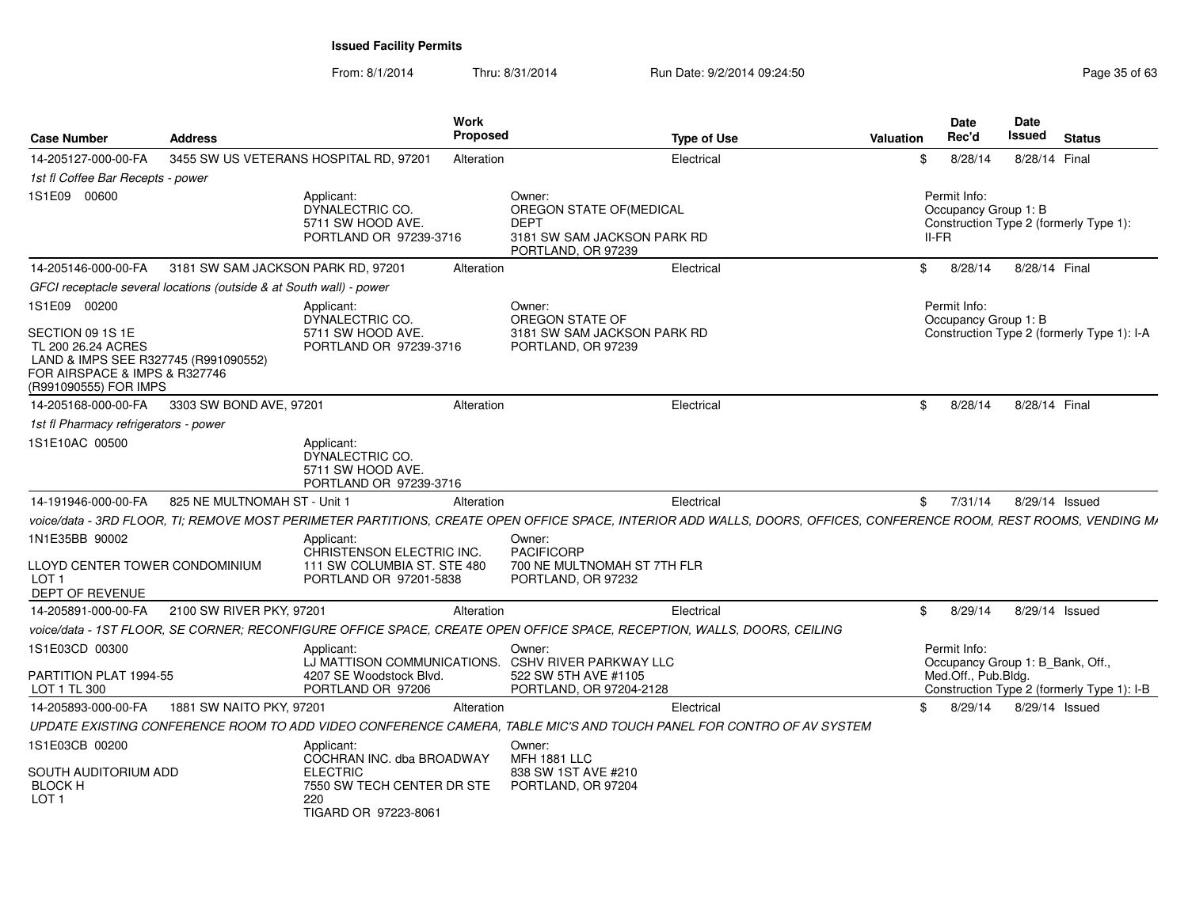| <b>Case Number</b>                                                                                                                                       | <b>Address</b>                                                      |                                                                                                                         | Work<br><b>Proposed</b> |                                                                                                        | <b>Type of Use</b>                                                                                                                                                  | <b>Valuation</b> |              | <b>Date</b><br>Rec'd | Date<br>Issued       | <b>Status</b>                              |  |
|----------------------------------------------------------------------------------------------------------------------------------------------------------|---------------------------------------------------------------------|-------------------------------------------------------------------------------------------------------------------------|-------------------------|--------------------------------------------------------------------------------------------------------|---------------------------------------------------------------------------------------------------------------------------------------------------------------------|------------------|--------------|----------------------|----------------------|--------------------------------------------|--|
| 14-205127-000-00-FA                                                                                                                                      |                                                                     | 3455 SW US VETERANS HOSPITAL RD, 97201                                                                                  | Alteration              |                                                                                                        | Electrical                                                                                                                                                          |                  | \$.          | 8/28/14              | 8/28/14 Final        |                                            |  |
| 1st fl Coffee Bar Recepts - power                                                                                                                        |                                                                     |                                                                                                                         |                         |                                                                                                        |                                                                                                                                                                     |                  |              |                      |                      |                                            |  |
| 1S1E09 00600                                                                                                                                             |                                                                     | Applicant:<br>DYNALECTRIC CO.<br>5711 SW HOOD AVE.<br>PORTLAND OR 97239-3716                                            |                         | Owner:<br>OREGON STATE OF (MEDICAL<br><b>DEPT</b><br>3181 SW SAM JACKSON PARK RD<br>PORTLAND, OR 97239 |                                                                                                                                                                     |                  | II-FR        | Permit Info:         | Occupancy Group 1: B | Construction Type 2 (formerly Type 1):     |  |
| 14-205146-000-00-FA                                                                                                                                      | 3181 SW SAM JACKSON PARK RD, 97201                                  |                                                                                                                         | Alteration              |                                                                                                        | Electrical                                                                                                                                                          |                  | $^{\circ}$   | 8/28/14              | 8/28/14 Final        |                                            |  |
|                                                                                                                                                          | GFCI receptacle several locations (outside & at South wall) - power |                                                                                                                         |                         |                                                                                                        |                                                                                                                                                                     |                  |              |                      |                      |                                            |  |
| 1S1E09 00200<br>SECTION 09 1S 1E<br>TL 200 26.24 ACRES<br>LAND & IMPS SEE R327745 (R991090552)<br>FOR AIRSPACE & IMPS & R327746<br>(R991090555) FOR IMPS |                                                                     | Applicant:<br>DYNALECTRIC CO.<br>5711 SW HOOD AVE.<br>PORTLAND OR 97239-3716                                            |                         | Owner:<br>OREGON STATE OF<br>3181 SW SAM JACKSON PARK RD<br>PORTLAND, OR 97239                         |                                                                                                                                                                     |                  |              | Permit Info:         | Occupancy Group 1: B | Construction Type 2 (formerly Type 1): I-A |  |
| 14-205168-000-00-FA                                                                                                                                      | 3303 SW BOND AVE, 97201                                             |                                                                                                                         | Alteration              |                                                                                                        | Electrical                                                                                                                                                          |                  | \$           | 8/28/14              | 8/28/14 Final        |                                            |  |
| 1st fl Pharmacy refrigerators - power                                                                                                                    |                                                                     |                                                                                                                         |                         |                                                                                                        |                                                                                                                                                                     |                  |              |                      |                      |                                            |  |
| 1S1E10AC 00500                                                                                                                                           |                                                                     | Applicant:<br>DYNALECTRIC CO.<br>5711 SW HOOD AVE.<br>PORTLAND OR 97239-3716                                            |                         |                                                                                                        |                                                                                                                                                                     |                  |              |                      |                      |                                            |  |
| 14-191946-000-00-FA                                                                                                                                      | 825 NE MULTNOMAH ST - Unit 1                                        |                                                                                                                         | Alteration              |                                                                                                        | Electrical                                                                                                                                                          |                  | \$           | 7/31/14              |                      | 8/29/14 Issued                             |  |
|                                                                                                                                                          |                                                                     |                                                                                                                         |                         |                                                                                                        | voice/data - 3RD FLOOR, TI; REMOVE MOST PERIMETER PARTITIONS, CREATE OPEN OFFICE SPACE, INTERIOR ADD WALLS, DOORS, OFFICES, CONFERENCE ROOM, REST ROOMS, VENDING Mi |                  |              |                      |                      |                                            |  |
| 1N1E35BB 90002                                                                                                                                           |                                                                     | Applicant:                                                                                                              |                         | Owner:                                                                                                 |                                                                                                                                                                     |                  |              |                      |                      |                                            |  |
| LLOYD CENTER TOWER CONDOMINIUM<br>LOT 1<br>DEPT OF REVENUE                                                                                               |                                                                     | CHRISTENSON ELECTRIC INC.<br>111 SW COLUMBIA ST. STE 480<br>PORTLAND OR 97201-5838                                      |                         | <b>PACIFICORP</b><br>700 NE MULTNOMAH ST 7TH FLR<br>PORTLAND, OR 97232                                 |                                                                                                                                                                     |                  |              |                      |                      |                                            |  |
| 14-205891-000-00-FA                                                                                                                                      | 2100 SW RIVER PKY, 97201                                            |                                                                                                                         | Alteration              |                                                                                                        | Electrical                                                                                                                                                          |                  | $\mathbb{S}$ | 8/29/14              |                      | 8/29/14 Issued                             |  |
|                                                                                                                                                          |                                                                     |                                                                                                                         |                         |                                                                                                        | voice/data - 1ST FLOOR, SE CORNER; RECONFIGURE OFFICE SPACE, CREATE OPEN OFFICE SPACE, RECEPTION, WALLS, DOORS, CEILING                                             |                  |              |                      |                      |                                            |  |
| 1S1E03CD 00300                                                                                                                                           |                                                                     | Applicant:                                                                                                              |                         | Owner:<br>LJ MATTISON COMMUNICATIONS. CSHV RIVER PARKWAY LLC                                           |                                                                                                                                                                     |                  | Permit Info: |                      |                      | Occupancy Group 1: B_Bank, Off.,           |  |
| PARTITION PLAT 1994-55<br>LOT 1 TL 300                                                                                                                   |                                                                     | 4207 SE Woodstock Blvd.<br>PORTLAND OR 97206                                                                            |                         | 522 SW 5TH AVE #1105<br>PORTLAND, OR 97204-2128                                                        |                                                                                                                                                                     |                  |              | Med.Off., Pub.Bldg.  |                      | Construction Type 2 (formerly Type 1): I-B |  |
| 14-205893-000-00-FA                                                                                                                                      | 1881 SW NAITO PKY, 97201                                            |                                                                                                                         | Alteration              |                                                                                                        | Electrical                                                                                                                                                          |                  | \$.          | 8/29/14              |                      | 8/29/14 Issued                             |  |
|                                                                                                                                                          |                                                                     |                                                                                                                         |                         |                                                                                                        | UPDATE EXISTING CONFERENCE ROOM TO ADD VIDEO CONFERENCE CAMERA, TABLE MIC'S AND TOUCH PANEL FOR CONTRO OF AV SYSTEM                                                 |                  |              |                      |                      |                                            |  |
| 1S1E03CB 00200<br>SOUTH AUDITORIUM ADD<br><b>BLOCK H</b><br>LOT 1                                                                                        |                                                                     | Applicant:<br>COCHRAN INC. dba BROADWAY<br><b>ELECTRIC</b><br>7550 SW TECH CENTER DR STE<br>220<br>TIGARD OR 97223-8061 |                         | Owner:<br><b>MFH 1881 LLC</b><br>838 SW 1ST AVE #210<br>PORTLAND, OR 97204                             |                                                                                                                                                                     |                  |              |                      |                      |                                            |  |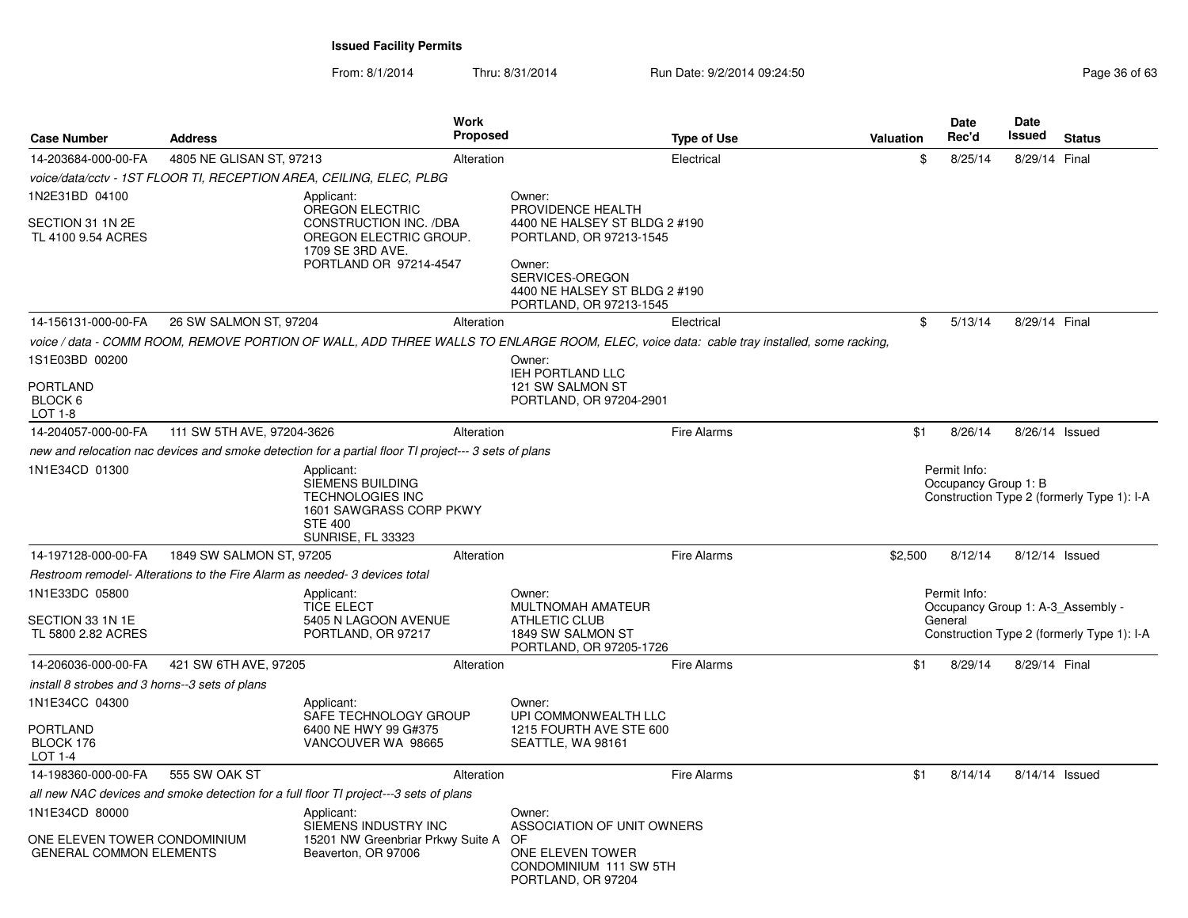| <b>Case Number</b>                                                               | <b>Address</b>                                                             | <b>Work</b><br><b>Proposed</b>                                                                                                            |                                                                                                                                                                                  | <b>Type of Use</b> | <b>Valuation</b> | <b>Date</b><br>Rec'd                                         | Date<br>Issued | <b>Status</b>                              |
|----------------------------------------------------------------------------------|----------------------------------------------------------------------------|-------------------------------------------------------------------------------------------------------------------------------------------|----------------------------------------------------------------------------------------------------------------------------------------------------------------------------------|--------------------|------------------|--------------------------------------------------------------|----------------|--------------------------------------------|
| 14-203684-000-00-FA                                                              | 4805 NE GLISAN ST, 97213                                                   | Alteration                                                                                                                                |                                                                                                                                                                                  | Electrical         | \$               | 8/25/14                                                      | 8/29/14 Final  |                                            |
|                                                                                  |                                                                            | voice/data/cctv - 1ST FLOOR TI, RECEPTION AREA, CEILING, ELEC, PLBG                                                                       |                                                                                                                                                                                  |                    |                  |                                                              |                |                                            |
| 1N2E31BD 04100<br>SECTION 31 1N 2E<br>TL 4100 9.54 ACRES                         |                                                                            | Applicant:<br>OREGON ELECTRIC<br><b>CONSTRUCTION INC. /DBA</b><br>OREGON ELECTRIC GROUP.<br>1709 SE 3RD AVE.<br>PORTLAND OR 97214-4547    | Owner:<br>PROVIDENCE HEALTH<br>4400 NE HALSEY ST BLDG 2 #190<br>PORTLAND, OR 97213-1545<br>Owner:<br>SERVICES-OREGON<br>4400 NE HALSEY ST BLDG 2 #190<br>PORTLAND, OR 97213-1545 |                    |                  |                                                              |                |                                            |
| 14-156131-000-00-FA                                                              | 26 SW SALMON ST, 97204                                                     | Alteration                                                                                                                                |                                                                                                                                                                                  | Electrical         | \$               | 5/13/14                                                      | 8/29/14 Final  |                                            |
|                                                                                  |                                                                            | voice / data - COMM ROOM, REMOVE PORTION OF WALL, ADD THREE WALLS TO ENLARGE ROOM, ELEC, voice data: cable tray installed, some racking,  |                                                                                                                                                                                  |                    |                  |                                                              |                |                                            |
| 1S1E03BD 00200<br><b>PORTLAND</b><br>BLOCK <sub>6</sub><br>LOT 1-8               |                                                                            |                                                                                                                                           | Owner:<br><b>IEH PORTLAND LLC</b><br>121 SW SALMON ST<br>PORTLAND, OR 97204-2901                                                                                                 |                    |                  |                                                              |                |                                            |
| 14-204057-000-00-FA                                                              | 111 SW 5TH AVE, 97204-3626                                                 | Alteration                                                                                                                                |                                                                                                                                                                                  | <b>Fire Alarms</b> | \$1              | 8/26/14                                                      |                | 8/26/14 Issued                             |
|                                                                                  |                                                                            | new and relocation nac devices and smoke detection for a partial floor TI project--- 3 sets of plans                                      |                                                                                                                                                                                  |                    |                  |                                                              |                |                                            |
| 1N1E34CD 01300                                                                   |                                                                            | Applicant:<br><b>SIEMENS BUILDING</b><br><b>TECHNOLOGIES INC</b><br>1601 SAWGRASS CORP PKWY<br><b>STE 400</b><br><b>SUNRISE, FL 33323</b> |                                                                                                                                                                                  |                    |                  | Permit Info:<br>Occupancy Group 1: B                         |                | Construction Type 2 (formerly Type 1): I-A |
| 14-197128-000-00-FA                                                              | 1849 SW SALMON ST, 97205                                                   | Alteration                                                                                                                                |                                                                                                                                                                                  | <b>Fire Alarms</b> | \$2,500          | 8/12/14                                                      |                | 8/12/14 Issued                             |
|                                                                                  | Restroom remodel- Alterations to the Fire Alarm as needed- 3 devices total |                                                                                                                                           |                                                                                                                                                                                  |                    |                  |                                                              |                |                                            |
| 1N1E33DC 05800<br>SECTION 33 1N 1E<br>TL 5800 2.82 ACRES                         |                                                                            | Applicant:<br><b>TICE ELECT</b><br>5405 N LAGOON AVENUE<br>PORTLAND, OR 97217                                                             | Owner:<br>MULTNOMAH AMATEUR<br><b>ATHLETIC CLUB</b><br>1849 SW SALMON ST<br>PORTLAND, OR 97205-1726                                                                              |                    |                  | Permit Info:<br>Occupancy Group 1: A-3 Assembly -<br>General |                | Construction Type 2 (formerly Type 1): I-A |
| 14-206036-000-00-FA                                                              | 421 SW 6TH AVE, 97205                                                      | Alteration                                                                                                                                |                                                                                                                                                                                  | <b>Fire Alarms</b> | \$1              | 8/29/14                                                      | 8/29/14 Final  |                                            |
| install 8 strobes and 3 horns--3 sets of plans                                   |                                                                            |                                                                                                                                           |                                                                                                                                                                                  |                    |                  |                                                              |                |                                            |
| 1N1E34CC 04300                                                                   |                                                                            | Applicant:<br>SAFE TECHNOLOGY GROUP                                                                                                       | Owner:<br>UPI COMMONWEALTH LLC                                                                                                                                                   |                    |                  |                                                              |                |                                            |
| <b>PORTLAND</b><br>BLOCK 176<br>LOT 1-4                                          |                                                                            | 6400 NE HWY 99 G#375<br>VANCOUVER WA 98665                                                                                                | 1215 FOURTH AVE STE 600<br>SEATTLE, WA 98161                                                                                                                                     |                    |                  |                                                              |                |                                            |
| 14-198360-000-00-FA                                                              | 555 SW OAK ST                                                              | Alteration                                                                                                                                |                                                                                                                                                                                  | <b>Fire Alarms</b> | \$1              | 8/14/14                                                      |                | 8/14/14 Issued                             |
|                                                                                  |                                                                            | all new NAC devices and smoke detection for a full floor TI project---3 sets of plans                                                     |                                                                                                                                                                                  |                    |                  |                                                              |                |                                            |
| 1N1E34CD 80000<br>ONE ELEVEN TOWER CONDOMINIUM<br><b>GENERAL COMMON ELEMENTS</b> |                                                                            | Applicant:<br>SIEMENS INDUSTRY INC<br>15201 NW Greenbriar Prkwy Suite A<br>Beaverton, OR 97006                                            | Owner:<br>ASSOCIATION OF UNIT OWNERS<br>OF<br>ONE ELEVEN TOWER<br>CONDOMINIUM 111 SW 5TH<br>PORTLAND, OR 97204                                                                   |                    |                  |                                                              |                |                                            |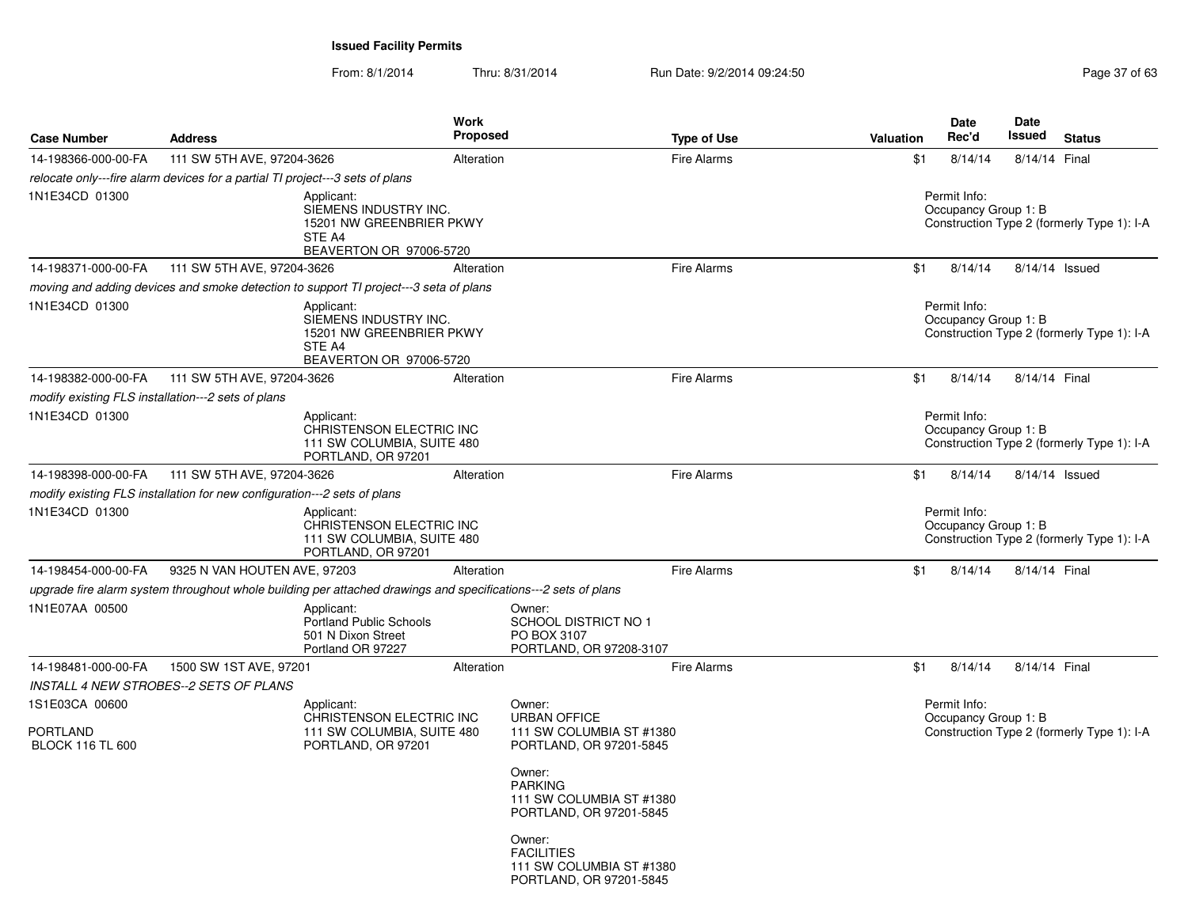| <b>Case Number</b>                         | <b>Address</b>                                                                |                                                                                                                | Work<br><b>Proposed</b> |                                                                                    | <b>Type of Use</b> | <b>Valuation</b> | <b>Date</b><br>Rec'd                 | Date<br>Issued | <b>Status</b>                              |
|--------------------------------------------|-------------------------------------------------------------------------------|----------------------------------------------------------------------------------------------------------------|-------------------------|------------------------------------------------------------------------------------|--------------------|------------------|--------------------------------------|----------------|--------------------------------------------|
| 14-198366-000-00-FA                        | 111 SW 5TH AVE, 97204-3626                                                    |                                                                                                                | Alteration              |                                                                                    | <b>Fire Alarms</b> | \$1              | 8/14/14                              | 8/14/14 Final  |                                            |
|                                            | relocate only---fire alarm devices for a partial TI project---3 sets of plans |                                                                                                                |                         |                                                                                    |                    |                  |                                      |                |                                            |
| 1N1E34CD 01300                             |                                                                               | Applicant:<br>SIEMENS INDUSTRY INC.<br>15201 NW GREENBRIER PKWY<br>STE A4<br>BEAVERTON OR 97006-5720           |                         |                                                                                    |                    |                  | Permit Info:<br>Occupancy Group 1: B |                | Construction Type 2 (formerly Type 1): I-A |
| 14-198371-000-00-FA                        | 111 SW 5TH AVE, 97204-3626                                                    |                                                                                                                | Alteration              |                                                                                    | <b>Fire Alarms</b> | \$1              | 8/14/14                              | 8/14/14 Issued |                                            |
|                                            |                                                                               | moving and adding devices and smoke detection to support TI project---3 seta of plans                          |                         |                                                                                    |                    |                  |                                      |                |                                            |
| 1N1E34CD 01300                             |                                                                               | Applicant:<br>SIEMENS INDUSTRY INC.<br>15201 NW GREENBRIER PKWY<br>STE A4<br>BEAVERTON OR 97006-5720           |                         |                                                                                    |                    |                  | Permit Info:<br>Occupancy Group 1: B |                | Construction Type 2 (formerly Type 1): I-A |
| 14-198382-000-00-FA                        | 111 SW 5TH AVE, 97204-3626                                                    |                                                                                                                | Alteration              |                                                                                    | Fire Alarms        | \$1              | 8/14/14                              | 8/14/14 Final  |                                            |
|                                            | modify existing FLS installation---2 sets of plans                            |                                                                                                                |                         |                                                                                    |                    |                  |                                      |                |                                            |
| 1N1E34CD 01300                             |                                                                               | Applicant:<br>CHRISTENSON ELECTRIC INC<br>111 SW COLUMBIA, SUITE 480<br>PORTLAND, OR 97201                     |                         |                                                                                    |                    |                  | Permit Info:<br>Occupancy Group 1: B |                | Construction Type 2 (formerly Type 1): I-A |
| 14-198398-000-00-FA                        | 111 SW 5TH AVE, 97204-3626                                                    |                                                                                                                | Alteration              |                                                                                    | <b>Fire Alarms</b> | \$1              | 8/14/14                              |                | $8/14/14$ Issued                           |
|                                            | modify existing FLS installation for new configuration---2 sets of plans      |                                                                                                                |                         |                                                                                    |                    |                  |                                      |                |                                            |
| 1N1E34CD 01300                             |                                                                               | Applicant:<br>CHRISTENSON ELECTRIC INC<br>111 SW COLUMBIA, SUITE 480<br>PORTLAND, OR 97201                     |                         |                                                                                    |                    |                  | Permit Info:<br>Occupancy Group 1: B |                | Construction Type 2 (formerly Type 1): I-A |
| 14-198454-000-00-FA                        | 9325 N VAN HOUTEN AVE, 97203                                                  |                                                                                                                | Alteration              |                                                                                    | <b>Fire Alarms</b> | \$1              | 8/14/14                              | 8/14/14 Final  |                                            |
|                                            |                                                                               | upgrade fire alarm system throughout whole building per attached drawings and specifications---2 sets of plans |                         |                                                                                    |                    |                  |                                      |                |                                            |
| 1N1E07AA 00500                             |                                                                               | Applicant:<br><b>Portland Public Schools</b><br>501 N Dixon Street<br>Portland OR 97227                        |                         | Owner:<br>SCHOOL DISTRICT NO 1<br>PO BOX 3107<br>PORTLAND, OR 97208-3107           |                    |                  |                                      |                |                                            |
| 14-198481-000-00-FA                        | 1500 SW 1ST AVE, 97201                                                        |                                                                                                                | Alteration              |                                                                                    | <b>Fire Alarms</b> | \$1              | 8/14/14                              | 8/14/14 Final  |                                            |
|                                            | <b>INSTALL 4 NEW STROBES--2 SETS OF PLANS</b>                                 |                                                                                                                |                         |                                                                                    |                    |                  |                                      |                |                                            |
| 1S1E03CA 00600                             |                                                                               | Applicant:                                                                                                     |                         | Owner:                                                                             |                    |                  | Permit Info:                         |                |                                            |
| <b>PORTLAND</b><br><b>BLOCK 116 TL 600</b> |                                                                               | CHRISTENSON ELECTRIC INC<br>111 SW COLUMBIA, SUITE 480<br>PORTLAND, OR 97201                                   |                         | <b>URBAN OFFICE</b><br>111 SW COLUMBIA ST #1380<br>PORTLAND, OR 97201-5845         |                    |                  | Occupancy Group 1: B                 |                | Construction Type 2 (formerly Type 1): I-A |
|                                            |                                                                               |                                                                                                                |                         | Owner:<br><b>PARKING</b><br>111 SW COLUMBIA ST #1380<br>PORTLAND, OR 97201-5845    |                    |                  |                                      |                |                                            |
|                                            |                                                                               |                                                                                                                |                         | Owner:<br><b>FACILITIES</b><br>111 SW COLUMBIA ST #1380<br>PORTLAND, OR 97201-5845 |                    |                  |                                      |                |                                            |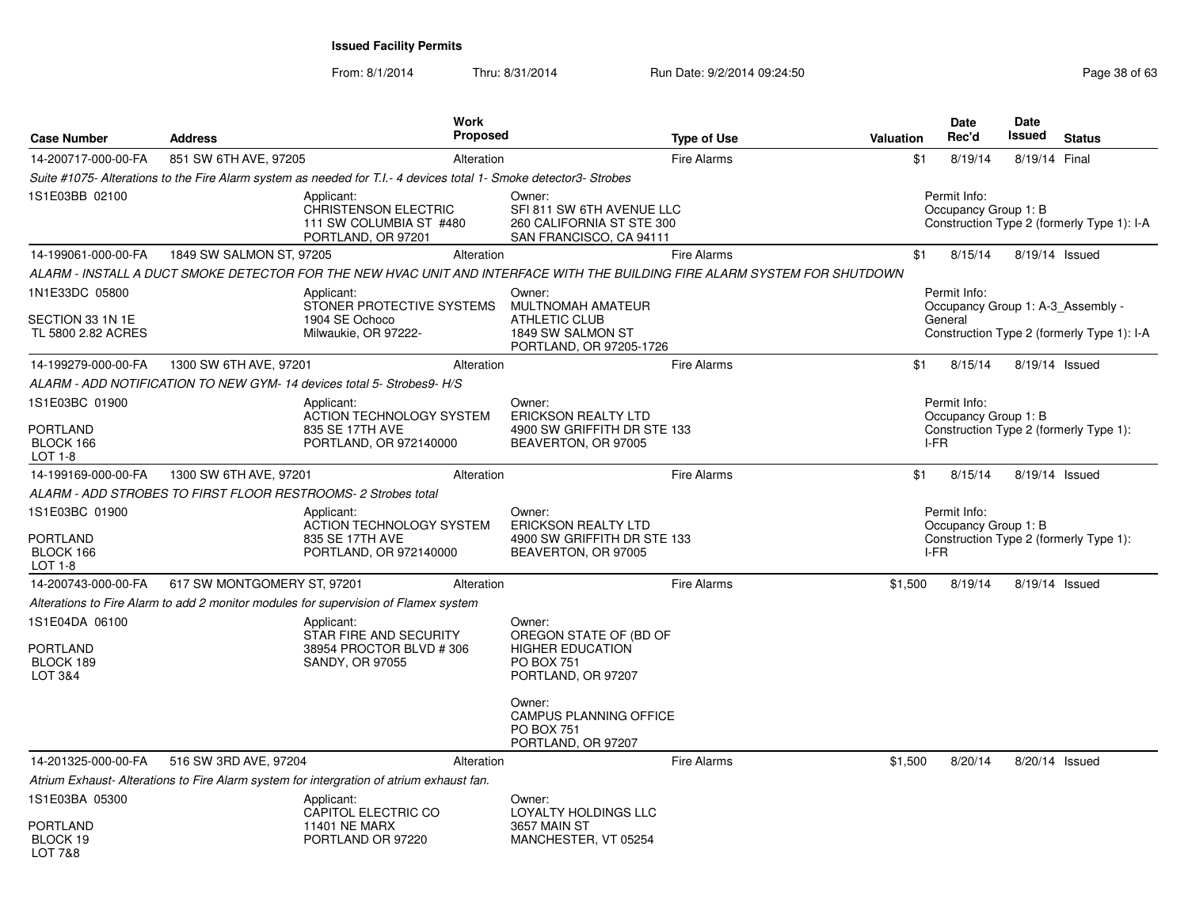| <b>Case Number</b>                                            | <b>Address</b>              |                                                                                                                   | <b>Work</b><br><b>Proposed</b> |                                                                                                        | <b>Type of Use</b>                                                                                                         | Valuation | Date<br>Rec'd                                     | <b>Date</b><br>Issued | <b>Status</b>                              |
|---------------------------------------------------------------|-----------------------------|-------------------------------------------------------------------------------------------------------------------|--------------------------------|--------------------------------------------------------------------------------------------------------|----------------------------------------------------------------------------------------------------------------------------|-----------|---------------------------------------------------|-----------------------|--------------------------------------------|
| 14-200717-000-00-FA                                           | 851 SW 6TH AVE, 97205       |                                                                                                                   | Alteration                     |                                                                                                        | <b>Fire Alarms</b>                                                                                                         | \$1       | 8/19/14                                           | 8/19/14 Final         |                                            |
|                                                               |                             | Suite #1075- Alterations to the Fire Alarm system as needed for T.I.- 4 devices total 1- Smoke detector3- Strobes |                                |                                                                                                        |                                                                                                                            |           |                                                   |                       |                                            |
| 1S1E03BB 02100                                                |                             | Applicant:<br><b>CHRISTENSON ELECTRIC</b><br>111 SW COLUMBIA ST #480<br>PORTLAND, OR 97201                        |                                | Owner:<br>SFI 811 SW 6TH AVENUE LLC<br>260 CALIFORNIA ST STE 300<br>SAN FRANCISCO, CA 94111            |                                                                                                                            |           | Permit Info:<br>Occupancy Group 1: B              |                       | Construction Type 2 (formerly Type 1): I-A |
| 14-199061-000-00-FA                                           | 1849 SW SALMON ST, 97205    |                                                                                                                   | Alteration                     |                                                                                                        | <b>Fire Alarms</b>                                                                                                         | \$1       | 8/15/14                                           |                       | 8/19/14 Issued                             |
|                                                               |                             |                                                                                                                   |                                |                                                                                                        | ALARM - INSTALL A DUCT SMOKE DETECTOR FOR THE NEW HVAC UNIT AND INTERFACE WITH THE BUILDING FIRE ALARM SYSTEM FOR SHUTDOWN |           |                                                   |                       |                                            |
| 1N1E33DC 05800                                                |                             | Applicant:<br>STONER PROTECTIVE SYSTEMS                                                                           |                                | Owner:<br>MULTNOMAH AMATEUR                                                                            |                                                                                                                            |           | Permit Info:<br>Occupancy Group 1: A-3 Assembly - |                       |                                            |
| SECTION 33 1N 1E<br>TL 5800 2.82 ACRES                        |                             | 1904 SE Ochoco<br>Milwaukie, OR 97222-                                                                            |                                | <b>ATHLETIC CLUB</b><br>1849 SW SALMON ST<br>PORTLAND, OR 97205-1726                                   |                                                                                                                            |           | General                                           |                       | Construction Type 2 (formerly Type 1): I-A |
| 14-199279-000-00-FA                                           | 1300 SW 6TH AVE, 97201      |                                                                                                                   | Alteration                     |                                                                                                        | <b>Fire Alarms</b>                                                                                                         | \$1       | 8/15/14                                           |                       | 8/19/14 Issued                             |
|                                                               |                             | ALARM - ADD NOTIFICATION TO NEW GYM- 14 devices total 5- Strobes9- H/S                                            |                                |                                                                                                        |                                                                                                                            |           |                                                   |                       |                                            |
| 1S1E03BC 01900                                                |                             | Applicant:<br>ACTION TECHNOLOGY SYSTEM                                                                            |                                | Owner:<br><b>ERICKSON REALTY LTD</b>                                                                   |                                                                                                                            |           | Permit Info:<br>Occupancy Group 1: B              |                       |                                            |
| PORTLAND<br>BLOCK 166<br>LOT 1-8                              |                             | 835 SE 17TH AVE<br>PORTLAND, OR 972140000                                                                         |                                | 4900 SW GRIFFITH DR STE 133<br>BEAVERTON, OR 97005                                                     |                                                                                                                            |           | I-FR                                              |                       | Construction Type 2 (formerly Type 1):     |
| 14-199169-000-00-FA                                           | 1300 SW 6TH AVE, 97201      |                                                                                                                   | Alteration                     |                                                                                                        | <b>Fire Alarms</b>                                                                                                         | \$1       | 8/15/14                                           |                       | 8/19/14 Issued                             |
|                                                               |                             | ALARM - ADD STROBES TO FIRST FLOOR RESTROOMS- 2 Strobes total                                                     |                                |                                                                                                        |                                                                                                                            |           |                                                   |                       |                                            |
| 1S1E03BC 01900<br>PORTLAND<br>BLOCK 166<br>LOT 1-8            |                             | Applicant:<br><b>ACTION TECHNOLOGY SYSTEM</b><br>835 SE 17TH AVE<br>PORTLAND, OR 972140000                        |                                | Owner:<br><b>ERICKSON REALTY LTD</b><br>4900 SW GRIFFITH DR STE 133<br>BEAVERTON, OR 97005             |                                                                                                                            |           | Permit Info:<br>Occupancy Group 1: B<br>I-FR      |                       | Construction Type 2 (formerly Type 1):     |
| 14-200743-000-00-FA                                           | 617 SW MONTGOMERY ST, 97201 |                                                                                                                   | Alteration                     |                                                                                                        | <b>Fire Alarms</b>                                                                                                         | \$1,500   | 8/19/14                                           |                       | 8/19/14 Issued                             |
|                                                               |                             | Alterations to Fire Alarm to add 2 monitor modules for supervision of Flamex system                               |                                |                                                                                                        |                                                                                                                            |           |                                                   |                       |                                            |
| 1S1E04DA 06100<br>PORTLAND<br>BLOCK 189<br><b>LOT 3&amp;4</b> |                             | Applicant:<br>STAR FIRE AND SECURITY<br>38954 PROCTOR BLVD #306<br><b>SANDY, OR 97055</b>                         |                                | Owner:<br>OREGON STATE OF (BD OF<br><b>HIGHER EDUCATION</b><br><b>PO BOX 751</b><br>PORTLAND, OR 97207 |                                                                                                                            |           |                                                   |                       |                                            |
|                                                               |                             |                                                                                                                   |                                | Owner:<br><b>CAMPUS PLANNING OFFICE</b><br><b>PO BOX 751</b><br>PORTLAND, OR 97207                     |                                                                                                                            |           |                                                   |                       |                                            |
| 14-201325-000-00-FA                                           | 516 SW 3RD AVE, 97204       |                                                                                                                   | Alteration                     |                                                                                                        | <b>Fire Alarms</b>                                                                                                         | \$1,500   | 8/20/14                                           |                       | 8/20/14 Issued                             |
|                                                               |                             | Atrium Exhaust-Alterations to Fire Alarm system for intergration of atrium exhaust fan.                           |                                |                                                                                                        |                                                                                                                            |           |                                                   |                       |                                            |
| 1S1E03BA 05300                                                |                             | Applicant:<br>CAPITOL ELECTRIC CO                                                                                 |                                | Owner:<br>LOYALTY HOLDINGS LLC                                                                         |                                                                                                                            |           |                                                   |                       |                                            |
| PORTLAND<br>BLOCK 19<br>LOT 7&8                               |                             | <b>11401 NE MARX</b><br>PORTLAND OR 97220                                                                         |                                | 3657 MAIN ST<br>MANCHESTER, VT 05254                                                                   |                                                                                                                            |           |                                                   |                       |                                            |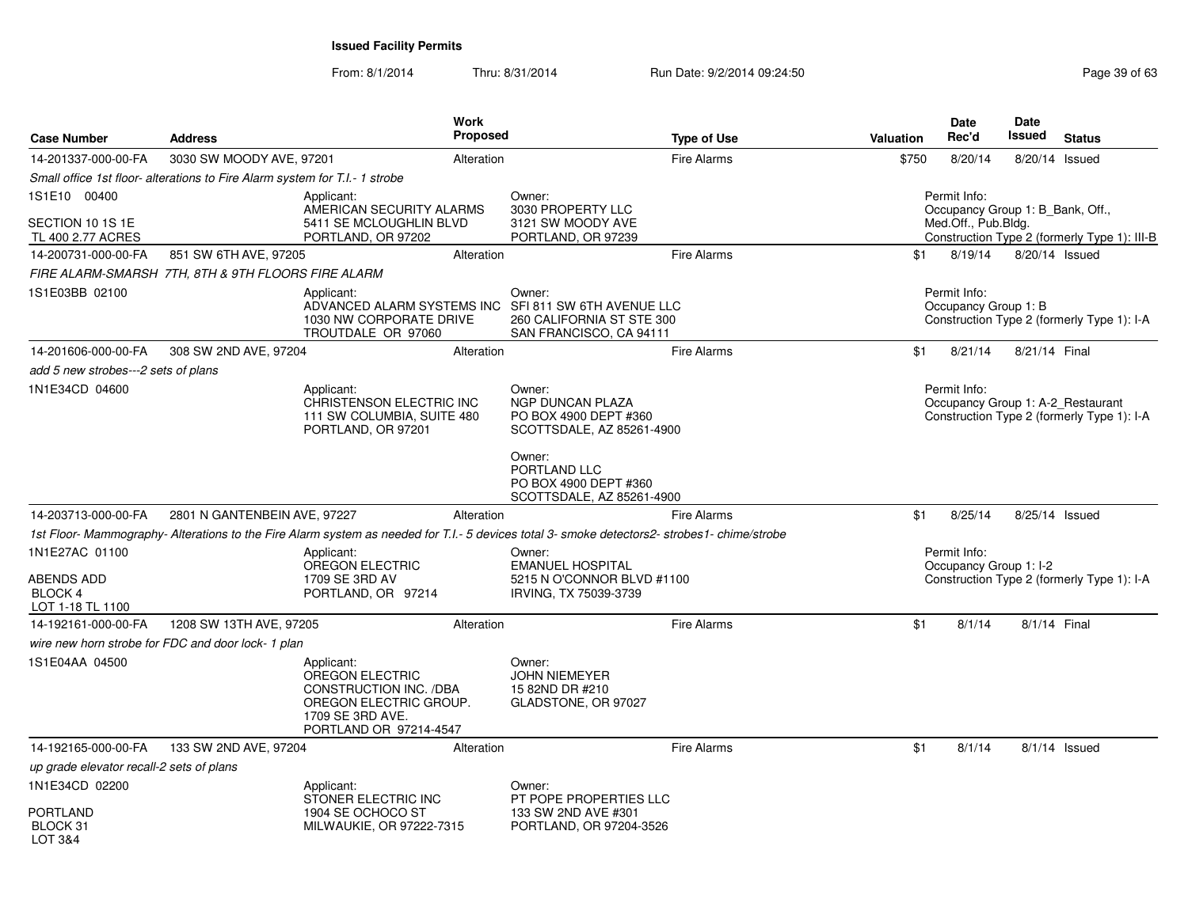From: 8/1/2014Thru: 8/31/2014 Run Date: 9/2/2014 09:24:50 Run Date: 9/2/2014 09:24:50

| <b>Case Number</b>                               | <b>Address</b>                                                              | Work<br>Proposed                                                                                                                           |                                                                                             | <b>Type of Use</b> | Valuation | <b>Date</b><br>Rec'd                                    | Date<br>Issued | <b>Status</b>                                                                   |
|--------------------------------------------------|-----------------------------------------------------------------------------|--------------------------------------------------------------------------------------------------------------------------------------------|---------------------------------------------------------------------------------------------|--------------------|-----------|---------------------------------------------------------|----------------|---------------------------------------------------------------------------------|
| 14-201337-000-00-FA                              | 3030 SW MOODY AVE, 97201                                                    | Alteration                                                                                                                                 |                                                                                             | <b>Fire Alarms</b> | \$750     | 8/20/14                                                 |                | 8/20/14 Issued                                                                  |
|                                                  | Small office 1st floor- alterations to Fire Alarm system for T.I.- 1 strobe |                                                                                                                                            |                                                                                             |                    |           |                                                         |                |                                                                                 |
| 1S1E10 00400                                     |                                                                             | Applicant:                                                                                                                                 | Owner:                                                                                      |                    |           | Permit Info:                                            |                |                                                                                 |
| SECTION 10 1S 1E<br>TL 400 2.77 ACRES            |                                                                             | AMERICAN SECURITY ALARMS<br>5411 SE MCLOUGHLIN BLVD<br>PORTLAND, OR 97202                                                                  | 3030 PROPERTY LLC<br>3121 SW MOODY AVE<br>PORTLAND, OR 97239                                |                    |           | Occupancy Group 1: B Bank, Off.,<br>Med.Off., Pub.Bldg. |                | Construction Type 2 (formerly Type 1): III-B                                    |
| 14-200731-000-00-FA                              | 851 SW 6TH AVE, 97205                                                       | Alteration                                                                                                                                 |                                                                                             | <b>Fire Alarms</b> | \$1       | 8/19/14                                                 |                | 8/20/14 Issued                                                                  |
|                                                  | FIRE ALARM-SMARSH 7TH, 8TH & 9TH FLOORS FIRE ALARM                          |                                                                                                                                            |                                                                                             |                    |           |                                                         |                |                                                                                 |
| 1S1E03BB 02100                                   |                                                                             | Applicant:<br>ADVANCED ALARM SYSTEMS INC<br>1030 NW CORPORATE DRIVE<br>TROUTDALE OR 97060                                                  | Owner:<br>SFI 811 SW 6TH AVENUE LLC<br>260 CALIFORNIA ST STE 300<br>SAN FRANCISCO, CA 94111 |                    |           | Permit Info:<br>Occupancy Group 1: B                    |                | Construction Type 2 (formerly Type 1): I-A                                      |
| 14-201606-000-00-FA                              | 308 SW 2ND AVE, 97204                                                       | Alteration                                                                                                                                 |                                                                                             | <b>Fire Alarms</b> | \$1       | 8/21/14                                                 | 8/21/14 Final  |                                                                                 |
| add 5 new strobes---2 sets of plans              |                                                                             |                                                                                                                                            |                                                                                             |                    |           |                                                         |                |                                                                                 |
| 1N1E34CD 04600                                   |                                                                             | Applicant:<br>CHRISTENSON ELECTRIC INC<br>111 SW COLUMBIA, SUITE 480<br>PORTLAND, OR 97201                                                 | Owner:<br>NGP DUNCAN PLAZA<br>PO BOX 4900 DEPT #360<br>SCOTTSDALE, AZ 85261-4900            |                    |           | Permit Info:                                            |                | Occupancy Group 1: A-2_Restaurant<br>Construction Type 2 (formerly Type 1): I-A |
|                                                  |                                                                             |                                                                                                                                            | Owner:<br>PORTLAND LLC<br>PO BOX 4900 DEPT #360<br>SCOTTSDALE, AZ 85261-4900                |                    |           |                                                         |                |                                                                                 |
| 14-203713-000-00-FA                              | 2801 N GANTENBEIN AVE, 97227                                                | Alteration                                                                                                                                 |                                                                                             | <b>Fire Alarms</b> | \$1       | 8/25/14                                                 |                | 8/25/14 Issued                                                                  |
|                                                  |                                                                             | 1st Floor-Mammography-Alterations to the Fire Alarm system as needed for T.I.- 5 devices total 3- smoke detectors2- strobes1- chime/strobe |                                                                                             |                    |           |                                                         |                |                                                                                 |
| 1N1E27AC 01100                                   |                                                                             | Applicant:                                                                                                                                 | Owner:                                                                                      |                    |           | Permit Info:                                            |                |                                                                                 |
| <b>ABENDS ADD</b><br>BLOCK 4<br>LOT 1-18 TL 1100 |                                                                             | OREGON ELECTRIC<br>1709 SE 3RD AV<br>PORTLAND, OR 97214                                                                                    | <b>EMANUEL HOSPITAL</b><br>5215 N O'CONNOR BLVD #1100<br>IRVING, TX 75039-3739              |                    |           | Occupancy Group 1: I-2                                  |                | Construction Type 2 (formerly Type 1): I-A                                      |
| 14-192161-000-00-FA                              | 1208 SW 13TH AVE, 97205                                                     | Alteration                                                                                                                                 |                                                                                             | Fire Alarms        | \$1       | 8/1/14                                                  | 8/1/14 Final   |                                                                                 |
|                                                  | wire new horn strobe for FDC and door lock-1 plan                           |                                                                                                                                            |                                                                                             |                    |           |                                                         |                |                                                                                 |
| 1S1E04AA 04500                                   |                                                                             | Applicant:<br>OREGON ELECTRIC<br>CONSTRUCTION INC. /DBA<br>OREGON ELECTRIC GROUP.<br>1709 SE 3RD AVE.<br>PORTLAND OR 97214-4547            | Owner:<br><b>JOHN NIEMEYER</b><br>15 82ND DR #210<br>GLADSTONE, OR 97027                    |                    |           |                                                         |                |                                                                                 |
| 14-192165-000-00-FA                              | 133 SW 2ND AVE, 97204                                                       | Alteration                                                                                                                                 |                                                                                             | <b>Fire Alarms</b> | \$1       | 8/1/14                                                  |                | $8/1/14$ Issued                                                                 |
| up grade elevator recall-2 sets of plans         |                                                                             |                                                                                                                                            |                                                                                             |                    |           |                                                         |                |                                                                                 |
| 1N1E34CD 02200                                   |                                                                             | Applicant:                                                                                                                                 | Owner:                                                                                      |                    |           |                                                         |                |                                                                                 |
| PORTLAND<br>BLOCK 31<br><b>LOT 3&amp;4</b>       |                                                                             | STONER ELECTRIC INC<br>1904 SE OCHOCO ST<br>MILWAUKIE, OR 97222-7315                                                                       | PT POPE PROPERTIES LLC<br>133 SW 2ND AVE #301<br>PORTLAND, OR 97204-3526                    |                    |           |                                                         |                |                                                                                 |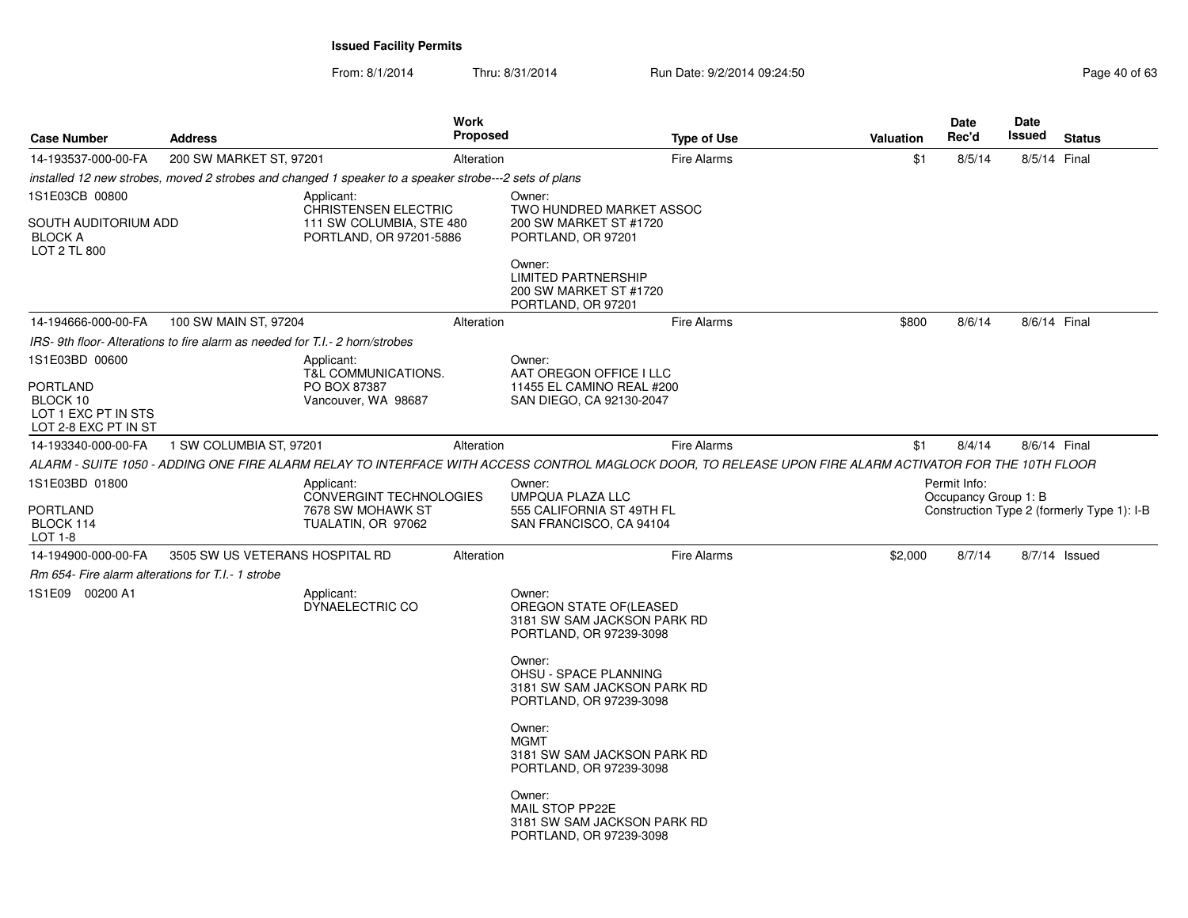From: 8/1/2014

| <b>Case Number</b>                                                  | <b>Address</b>                                                            |                                                                                                       | Work<br><b>Proposed</b> |                                                                                                                                                         | <b>Type of Use</b> | <b>Valuation</b> |     | <b>Date</b><br>Rec'd                 | Date<br>Issued | <b>Status</b>                              |
|---------------------------------------------------------------------|---------------------------------------------------------------------------|-------------------------------------------------------------------------------------------------------|-------------------------|---------------------------------------------------------------------------------------------------------------------------------------------------------|--------------------|------------------|-----|--------------------------------------|----------------|--------------------------------------------|
| 14-193537-000-00-FA                                                 | 200 SW MARKET ST, 97201                                                   |                                                                                                       | Alteration              |                                                                                                                                                         | <b>Fire Alarms</b> |                  | \$1 | 8/5/14                               | 8/5/14 Final   |                                            |
|                                                                     |                                                                           | installed 12 new strobes, moved 2 strobes and changed 1 speaker to a speaker strobe---2 sets of plans |                         |                                                                                                                                                         |                    |                  |     |                                      |                |                                            |
| 1S1E03CB 00800                                                      |                                                                           | Applicant:                                                                                            |                         | Owner:                                                                                                                                                  |                    |                  |     |                                      |                |                                            |
| SOUTH AUDITORIUM ADD<br><b>BLOCK A</b><br><b>LOT 2 TL 800</b>       |                                                                           | <b>CHRISTENSEN ELECTRIC</b><br>111 SW COLUMBIA, STE 480<br>PORTLAND, OR 97201-5886                    |                         | TWO HUNDRED MARKET ASSOC<br>200 SW MARKET ST #1720<br>PORTLAND, OR 97201                                                                                |                    |                  |     |                                      |                |                                            |
|                                                                     |                                                                           |                                                                                                       |                         | Owner:<br><b>LIMITED PARTNERSHIP</b><br>200 SW MARKET ST #1720<br>PORTLAND, OR 97201                                                                    |                    |                  |     |                                      |                |                                            |
| 14-194666-000-00-FA                                                 | 100 SW MAIN ST, 97204                                                     |                                                                                                       | Alteration              |                                                                                                                                                         | <b>Fire Alarms</b> | \$800            |     | 8/6/14                               | 8/6/14 Final   |                                            |
|                                                                     | IRS-9th floor-Alterations to fire alarm as needed for T.I.-2 horn/strobes |                                                                                                       |                         |                                                                                                                                                         |                    |                  |     |                                      |                |                                            |
| 1S1E03BD 00600                                                      |                                                                           | Applicant:<br><b>T&amp;L COMMUNICATIONS.</b>                                                          |                         | Owner:<br>AAT OREGON OFFICE I LLC                                                                                                                       |                    |                  |     |                                      |                |                                            |
| PORTLAND<br>BLOCK 10<br>LOT 1 EXC PT IN STS<br>LOT 2-8 EXC PT IN ST |                                                                           | PO BOX 87387<br>Vancouver, WA 98687                                                                   |                         | 11455 EL CAMINO REAL #200<br>SAN DIEGO, CA 92130-2047                                                                                                   |                    |                  |     |                                      |                |                                            |
| 14-193340-000-00-FA                                                 | 1 SW COLUMBIA ST, 97201                                                   |                                                                                                       | Alteration              |                                                                                                                                                         | <b>Fire Alarms</b> |                  | \$1 | 8/4/14                               | 8/6/14 Final   |                                            |
|                                                                     |                                                                           |                                                                                                       |                         | ALARM - SUITE 1050 - ADDING ONE FIRE ALARM RELAY TO INTERFACE WITH ACCESS CONTROL MAGLOCK DOOR, TO RELEASE UPON FIRE ALARM ACTIVATOR FOR THE 10TH FLOOR |                    |                  |     |                                      |                |                                            |
| 1S1E03BD 01800<br>PORTLAND<br>BLOCK 114                             |                                                                           | Applicant:<br><b>CONVERGINT TECHNOLOGIES</b><br>7678 SW MOHAWK ST<br>TUALATIN, OR 97062               |                         | Owner:<br>UMPQUA PLAZA LLC<br>555 CALIFORNIA ST 49TH FL<br>SAN FRANCISCO, CA 94104                                                                      |                    |                  |     | Permit Info:<br>Occupancy Group 1: B |                | Construction Type 2 (formerly Type 1): I-B |
| LOT 1-8                                                             |                                                                           |                                                                                                       |                         |                                                                                                                                                         |                    |                  |     |                                      |                |                                            |
| 14-194900-000-00-FA                                                 | 3505 SW US VETERANS HOSPITAL RD                                           |                                                                                                       | Alteration              |                                                                                                                                                         | <b>Fire Alarms</b> | \$2,000          |     | 8/7/14                               |                | $8/7/14$ Issued                            |
| Rm 654- Fire alarm alterations for T.I.- 1 strobe                   |                                                                           |                                                                                                       |                         |                                                                                                                                                         |                    |                  |     |                                      |                |                                            |
| 1S1E09 00200 A1                                                     |                                                                           | Applicant:<br>DYNAELECTRIC CO                                                                         |                         | Owner:<br>OREGON STATE OF (LEASED<br>3181 SW SAM JACKSON PARK RD<br>PORTLAND, OR 97239-3098                                                             |                    |                  |     |                                      |                |                                            |
|                                                                     |                                                                           |                                                                                                       |                         | Owner:<br>OHSU - SPACE PLANNING<br>3181 SW SAM JACKSON PARK RD<br>PORTLAND, OR 97239-3098                                                               |                    |                  |     |                                      |                |                                            |
|                                                                     |                                                                           |                                                                                                       |                         | Owner:<br><b>MGMT</b><br>3181 SW SAM JACKSON PARK RD<br>PORTLAND, OR 97239-3098                                                                         |                    |                  |     |                                      |                |                                            |
|                                                                     |                                                                           |                                                                                                       |                         | Owner:<br>MAIL STOP PP22E<br>3181 SW SAM JACKSON PARK RD<br>PORTLAND, OR 97239-3098                                                                     |                    |                  |     |                                      |                |                                            |
|                                                                     |                                                                           |                                                                                                       |                         |                                                                                                                                                         |                    |                  |     |                                      |                |                                            |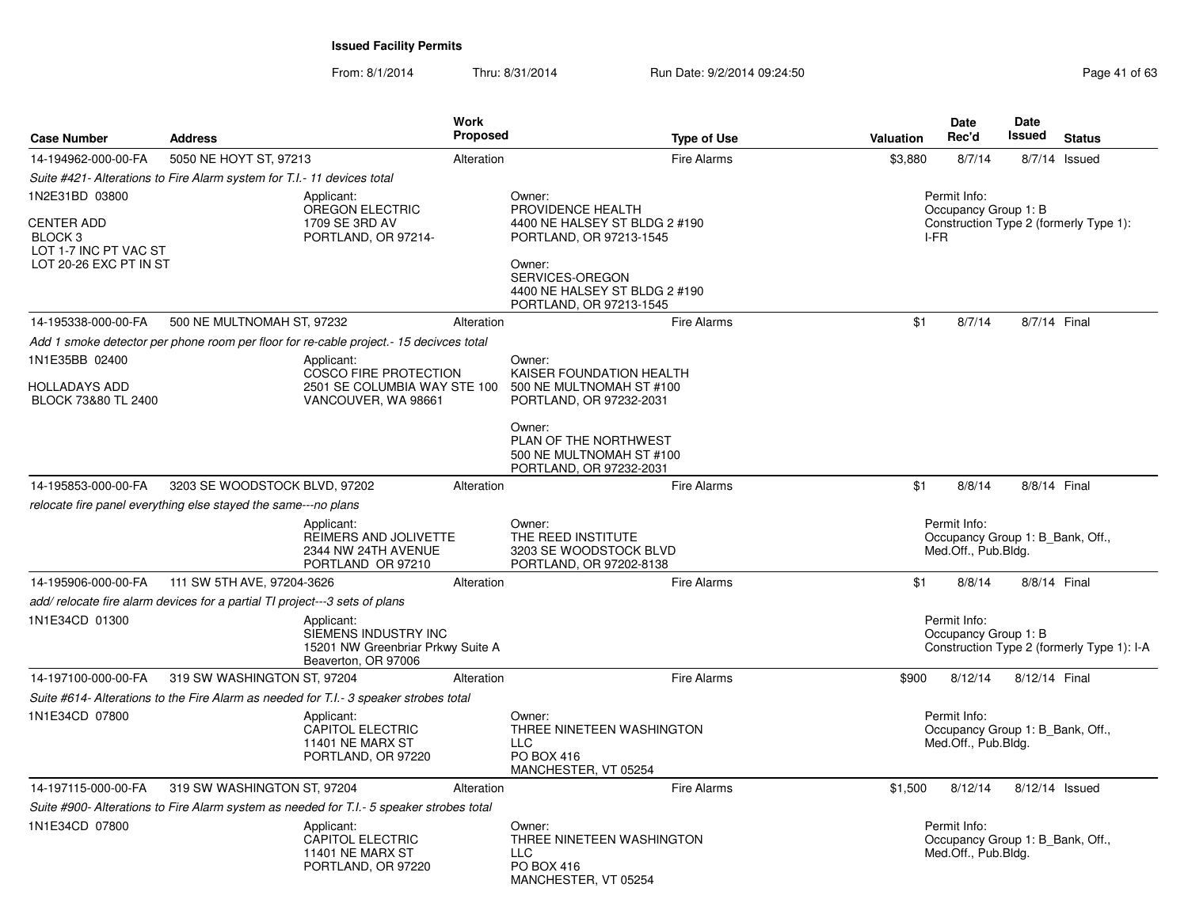| <b>Case Number</b>                                                                                | <b>Address</b>                                                                           | Work<br>Proposed                                                                               |                                                                                                                                                                                  | <b>Type of Use</b> | Valuation | <b>Date</b><br>Rec'd                                                    | Date<br><b>Issued</b> | <b>Status</b>                              |
|---------------------------------------------------------------------------------------------------|------------------------------------------------------------------------------------------|------------------------------------------------------------------------------------------------|----------------------------------------------------------------------------------------------------------------------------------------------------------------------------------|--------------------|-----------|-------------------------------------------------------------------------|-----------------------|--------------------------------------------|
| 14-194962-000-00-FA                                                                               | 5050 NE HOYT ST, 97213                                                                   | Alteration                                                                                     |                                                                                                                                                                                  | Fire Alarms        | \$3,880   | 8/7/14                                                                  |                       | 8/7/14 Issued                              |
|                                                                                                   | Suite #421- Alterations to Fire Alarm system for T.I.- 11 devices total                  |                                                                                                |                                                                                                                                                                                  |                    |           |                                                                         |                       |                                            |
| 1N2E31BD 03800<br><b>CENTER ADD</b><br>BLOCK 3<br>LOT 1-7 INC PT VAC ST<br>LOT 20-26 EXC PT IN ST |                                                                                          | Applicant:<br>OREGON ELECTRIC<br>1709 SE 3RD AV<br>PORTLAND, OR 97214-                         | Owner:<br>PROVIDENCE HEALTH<br>4400 NE HALSEY ST BLDG 2 #190<br>PORTLAND, OR 97213-1545<br>Owner:<br>SERVICES-OREGON<br>4400 NE HALSEY ST BLDG 2 #190<br>PORTLAND, OR 97213-1545 |                    | I-FR      | Permit Info:<br>Occupancy Group 1: B                                    |                       | Construction Type 2 (formerly Type 1):     |
| 14-195338-000-00-FA                                                                               | 500 NE MULTNOMAH ST, 97232                                                               | Alteration                                                                                     |                                                                                                                                                                                  | Fire Alarms        | \$1       | 8/7/14                                                                  | 8/7/14 Final          |                                            |
|                                                                                                   | Add 1 smoke detector per phone room per floor for re-cable project.-15 decivces total    |                                                                                                |                                                                                                                                                                                  |                    |           |                                                                         |                       |                                            |
| 1N1E35BB 02400<br><b>HOLLADAYS ADD</b><br>BLOCK 73&80 TL 2400                                     |                                                                                          | Applicant:<br>COSCO FIRE PROTECTION<br>2501 SE COLUMBIA WAY STE 100<br>VANCOUVER, WA 98661     | Owner:<br>KAISER FOUNDATION HEALTH<br>500 NE MULTNOMAH ST #100<br>PORTLAND, OR 97232-2031<br>Owner:<br>PLAN OF THE NORTHWEST<br>500 NE MULTNOMAH ST #100                         |                    |           |                                                                         |                       |                                            |
|                                                                                                   |                                                                                          |                                                                                                | PORTLAND, OR 97232-2031                                                                                                                                                          |                    |           |                                                                         |                       |                                            |
| 14-195853-000-00-FA                                                                               | 3203 SE WOODSTOCK BLVD, 97202                                                            | Alteration                                                                                     |                                                                                                                                                                                  | Fire Alarms        | \$1       | 8/8/14                                                                  | 8/8/14 Final          |                                            |
|                                                                                                   | relocate fire panel everything else stayed the same---no plans                           |                                                                                                |                                                                                                                                                                                  |                    |           |                                                                         |                       |                                            |
|                                                                                                   |                                                                                          | Applicant:<br>REIMERS AND JOLIVETTE<br>2344 NW 24TH AVENUE<br>PORTLAND OR 97210                | Owner:<br>THE REED INSTITUTE<br>3203 SE WOODSTOCK BLVD<br>PORTLAND, OR 97202-8138                                                                                                |                    |           | Permit Info:<br>Occupancy Group 1: B_Bank, Off.,<br>Med.Off., Pub.Bldg. |                       |                                            |
| 14-195906-000-00-FA                                                                               | 111 SW 5TH AVE, 97204-3626                                                               | Alteration                                                                                     |                                                                                                                                                                                  | Fire Alarms        | \$1       | 8/8/14                                                                  | 8/8/14 Final          |                                            |
|                                                                                                   | add/ relocate fire alarm devices for a partial TI project---3 sets of plans              |                                                                                                |                                                                                                                                                                                  |                    |           |                                                                         |                       |                                            |
| 1N1E34CD 01300                                                                                    |                                                                                          | Applicant:<br>SIEMENS INDUSTRY INC<br>15201 NW Greenbriar Prkwy Suite A<br>Beaverton, OR 97006 |                                                                                                                                                                                  |                    |           | Permit Info:<br>Occupancy Group 1: B                                    |                       | Construction Type 2 (formerly Type 1): I-A |
| 14-197100-000-00-FA                                                                               | 319 SW WASHINGTON ST, 97204                                                              | Alteration                                                                                     |                                                                                                                                                                                  | Fire Alarms        | \$900     | 8/12/14                                                                 | 8/12/14 Final         |                                            |
|                                                                                                   | Suite #614- Alterations to the Fire Alarm as needed for T.I.- 3 speaker strobes total    |                                                                                                |                                                                                                                                                                                  |                    |           |                                                                         |                       |                                            |
| 1N1E34CD 07800                                                                                    |                                                                                          | Applicant:<br><b>CAPITOL ELECTRIC</b><br>11401 NE MARX ST<br>PORTLAND, OR 97220                | Owner:<br>THREE NINETEEN WASHINGTON<br><b>LLC</b><br>PO BOX 416<br>MANCHESTER, VT 05254                                                                                          |                    |           | Permit Info:<br>Occupancy Group 1: B Bank, Off.,<br>Med.Off., Pub.Bldg. |                       |                                            |
| 14-197115-000-00-FA                                                                               | 319 SW WASHINGTON ST, 97204                                                              | Alteration                                                                                     |                                                                                                                                                                                  | Fire Alarms        | \$1,500   | 8/12/14                                                                 | 8/12/14 Issued        |                                            |
|                                                                                                   | Suite #900- Alterations to Fire Alarm system as needed for T.I.- 5 speaker strobes total |                                                                                                |                                                                                                                                                                                  |                    |           |                                                                         |                       |                                            |
| 1N1E34CD 07800                                                                                    |                                                                                          | Applicant:<br>CAPITOL ELECTRIC<br><b>11401 NE MARX ST</b><br>PORTLAND, OR 97220                | Owner:<br>THREE NINETEEN WASHINGTON<br><b>LLC</b><br>PO BOX 416<br>MANCHESTER, VT 05254                                                                                          |                    |           | Permit Info:<br>Occupancy Group 1: B_Bank, Off.,<br>Med.Off., Pub.Bldg. |                       |                                            |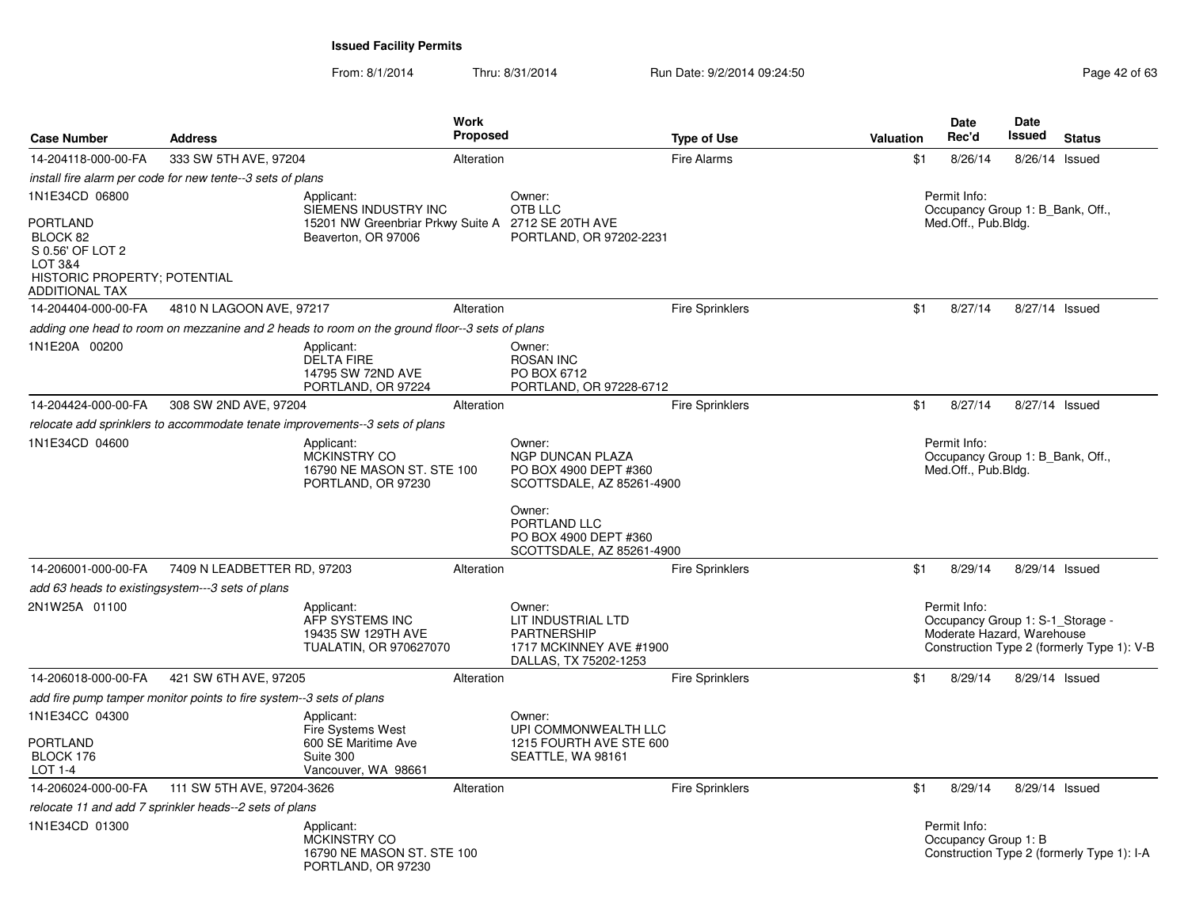From: 8/1/2014

| <b>Case Number</b>                                                                                    | <b>Address</b>                                                      |                                                                                               | <b>Work</b><br><b>Proposed</b> |                                                                                                                   | <b>Type of Use</b>     | Valuation | Date<br>Rec'd                        | Date<br>Issued<br><b>Status</b>                                                                              |
|-------------------------------------------------------------------------------------------------------|---------------------------------------------------------------------|-----------------------------------------------------------------------------------------------|--------------------------------|-------------------------------------------------------------------------------------------------------------------|------------------------|-----------|--------------------------------------|--------------------------------------------------------------------------------------------------------------|
| 14-204118-000-00-FA                                                                                   | 333 SW 5TH AVE, 97204                                               |                                                                                               | Alteration                     |                                                                                                                   | <b>Fire Alarms</b>     | \$1       | 8/26/14                              | 8/26/14 Issued                                                                                               |
|                                                                                                       | install fire alarm per code for new tente--3 sets of plans          |                                                                                               |                                |                                                                                                                   |                        |           |                                      |                                                                                                              |
| 1N1E34CD 06800                                                                                        |                                                                     | Applicant:<br>SIEMENS INDUSTRY INC                                                            |                                | Owner:<br>OTB LLC                                                                                                 |                        |           | Permit Info:                         | Occupancy Group 1: B Bank, Off.,                                                                             |
| PORTLAND<br>BLOCK 82<br>S 0.56' OF LOT 2<br>LOT 3&4<br>HISTORIC PROPERTY; POTENTIAL<br>ADDITIONAL TAX |                                                                     | 15201 NW Greenbriar Prkwy Suite A 2712 SE 20TH AVE<br>Beaverton, OR 97006                     |                                | PORTLAND, OR 97202-2231                                                                                           |                        |           | Med.Off., Pub.Bldg.                  |                                                                                                              |
| 14-204404-000-00-FA                                                                                   | 4810 N LAGOON AVE, 97217                                            |                                                                                               | Alteration                     |                                                                                                                   | <b>Fire Sprinklers</b> | \$1       | 8/27/14                              | 8/27/14 Issued                                                                                               |
|                                                                                                       |                                                                     | adding one head to room on mezzanine and 2 heads to room on the ground floor--3 sets of plans |                                |                                                                                                                   |                        |           |                                      |                                                                                                              |
| 1N1E20A 00200                                                                                         |                                                                     | Applicant:<br><b>DELTA FIRE</b><br>14795 SW 72ND AVE<br>PORTLAND, OR 97224                    |                                | Owner:<br><b>ROSAN INC</b><br>PO BOX 6712<br>PORTLAND, OR 97228-6712                                              |                        |           |                                      |                                                                                                              |
| 14-204424-000-00-FA                                                                                   | 308 SW 2ND AVE, 97204                                               |                                                                                               | Alteration                     |                                                                                                                   | <b>Fire Sprinklers</b> | \$1       | 8/27/14                              | 8/27/14 Issued                                                                                               |
|                                                                                                       |                                                                     | relocate add sprinklers to accommodate tenate improvements--3 sets of plans                   |                                |                                                                                                                   |                        |           |                                      |                                                                                                              |
| 1N1E34CD 04600                                                                                        |                                                                     | Applicant:<br><b>MCKINSTRY CO</b><br>16790 NE MASON ST. STE 100<br>PORTLAND, OR 97230         |                                | Owner:<br><b>NGP DUNCAN PLAZA</b><br>PO BOX 4900 DEPT #360<br>SCOTTSDALE, AZ 85261-4900<br>Owner:<br>PORTLAND LLC |                        |           | Permit Info:<br>Med.Off., Pub.Bldg.  | Occupancy Group 1: B_Bank, Off.,                                                                             |
|                                                                                                       |                                                                     |                                                                                               |                                | PO BOX 4900 DEPT #360<br>SCOTTSDALE, AZ 85261-4900                                                                |                        |           |                                      |                                                                                                              |
| 14-206001-000-00-FA                                                                                   | 7409 N LEADBETTER RD, 97203                                         |                                                                                               | Alteration                     |                                                                                                                   | <b>Fire Sprinklers</b> | \$1       | 8/29/14                              | 8/29/14 Issued                                                                                               |
|                                                                                                       | add 63 heads to existingsystem---3 sets of plans                    |                                                                                               |                                |                                                                                                                   |                        |           |                                      |                                                                                                              |
| 2N1W25A 01100                                                                                         |                                                                     | Applicant:<br>AFP SYSTEMS INC<br>19435 SW 129TH AVE<br>TUALATIN, OR 970627070                 |                                | Owner:<br>LIT INDUSTRIAL LTD<br><b>PARTNERSHIP</b><br>1717 MCKINNEY AVE #1900<br>DALLAS, TX 75202-1253            |                        |           | Permit Info:                         | Occupancy Group 1: S-1_Storage -<br>Moderate Hazard, Warehouse<br>Construction Type 2 (formerly Type 1): V-B |
| 14-206018-000-00-FA                                                                                   | 421 SW 6TH AVE, 97205                                               |                                                                                               | Alteration                     |                                                                                                                   | <b>Fire Sprinklers</b> | \$1       | 8/29/14                              | 8/29/14 Issued                                                                                               |
|                                                                                                       | add fire pump tamper monitor points to fire system--3 sets of plans |                                                                                               |                                |                                                                                                                   |                        |           |                                      |                                                                                                              |
| 1N1E34CC 04300                                                                                        |                                                                     | Applicant:<br>Fire Systems West                                                               |                                | Owner:<br>UPI COMMONWEALTH LLC                                                                                    |                        |           |                                      |                                                                                                              |
| <b>PORTLAND</b><br>BLOCK 176<br>LOT 1-4                                                               |                                                                     | 600 SE Maritime Ave<br>Suite 300<br>Vancouver, WA 98661                                       |                                | 1215 FOURTH AVE STE 600<br>SEATTLE, WA 98161                                                                      |                        |           |                                      |                                                                                                              |
| 14-206024-000-00-FA                                                                                   | 111 SW 5TH AVE, 97204-3626                                          |                                                                                               | Alteration                     |                                                                                                                   | <b>Fire Sprinklers</b> | \$1       | 8/29/14                              | 8/29/14 Issued                                                                                               |
|                                                                                                       | relocate 11 and add 7 sprinkler heads--2 sets of plans              |                                                                                               |                                |                                                                                                                   |                        |           |                                      |                                                                                                              |
| 1N1E34CD 01300                                                                                        |                                                                     | Applicant:<br><b>MCKINSTRY CO</b><br>16790 NE MASON ST. STE 100<br>PORTLAND, OR 97230         |                                |                                                                                                                   |                        |           | Permit Info:<br>Occupancy Group 1: B | Construction Type 2 (formerly Type 1): I-A                                                                   |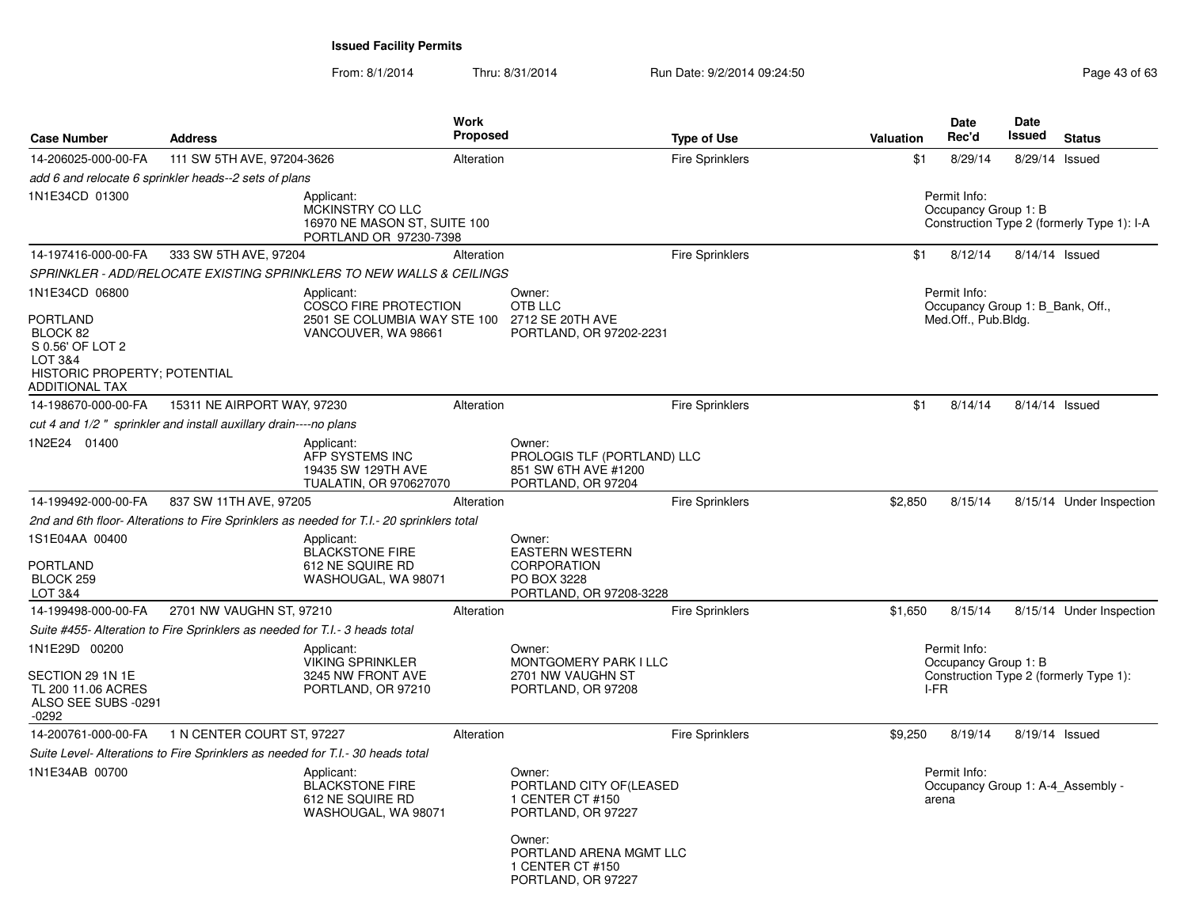From: 8/1/2014

Thru: 8/31/2014 Run Date: 9/2/2014 09:24:50 Run Date: 9/2/2014 09:24:50

| <b>Case Number</b>                                                                                                      | <b>Address</b>                                                                 |                                                                                                   | Work<br><b>Proposed</b> |                                                                                           | <b>Type of Use</b>     | Valuation | <b>Date</b><br>Rec'd                                                    | <b>Date</b><br>Issued | <b>Status</b>                              |
|-------------------------------------------------------------------------------------------------------------------------|--------------------------------------------------------------------------------|---------------------------------------------------------------------------------------------------|-------------------------|-------------------------------------------------------------------------------------------|------------------------|-----------|-------------------------------------------------------------------------|-----------------------|--------------------------------------------|
| 14-206025-000-00-FA                                                                                                     | 111 SW 5TH AVE, 97204-3626                                                     |                                                                                                   | Alteration              |                                                                                           | <b>Fire Sprinklers</b> | \$1       | 8/29/14                                                                 |                       | 8/29/14 Issued                             |
|                                                                                                                         | add 6 and relocate 6 sprinkler heads--2 sets of plans                          |                                                                                                   |                         |                                                                                           |                        |           |                                                                         |                       |                                            |
| 1N1E34CD 01300                                                                                                          |                                                                                | Applicant:<br>MCKINSTRY CO LLC<br>16970 NE MASON ST, SUITE 100<br>PORTLAND OR 97230-7398          |                         |                                                                                           |                        |           | Permit Info:<br>Occupancy Group 1: B                                    |                       | Construction Type 2 (formerly Type 1): I-A |
| 14-197416-000-00-FA                                                                                                     | 333 SW 5TH AVE, 97204                                                          |                                                                                                   | Alteration              |                                                                                           | <b>Fire Sprinklers</b> | \$1       | 8/12/14                                                                 |                       | 8/14/14 Issued                             |
|                                                                                                                         |                                                                                | SPRINKLER - ADD/RELOCATE EXISTING SPRINKLERS TO NEW WALLS & CEILINGS                              |                         |                                                                                           |                        |           |                                                                         |                       |                                            |
| 1N1E34CD 06800<br>PORTLAND<br>BLOCK 82<br>S 0.56' OF LOT 2<br>LOT 3&4<br>HISTORIC PROPERTY; POTENTIAL<br>ADDITIONAL TAX |                                                                                | Applicant:<br><b>COSCO FIRE PROTECTION</b><br>2501 SE COLUMBIA WAY STE 100<br>VANCOUVER, WA 98661 |                         | Owner:<br>OTB LLC<br>2712 SE 20TH AVE<br>PORTLAND, OR 97202-2231                          |                        |           | Permit Info:<br>Occupancy Group 1: B Bank, Off.,<br>Med.Off., Pub.Bldg. |                       |                                            |
| 14-198670-000-00-FA                                                                                                     | 15311 NE AIRPORT WAY, 97230                                                    |                                                                                                   | Alteration              |                                                                                           | <b>Fire Sprinklers</b> | \$1       | 8/14/14                                                                 |                       | 8/14/14 Issued                             |
|                                                                                                                         | cut 4 and 1/2" sprinkler and install auxillary drain----no plans               |                                                                                                   |                         |                                                                                           |                        |           |                                                                         |                       |                                            |
| 1N2E24 01400                                                                                                            |                                                                                | Applicant:<br>AFP SYSTEMS INC<br>19435 SW 129TH AVE<br><b>TUALATIN, OR 970627070</b>              |                         | Owner:<br>PROLOGIS TLF (PORTLAND) LLC<br>851 SW 6TH AVE #1200<br>PORTLAND, OR 97204       |                        |           |                                                                         |                       |                                            |
| 14-199492-000-00-FA                                                                                                     | 837 SW 11TH AVE, 97205                                                         |                                                                                                   | Alteration              |                                                                                           | <b>Fire Sprinklers</b> | \$2,850   | 8/15/14                                                                 |                       | 8/15/14 Under Inspection                   |
|                                                                                                                         |                                                                                | 2nd and 6th floor-Alterations to Fire Sprinklers as needed for T.I.- 20 sprinklers total          |                         |                                                                                           |                        |           |                                                                         |                       |                                            |
| 1S1E04AA 00400<br>PORTLAND<br>BLOCK 259<br>LOT 3&4                                                                      |                                                                                | Applicant:<br><b>BLACKSTONE FIRE</b><br>612 NE SQUIRE RD<br>WASHOUGAL, WA 98071                   |                         | Owner:<br><b>EASTERN WESTERN</b><br>CORPORATION<br>PO BOX 3228<br>PORTLAND, OR 97208-3228 |                        |           |                                                                         |                       |                                            |
| 14-199498-000-00-FA                                                                                                     | 2701 NW VAUGHN ST, 97210                                                       |                                                                                                   | Alteration              |                                                                                           | <b>Fire Sprinklers</b> | \$1,650   | 8/15/14                                                                 |                       | 8/15/14 Under Inspection                   |
|                                                                                                                         | Suite #455- Alteration to Fire Sprinklers as needed for T.I.- 3 heads total    |                                                                                                   |                         |                                                                                           |                        |           |                                                                         |                       |                                            |
| 1N1E29D 00200<br>SECTION 29 1N 1E<br>TL 200 11.06 ACRES<br>ALSO SEE SUBS -0291<br>$-0292$                               |                                                                                | Applicant:<br><b>VIKING SPRINKLER</b><br>3245 NW FRONT AVE<br>PORTLAND, OR 97210                  |                         | Owner:<br>MONTGOMERY PARK I LLC<br>2701 NW VAUGHN ST<br>PORTLAND, OR 97208                |                        |           | Permit Info:<br>Occupancy Group 1: B<br>I-FR                            |                       | Construction Type 2 (formerly Type 1):     |
| 14-200761-000-00-FA                                                                                                     | 1 N CENTER COURT ST, 97227                                                     |                                                                                                   | Alteration              |                                                                                           | <b>Fire Sprinklers</b> | \$9,250   | 8/19/14                                                                 |                       | 8/19/14 Issued                             |
|                                                                                                                         | Suite Level- Alterations to Fire Sprinklers as needed for T.I.- 30 heads total |                                                                                                   |                         |                                                                                           |                        |           |                                                                         |                       |                                            |
| 1N1E34AB 00700                                                                                                          |                                                                                | Applicant:<br><b>BLACKSTONE FIRE</b><br>612 NE SQUIRE RD<br>WASHOUGAL, WA 98071                   |                         | Owner:<br>PORTLAND CITY OF (LEASED<br>1 CENTER CT #150<br>PORTLAND, OR 97227              |                        |           | Permit Info:<br>arena                                                   |                       | Occupancy Group 1: A-4 Assembly -          |
|                                                                                                                         |                                                                                |                                                                                                   |                         | Owner:<br>PORTLAND ARENA MGMT LLC<br>1 CENTER CT #150<br>PORTLAND, OR 97227               |                        |           |                                                                         |                       |                                            |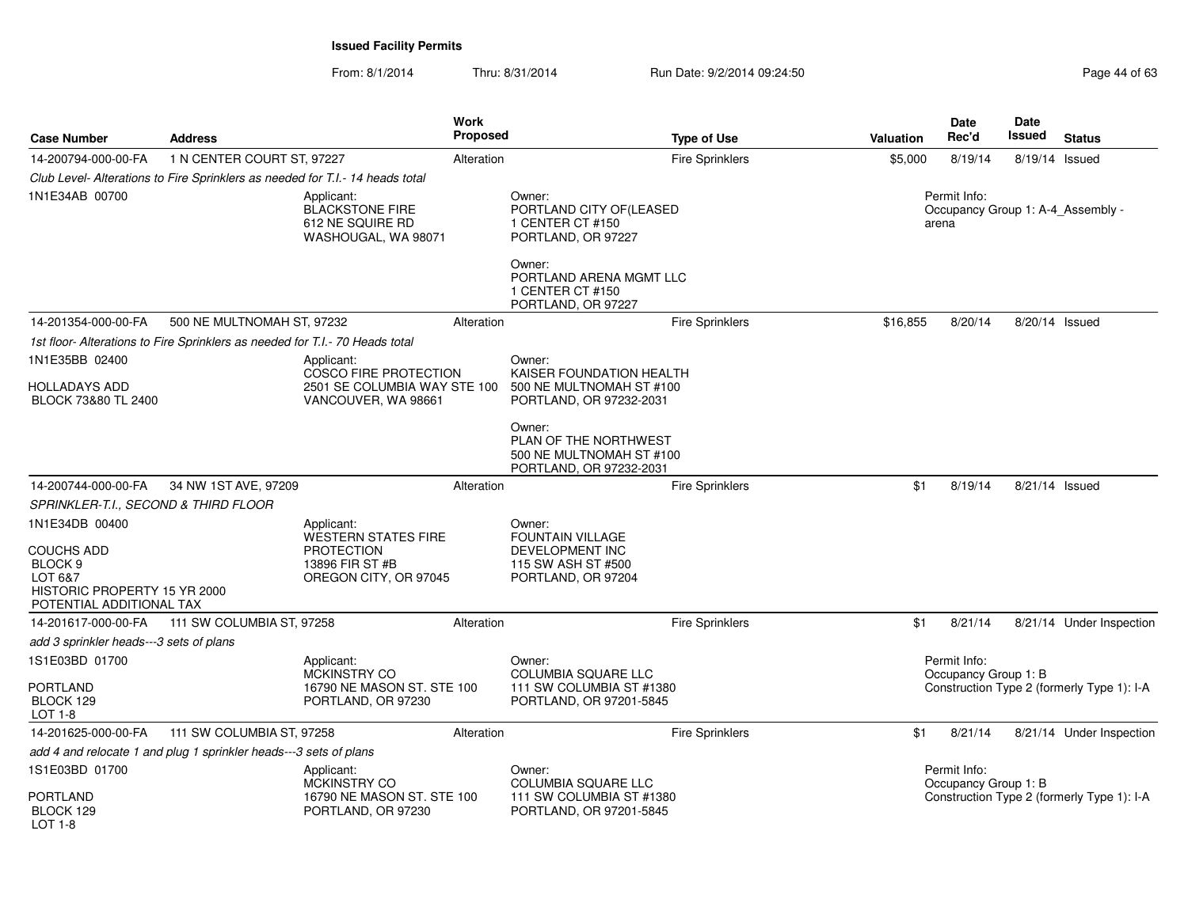| <b>Case Number</b>                                                                        | <b>Address</b>                                                                |                                                                                 | Work<br><b>Proposed</b> |                                                                                        | <b>Type of Use</b>     | Valuation | <b>Date</b><br>Rec'd                 | <b>Date</b><br>Issued | <b>Status</b>                              |
|-------------------------------------------------------------------------------------------|-------------------------------------------------------------------------------|---------------------------------------------------------------------------------|-------------------------|----------------------------------------------------------------------------------------|------------------------|-----------|--------------------------------------|-----------------------|--------------------------------------------|
| 14-200794-000-00-FA                                                                       | 1 N CENTER COURT ST, 97227                                                    |                                                                                 | Alteration              |                                                                                        | <b>Fire Sprinklers</b> | \$5,000   | 8/19/14                              | 8/19/14 Issued        |                                            |
|                                                                                           | Club Level- Alterations to Fire Sprinklers as needed for T.I.- 14 heads total |                                                                                 |                         |                                                                                        |                        |           |                                      |                       |                                            |
| 1N1E34AB 00700                                                                            |                                                                               | Applicant:<br><b>BLACKSTONE FIRE</b><br>612 NE SQUIRE RD<br>WASHOUGAL, WA 98071 |                         | Owner:<br>PORTLAND CITY OF(LEASED<br>1 CENTER CT #150<br>PORTLAND, OR 97227            |                        |           | Permit Info:<br>arena                |                       | Occupancy Group 1: A-4_Assembly -          |
|                                                                                           |                                                                               |                                                                                 |                         | Owner:<br>PORTLAND ARENA MGMT LLC<br>1 CENTER CT #150<br>PORTLAND, OR 97227            |                        |           |                                      |                       |                                            |
| 14-201354-000-00-FA                                                                       | 500 NE MULTNOMAH ST, 97232                                                    |                                                                                 | Alteration              |                                                                                        | <b>Fire Sprinklers</b> | \$16,855  | 8/20/14                              | 8/20/14 Issued        |                                            |
|                                                                                           | 1st floor-Alterations to Fire Sprinklers as needed for T.I.- 70 Heads total   |                                                                                 |                         |                                                                                        |                        |           |                                      |                       |                                            |
| 1N1E35BB 02400                                                                            |                                                                               | Applicant:<br>COSCO FIRE PROTECTION                                             |                         | Owner:<br>KAISER FOUNDATION HEALTH                                                     |                        |           |                                      |                       |                                            |
| <b>HOLLADAYS ADD</b><br>BLOCK 73&80 TL 2400                                               |                                                                               | 2501 SE COLUMBIA WAY STE 100<br>VANCOUVER, WA 98661                             |                         | 500 NE MULTNOMAH ST #100<br>PORTLAND, OR 97232-2031                                    |                        |           |                                      |                       |                                            |
|                                                                                           |                                                                               |                                                                                 |                         | Owner:<br>PLAN OF THE NORTHWEST<br>500 NE MULTNOMAH ST #100<br>PORTLAND, OR 97232-2031 |                        |           |                                      |                       |                                            |
| 14-200744-000-00-FA                                                                       | 34 NW 1ST AVE, 97209                                                          |                                                                                 | Alteration              |                                                                                        | <b>Fire Sprinklers</b> | \$1       | 8/19/14                              | 8/21/14 Issued        |                                            |
| SPRINKLER-T.I., SECOND & THIRD FLOOR                                                      |                                                                               |                                                                                 |                         |                                                                                        |                        |           |                                      |                       |                                            |
| 1N1E34DB 00400<br><b>COUCHS ADD</b>                                                       |                                                                               | Applicant:<br><b>WESTERN STATES FIRE</b><br><b>PROTECTION</b>                   |                         | Owner:<br><b>FOUNTAIN VILLAGE</b><br>DEVELOPMENT INC                                   |                        |           |                                      |                       |                                            |
| BLOCK <sub>9</sub><br>LOT 6&7<br>HISTORIC PROPERTY 15 YR 2000<br>POTENTIAL ADDITIONAL TAX |                                                                               | 13896 FIR ST #B<br>OREGON CITY, OR 97045                                        |                         | 115 SW ASH ST #500<br>PORTLAND, OR 97204                                               |                        |           |                                      |                       |                                            |
| 14-201617-000-00-FA                                                                       | 111 SW COLUMBIA ST, 97258                                                     |                                                                                 | Alteration              |                                                                                        | <b>Fire Sprinklers</b> | \$1       | 8/21/14                              |                       | 8/21/14 Under Inspection                   |
| add 3 sprinkler heads---3 sets of plans                                                   |                                                                               |                                                                                 |                         |                                                                                        |                        |           |                                      |                       |                                            |
| 1S1E03BD 01700<br><b>PORTLAND</b>                                                         |                                                                               | Applicant:<br>MCKINSTRY CO<br>16790 NE MASON ST. STE 100                        |                         | Owner:<br><b>COLUMBIA SQUARE LLC</b><br>111 SW COLUMBIA ST #1380                       |                        |           | Permit Info:<br>Occupancy Group 1: B |                       | Construction Type 2 (formerly Type 1): I-A |
| BLOCK 129<br>LOT 1-8                                                                      |                                                                               | PORTLAND, OR 97230                                                              |                         | PORTLAND, OR 97201-5845                                                                |                        |           |                                      |                       |                                            |
| 14-201625-000-00-FA                                                                       | 111 SW COLUMBIA ST, 97258                                                     |                                                                                 | Alteration              |                                                                                        | <b>Fire Sprinklers</b> | \$1       | 8/21/14                              |                       | 8/21/14 Under Inspection                   |
|                                                                                           | add 4 and relocate 1 and plug 1 sprinkler heads---3 sets of plans             |                                                                                 |                         |                                                                                        |                        |           |                                      |                       |                                            |
| 1S1E03BD 01700                                                                            |                                                                               | Applicant:<br><b>MCKINSTRY CO</b>                                               |                         | Owner:<br><b>COLUMBIA SQUARE LLC</b>                                                   |                        |           | Permit Info:<br>Occupancy Group 1: B |                       |                                            |
| PORTLAND<br>BLOCK 129<br>LOT 1-8                                                          |                                                                               | 16790 NE MASON ST. STE 100<br>PORTLAND, OR 97230                                |                         | 111 SW COLUMBIA ST #1380<br>PORTLAND, OR 97201-5845                                    |                        |           |                                      |                       | Construction Type 2 (formerly Type 1): I-A |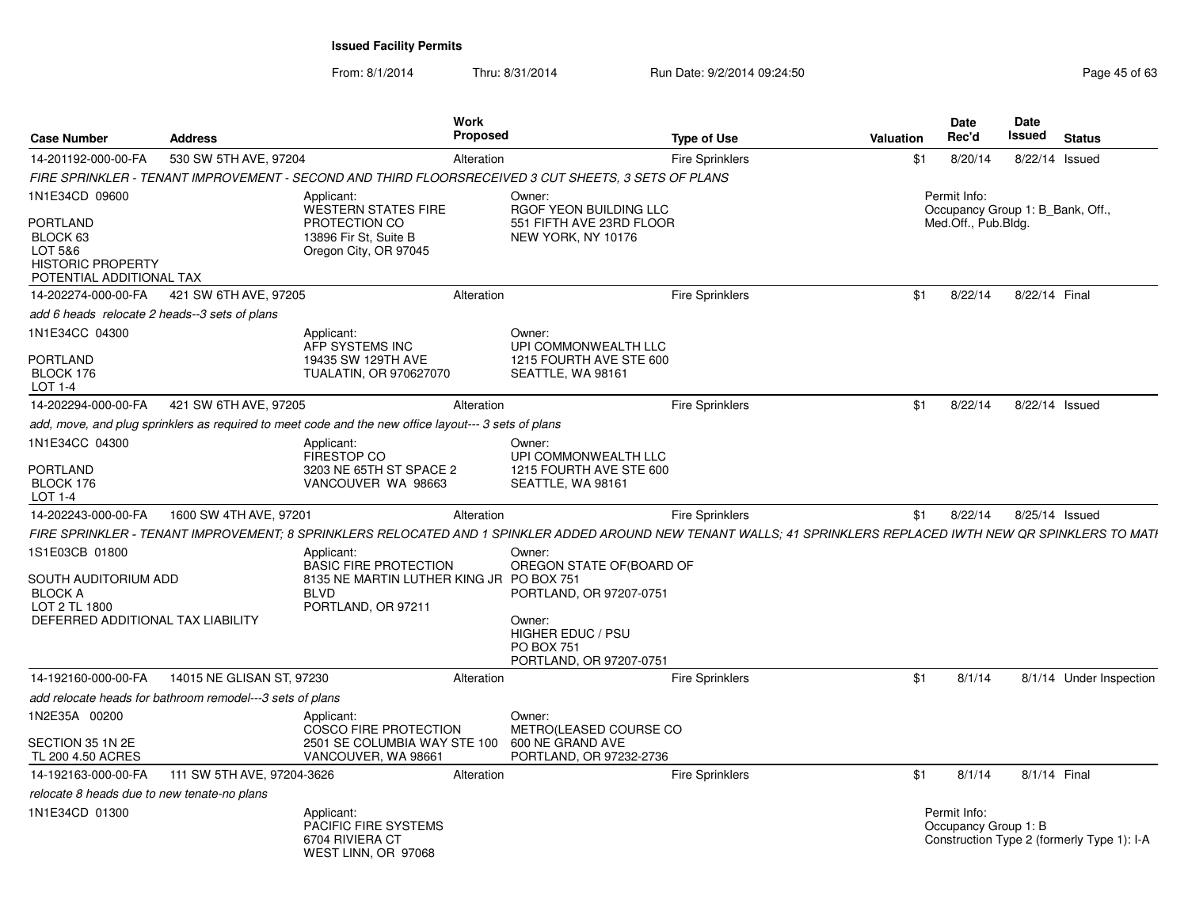| <b>Case Number</b>                                                                                             | <b>Address</b>                                            | <b>Work</b>                                                                                                                                                    | <b>Proposed</b>  |                                                                                                                           | <b>Type of Use</b>     | Valuation | <b>Date</b><br>Rec'd                             | <b>Date</b><br>Issued | <b>Status</b>                              |
|----------------------------------------------------------------------------------------------------------------|-----------------------------------------------------------|----------------------------------------------------------------------------------------------------------------------------------------------------------------|------------------|---------------------------------------------------------------------------------------------------------------------------|------------------------|-----------|--------------------------------------------------|-----------------------|--------------------------------------------|
| 14-201192-000-00-FA                                                                                            | 530 SW 5TH AVE, 97204                                     |                                                                                                                                                                | Alteration       |                                                                                                                           | <b>Fire Sprinklers</b> | \$1       | 8/20/14                                          | 8/22/14 Issued        |                                            |
|                                                                                                                |                                                           | FIRE SPRINKLER - TENANT IMPROVEMENT - SECOND AND THIRD FLOORSRECEIVED 3 CUT SHEETS, 3 SETS OF PLANS                                                            |                  |                                                                                                                           |                        |           |                                                  |                       |                                            |
| 1N1E34CD 09600                                                                                                 |                                                           | Applicant:<br><b>WESTERN STATES FIRE</b>                                                                                                                       | Owner:           | RGOF YEON BUILDING LLC                                                                                                    |                        |           | Permit Info:<br>Occupancy Group 1: B Bank, Off., |                       |                                            |
| <b>PORTLAND</b><br>BLOCK 63<br>LOT 5&6<br><b>HISTORIC PROPERTY</b><br>POTENTIAL ADDITIONAL TAX                 |                                                           | PROTECTION CO<br>13896 Fir St, Suite B<br>Oregon City, OR 97045                                                                                                |                  | 551 FIFTH AVE 23RD FLOOR<br>NEW YORK, NY 10176                                                                            |                        |           | Med.Off., Pub.Bldg.                              |                       |                                            |
| 14-202274-000-00-FA                                                                                            | 421 SW 6TH AVE, 97205                                     |                                                                                                                                                                | Alteration       |                                                                                                                           | <b>Fire Sprinklers</b> | \$1       | 8/22/14                                          | 8/22/14 Final         |                                            |
| add 6 heads relocate 2 heads--3 sets of plans                                                                  |                                                           |                                                                                                                                                                |                  |                                                                                                                           |                        |           |                                                  |                       |                                            |
| 1N1E34CC 04300                                                                                                 |                                                           | Applicant:<br>AFP SYSTEMS INC                                                                                                                                  | Owner:           | UPI COMMONWEALTH LLC                                                                                                      |                        |           |                                                  |                       |                                            |
| <b>PORTLAND</b><br>BLOCK 176<br>LOT 1-4                                                                        |                                                           | 19435 SW 129TH AVE<br><b>TUALATIN, OR 970627070</b>                                                                                                            |                  | 1215 FOURTH AVE STE 600<br>SEATTLE, WA 98161                                                                              |                        |           |                                                  |                       |                                            |
| 14-202294-000-00-FA                                                                                            | 421 SW 6TH AVE, 97205                                     |                                                                                                                                                                | Alteration       |                                                                                                                           | Fire Sprinklers        | \$1       | 8/22/14                                          | 8/22/14 Issued        |                                            |
|                                                                                                                |                                                           | add, move, and plug sprinklers as required to meet code and the new office layout--- 3 sets of plans                                                           |                  |                                                                                                                           |                        |           |                                                  |                       |                                            |
| 1N1E34CC 04300                                                                                                 |                                                           | Applicant:<br><b>FIRESTOP CO</b>                                                                                                                               | Owner:           | UPI COMMONWEALTH LLC                                                                                                      |                        |           |                                                  |                       |                                            |
| <b>PORTLAND</b><br>BLOCK 176<br>LOT 1-4                                                                        |                                                           | 3203 NE 65TH ST SPACE 2<br>VANCOUVER WA 98663                                                                                                                  |                  | 1215 FOURTH AVE STE 600<br>SEATTLE, WA 98161                                                                              |                        |           |                                                  |                       |                                            |
| 14-202243-000-00-FA                                                                                            | 1600 SW 4TH AVE, 97201                                    |                                                                                                                                                                | Alteration       |                                                                                                                           | <b>Fire Sprinklers</b> | \$1       | 8/22/14                                          | 8/25/14 Issued        |                                            |
|                                                                                                                |                                                           | FIRE SPRINKLER - TENANT IMPROVEMENT: 8 SPRINKLERS RELOCATED AND 1 SPINKLER ADDED AROUND NEW TENANT WALLS: 41 SPRINKLERS REPLACED IWTH NEW QR SPINKLERS TO MATI |                  |                                                                                                                           |                        |           |                                                  |                       |                                            |
| 1S1E03CB 01800<br>SOUTH AUDITORIUM ADD<br><b>BLOCK A</b><br>LOT 2 TL 1800<br>DEFERRED ADDITIONAL TAX LIABILITY |                                                           | Applicant:<br><b>BASIC FIRE PROTECTION</b><br>8135 NE MARTIN LUTHER KING JR<br><b>BLVD</b><br>PORTLAND, OR 97211                                               | Owner:<br>Owner: | OREGON STATE OF(BOARD OF<br><b>PO BOX 751</b><br>PORTLAND, OR 97207-0751<br><b>HIGHER EDUC / PSU</b><br><b>PO BOX 751</b> |                        |           |                                                  |                       |                                            |
|                                                                                                                |                                                           |                                                                                                                                                                |                  | PORTLAND, OR 97207-0751                                                                                                   |                        |           |                                                  |                       |                                            |
| 14-192160-000-00-FA                                                                                            | 14015 NE GLISAN ST, 97230                                 |                                                                                                                                                                | Alteration       |                                                                                                                           | <b>Fire Sprinklers</b> | \$1       | 8/1/14                                           |                       | 8/1/14 Under Inspection                    |
|                                                                                                                | add relocate heads for bathroom remodel---3 sets of plans |                                                                                                                                                                |                  |                                                                                                                           |                        |           |                                                  |                       |                                            |
| 1N2E35A 00200                                                                                                  |                                                           | Applicant:<br><b>COSCO FIRE PROTECTION</b>                                                                                                                     | Owner:           | METRO(LEASED COURSE CO                                                                                                    |                        |           |                                                  |                       |                                            |
| SECTION 35 1N 2E<br>TL 200 4.50 ACRES                                                                          |                                                           | 2501 SE COLUMBIA WAY STE 100<br>VANCOUVER, WA 98661                                                                                                            |                  | 600 NE GRAND AVE<br>PORTLAND, OR 97232-2736                                                                               |                        |           |                                                  |                       |                                            |
| 14-192163-000-00-FA                                                                                            | 111 SW 5TH AVE, 97204-3626                                |                                                                                                                                                                | Alteration       |                                                                                                                           | <b>Fire Sprinklers</b> | \$1       | 8/1/14                                           | 8/1/14 Final          |                                            |
| relocate 8 heads due to new tenate-no plans                                                                    |                                                           |                                                                                                                                                                |                  |                                                                                                                           |                        |           |                                                  |                       |                                            |
| 1N1E34CD 01300                                                                                                 |                                                           | Applicant:<br>PACIFIC FIRE SYSTEMS<br>6704 RIVIERA CT<br>WEST LINN, OR 97068                                                                                   |                  |                                                                                                                           |                        |           | Permit Info:<br>Occupancy Group 1: B             |                       | Construction Type 2 (formerly Type 1): I-A |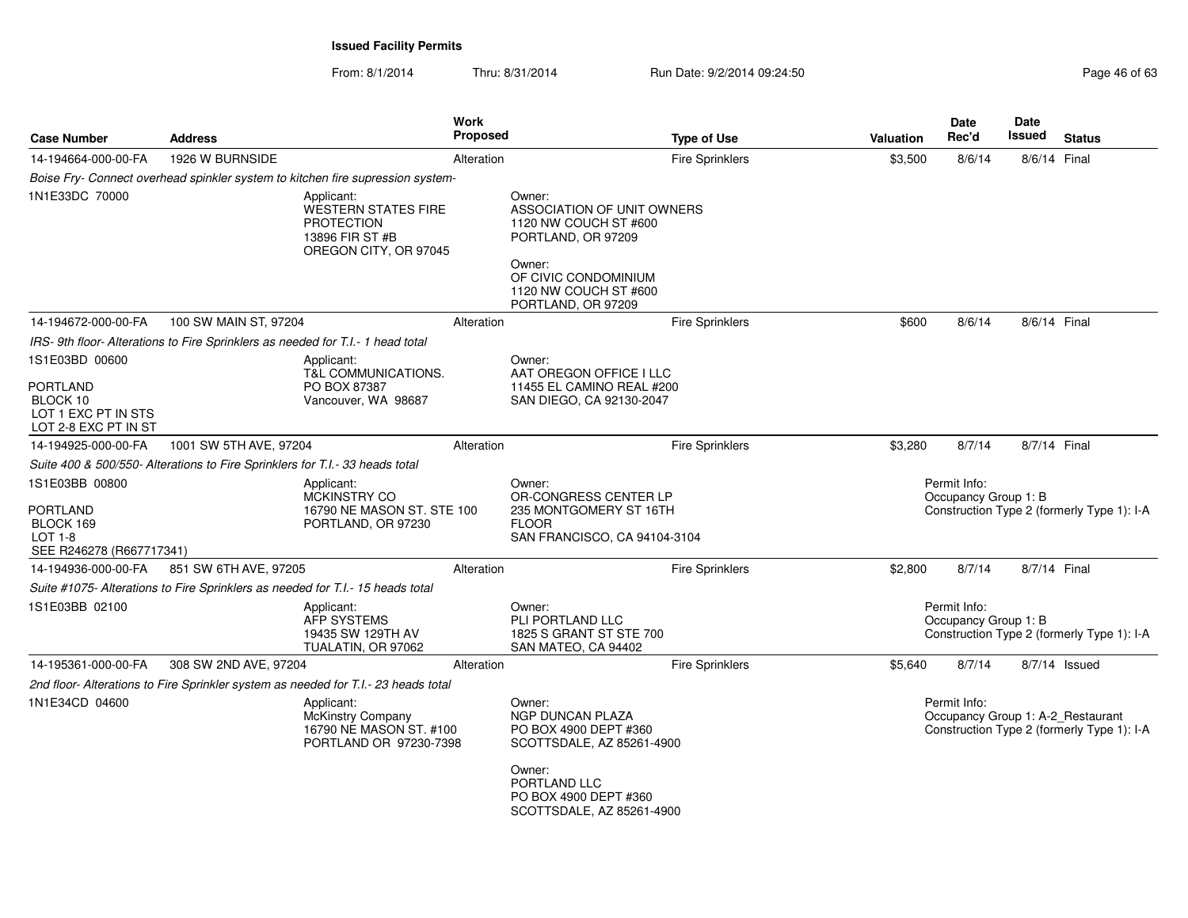| <b>Case Number</b>                                                                    | <b>Address</b>                                                                 |                                                                                                    | Work<br><b>Proposed</b> |                                                                                                                                                                      | <b>Type of Use</b>     | <b>Valuation</b> | <b>Date</b><br>Rec'd                 | Date<br>Issued | <b>Status</b>                                                                   |
|---------------------------------------------------------------------------------------|--------------------------------------------------------------------------------|----------------------------------------------------------------------------------------------------|-------------------------|----------------------------------------------------------------------------------------------------------------------------------------------------------------------|------------------------|------------------|--------------------------------------|----------------|---------------------------------------------------------------------------------|
| 14-194664-000-00-FA                                                                   | 1926 W BURNSIDE                                                                |                                                                                                    | Alteration              |                                                                                                                                                                      | <b>Fire Sprinklers</b> | \$3,500          | 8/6/14                               | 8/6/14 Final   |                                                                                 |
|                                                                                       |                                                                                | Boise Fry- Connect overhead spinkler system to kitchen fire supression system-                     |                         |                                                                                                                                                                      |                        |                  |                                      |                |                                                                                 |
| 1N1E33DC 70000                                                                        |                                                                                | Applicant:<br>WESTERN STATES FIRE<br><b>PROTECTION</b><br>13896 FIR ST #B<br>OREGON CITY, OR 97045 |                         | Owner:<br>ASSOCIATION OF UNIT OWNERS<br>1120 NW COUCH ST #600<br>PORTLAND, OR 97209<br>Owner:<br>OF CIVIC CONDOMINIUM<br>1120 NW COUCH ST #600<br>PORTLAND, OR 97209 |                        |                  |                                      |                |                                                                                 |
| 14-194672-000-00-FA                                                                   | 100 SW MAIN ST, 97204                                                          |                                                                                                    | Alteration              |                                                                                                                                                                      | <b>Fire Sprinklers</b> | \$600            | 8/6/14                               | 8/6/14 Final   |                                                                                 |
|                                                                                       | IRS-9th floor-Alterations to Fire Sprinklers as needed for T.I.-1 head total   |                                                                                                    |                         |                                                                                                                                                                      |                        |                  |                                      |                |                                                                                 |
| 1S1E03BD 00600<br>PORTLAND<br>BLOCK 10<br>LOT 1 EXC PT IN STS<br>LOT 2-8 EXC PT IN ST |                                                                                | Applicant:<br>T&L COMMUNICATIONS.<br>PO BOX 87387<br>Vancouver, WA 98687                           |                         | Owner:<br>AAT OREGON OFFICE I LLC<br>11455 EL CAMINO REAL #200<br>SAN DIEGO, CA 92130-2047                                                                           |                        |                  |                                      |                |                                                                                 |
| 14-194925-000-00-FA                                                                   | 1001 SW 5TH AVE, 97204                                                         |                                                                                                    | Alteration              |                                                                                                                                                                      | <b>Fire Sprinklers</b> | \$3,280          | 8/7/14                               | 8/7/14 Final   |                                                                                 |
|                                                                                       | Suite 400 & 500/550- Alterations to Fire Sprinklers for T.I.- 33 heads total   |                                                                                                    |                         |                                                                                                                                                                      |                        |                  |                                      |                |                                                                                 |
| 1S1E03BB 00800<br>PORTLAND<br>BLOCK 169<br>$LOT 1-8$<br>SEE R246278 (R667717341)      |                                                                                | Applicant:<br>MCKINSTRY CO<br>16790 NE MASON ST. STE 100<br>PORTLAND, OR 97230                     |                         | Owner:<br>OR-CONGRESS CENTER LP<br>235 MONTGOMERY ST 16TH<br><b>FLOOR</b><br>SAN FRANCISCO, CA 94104-3104                                                            |                        |                  | Permit Info:<br>Occupancy Group 1: B |                | Construction Type 2 (formerly Type 1): I-A                                      |
| 14-194936-000-00-FA                                                                   | 851 SW 6TH AVE, 97205                                                          |                                                                                                    | Alteration              |                                                                                                                                                                      | <b>Fire Sprinklers</b> | \$2,800          | 8/7/14                               | 8/7/14 Final   |                                                                                 |
|                                                                                       | Suite #1075- Alterations to Fire Sprinklers as needed for T.I.- 15 heads total |                                                                                                    |                         |                                                                                                                                                                      |                        |                  |                                      |                |                                                                                 |
| 1S1E03BB 02100                                                                        |                                                                                | Applicant:<br>AFP SYSTEMS<br>19435 SW 129TH AV<br>TUALATIN, OR 97062                               |                         | Owner:<br>PLI PORTLAND LLC<br>1825 S GRANT ST STE 700<br>SAN MATEO, CA 94402                                                                                         |                        |                  | Permit Info:<br>Occupancy Group 1: B |                | Construction Type 2 (formerly Type 1): I-A                                      |
| 14-195361-000-00-FA                                                                   | 308 SW 2ND AVE, 97204                                                          |                                                                                                    | Alteration              |                                                                                                                                                                      | <b>Fire Sprinklers</b> | \$5,640          | 8/7/14                               |                | $8/7/14$ Issued                                                                 |
|                                                                                       |                                                                                | 2nd floor- Alterations to Fire Sprinkler system as needed for T.I.- 23 heads total                 |                         |                                                                                                                                                                      |                        |                  |                                      |                |                                                                                 |
| 1N1E34CD 04600                                                                        |                                                                                | Applicant:<br>McKinstry Company<br>16790 NE MASON ST. #100<br>PORTLAND OR 97230-7398               |                         | Owner:<br>NGP DUNCAN PLAZA<br>PO BOX 4900 DEPT #360<br>SCOTTSDALE, AZ 85261-4900<br>Owner:<br>PORTLAND LLC                                                           |                        |                  | Permit Info:                         |                | Occupancy Group 1: A-2_Restaurant<br>Construction Type 2 (formerly Type 1): I-A |
|                                                                                       |                                                                                |                                                                                                    |                         | PO BOX 4900 DEPT #360<br>SCOTTSDALE, AZ 85261-4900                                                                                                                   |                        |                  |                                      |                |                                                                                 |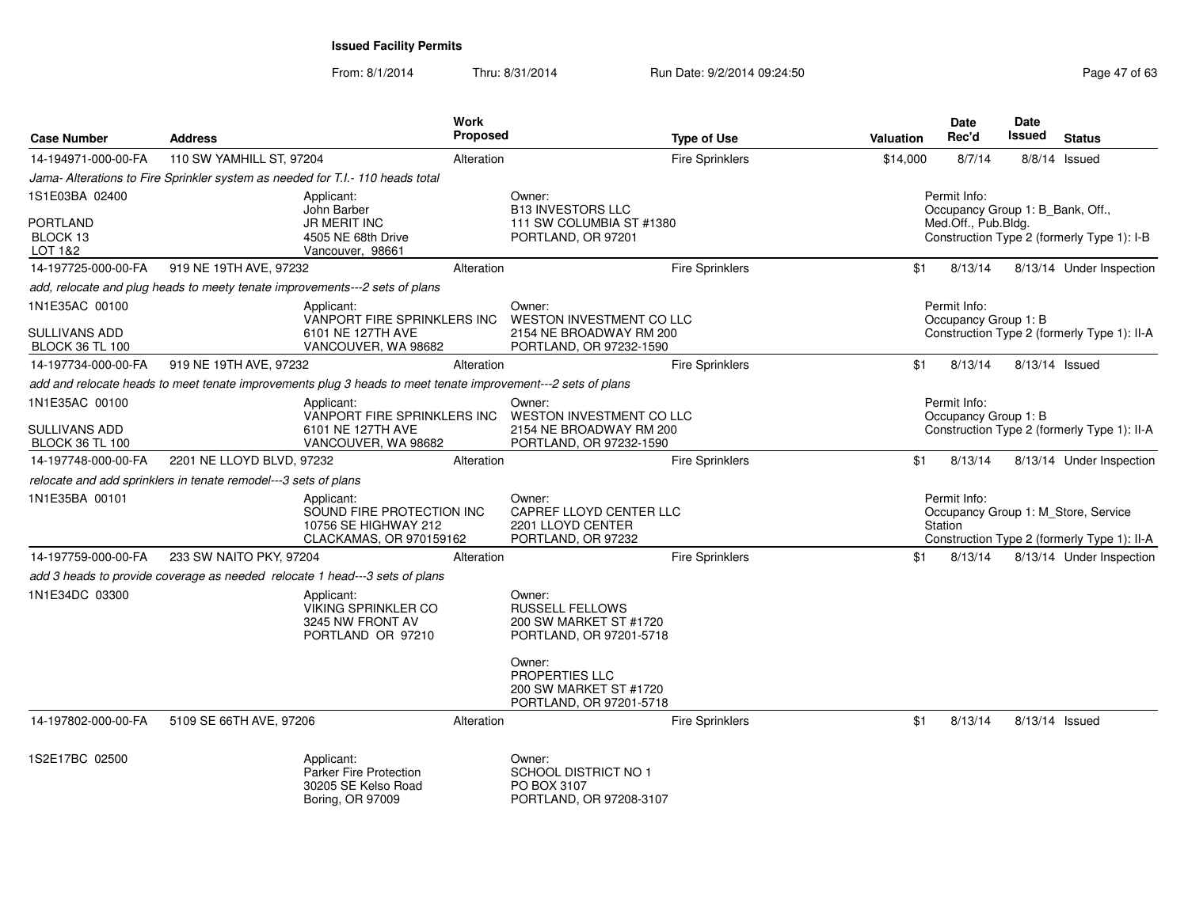| <b>Case Number</b>                      | <b>Address</b>                                                  |                                                                                                              | Work<br>Proposed |                                                                                       | <b>Type of Use</b>     | <b>Valuation</b> | Date<br>Rec'd           | Date<br>Issued       | <b>Status</b>                                                                      |
|-----------------------------------------|-----------------------------------------------------------------|--------------------------------------------------------------------------------------------------------------|------------------|---------------------------------------------------------------------------------------|------------------------|------------------|-------------------------|----------------------|------------------------------------------------------------------------------------|
| 14-194971-000-00-FA                     | 110 SW YAMHILL ST, 97204                                        |                                                                                                              | Alteration       |                                                                                       | <b>Fire Sprinklers</b> | \$14,000         | 8/7/14                  |                      | $8/8/14$ Issued                                                                    |
|                                         |                                                                 | Jama- Alterations to Fire Sprinkler system as needed for T.I.- 110 heads total                               |                  |                                                                                       |                        |                  |                         |                      |                                                                                    |
| 1S1E03BA 02400                          |                                                                 | Applicant:<br>John Barber                                                                                    |                  | Owner:<br><b>B13 INVESTORS LLC</b>                                                    |                        |                  | Permit Info:            |                      | Occupancy Group 1: B_Bank, Off.,                                                   |
| <b>PORTLAND</b>                         |                                                                 | JR MERIT INC                                                                                                 |                  | 111 SW COLUMBIA ST #1380                                                              |                        |                  | Med.Off., Pub.Bldg.     |                      |                                                                                    |
| BLOCK 13<br>LOT 1&2                     |                                                                 | 4505 NE 68th Drive<br>Vancouver, 98661                                                                       |                  | PORTLAND, OR 97201                                                                    |                        |                  |                         |                      | Construction Type 2 (formerly Type 1): I-B                                         |
| 14-197725-000-00-FA                     | 919 NE 19TH AVE, 97232                                          |                                                                                                              | Alteration       |                                                                                       | <b>Fire Sprinklers</b> |                  | \$1<br>8/13/14          |                      | 8/13/14 Under Inspection                                                           |
|                                         |                                                                 | add, relocate and plug heads to meety tenate improvements---2 sets of plans                                  |                  |                                                                                       |                        |                  |                         |                      |                                                                                    |
| 1N1E35AC 00100                          |                                                                 | Applicant:<br>VANPORT FIRE SPRINKLERS INC                                                                    |                  | Owner:<br>WESTON INVESTMENT CO LLC                                                    |                        |                  | Permit Info:            | Occupancy Group 1: B |                                                                                    |
| SULLIVANS ADD<br><b>BLOCK 36 TL 100</b> |                                                                 | 6101 NE 127TH AVE<br>VANCOUVER, WA 98682                                                                     |                  | 2154 NE BROADWAY RM 200<br>PORTLAND, OR 97232-1590                                    |                        |                  |                         |                      | Construction Type 2 (formerly Type 1): II-A                                        |
| 14-197734-000-00-FA                     | 919 NE 19TH AVE, 97232                                          |                                                                                                              | Alteration       |                                                                                       | <b>Fire Sprinklers</b> |                  | \$1<br>8/13/14          |                      | 8/13/14 Issued                                                                     |
|                                         |                                                                 | add and relocate heads to meet tenate improvements plug 3 heads to meet tenate improvement---2 sets of plans |                  |                                                                                       |                        |                  |                         |                      |                                                                                    |
| 1N1E35AC 00100                          |                                                                 | Applicant:<br>VANPORT FIRE SPRINKLERS INC                                                                    |                  | Owner:<br>WESTON INVESTMENT CO LLC                                                    |                        |                  | Permit Info:            | Occupancy Group 1: B |                                                                                    |
| SULLIVANS ADD<br><b>BLOCK 36 TL 100</b> |                                                                 | 6101 NE 127TH AVE<br>VANCOUVER, WA 98682                                                                     |                  | 2154 NE BROADWAY RM 200<br>PORTLAND, OR 97232-1590                                    |                        |                  |                         |                      | Construction Type 2 (formerly Type 1): II-A                                        |
| 14-197748-000-00-FA                     | 2201 NE LLOYD BLVD, 97232                                       |                                                                                                              | Alteration       |                                                                                       | Fire Sprinklers        |                  | \$1<br>8/13/14          |                      | 8/13/14 Under Inspection                                                           |
|                                         | relocate and add sprinklers in tenate remodel---3 sets of plans |                                                                                                              |                  |                                                                                       |                        |                  |                         |                      |                                                                                    |
| 1N1E35BA 00101                          |                                                                 | Applicant:<br>SOUND FIRE PROTECTION INC<br>10756 SE HIGHWAY 212<br>CLACKAMAS, OR 970159162                   |                  | Owner:<br>CAPREF LLOYD CENTER LLC<br>2201 LLOYD CENTER<br>PORTLAND, OR 97232          |                        |                  | Permit Info:<br>Station |                      | Occupancy Group 1: M Store, Service<br>Construction Type 2 (formerly Type 1): II-A |
| 14-197759-000-00-FA                     | 233 SW NAITO PKY, 97204                                         |                                                                                                              | Alteration       |                                                                                       | Fire Sprinklers        |                  | \$1<br>8/13/14          |                      | 8/13/14 Under Inspection                                                           |
|                                         |                                                                 | add 3 heads to provide coverage as needed relocate 1 head---3 sets of plans                                  |                  |                                                                                       |                        |                  |                         |                      |                                                                                    |
| 1N1E34DC 03300                          |                                                                 | Applicant:<br><b>VIKING SPRINKLER CO</b><br>3245 NW FRONT AV<br>PORTLAND OR 97210                            |                  | Owner:<br><b>RUSSELL FELLOWS</b><br>200 SW MARKET ST #1720<br>PORTLAND, OR 97201-5718 |                        |                  |                         |                      |                                                                                    |
|                                         |                                                                 |                                                                                                              |                  | Owner:<br>PROPERTIES LLC<br>200 SW MARKET ST #1720<br>PORTLAND, OR 97201-5718         |                        |                  |                         |                      |                                                                                    |
| 14-197802-000-00-FA                     | 5109 SE 66TH AVE, 97206                                         |                                                                                                              | Alteration       |                                                                                       | <b>Fire Sprinklers</b> |                  | 8/13/14<br>\$1          |                      | 8/13/14 Issued                                                                     |
| 1S2E17BC 02500                          |                                                                 | Applicant:<br><b>Parker Fire Protection</b><br>30205 SE Kelso Road<br>Boring, OR 97009                       |                  | Owner:<br>SCHOOL DISTRICT NO 1<br>PO BOX 3107<br>PORTLAND, OR 97208-3107              |                        |                  |                         |                      |                                                                                    |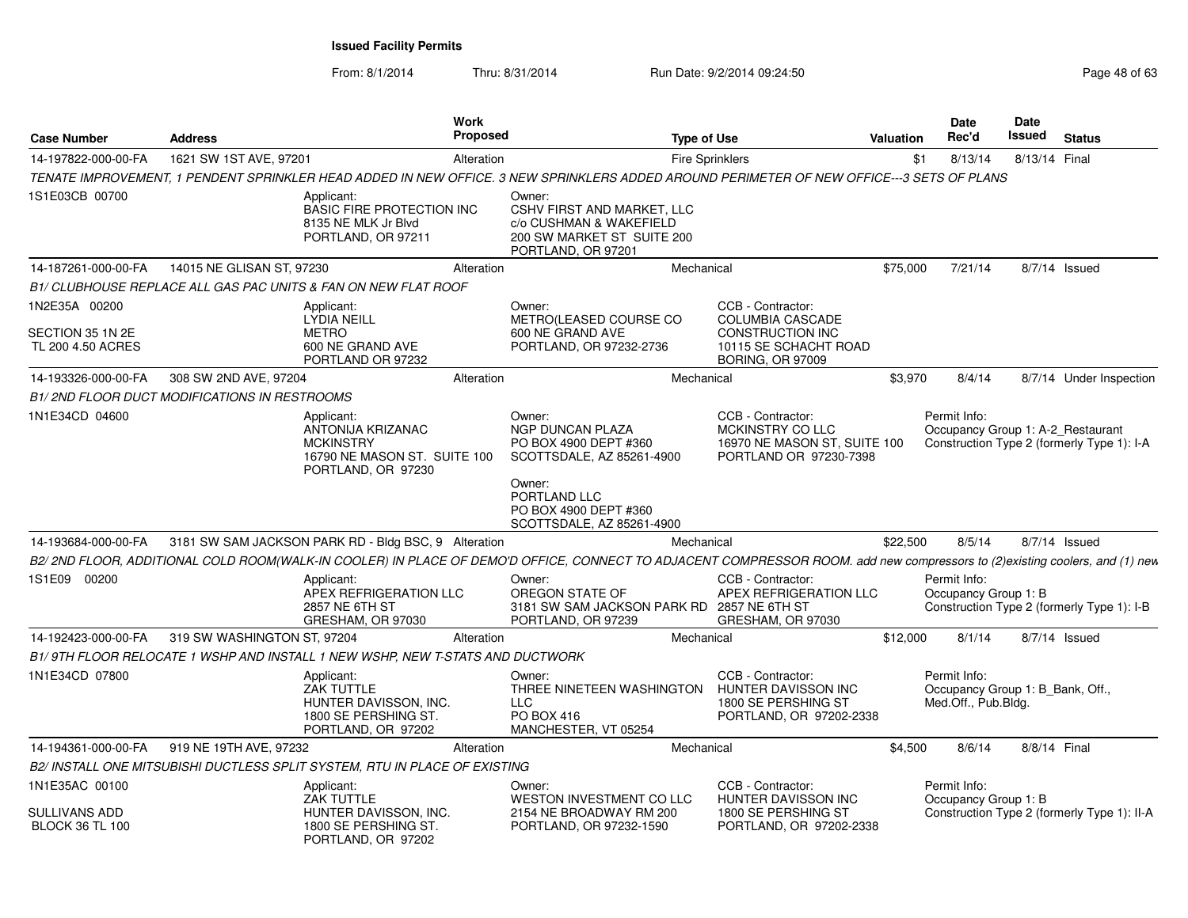From: 8/1/2014

| <b>Case Number</b>                             | <b>Address</b>              |                                                                                                           | <b>Work</b><br><b>Proposed</b> |                                                                                                                                                                             | <b>Type of Use</b>                                                                              | <b>Valuation</b> | Date<br>Rec'd                                                           | Date<br>Issued | <b>Status</b>                               |
|------------------------------------------------|-----------------------------|-----------------------------------------------------------------------------------------------------------|--------------------------------|-----------------------------------------------------------------------------------------------------------------------------------------------------------------------------|-------------------------------------------------------------------------------------------------|------------------|-------------------------------------------------------------------------|----------------|---------------------------------------------|
| 14-197822-000-00-FA                            | 1621 SW 1ST AVE, 97201      |                                                                                                           | Alteration                     |                                                                                                                                                                             | <b>Fire Sprinklers</b>                                                                          |                  | 8/13/14<br>\$1                                                          | 8/13/14 Final  |                                             |
|                                                |                             |                                                                                                           |                                | TENATE IMPROVEMENT, 1 PENDENT SPRINKLER HEAD ADDED IN NEW OFFICE. 3 NEW SPRINKLERS ADDED AROUND PERIMETER OF NEW OFFICE---3 SETS OF PLANS                                   |                                                                                                 |                  |                                                                         |                |                                             |
| 1S1E03CB 00700                                 |                             | Applicant:<br><b>BASIC FIRE PROTECTION INC</b><br>8135 NE MLK Jr Blvd<br>PORTLAND, OR 97211               |                                | Owner:<br>CSHV FIRST AND MARKET, LLC<br>c/o CUSHMAN & WAKEFIELD<br>200 SW MARKET ST SUITE 200<br>PORTLAND, OR 97201                                                         |                                                                                                 |                  |                                                                         |                |                                             |
| 14-187261-000-00-FA                            | 14015 NE GLISAN ST, 97230   |                                                                                                           | Alteration                     |                                                                                                                                                                             | Mechanical                                                                                      | \$75,000         | 7/21/14                                                                 |                | 8/7/14 Issued                               |
|                                                |                             | B1/ CLUBHOUSE REPLACE ALL GAS PAC UNITS & FAN ON NEW FLAT ROOF                                            |                                |                                                                                                                                                                             |                                                                                                 |                  |                                                                         |                |                                             |
| 1N2E35A 00200                                  |                             | Applicant:<br><b>LYDIA NEILL</b>                                                                          |                                | Owner:<br>METRO(LEASED COURSE CO                                                                                                                                            | CCB - Contractor:<br><b>COLUMBIA CASCADE</b>                                                    |                  |                                                                         |                |                                             |
| SECTION 35 1N 2E<br>TL 200 4.50 ACRES          |                             | <b>METRO</b><br>600 NE GRAND AVE<br>PORTLAND OR 97232                                                     |                                | 600 NE GRAND AVE<br>PORTLAND, OR 97232-2736                                                                                                                                 | <b>CONSTRUCTION INC</b><br>10115 SE SCHACHT ROAD<br><b>BORING, OR 97009</b>                     |                  |                                                                         |                |                                             |
| 14-193326-000-00-FA                            | 308 SW 2ND AVE, 97204       |                                                                                                           | Alteration                     |                                                                                                                                                                             | Mechanical                                                                                      | \$3,970          | 8/4/14                                                                  |                | 8/7/14 Under Inspection                     |
| B1/2ND FLOOR DUCT MODIFICATIONS IN RESTROOMS   |                             |                                                                                                           |                                |                                                                                                                                                                             |                                                                                                 |                  |                                                                         |                |                                             |
| 1N1E34CD 04600                                 |                             | Applicant:<br>ANTONIJA KRIZANAC<br><b>MCKINSTRY</b><br>16790 NE MASON ST. SUITE 100<br>PORTLAND, OR 97230 |                                | Owner:<br>NGP DUNCAN PLAZA<br>PO BOX 4900 DEPT #360<br>SCOTTSDALE, AZ 85261-4900<br>Owner:<br>PORTLAND LLC                                                                  | CCB - Contractor:<br>MCKINSTRY CO LLC<br>16970 NE MASON ST, SUITE 100<br>PORTLAND OR 97230-7398 |                  | Permit Info:<br>Occupancy Group 1: A-2_Restaurant                       |                | Construction Type 2 (formerly Type 1): I-A  |
|                                                |                             |                                                                                                           |                                | PO BOX 4900 DEPT #360<br>SCOTTSDALE, AZ 85261-4900                                                                                                                          |                                                                                                 |                  |                                                                         |                |                                             |
| 14-193684-000-00-FA                            |                             | 3181 SW SAM JACKSON PARK RD - Bldg BSC, 9 Alteration                                                      |                                |                                                                                                                                                                             | Mechanical                                                                                      | \$22,500         | 8/5/14                                                                  |                | 8/7/14 Issued                               |
|                                                |                             |                                                                                                           |                                | B2/ 2ND FLOOR, ADDITIONAL COLD ROOM(WALK-IN COOLER) IN PLACE OF DEMO'D OFFICE, CONNECT TO ADJACENT COMPRESSOR ROOM. add new compressors to (2)existing coolers, and (1) new |                                                                                                 |                  |                                                                         |                |                                             |
| 1S1E09 00200                                   |                             | Applicant:<br>APEX REFRIGERATION LLC<br>2857 NE 6TH ST<br>GRESHAM, OR 97030                               |                                | Owner:<br>OREGON STATE OF<br>3181 SW SAM JACKSON PARK RD 2857 NE 6TH ST<br>PORTLAND, OR 97239                                                                               | CCB - Contractor:<br>APEX REFRIGERATION LLC<br>GRESHAM, OR 97030                                |                  | Permit Info:<br>Occupancy Group 1: B                                    |                | Construction Type 2 (formerly Type 1): I-B  |
| 14-192423-000-00-FA                            | 319 SW WASHINGTON ST, 97204 |                                                                                                           | Alteration                     |                                                                                                                                                                             | Mechanical                                                                                      | \$12,000         | 8/1/14                                                                  |                | 8/7/14 Issued                               |
|                                                |                             | B1/9TH FLOOR RELOCATE 1 WSHP AND INSTALL 1 NEW WSHP, NEW T-STATS AND DUCTWORK                             |                                |                                                                                                                                                                             |                                                                                                 |                  |                                                                         |                |                                             |
| 1N1E34CD 07800                                 |                             | Applicant:<br>ZAK TUTTLE<br>HUNTER DAVISSON, INC.<br>1800 SE PERSHING ST.<br>PORTLAND, OR 97202           |                                | Owner:<br>THREE NINETEEN WASHINGTON<br><b>LLC</b><br><b>PO BOX 416</b><br>MANCHESTER, VT 05254                                                                              | CCB - Contractor:<br>HUNTER DAVISSON INC<br>1800 SE PERSHING ST<br>PORTLAND, OR 97202-2338      |                  | Permit Info:<br>Occupancy Group 1: B_Bank, Off.,<br>Med.Off., Pub.Bldg. |                |                                             |
| 14-194361-000-00-FA                            | 919 NE 19TH AVE, 97232      |                                                                                                           | Alteration                     |                                                                                                                                                                             | Mechanical                                                                                      | \$4,500          | 8/6/14                                                                  | 8/8/14 Final   |                                             |
|                                                |                             | B2/ INSTALL ONE MITSUBISHI DUCTLESS SPLIT SYSTEM, RTU IN PLACE OF EXISTING                                |                                |                                                                                                                                                                             |                                                                                                 |                  |                                                                         |                |                                             |
| 1N1E35AC 00100                                 |                             | Applicant:<br>ZAK TUTTLE                                                                                  |                                | Owner:<br><b>WESTON INVESTMENT CO LLC</b>                                                                                                                                   | CCB - Contractor:<br><b>HUNTER DAVISSON INC</b>                                                 |                  | Permit Info:<br>Occupancy Group 1: B                                    |                |                                             |
| <b>SULLIVANS ADD</b><br><b>BLOCK 36 TL 100</b> |                             | HUNTER DAVISSON, INC.<br>1800 SE PERSHING ST.<br>PORTLAND, OR 97202                                       |                                | 2154 NE BROADWAY RM 200<br>PORTLAND, OR 97232-1590                                                                                                                          | 1800 SE PERSHING ST<br>PORTLAND, OR 97202-2338                                                  |                  |                                                                         |                | Construction Type 2 (formerly Type 1): II-A |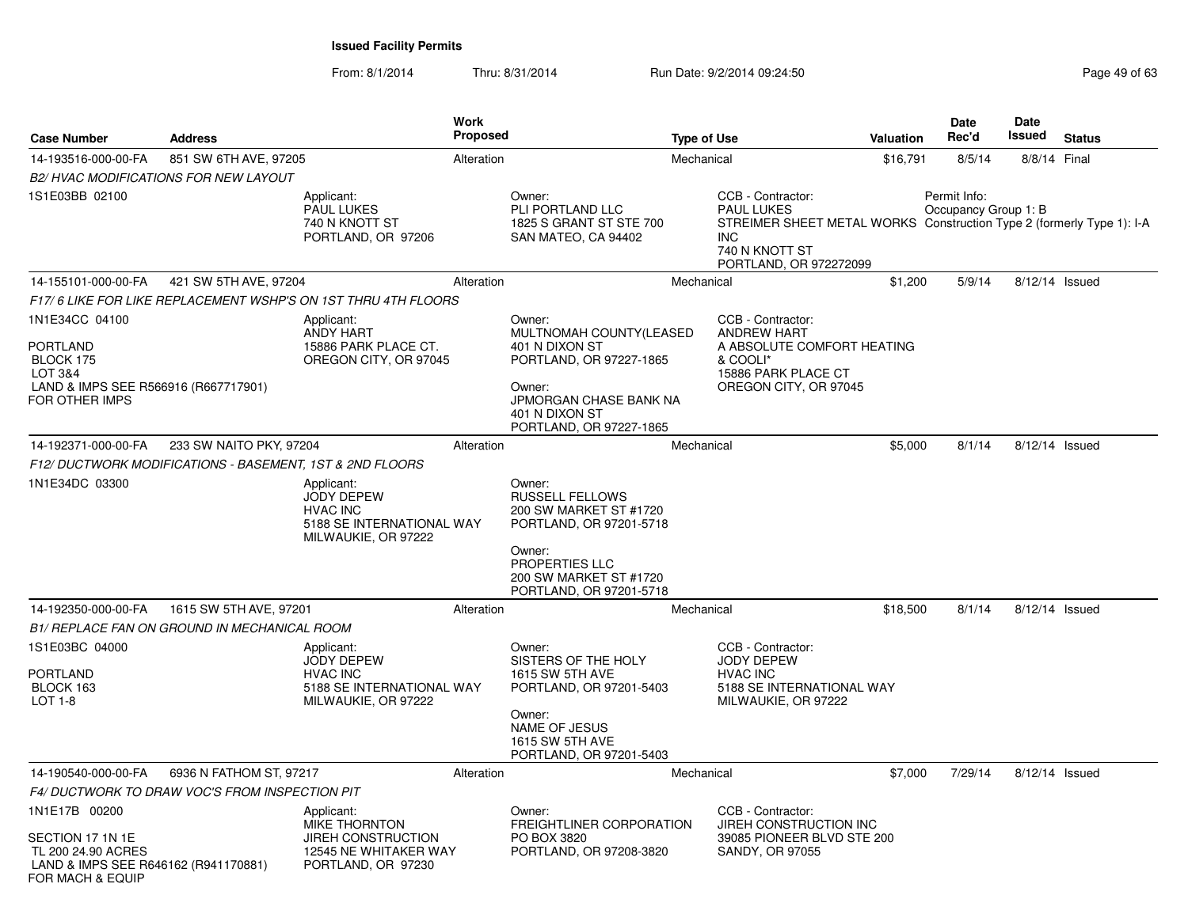| <b>Case Number</b>                                                                                                                    | <b>Address</b>                                          |                                                                                                         | Work<br><b>Proposed</b> |                                                                                                                                                                               | <b>Type of Use</b> |                                                                                                                                                                           | <b>Valuation</b> | <b>Date</b><br>Rec'd                 | Date<br>Issued | <b>Status</b>  |
|---------------------------------------------------------------------------------------------------------------------------------------|---------------------------------------------------------|---------------------------------------------------------------------------------------------------------|-------------------------|-------------------------------------------------------------------------------------------------------------------------------------------------------------------------------|--------------------|---------------------------------------------------------------------------------------------------------------------------------------------------------------------------|------------------|--------------------------------------|----------------|----------------|
| 14-193516-000-00-FA                                                                                                                   | 851 SW 6TH AVE, 97205                                   |                                                                                                         | Alteration              |                                                                                                                                                                               | Mechanical         |                                                                                                                                                                           | \$16,791         | 8/5/14                               | 8/8/14 Final   |                |
|                                                                                                                                       | <b>B2/ HVAC MODIFICATIONS FOR NEW LAYOUT</b>            |                                                                                                         |                         |                                                                                                                                                                               |                    |                                                                                                                                                                           |                  |                                      |                |                |
| 1S1E03BB 02100                                                                                                                        |                                                         | Applicant:<br><b>PAUL LUKES</b><br>740 N KNOTT ST<br>PORTLAND, OR 97206                                 |                         | Owner:<br>PLI PORTLAND LLC<br>1825 S GRANT ST STE 700<br>SAN MATEO, CA 94402                                                                                                  |                    | CCB - Contractor:<br><b>PAUL LUKES</b><br>STREIMER SHEET METAL WORKS Construction Type 2 (formerly Type 1): I-A<br><b>INC</b><br>740 N KNOTT ST<br>PORTLAND, OR 972272099 |                  | Permit Info:<br>Occupancy Group 1: B |                |                |
| 14-155101-000-00-FA                                                                                                                   | 421 SW 5TH AVE, 97204                                   |                                                                                                         | Alteration              |                                                                                                                                                                               | Mechanical         |                                                                                                                                                                           | \$1,200          | 5/9/14                               |                | 8/12/14 Issued |
|                                                                                                                                       |                                                         | F17/6 LIKE FOR LIKE REPLACEMENT WSHP'S ON 1ST THRU 4TH FLOORS                                           |                         |                                                                                                                                                                               |                    |                                                                                                                                                                           |                  |                                      |                |                |
| 1N1E34CC 04100<br><b>PORTLAND</b><br>BLOCK 175<br><b>LOT 3&amp;4</b><br>LAND & IMPS SEE R566916 (R667717901)<br><b>FOR OTHER IMPS</b> |                                                         | Applicant:<br>ANDY HART<br>15886 PARK PLACE CT.<br>OREGON CITY, OR 97045                                |                         | Owner:<br>MULTNOMAH COUNTY(LEASED<br>401 N DIXON ST<br>PORTLAND, OR 97227-1865<br>Owner:<br><b>JPMORGAN CHASE BANK NA</b><br>401 N DIXON ST<br>PORTLAND, OR 97227-1865        |                    | CCB - Contractor:<br><b>ANDREW HART</b><br>A ABSOLUTE COMFORT HEATING<br>& COOLI*<br>15886 PARK PLACE CT<br>OREGON CITY, OR 97045                                         |                  |                                      |                |                |
| 14-192371-000-00-FA                                                                                                                   | 233 SW NAITO PKY, 97204                                 |                                                                                                         | Alteration              |                                                                                                                                                                               | Mechanical         |                                                                                                                                                                           | \$5,000          | 8/1/14                               |                | 8/12/14 Issued |
|                                                                                                                                       | F12/DUCTWORK MODIFICATIONS - BASEMENT, 1ST & 2ND FLOORS |                                                                                                         |                         |                                                                                                                                                                               |                    |                                                                                                                                                                           |                  |                                      |                |                |
| 1N1E34DC 03300                                                                                                                        |                                                         | Applicant:<br><b>JODY DEPEW</b><br><b>HVAC INC</b><br>5188 SE INTERNATIONAL WAY<br>MILWAUKIE, OR 97222  |                         | Owner:<br><b>RUSSELL FELLOWS</b><br>200 SW MARKET ST #1720<br>PORTLAND, OR 97201-5718<br>Owner:<br><b>PROPERTIES LLC</b><br>200 SW MARKET ST #1720<br>PORTLAND, OR 97201-5718 |                    |                                                                                                                                                                           |                  |                                      |                |                |
| 14-192350-000-00-FA                                                                                                                   | 1615 SW 5TH AVE, 97201                                  |                                                                                                         | Alteration              |                                                                                                                                                                               | Mechanical         |                                                                                                                                                                           | \$18,500         | 8/1/14                               |                | 8/12/14 Issued |
|                                                                                                                                       | <b>B1/ REPLACE FAN ON GROUND IN MECHANICAL ROOM</b>     |                                                                                                         |                         |                                                                                                                                                                               |                    |                                                                                                                                                                           |                  |                                      |                |                |
| 1S1E03BC 04000<br><b>PORTLAND</b><br>BLOCK 163<br><b>LOT 1-8</b>                                                                      |                                                         | Applicant:<br><b>JODY DEPEW</b><br><b>HVAC INC</b><br>5188 SE INTERNATIONAL WAY<br>MILWAUKIE, OR 97222  |                         | Owner:<br>SISTERS OF THE HOLY<br>1615 SW 5TH AVE<br>PORTLAND, OR 97201-5403<br>Owner:<br><b>NAME OF JESUS</b><br>1615 SW 5TH AVE<br>PORTLAND, OR 97201-5403                   |                    | CCB - Contractor:<br>JODY DEPEW<br><b>HVAC INC</b><br>5188 SE INTERNATIONAL WAY<br>MILWAUKIE, OR 97222                                                                    |                  |                                      |                |                |
| 14-190540-000-00-FA                                                                                                                   | 6936 N FATHOM ST, 97217                                 |                                                                                                         | Alteration              |                                                                                                                                                                               | Mechanical         |                                                                                                                                                                           | \$7,000          | 7/29/14                              |                | 8/12/14 Issued |
|                                                                                                                                       | F4/DUCTWORK TO DRAW VOC'S FROM INSPECTION PIT           |                                                                                                         |                         |                                                                                                                                                                               |                    |                                                                                                                                                                           |                  |                                      |                |                |
| 1N1E17B 00200<br>SECTION 17 1N 1E<br>TL 200 24.90 ACRES<br>LAND & IMPS SEE R646162 (R941170881)                                       |                                                         | Applicant:<br>MIKE THORNTON<br><b>JIREH CONSTRUCTION</b><br>12545 NE WHITAKER WAY<br>PORTLAND, OR 97230 |                         | Owner:<br>FREIGHTLINER CORPORATION<br>PO BOX 3820<br>PORTLAND, OR 97208-3820                                                                                                  |                    | CCB - Contractor:<br>JIREH CONSTRUCTION INC<br>39085 PIONEER BLVD STE 200<br>SANDY, OR 97055                                                                              |                  |                                      |                |                |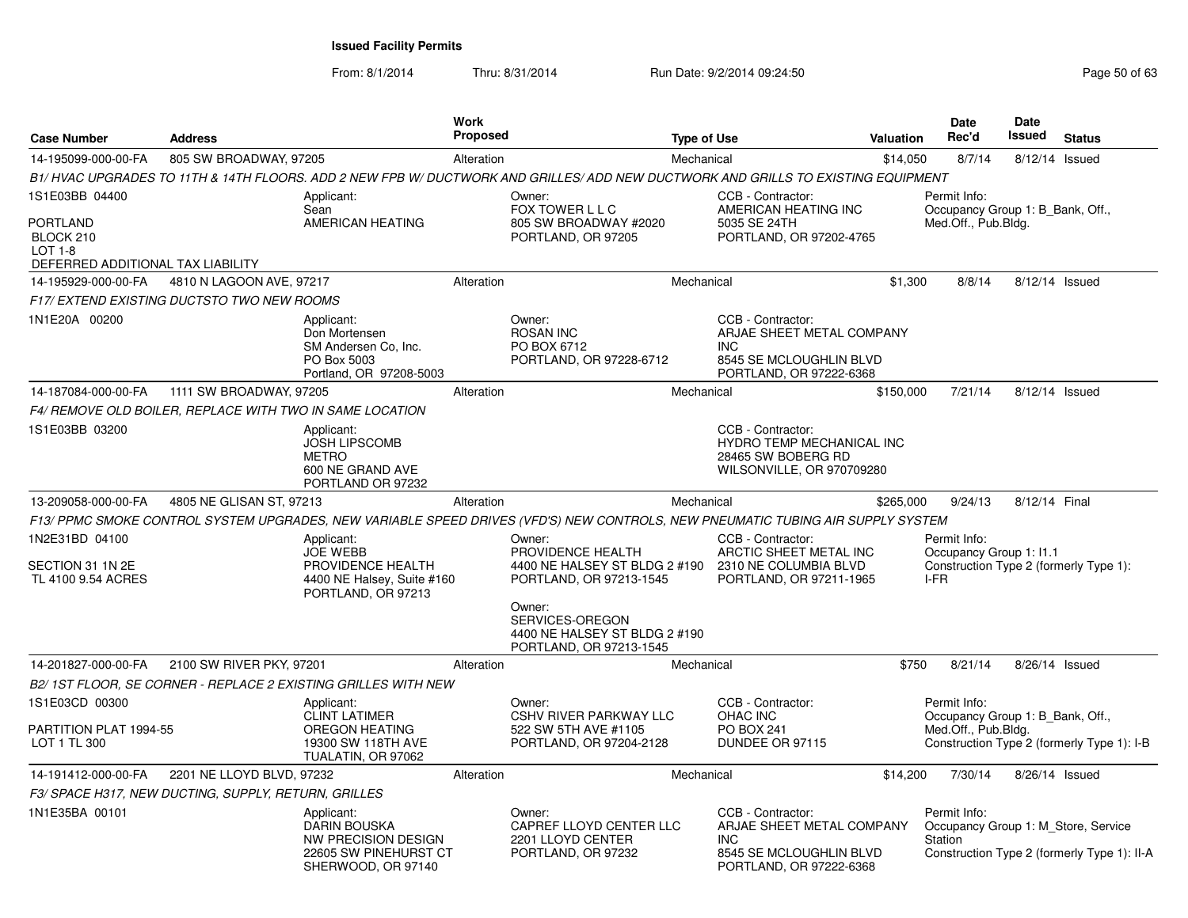From: 8/1/2014

Thru: 8/31/2014 Run Date: 9/2/2014 09:24:50 Run Date: 9/2/2014 09:24:50

| <b>Case Number</b>                                               | <b>Address</b>                                           |                                                                                                                | Work<br><b>Proposed</b> |                                                                                                                                 | <b>Type of Use</b> |                                                                                                                    | Valuation | Date<br>Rec'd                                                           | Date<br><b>Issued</b> | <b>Status</b>                               |
|------------------------------------------------------------------|----------------------------------------------------------|----------------------------------------------------------------------------------------------------------------|-------------------------|---------------------------------------------------------------------------------------------------------------------------------|--------------------|--------------------------------------------------------------------------------------------------------------------|-----------|-------------------------------------------------------------------------|-----------------------|---------------------------------------------|
| 14-195099-000-00-FA                                              | 805 SW BROADWAY, 97205                                   |                                                                                                                | Alteration              |                                                                                                                                 | Mechanical         |                                                                                                                    | \$14,050  | 8/7/14                                                                  | 8/12/14 Issued        |                                             |
|                                                                  |                                                          |                                                                                                                |                         | B1/HVAC UPGRADES TO 11TH & 14TH FLOORS. ADD 2 NEW FPB W/DUCTWORK AND GRILLES/ADD NEW DUCTWORK AND GRILLS TO EXISTING EQUIPMENT  |                    |                                                                                                                    |           |                                                                         |                       |                                             |
| 1S1E03BB 04400<br><b>PORTLAND</b><br>BLOCK 210<br><b>LOT 1-8</b> |                                                          | Applicant:<br>Sean<br>AMERICAN HEATING                                                                         |                         | Owner:<br>FOX TOWER L L C<br>805 SW BROADWAY #2020<br>PORTLAND, OR 97205                                                        |                    | CCB - Contractor:<br>AMERICAN HEATING INC<br>5035 SE 24TH<br>PORTLAND, OR 97202-4765                               |           | Permit Info:<br>Occupancy Group 1: B_Bank, Off.,<br>Med.Off., Pub.Bldg. |                       |                                             |
| DEFERRED ADDITIONAL TAX LIABILITY                                |                                                          |                                                                                                                |                         |                                                                                                                                 |                    |                                                                                                                    |           |                                                                         |                       |                                             |
| 14-195929-000-00-FA                                              | 4810 N LAGOON AVE, 97217                                 |                                                                                                                | Alteration              |                                                                                                                                 | Mechanical         |                                                                                                                    | \$1.300   | 8/8/14                                                                  | 8/12/14 Issued        |                                             |
|                                                                  | <b>F17/ EXTEND EXISTING DUCTSTO TWO NEW ROOMS</b>        |                                                                                                                |                         |                                                                                                                                 |                    |                                                                                                                    |           |                                                                         |                       |                                             |
| 1N1E20A 00200                                                    |                                                          | Applicant:<br>Don Mortensen<br>SM Andersen Co, Inc.<br>PO Box 5003<br>Portland, OR 97208-5003                  |                         | Owner:<br><b>ROSAN INC</b><br>PO BOX 6712<br>PORTLAND, OR 97228-6712                                                            |                    | CCB - Contractor:<br>ARJAE SHEET METAL COMPANY<br><b>INC</b><br>8545 SE MCLOUGHLIN BLVD<br>PORTLAND, OR 97222-6368 |           |                                                                         |                       |                                             |
| 14-187084-000-00-FA                                              | 1111 SW BROADWAY, 97205                                  |                                                                                                                | Alteration              |                                                                                                                                 | Mechanical         |                                                                                                                    | \$150,000 | 7/21/14                                                                 | 8/12/14 Issued        |                                             |
|                                                                  | F4/ REMOVE OLD BOILER, REPLACE WITH TWO IN SAME LOCATION |                                                                                                                |                         |                                                                                                                                 |                    |                                                                                                                    |           |                                                                         |                       |                                             |
| 1S1E03BB 03200                                                   |                                                          | Applicant:<br><b>JOSH LIPSCOMB</b><br><b>METRO</b><br>600 NE GRAND AVE<br>PORTLAND OR 97232                    |                         |                                                                                                                                 |                    | CCB - Contractor:<br>HYDRO TEMP MECHANICAL INC<br>28465 SW BOBERG RD<br>WILSONVILLE, OR 970709280                  |           |                                                                         |                       |                                             |
| 13-209058-000-00-FA                                              | 4805 NE GLISAN ST, 97213                                 |                                                                                                                | Alteration              |                                                                                                                                 | Mechanical         |                                                                                                                    | \$265,000 | 9/24/13                                                                 | 8/12/14 Final         |                                             |
|                                                                  |                                                          |                                                                                                                |                         | F13/ PPMC SMOKE CONTROL SYSTEM UPGRADES, NEW VARIABLE SPEED DRIVES (VFD'S) NEW CONTROLS, NEW PNEUMATIC TUBING AIR SUPPLY SYSTEM |                    |                                                                                                                    |           |                                                                         |                       |                                             |
| 1N2E31BD 04100                                                   |                                                          | Applicant:<br><b>JOE WEBB</b>                                                                                  |                         | Owner:<br>PROVIDENCE HEALTH                                                                                                     |                    | CCB - Contractor:<br>ARCTIC SHEET METAL INC                                                                        |           | Permit Info:<br>Occupancy Group 1: I1.1                                 |                       |                                             |
| SECTION 31 1N 2E<br>TL 4100 9.54 ACRES                           |                                                          | PROVIDENCE HEALTH<br>4400 NE Halsey, Suite #160<br>PORTLAND, OR 97213                                          |                         | 4400 NE HALSEY ST BLDG 2 #190<br>PORTLAND, OR 97213-1545                                                                        |                    | 2310 NE COLUMBIA BLVD<br>PORTLAND, OR 97211-1965                                                                   |           | I-FR                                                                    |                       | Construction Type 2 (formerly Type 1):      |
|                                                                  |                                                          |                                                                                                                |                         | Owner:<br>SERVICES-OREGON<br>4400 NE HALSEY ST BLDG 2 #190<br>PORTLAND, OR 97213-1545                                           |                    |                                                                                                                    |           |                                                                         |                       |                                             |
| 14-201827-000-00-FA                                              | 2100 SW RIVER PKY, 97201                                 |                                                                                                                | Alteration              |                                                                                                                                 | Mechanical         |                                                                                                                    | \$750     | 8/21/14                                                                 | 8/26/14 Issued        |                                             |
|                                                                  |                                                          | B2/1ST FLOOR, SE CORNER - REPLACE 2 EXISTING GRILLES WITH NEW                                                  |                         |                                                                                                                                 |                    |                                                                                                                    |           |                                                                         |                       |                                             |
| 1S1E03CD 00300                                                   |                                                          | Applicant:<br><b>CLINT LATIMER</b>                                                                             |                         | Owner:<br><b>CSHV RIVER PARKWAY LLC</b>                                                                                         |                    | CCB - Contractor:<br>OHAC INC                                                                                      |           | Permit Info:<br>Occupancy Group 1: B_Bank, Off.,                        |                       |                                             |
| PARTITION PLAT 1994-55<br>LOT 1 TL 300                           |                                                          | <b>OREGON HEATING</b><br>19300 SW 118TH AVE<br>TUALATIN, OR 97062                                              |                         | 522 SW 5TH AVE #1105<br>PORTLAND, OR 97204-2128                                                                                 |                    | <b>PO BOX 241</b><br>DUNDEE OR 97115                                                                               |           | Med.Off., Pub.Bldg.                                                     |                       | Construction Type 2 (formerly Type 1): I-B  |
| 14-191412-000-00-FA                                              | 2201 NE LLOYD BLVD, 97232                                |                                                                                                                | Alteration              |                                                                                                                                 | Mechanical         |                                                                                                                    | \$14,200  | 7/30/14                                                                 | 8/26/14 Issued        |                                             |
|                                                                  | F3/ SPACE H317, NEW DUCTING, SUPPLY, RETURN, GRILLES     |                                                                                                                |                         |                                                                                                                                 |                    |                                                                                                                    |           |                                                                         |                       |                                             |
| 1N1E35BA 00101                                                   |                                                          | Applicant:<br><b>DARIN BOUSKA</b><br><b>NW PRECISION DESIGN</b><br>22605 SW PINEHURST CT<br>SHERWOOD, OR 97140 |                         | Owner:<br>CAPREF LLOYD CENTER LLC<br>2201 LLOYD CENTER<br>PORTLAND, OR 97232                                                    |                    | CCB - Contractor:<br>ARJAE SHEET METAL COMPANY<br><b>INC</b><br>8545 SE MCLOUGHLIN BLVD<br>PORTLAND, OR 97222-6368 |           | Permit Info:<br>Occupancy Group 1: M Store, Service<br>Station          |                       | Construction Type 2 (formerly Type 1): II-A |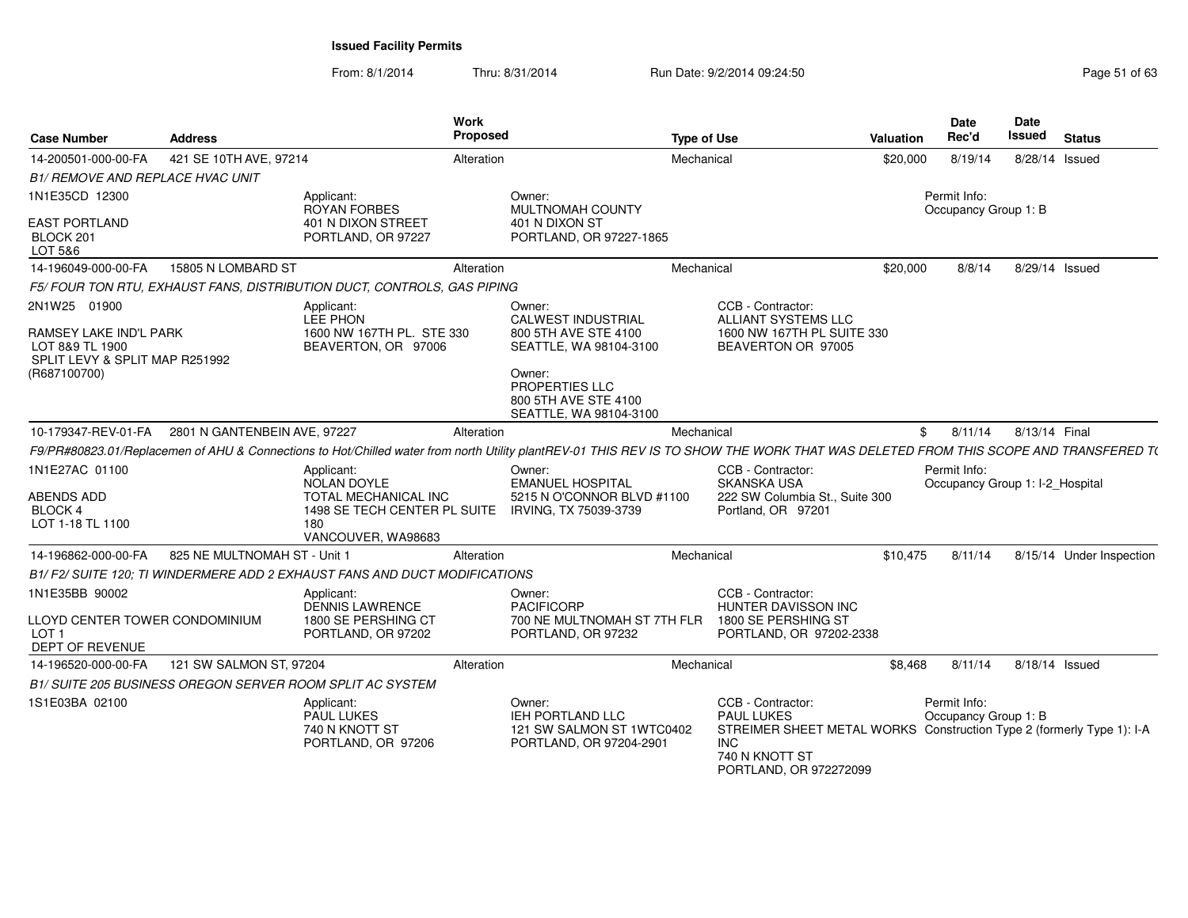| <b>Case Number</b>                                                                                                 | <b>Address</b>                                   |                                                                                                                       | Work<br>Proposed |                                                                                                                                                 | <b>Type of Use</b> |                                                                                                                                                                                    | <b>Valuation</b> | <b>Date</b><br>Rec'd                            | Date<br>Issued        | Status                   |
|--------------------------------------------------------------------------------------------------------------------|--------------------------------------------------|-----------------------------------------------------------------------------------------------------------------------|------------------|-------------------------------------------------------------------------------------------------------------------------------------------------|--------------------|------------------------------------------------------------------------------------------------------------------------------------------------------------------------------------|------------------|-------------------------------------------------|-----------------------|--------------------------|
| 14-200501-000-00-FA                                                                                                | 421 SE 10TH AVE, 97214                           |                                                                                                                       | Alteration       |                                                                                                                                                 | Mechanical         |                                                                                                                                                                                    | \$20,000         | 8/19/14                                         | 8/28/14 Issued        |                          |
| <b>B1/ REMOVE AND REPLACE HVAC UNIT</b>                                                                            |                                                  |                                                                                                                       |                  |                                                                                                                                                 |                    |                                                                                                                                                                                    |                  |                                                 |                       |                          |
| 1N1E35CD 12300                                                                                                     |                                                  | Applicant:                                                                                                            | Owner:           |                                                                                                                                                 |                    |                                                                                                                                                                                    |                  | Permit Info:                                    |                       |                          |
| <b>EAST PORTLAND</b><br>BLOCK 201<br>LOT 5&6                                                                       |                                                  | <b>ROYAN FORBES</b><br>401 N DIXON STREET<br>PORTLAND, OR 97227                                                       |                  | MULTNOMAH COUNTY<br>401 N DIXON ST<br>PORTLAND, OR 97227-1865                                                                                   |                    |                                                                                                                                                                                    |                  | Occupancy Group 1: B                            |                       |                          |
| 14-196049-000-00-FA                                                                                                | 15805 N LOMBARD ST                               |                                                                                                                       | Alteration       |                                                                                                                                                 | Mechanical         |                                                                                                                                                                                    | \$20,000         |                                                 | 8/8/14 8/29/14 Issued |                          |
|                                                                                                                    |                                                  | F5/FOUR TON RTU, EXHAUST FANS, DISTRIBUTION DUCT, CONTROLS, GAS PIPING                                                |                  |                                                                                                                                                 |                    |                                                                                                                                                                                    |                  |                                                 |                       |                          |
| 2N1W25 01900<br><b>RAMSEY LAKE IND'L PARK</b><br>LOT 8&9 TL 1900<br>SPLIT LEVY & SPLIT MAP R251992<br>(R687100700) |                                                  | Applicant:<br>LEE PHON<br>1600 NW 167TH PL. STE 330<br>BEAVERTON, OR 97006                                            | Owner:<br>Owner: | <b>CALWEST INDUSTRIAL</b><br>800 5TH AVE STE 4100<br>SEATTLE, WA 98104-3100<br>PROPERTIES LLC<br>800 5TH AVE STE 4100<br>SEATTLE, WA 98104-3100 |                    | CCB - Contractor:<br>ALLIANT SYSTEMS LLC<br>1600 NW 167TH PL SUITE 330<br>BEAVERTON OR 97005                                                                                       |                  |                                                 |                       |                          |
|                                                                                                                    | 10-179347-REV-01-FA 2801 N GANTENBEIN AVE, 97227 |                                                                                                                       | Alteration       |                                                                                                                                                 | Mechanical         |                                                                                                                                                                                    |                  | 8/11/14                                         | 8/13/14 Final         |                          |
|                                                                                                                    |                                                  |                                                                                                                       |                  |                                                                                                                                                 |                    | F9/PR#80823.01/Replacemen of AHU & Connections to Hot/Chilled water from north Utility plantREV-01 THIS REV IS TO SHOW THE WORK THAT WAS DELETED FROM THIS SCOPE AND TRANSFERED T( |                  |                                                 |                       |                          |
| 1N1E27AC 01100<br>ABENDS ADD<br>BLOCK 4<br>LOT 1-18 TL 1100                                                        |                                                  | Applicant:<br><b>NOLAN DOYLE</b><br>TOTAL MECHANICAL INC<br>1498 SE TECH CENTER PL SUITE<br>180<br>VANCOUVER, WA98683 | Owner:           | <b>EMANUEL HOSPITAL</b><br>5215 N O'CONNOR BLVD #1100<br>IRVING, TX 75039-3739                                                                  |                    | CCB - Contractor:<br><b>SKANSKA USA</b><br>222 SW Columbia St., Suite 300<br>Portland, OR 97201                                                                                    |                  | Permit Info:<br>Occupancy Group 1: I-2_Hospital |                       |                          |
| 14-196862-000-00-FA                                                                                                | 825 NE MULTNOMAH ST - Unit 1                     |                                                                                                                       | Alteration       |                                                                                                                                                 | Mechanical         |                                                                                                                                                                                    | \$10.475         | 8/11/14                                         |                       | 8/15/14 Under Inspection |
|                                                                                                                    |                                                  | B1/ F2/ SUITE 120; TI WINDERMERE ADD 2 EXHAUST FANS AND DUCT MODIFICATIONS                                            |                  |                                                                                                                                                 |                    |                                                                                                                                                                                    |                  |                                                 |                       |                          |
| 1N1E35BB 90002<br>LLOYD CENTER TOWER CONDOMINIUM<br>LOT <sub>1</sub><br>DEPT OF REVENUE                            |                                                  | Applicant:<br><b>DENNIS LAWRENCE</b><br>1800 SE PERSHING CT<br>PORTLAND, OR 97202                                     | Owner:           | <b>PACIFICORP</b><br>700 NE MULTNOMAH ST 7TH FLR<br>PORTLAND, OR 97232                                                                          |                    | CCB - Contractor:<br>HUNTER DAVISSON INC<br>1800 SE PERSHING ST<br>PORTLAND, OR 97202-2338                                                                                         |                  |                                                 |                       |                          |
| 14-196520-000-00-FA                                                                                                | 121 SW SALMON ST, 97204                          |                                                                                                                       | Alteration       |                                                                                                                                                 | Mechanical         |                                                                                                                                                                                    | \$8.468          | 8/11/14 8/18/14 Issued                          |                       |                          |
|                                                                                                                    |                                                  | B1/ SUITE 205 BUSINESS OREGON SERVER ROOM SPLIT AC SYSTEM                                                             |                  |                                                                                                                                                 |                    |                                                                                                                                                                                    |                  |                                                 |                       |                          |
| 1S1E03BA 02100                                                                                                     |                                                  | Applicant:<br><b>PAUL LUKES</b><br>740 N KNOTT ST<br>PORTLAND, OR 97206                                               | Owner:           | IEH PORTLAND LLC<br>121 SW SALMON ST 1WTC0402<br>PORTLAND, OR 97204-2901                                                                        |                    | CCB - Contractor:<br><b>PAUL LUKES</b><br>STREIMER SHEET METAL WORKS Construction Type 2 (formerly Type 1): I-A<br><b>INC</b><br>740 N KNOTT ST<br>PORTLAND, OR 972272099          |                  | Permit Info:<br>Occupancy Group 1: B            |                       |                          |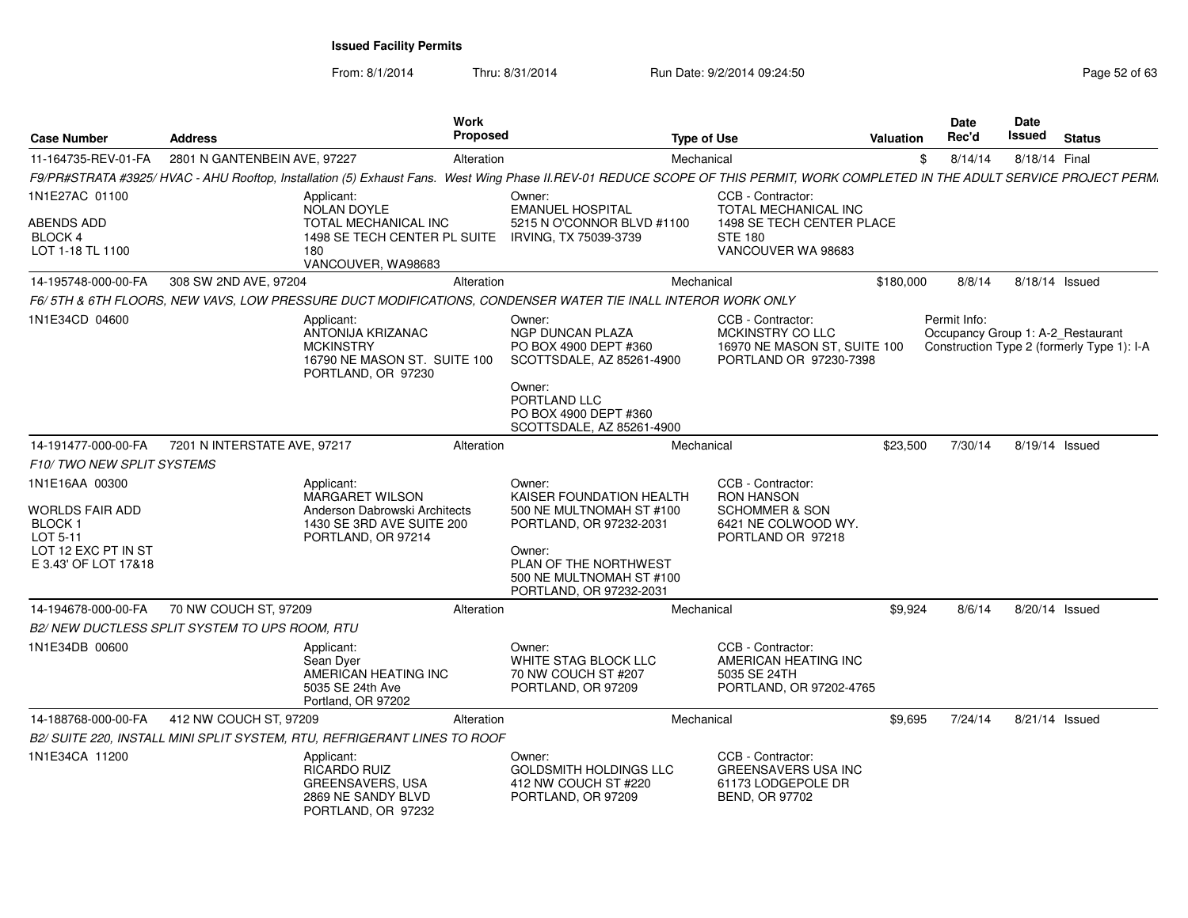From: 8/1/2014

| <b>Case Number</b>                                        | <b>Address</b>                                | Work<br>Proposed                                                                                                                                                               |                                                                                                   | <b>Type of Use</b>                                                                              | Valuation | Date<br>Rec'd | Date<br>Issued | <b>Status</b>                                                                   |
|-----------------------------------------------------------|-----------------------------------------------|--------------------------------------------------------------------------------------------------------------------------------------------------------------------------------|---------------------------------------------------------------------------------------------------|-------------------------------------------------------------------------------------------------|-----------|---------------|----------------|---------------------------------------------------------------------------------|
| 11-164735-REV-01-FA                                       | 2801 N GANTENBEIN AVE, 97227                  | Alteration                                                                                                                                                                     |                                                                                                   | Mechanical                                                                                      |           | \$<br>8/14/14 |                | 8/18/14 Final                                                                   |
|                                                           |                                               | F9/PR#STRATA #3925/HVAC - AHU Rooftop, Installation (5) Exhaust Fans. West Wing Phase II.REV-01 REDUCE SCOPE OF THIS PERMIT, WORK COMPLETED IN THE ADULT SERVICE PROJECT PERM. |                                                                                                   |                                                                                                 |           |               |                |                                                                                 |
| 1N1E27AC 01100                                            |                                               | Applicant:<br><b>NOLAN DOYLE</b>                                                                                                                                               | Owner:<br><b>EMANUEL HOSPITAL</b>                                                                 | CCB - Contractor:<br>TOTAL MECHANICAL INC                                                       |           |               |                |                                                                                 |
| ABENDS ADD<br>BLOCK 4<br>LOT 1-18 TL 1100                 |                                               | TOTAL MECHANICAL INC<br>1498 SE TECH CENTER PL SUITE IRVING, TX 75039-3739<br>180<br>VANCOUVER, WA98683                                                                        | 5215 N O'CONNOR BLVD #1100                                                                        | <b>1498 SE TECH CENTER PLACE</b><br><b>STE 180</b><br>VANCOUVER WA 98683                        |           |               |                |                                                                                 |
| 14-195748-000-00-FA                                       | 308 SW 2ND AVE, 97204                         | Alteration                                                                                                                                                                     |                                                                                                   | Mechanical                                                                                      | \$180,000 | 8/8/14        |                | 8/18/14 Issued                                                                  |
|                                                           |                                               | F6/5TH & 6TH FLOORS, NEW VAVS, LOW PRESSURE DUCT MODIFICATIONS, CONDENSER WATER TIE INALL INTEROR WORK ONLY                                                                    |                                                                                                   |                                                                                                 |           |               |                |                                                                                 |
| 1N1E34CD 04600                                            |                                               | Applicant:<br>ANTONIJA KRIZANAC<br><b>MCKINSTRY</b><br>16790 NE MASON ST. SUITE 100<br>PORTLAND, OR 97230                                                                      | Owner:<br><b>NGP DUNCAN PLAZA</b><br>PO BOX 4900 DEPT #360<br>SCOTTSDALE, AZ 85261-4900<br>Owner: | CCB - Contractor:<br>MCKINSTRY CO LLC<br>16970 NE MASON ST, SUITE 100<br>PORTLAND OR 97230-7398 |           | Permit Info:  |                | Occupancy Group 1: A-2 Restaurant<br>Construction Type 2 (formerly Type 1): I-A |
|                                                           |                                               |                                                                                                                                                                                | PORTLAND LLC<br>PO BOX 4900 DEPT #360<br>SCOTTSDALE, AZ 85261-4900                                |                                                                                                 |           |               |                |                                                                                 |
| 14-191477-000-00-FA                                       | 7201 N INTERSTATE AVE, 97217                  | Alteration                                                                                                                                                                     |                                                                                                   | Mechanical                                                                                      | \$23,500  | 7/30/14       |                | 8/19/14 Issued                                                                  |
| <b>F10/TWO NEW SPLIT SYSTEMS</b>                          |                                               |                                                                                                                                                                                |                                                                                                   |                                                                                                 |           |               |                |                                                                                 |
| 1N1E16AA 00300<br><b>WORLDS FAIR ADD</b><br><b>BLOCK1</b> |                                               | Applicant:<br>MARGARET WILSON<br>Anderson Dabrowski Architects<br>1430 SE 3RD AVE SUITE 200                                                                                    | Owner:<br>KAISER FOUNDATION HEALTH<br>500 NE MULTNOMAH ST #100<br>PORTLAND, OR 97232-2031         | CCB - Contractor:<br><b>RON HANSON</b><br><b>SCHOMMER &amp; SON</b><br>6421 NE COLWOOD WY.      |           |               |                |                                                                                 |
| LOT 5-11<br>LOT 12 EXC PT IN ST<br>E 3.43' OF LOT 17&18   |                                               | PORTLAND, OR 97214                                                                                                                                                             | Owner:<br>PLAN OF THE NORTHWEST<br>500 NE MULTNOMAH ST #100<br>PORTLAND, OR 97232-2031            | PORTLAND OR 97218                                                                               |           |               |                |                                                                                 |
| 14-194678-000-00-FA                                       | 70 NW COUCH ST, 97209                         | Alteration                                                                                                                                                                     |                                                                                                   | Mechanical                                                                                      | \$9.924   | 8/6/14        |                | 8/20/14 Issued                                                                  |
|                                                           | B2/NEW DUCTLESS SPLIT SYSTEM TO UPS ROOM, RTU |                                                                                                                                                                                |                                                                                                   |                                                                                                 |           |               |                |                                                                                 |
| 1N1E34DB 00600                                            |                                               | Applicant:<br>Sean Dyer<br>AMERICAN HEATING INC<br>5035 SE 24th Ave<br>Portland, OR 97202                                                                                      | Owner:<br>WHITE STAG BLOCK LLC<br>70 NW COUCH ST #207<br>PORTLAND, OR 97209                       | CCB - Contractor:<br>AMERICAN HEATING INC<br>5035 SE 24TH<br>PORTLAND, OR 97202-4765            |           |               |                |                                                                                 |
| 14-188768-000-00-FA                                       | 412 NW COUCH ST, 97209                        | Alteration                                                                                                                                                                     |                                                                                                   | Mechanical                                                                                      | \$9,695   | 7/24/14       |                | 8/21/14 Issued                                                                  |
|                                                           |                                               | B2/ SUITE 220, INSTALL MINI SPLIT SYSTEM, RTU, REFRIGERANT LINES TO ROOF                                                                                                       |                                                                                                   |                                                                                                 |           |               |                |                                                                                 |
| 1N1E34CA 11200                                            |                                               | Applicant:<br><b>RICARDO RUIZ</b><br><b>GREENSAVERS, USA</b><br>2869 NE SANDY BLVD<br>PORTLAND, OR 97232                                                                       | Owner:<br>GOLDSMITH HOLDINGS LLC<br>412 NW COUCH ST #220<br>PORTLAND, OR 97209                    | CCB - Contractor:<br><b>GREENSAVERS USA INC</b><br>61173 LODGEPOLE DR<br><b>BEND, OR 97702</b>  |           |               |                |                                                                                 |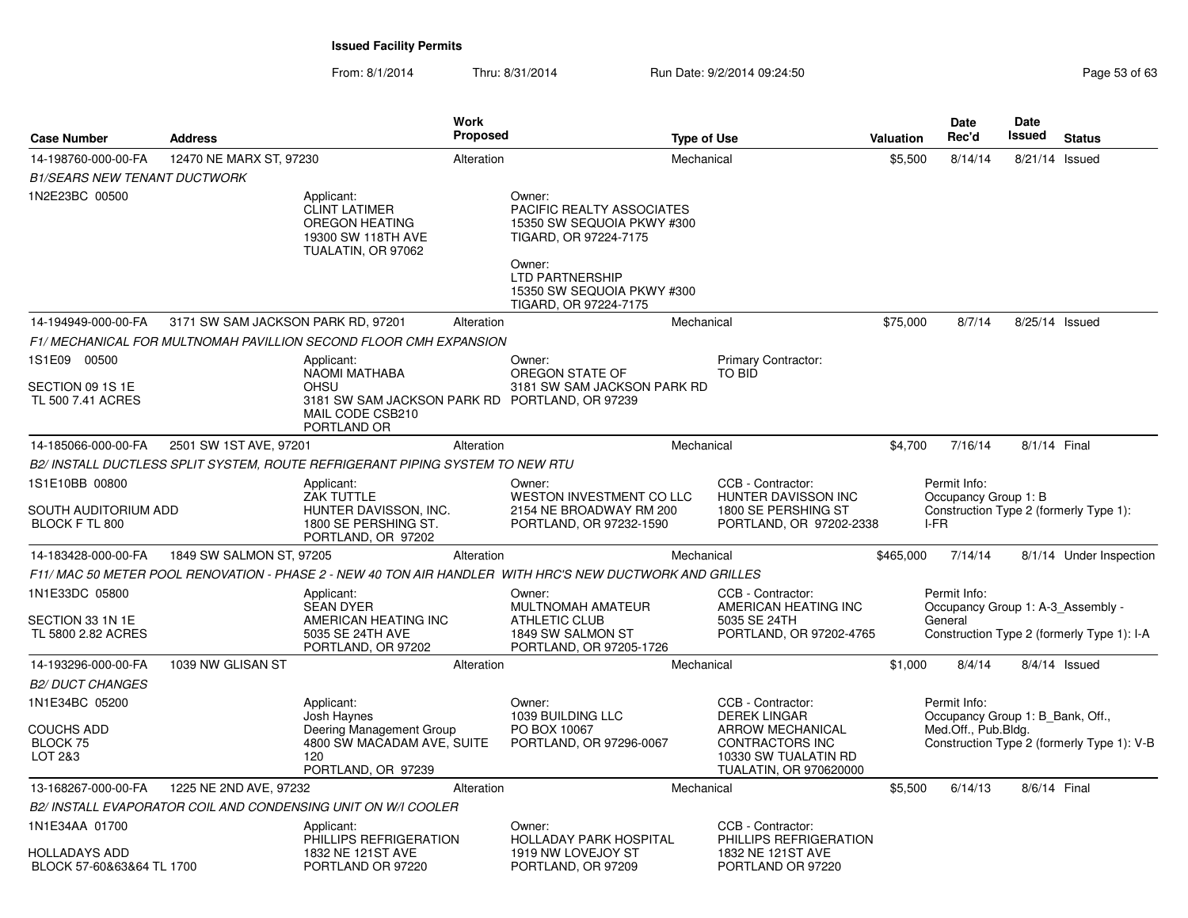From: 8/1/2014Thru: 8/31/2014 Run Date: 9/2/2014 09:24:50 Run Date: 9/2/2014 09:24:50

| <b>Case Number</b>                                       | <b>Address</b>                     | <b>Work</b><br>Proposed                                                                                                         |                                                                                                                                                                                              | <b>Type of Use</b> |                                                                                                                                                 | Valuation | Date<br>Rec'd                                                                          | <b>Date</b><br>Issued | <b>Status</b>                              |
|----------------------------------------------------------|------------------------------------|---------------------------------------------------------------------------------------------------------------------------------|----------------------------------------------------------------------------------------------------------------------------------------------------------------------------------------------|--------------------|-------------------------------------------------------------------------------------------------------------------------------------------------|-----------|----------------------------------------------------------------------------------------|-----------------------|--------------------------------------------|
| 14-198760-000-00-FA                                      | 12470 NE MARX ST, 97230            | Alteration                                                                                                                      |                                                                                                                                                                                              | Mechanical         |                                                                                                                                                 | \$5,500   | 8/14/14                                                                                | 8/21/14 Issued        |                                            |
| <b>B1/SEARS NEW TENANT DUCTWORK</b>                      |                                    |                                                                                                                                 |                                                                                                                                                                                              |                    |                                                                                                                                                 |           |                                                                                        |                       |                                            |
| 1N2E23BC 00500                                           |                                    | Applicant:<br><b>CLINT LATIMER</b><br>OREGON HEATING<br>19300 SW 118TH AVE<br>TUALATIN, OR 97062                                | Owner:<br><b>PACIFIC REALTY ASSOCIATES</b><br>15350 SW SEQUOIA PKWY #300<br>TIGARD, OR 97224-7175<br>Owner:<br><b>LTD PARTNERSHIP</b><br>15350 SW SEQUOIA PKWY #300<br>TIGARD, OR 97224-7175 |                    |                                                                                                                                                 |           |                                                                                        |                       |                                            |
| 14-194949-000-00-FA                                      | 3171 SW SAM JACKSON PARK RD, 97201 | Alteration                                                                                                                      |                                                                                                                                                                                              | Mechanical         |                                                                                                                                                 | \$75,000  | 8/7/14                                                                                 | 8/25/14 Issued        |                                            |
|                                                          |                                    | F1/ MECHANICAL FOR MULTNOMAH PAVILLION SECOND FLOOR CMH EXPANSION                                                               |                                                                                                                                                                                              |                    |                                                                                                                                                 |           |                                                                                        |                       |                                            |
| 1S1E09 00500<br>SECTION 09 1S 1E<br>TL 500 7.41 ACRES    |                                    | Applicant:<br>NAOMI MATHABA<br><b>OHSU</b><br>3181 SW SAM JACKSON PARK RD PORTLAND, OR 97239<br>MAIL CODE CSB210<br>PORTLAND OR | Owner:<br>OREGON STATE OF<br>3181 SW SAM JACKSON PARK RD                                                                                                                                     |                    | Primary Contractor:<br><b>TO BID</b>                                                                                                            |           |                                                                                        |                       |                                            |
| 14-185066-000-00-FA                                      | 2501 SW 1ST AVE, 97201             | Alteration                                                                                                                      |                                                                                                                                                                                              | Mechanical         |                                                                                                                                                 | \$4,700   | 7/16/14                                                                                | 8/1/14 Final          |                                            |
|                                                          |                                    | B2/ INSTALL DUCTLESS SPLIT SYSTEM, ROUTE REFRIGERANT PIPING SYSTEM TO NEW RTU                                                   |                                                                                                                                                                                              |                    |                                                                                                                                                 |           |                                                                                        |                       |                                            |
| 1S1E10BB 00800<br>SOUTH AUDITORIUM ADD<br>BLOCK F TL 800 |                                    | Applicant:<br><b>ZAK TUTTLE</b><br>HUNTER DAVISSON, INC.<br>1800 SE PERSHING ST.<br>PORTLAND, OR 97202                          | Owner:<br>WESTON INVESTMENT CO LLC<br>2154 NE BROADWAY RM 200<br>PORTLAND, OR 97232-1590                                                                                                     |                    | CCB - Contractor:<br>HUNTER DAVISSON INC<br>1800 SE PERSHING ST<br>PORTLAND, OR 97202-2338                                                      |           | Permit Info:<br>Occupancy Group 1: B<br>Construction Type 2 (formerly Type 1):<br>I-FR |                       |                                            |
| 14-183428-000-00-FA                                      | 1849 SW SALMON ST, 97205           | Alteration                                                                                                                      |                                                                                                                                                                                              | Mechanical         |                                                                                                                                                 | \$465,000 | 7/14/14                                                                                |                       | 8/1/14 Under Inspection                    |
|                                                          |                                    | F11/ MAC 50 METER POOL RENOVATION - PHASE 2 - NEW 40 TON AIR HANDLER  WITH HRC'S NEW DUCTWORK AND GRILLES                       |                                                                                                                                                                                              |                    |                                                                                                                                                 |           |                                                                                        |                       |                                            |
| 1N1E33DC 05800<br>SECTION 33 1N 1E<br>TL 5800 2.82 ACRES |                                    | Applicant:<br><b>SEAN DYER</b><br>AMERICAN HEATING INC<br>5035 SE 24TH AVE<br>PORTLAND, OR 97202                                | Owner:<br>MULTNOMAH AMATEUR<br><b>ATHLETIC CLUB</b><br>1849 SW SALMON ST<br>PORTLAND, OR 97205-1726                                                                                          |                    | CCB - Contractor:<br>AMERICAN HEATING INC<br>5035 SE 24TH<br>PORTLAND, OR 97202-4765                                                            |           | Permit Info:<br>Occupancy Group 1: A-3 Assembly -<br>General                           |                       | Construction Type 2 (formerly Type 1): I-A |
| 14-193296-000-00-FA<br><i>B2/ DUCT CHANGES</i>           | 1039 NW GLISAN ST                  | Alteration                                                                                                                      |                                                                                                                                                                                              | Mechanical         |                                                                                                                                                 | \$1,000   | 8/4/14                                                                                 |                       | $8/4/14$ Issued                            |
| 1N1E34BC 05200<br>COUCHS ADD<br>BLOCK 75<br>LOT 2&3      |                                    | Applicant:<br>Josh Haynes<br>Deering Management Group<br>4800 SW MACADAM AVE, SUITE<br>120<br>PORTLAND, OR 97239                | Owner:<br>1039 BUILDING LLC<br>PO BOX 10067<br>PORTLAND, OR 97296-0067                                                                                                                       |                    | CCB - Contractor:<br><b>DEREK LINGAR</b><br><b>ARROW MECHANICAL</b><br><b>CONTRACTORS INC</b><br>10330 SW TUALATIN RD<br>TUALATIN, OR 970620000 |           | Permit Info:<br>Occupancy Group 1: B Bank, Off.,<br>Med.Off., Pub.Bldg.                |                       | Construction Type 2 (formerly Type 1): V-B |
| 13-168267-000-00-FA                                      | 1225 NE 2ND AVE, 97232             | Alteration                                                                                                                      |                                                                                                                                                                                              | Mechanical         |                                                                                                                                                 | \$5,500   | 6/14/13                                                                                | 8/6/14 Final          |                                            |
|                                                          |                                    | B2/ INSTALL EVAPORATOR COIL AND CONDENSING UNIT ON W/I COOLER                                                                   |                                                                                                                                                                                              |                    |                                                                                                                                                 |           |                                                                                        |                       |                                            |
| 1N1E34AA 01700                                           |                                    | Applicant:<br>PHILLIPS REFRIGERATION                                                                                            | Owner:<br>HOLLADAY PARK HOSPITAL                                                                                                                                                             |                    | CCB - Contractor:<br>PHILLIPS REFRIGERATION                                                                                                     |           |                                                                                        |                       |                                            |
| HOLLADAYS ADD<br>BLOCK 57-60&63&64 TL 1700               |                                    | 1832 NE 121ST AVE<br>PORTLAND OR 97220                                                                                          | 1919 NW LOVEJOY ST<br>PORTLAND, OR 97209                                                                                                                                                     |                    | 1832 NE 121ST AVE<br>PORTLAND OR 97220                                                                                                          |           |                                                                                        |                       |                                            |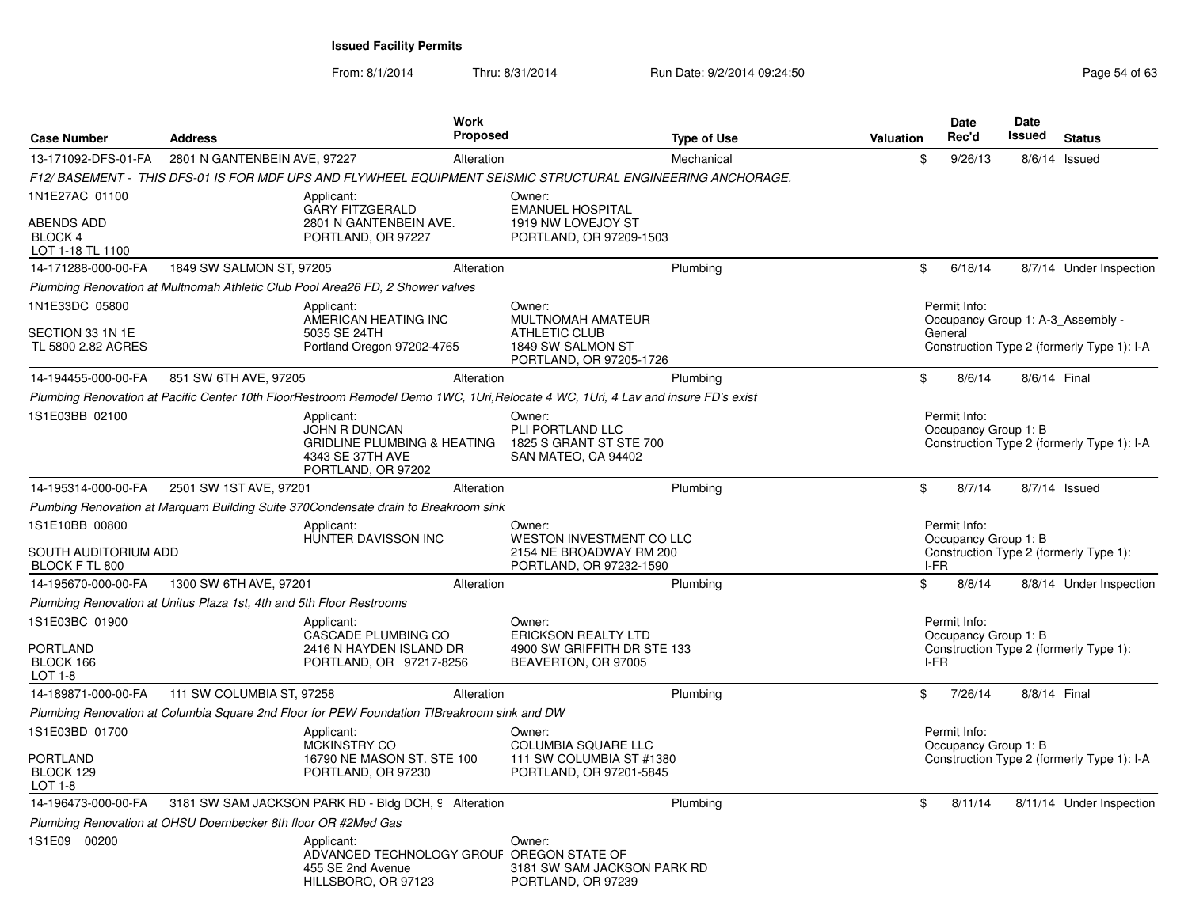| <b>Case Number</b>                        | <b>Address</b>                                                       | <b>Work</b><br>Proposed                                                                                                          |                                                                              | <b>Type of Use</b> | <b>Valuation</b> | Date<br>Rec'd                        | <b>Date</b><br><b>Issued</b> | <b>Status</b>                              |
|-------------------------------------------|----------------------------------------------------------------------|----------------------------------------------------------------------------------------------------------------------------------|------------------------------------------------------------------------------|--------------------|------------------|--------------------------------------|------------------------------|--------------------------------------------|
| 13-171092-DFS-01-FA                       | 2801 N GANTENBEIN AVE, 97227                                         | Alteration                                                                                                                       |                                                                              | Mechanical         | \$               | 9/26/13                              |                              | 8/6/14 Issued                              |
|                                           |                                                                      | F12/ BASEMENT - THIS DFS-01 IS FOR MDF UPS AND FLYWHEEL EQUIPMENT SEISMIC STRUCTURAL ENGINEERING ANCHORAGE.                      |                                                                              |                    |                  |                                      |                              |                                            |
| 1N1E27AC 01100                            |                                                                      | Applicant:<br><b>GARY FITZGERALD</b>                                                                                             | Owner:<br><b>EMANUEL HOSPITAL</b>                                            |                    |                  |                                      |                              |                                            |
| ABENDS ADD<br>BLOCK 4<br>LOT 1-18 TL 1100 |                                                                      | 2801 N GANTENBEIN AVE.<br>PORTLAND, OR 97227                                                                                     | 1919 NW LOVEJOY ST<br>PORTLAND, OR 97209-1503                                |                    |                  |                                      |                              |                                            |
| 14-171288-000-00-FA                       | 1849 SW SALMON ST, 97205                                             | Alteration                                                                                                                       |                                                                              | Plumbing           | \$               | 6/18/14                              |                              | 8/7/14 Under Inspection                    |
|                                           |                                                                      | Plumbing Renovation at Multnomah Athletic Club Pool Area26 FD, 2 Shower valves                                                   |                                                                              |                    |                  |                                      |                              |                                            |
| 1N1E33DC 05800                            |                                                                      | Applicant:<br>AMERICAN HEATING INC                                                                                               | Owner:<br><b>MULTNOMAH AMATEUR</b>                                           |                    |                  | Permit Info:                         |                              | Occupancy Group 1: A-3 Assembly -          |
| SECTION 33 1N 1E<br>TL 5800 2.82 ACRES    |                                                                      | 5035 SE 24TH<br>Portland Oregon 97202-4765                                                                                       | <b>ATHLETIC CLUB</b><br>1849 SW SALMON ST<br>PORTLAND, OR 97205-1726         |                    |                  | General                              |                              | Construction Type 2 (formerly Type 1): I-A |
| 14-194455-000-00-FA                       | 851 SW 6TH AVE, 97205                                                | Alteration                                                                                                                       |                                                                              | Plumbing           | \$               | 8/6/14                               | 8/6/14 Final                 |                                            |
|                                           |                                                                      | Plumbing Renovation at Pacific Center 10th FloorRestroom Remodel Demo 1WC, 1Uri,Relocate 4 WC, 1Uri, 4 Lav and insure FD's exist |                                                                              |                    |                  |                                      |                              |                                            |
| 1S1E03BB 02100                            |                                                                      | Applicant:<br>JOHN R DUNCAN<br>GRIDLINE PLUMBING & HEATING<br>4343 SE 37TH AVE<br>PORTLAND, OR 97202                             | Owner:<br>PLI PORTLAND LLC<br>1825 S GRANT ST STE 700<br>SAN MATEO, CA 94402 |                    |                  | Permit Info:<br>Occupancy Group 1: B |                              | Construction Type 2 (formerly Type 1): I-A |
| 14-195314-000-00-FA                       | 2501 SW 1ST AVE, 97201                                               | Alteration                                                                                                                       |                                                                              | Plumbing           | \$               | 8/7/14                               |                              | 8/7/14 Issued                              |
|                                           |                                                                      | Pumbing Renovation at Marquam Building Suite 370Condensate drain to Breakroom sink                                               |                                                                              |                    |                  |                                      |                              |                                            |
| 1S1E10BB 00800                            |                                                                      | Applicant:<br>HUNTER DAVISSON INC                                                                                                | Owner:<br><b>WESTON INVESTMENT CO LLC</b>                                    |                    |                  | Permit Info:<br>Occupancy Group 1: B |                              |                                            |
| SOUTH AUDITORIUM ADD<br>BLOCK F TL 800    |                                                                      |                                                                                                                                  | 2154 NE BROADWAY RM 200<br>PORTLAND, OR 97232-1590                           |                    | I-FR             |                                      |                              | Construction Type 2 (formerly Type 1):     |
| 14-195670-000-00-FA                       | 1300 SW 6TH AVE, 97201                                               | Alteration                                                                                                                       |                                                                              | Plumbing           | \$               | 8/8/14                               |                              | 8/8/14 Under Inspection                    |
|                                           | Plumbing Renovation at Unitus Plaza 1st, 4th and 5th Floor Restrooms |                                                                                                                                  |                                                                              |                    |                  |                                      |                              |                                            |
| 1S1E03BC 01900                            |                                                                      | Applicant:<br>CASCADE PLUMBING CO                                                                                                | Owner:<br><b>ERICKSON REALTY LTD</b>                                         |                    |                  | Permit Info:<br>Occupancy Group 1: B |                              |                                            |
| PORTLAND<br>BLOCK 166<br>LOT 1-8          |                                                                      | 2416 N HAYDEN ISLAND DR<br>PORTLAND, OR 97217-8256                                                                               | 4900 SW GRIFFITH DR STE 133<br>BEAVERTON, OR 97005                           |                    | I-FR             |                                      |                              | Construction Type 2 (formerly Type 1):     |
| 14-189871-000-00-FA                       | 111 SW COLUMBIA ST, 97258                                            | Alteration                                                                                                                       |                                                                              | Plumbing           | \$               | 7/26/14                              | 8/8/14 Final                 |                                            |
|                                           |                                                                      | Plumbing Renovation at Columbia Square 2nd Floor for PEW Foundation TIBreakroom sink and DW                                      |                                                                              |                    |                  |                                      |                              |                                            |
| 1S1E03BD 01700                            |                                                                      | Applicant:<br><b>MCKINSTRY CO</b>                                                                                                | Owner:<br>COLUMBIA SQUARE LLC                                                |                    |                  | Permit Info:<br>Occupancy Group 1: B |                              |                                            |
| PORTLAND<br>BLOCK 129<br>LOT 1-8          |                                                                      | 16790 NE MASON ST. STE 100<br>PORTLAND, OR 97230                                                                                 | 111 SW COLUMBIA ST #1380<br>PORTLAND, OR 97201-5845                          |                    |                  |                                      |                              | Construction Type 2 (formerly Type 1): I-A |
| 14-196473-000-00-FA                       |                                                                      | 3181 SW SAM JACKSON PARK RD - Bldg DCH, 9 Alteration                                                                             |                                                                              | Plumbing           | \$               | 8/11/14                              |                              | 8/11/14 Under Inspection                   |
|                                           | Plumbing Renovation at OHSU Doernbecker 8th floor OR #2Med Gas       |                                                                                                                                  |                                                                              |                    |                  |                                      |                              |                                            |
| 1S1E09 00200                              |                                                                      | Applicant:<br>ADVANCED TECHNOLOGY GROUF OREGON STATE OF<br>455 SE 2nd Avenue<br>HILLSBORO, OR 97123                              | Owner:<br>3181 SW SAM JACKSON PARK RD<br>PORTLAND, OR 97239                  |                    |                  |                                      |                              |                                            |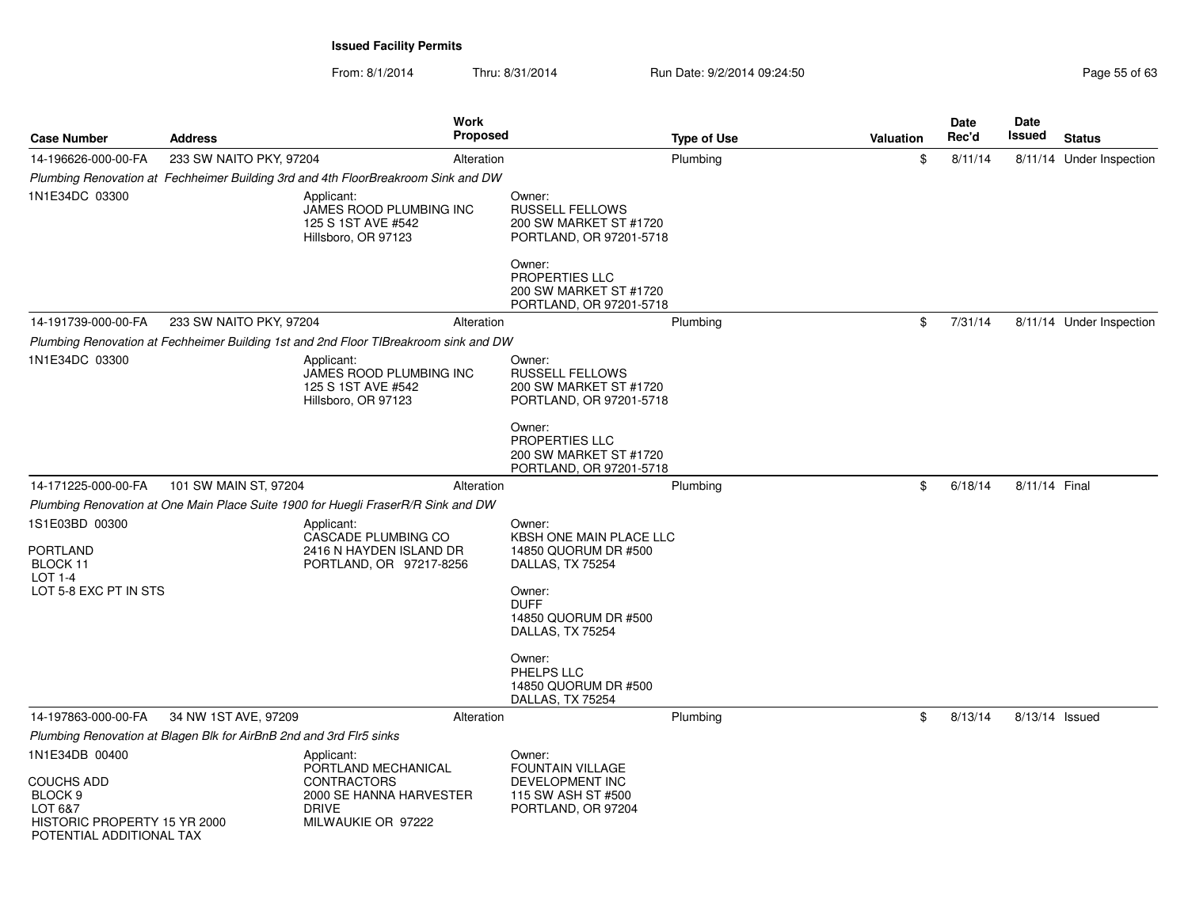| Page 55 of 63 |  |  |
|---------------|--|--|
|               |  |  |

| <b>Case Number</b>                                                                                                        | <b>Address</b>                                                      | Work<br><b>Proposed</b>                                                                                                  |                                                                                                                                                    | <b>Type of Use</b> | <b>Valuation</b> | <b>Date</b><br>Rec'd | <b>Date</b><br>Issued | <b>Status</b>            |
|---------------------------------------------------------------------------------------------------------------------------|---------------------------------------------------------------------|--------------------------------------------------------------------------------------------------------------------------|----------------------------------------------------------------------------------------------------------------------------------------------------|--------------------|------------------|----------------------|-----------------------|--------------------------|
| 14-196626-000-00-FA                                                                                                       | 233 SW NAITO PKY, 97204                                             | Alteration                                                                                                               |                                                                                                                                                    | Plumbing           | \$               | 8/11/14              |                       | 8/11/14 Under Inspection |
|                                                                                                                           |                                                                     | Plumbing Renovation at Fechheimer Building 3rd and 4th FloorBreakroom Sink and DW                                        |                                                                                                                                                    |                    |                  |                      |                       |                          |
| 1N1E34DC 03300                                                                                                            |                                                                     | Applicant:<br>JAMES ROOD PLUMBING INC<br>125 S 1ST AVE #542<br>Hillsboro, OR 97123                                       | Owner:<br><b>RUSSELL FELLOWS</b><br>200 SW MARKET ST #1720<br>PORTLAND, OR 97201-5718<br>Owner:<br><b>PROPERTIES LLC</b><br>200 SW MARKET ST #1720 |                    |                  |                      |                       |                          |
| 14-191739-000-00-FA                                                                                                       | 233 SW NAITO PKY, 97204                                             | Alteration                                                                                                               | PORTLAND, OR 97201-5718                                                                                                                            | Plumbing           | \$               | 7/31/14              |                       | 8/11/14 Under Inspection |
|                                                                                                                           |                                                                     | Plumbing Renovation at Fechheimer Building 1st and 2nd Floor TIBreakroom sink and DW                                     |                                                                                                                                                    |                    |                  |                      |                       |                          |
| 1N1E34DC 03300                                                                                                            |                                                                     | Applicant:<br>JAMES ROOD PLUMBING INC<br>125 S 1ST AVE #542<br>Hillsboro, OR 97123                                       | Owner:<br><b>RUSSELL FELLOWS</b><br>200 SW MARKET ST #1720<br>PORTLAND, OR 97201-5718<br>Owner:<br><b>PROPERTIES LLC</b><br>200 SW MARKET ST #1720 |                    |                  |                      |                       |                          |
|                                                                                                                           |                                                                     |                                                                                                                          | PORTLAND, OR 97201-5718                                                                                                                            |                    |                  |                      |                       |                          |
| 14-171225-000-00-FA                                                                                                       | 101 SW MAIN ST, 97204                                               | Alteration                                                                                                               |                                                                                                                                                    | Plumbing           | \$               | 6/18/14              | 8/11/14 Final         |                          |
|                                                                                                                           |                                                                     | Plumbing Renovation at One Main Place Suite 1900 for Huegli FraserR/R Sink and DW                                        |                                                                                                                                                    |                    |                  |                      |                       |                          |
| 1S1E03BD 00300<br><b>PORTLAND</b><br>BLOCK 11<br><b>LOT 1-4</b><br>LOT 5-8 EXC PT IN STS                                  |                                                                     | Applicant:<br>CASCADE PLUMBING CO<br>2416 N HAYDEN ISLAND DR<br>PORTLAND, OR 97217-8256                                  | Owner:<br>KBSH ONE MAIN PLACE LLC<br>14850 QUORUM DR #500<br>DALLAS, TX 75254<br>Owner:<br><b>DUFF</b><br>14850 QUORUM DR #500<br>DALLAS, TX 75254 |                    |                  |                      |                       |                          |
|                                                                                                                           |                                                                     |                                                                                                                          | Owner:<br>PHELPS LLC<br>14850 QUORUM DR #500<br>DALLAS, TX 75254                                                                                   |                    |                  |                      |                       |                          |
| 14-197863-000-00-FA                                                                                                       | 34 NW 1ST AVE, 97209                                                | Alteration                                                                                                               |                                                                                                                                                    | Plumbing           | \$               | 8/13/14              | 8/13/14 Issued        |                          |
|                                                                                                                           | Plumbing Renovation at Blagen Blk for AirBnB 2nd and 3rd Flr5 sinks |                                                                                                                          |                                                                                                                                                    |                    |                  |                      |                       |                          |
| 1N1E34DB 00400<br>COUCHS ADD<br>BLOCK <sub>9</sub><br>LOT 6&7<br>HISTORIC PROPERTY 15 YR 2000<br>POTENTIAL ADDITIONAL TAX |                                                                     | Applicant:<br>PORTLAND MECHANICAL<br><b>CONTRACTORS</b><br>2000 SE HANNA HARVESTER<br><b>DRIVE</b><br>MILWAUKIE OR 97222 | Owner:<br>FOUNTAIN VILLAGE<br>DEVELOPMENT INC<br>115 SW ASH ST #500<br>PORTLAND, OR 97204                                                          |                    |                  |                      |                       |                          |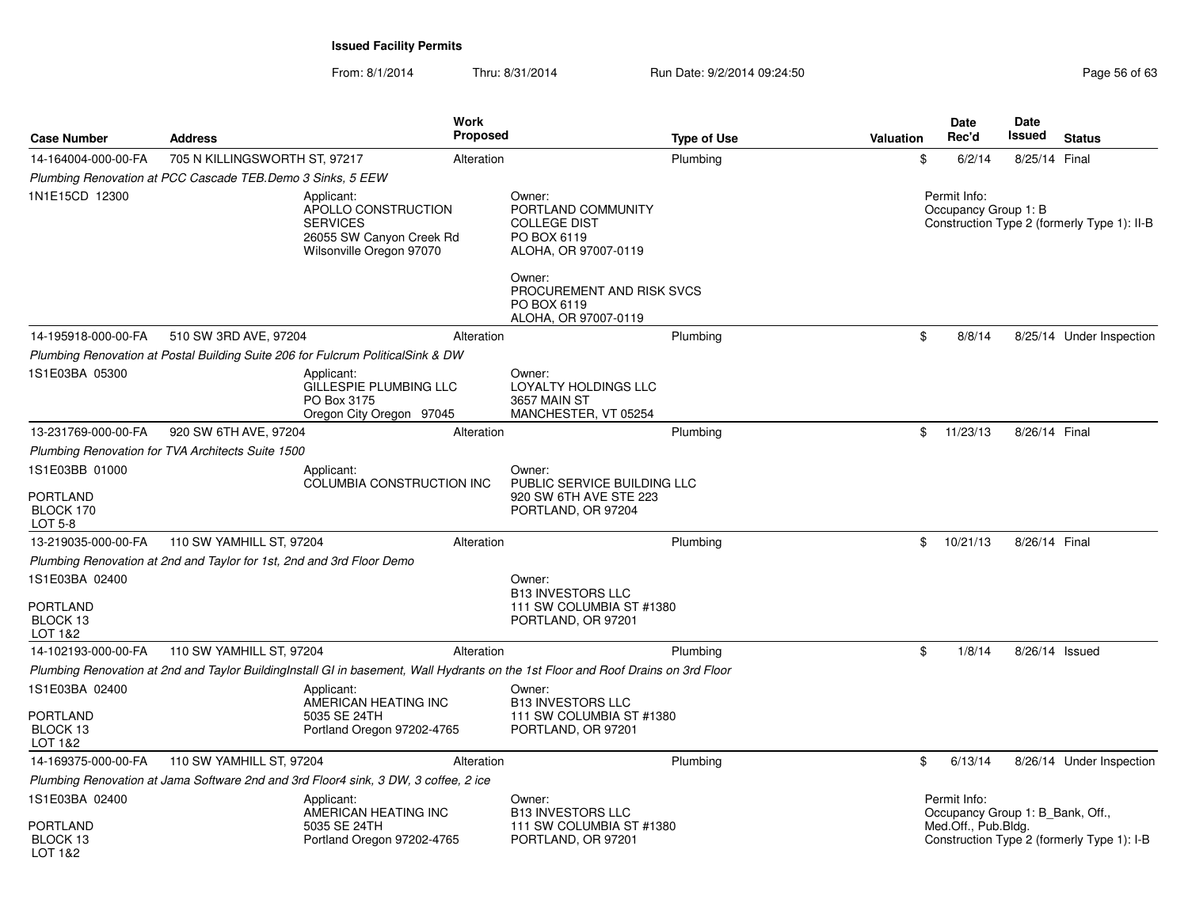From: 8/1/2014Thru: 8/31/2014 Run Date: 9/2/2014 09:24:50 Run Date: 9/2/2014 09:24:50

| <b>Case Number</b>                                                  | <b>Address</b>                                                        |                                                                                                              | <b>Work</b><br><b>Proposed</b> |                                                                                                                                                                          | <b>Type of Use</b> | <b>Valuation</b> | <b>Date</b><br>Rec'd                             | Date<br>Issued | <b>Status</b>                               |
|---------------------------------------------------------------------|-----------------------------------------------------------------------|--------------------------------------------------------------------------------------------------------------|--------------------------------|--------------------------------------------------------------------------------------------------------------------------------------------------------------------------|--------------------|------------------|--------------------------------------------------|----------------|---------------------------------------------|
| 14-164004-000-00-FA                                                 | 705 N KILLINGSWORTH ST, 97217                                         |                                                                                                              | Alteration                     |                                                                                                                                                                          | Plumbing           | \$               | 6/2/14                                           | 8/25/14 Final  |                                             |
|                                                                     | Plumbing Renovation at PCC Cascade TEB.Demo 3 Sinks, 5 EEW            |                                                                                                              |                                |                                                                                                                                                                          |                    |                  |                                                  |                |                                             |
| 1N1E15CD 12300                                                      |                                                                       | Applicant:<br>APOLLO CONSTRUCTION<br><b>SERVICES</b><br>26055 SW Canyon Creek Rd<br>Wilsonville Oregon 97070 |                                | Owner:<br>PORTLAND COMMUNITY<br><b>COLLEGE DIST</b><br>PO BOX 6119<br>ALOHA, OR 97007-0119<br>Owner:<br>PROCUREMENT AND RISK SVCS<br>PO BOX 6119<br>ALOHA, OR 97007-0119 |                    |                  | Permit Info:<br>Occupancy Group 1: B             |                | Construction Type 2 (formerly Type 1): II-B |
| 14-195918-000-00-FA                                                 | 510 SW 3RD AVE, 97204                                                 |                                                                                                              | Alteration                     |                                                                                                                                                                          | Plumbing           | \$               | 8/8/14                                           |                | 8/25/14 Under Inspection                    |
|                                                                     |                                                                       | Plumbing Renovation at Postal Building Suite 206 for Fulcrum PoliticalSink & DW                              |                                |                                                                                                                                                                          |                    |                  |                                                  |                |                                             |
| 1S1E03BA 05300                                                      |                                                                       | Applicant:<br>GILLESPIE PLUMBING LLC<br>PO Box 3175<br>Oregon City Oregon 97045                              |                                | Owner:<br>LOYALTY HOLDINGS LLC<br>3657 MAIN ST<br>MANCHESTER, VT 05254                                                                                                   |                    |                  |                                                  |                |                                             |
| 13-231769-000-00-FA                                                 | 920 SW 6TH AVE, 97204                                                 |                                                                                                              | Alteration                     |                                                                                                                                                                          | Plumbing           | \$               | 11/23/13                                         | 8/26/14 Final  |                                             |
|                                                                     | Plumbing Renovation for TVA Architects Suite 1500                     |                                                                                                              |                                |                                                                                                                                                                          |                    |                  |                                                  |                |                                             |
| 1S1E03BB 01000<br><b>PORTLAND</b><br>BLOCK 170<br>LOT 5-8           |                                                                       | Applicant:<br>COLUMBIA CONSTRUCTION INC                                                                      |                                | Owner:<br>PUBLIC SERVICE BUILDING LLC<br>920 SW 6TH AVE STE 223<br>PORTLAND, OR 97204                                                                                    |                    |                  |                                                  |                |                                             |
| 13-219035-000-00-FA                                                 | 110 SW YAMHILL ST, 97204                                              |                                                                                                              | Alteration                     |                                                                                                                                                                          | Plumbing           | \$               | 10/21/13                                         | 8/26/14 Final  |                                             |
|                                                                     | Plumbing Renovation at 2nd and Taylor for 1st, 2nd and 3rd Floor Demo |                                                                                                              |                                |                                                                                                                                                                          |                    |                  |                                                  |                |                                             |
| 1S1E03BA 02400<br><b>PORTLAND</b><br>BLOCK <sub>13</sub><br>LOT 1&2 |                                                                       |                                                                                                              |                                | Owner:<br><b>B13 INVESTORS LLC</b><br>111 SW COLUMBIA ST #1380<br>PORTLAND, OR 97201                                                                                     |                    |                  |                                                  |                |                                             |
| 14-102193-000-00-FA                                                 | 110 SW YAMHILL ST, 97204                                              |                                                                                                              | Alteration                     |                                                                                                                                                                          | Plumbing           | \$               | 1/8/14                                           |                | 8/26/14 Issued                              |
|                                                                     |                                                                       |                                                                                                              |                                | Plumbing Renovation at 2nd and Taylor BuildingInstall GI in basement, Wall Hydrants on the 1st Floor and Roof Drains on 3rd Floor                                        |                    |                  |                                                  |                |                                             |
| 1S1E03BA 02400<br>PORTLAND                                          |                                                                       | Applicant:<br>AMERICAN HEATING INC<br>5035 SE 24TH                                                           |                                | Owner:<br><b>B13 INVESTORS LLC</b><br>111 SW COLUMBIA ST #1380                                                                                                           |                    |                  |                                                  |                |                                             |
| BLOCK 13<br>LOT 1&2                                                 |                                                                       | Portland Oregon 97202-4765                                                                                   |                                | PORTLAND, OR 97201                                                                                                                                                       |                    |                  |                                                  |                |                                             |
| 14-169375-000-00-FA                                                 | 110 SW YAMHILL ST, 97204                                              |                                                                                                              | Alteration                     |                                                                                                                                                                          | Plumbing           | \$               | 6/13/14                                          |                | 8/26/14 Under Inspection                    |
|                                                                     |                                                                       | Plumbing Renovation at Jama Software 2nd and 3rd Floor4 sink, 3 DW, 3 coffee, 2 ice                          |                                |                                                                                                                                                                          |                    |                  |                                                  |                |                                             |
| 1S1E03BA 02400                                                      |                                                                       | Applicant:<br>AMERICAN HEATING INC                                                                           |                                | Owner:<br><b>B13 INVESTORS LLC</b>                                                                                                                                       |                    |                  | Permit Info:<br>Occupancy Group 1: B Bank, Off., |                |                                             |
| PORTLAND<br>BLOCK 13<br>LOT 1&2                                     |                                                                       | 5035 SE 24TH<br>Portland Oregon 97202-4765                                                                   |                                | 111 SW COLUMBIA ST #1380<br>PORTLAND, OR 97201                                                                                                                           |                    |                  | Med.Off., Pub.Bldg.                              |                | Construction Type 2 (formerly Type 1): I-B  |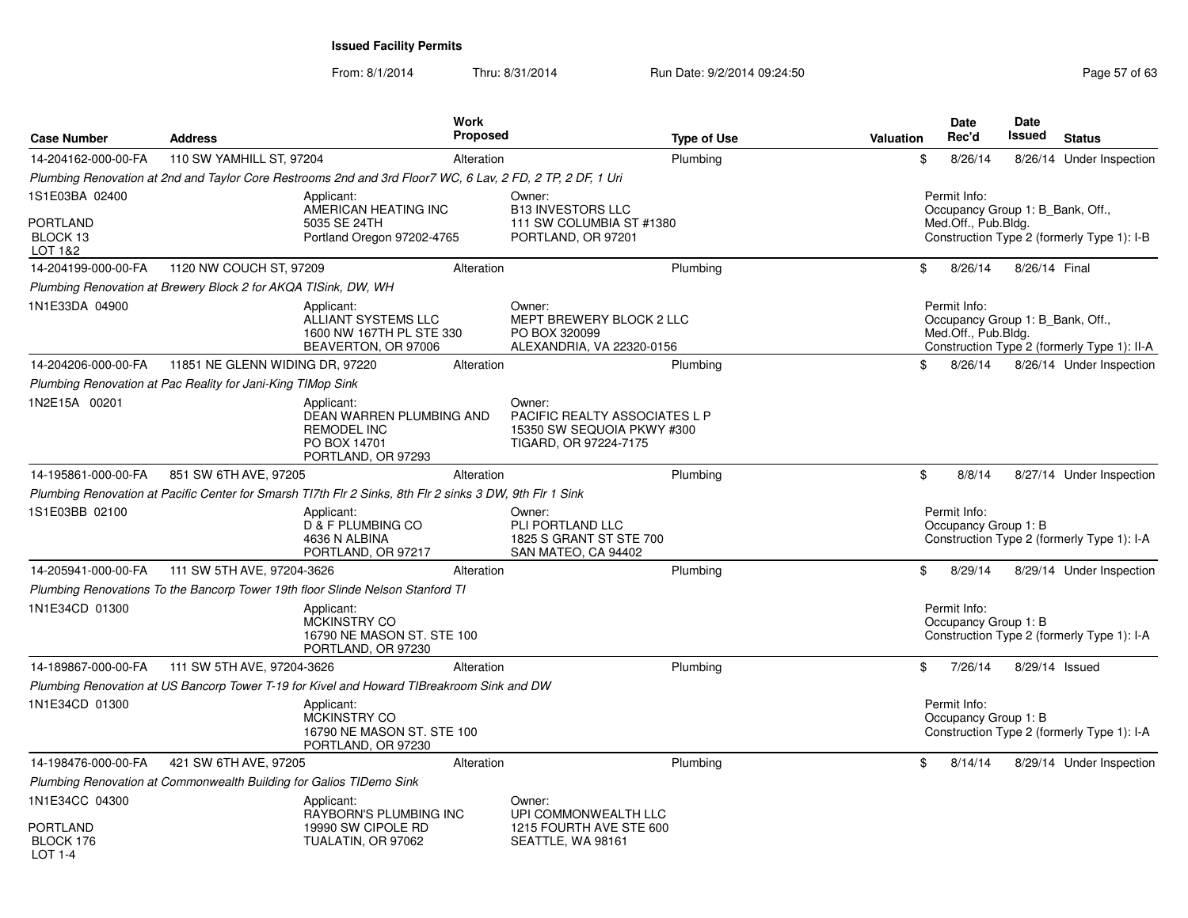| 14-204162-000-00-FA<br>110 SW YAMHILL ST, 97204<br>Alteration<br>Plumbing<br>\$<br>8/26/14<br>Plumbing Renovation at 2nd and Taylor Core Restrooms 2nd and 3rd Floor7 WC, 6 Lav, 2 FD, 2 TP, 2 DF, 1 Uri<br>1S1E03BA 02400<br>Permit Info:<br>Applicant:<br>Owner:<br>AMERICAN HEATING INC<br><b>B13 INVESTORS LLC</b><br>Occupancy Group 1: B Bank, Off.,<br><b>PORTLAND</b><br>5035 SE 24TH<br>111 SW COLUMBIA ST #1380<br>Med.Off., Pub.Bldg.<br>BLOCK 13<br>Construction Type 2 (formerly Type 1): I-B<br>Portland Oregon 97202-4765<br>PORTLAND, OR 97201<br>LOT 1&2<br>14-204199-000-00-FA<br>1120 NW COUCH ST, 97209<br>Plumbing<br>\$<br>8/26/14<br>8/26/14 Final<br>Alteration<br>Plumbing Renovation at Brewery Block 2 for AKQA TISink, DW, WH<br>1N1E33DA 04900<br>Permit Info:<br>Applicant:<br>Owner:<br>ALLIANT SYSTEMS LLC<br>MEPT BREWERY BLOCK 2 LLC<br>Occupancy Group 1: B Bank, Off.,<br>Med.Off., Pub.Bldg.<br>1600 NW 167TH PL STE 330<br>PO BOX 320099<br>Construction Type 2 (formerly Type 1): II-A<br>BEAVERTON, OR 97006<br>ALEXANDRIA, VA 22320-0156<br>11851 NE GLENN WIDING DR, 97220<br>Plumbing<br>14-204206-000-00-FA<br>Alteration<br>\$<br>8/26/14<br>Plumbing Renovation at Pac Reality for Jani-King TIMop Sink<br>1N2E15A 00201<br>Owner:<br>Applicant:<br>DEAN WARREN PLUMBING AND<br><b>PACIFIC REALTY ASSOCIATES L P</b><br><b>REMODEL INC</b><br>15350 SW SEQUOIA PKWY #300<br>PO BOX 14701<br>TIGARD, OR 97224-7175<br>PORTLAND, OR 97293<br>14-195861-000-00-FA<br>851 SW 6TH AVE, 97205<br>Plumbing<br>\$<br>8/8/14<br>Alteration<br>Plumbing Renovation at Pacific Center for Smarsh TI7th Flr 2 Sinks, 8th Flr 2 sinks 3 DW, 9th Flr 1 Sink<br>1S1E03BB 02100<br>Applicant:<br>Permit Info:<br>Owner:<br>D & F PLUMBING CO<br>PLI PORTLAND LLC<br>Occupancy Group 1: B<br>Construction Type 2 (formerly Type 1): I-A<br>4636 N ALBINA<br>1825 S GRANT ST STE 700<br>PORTLAND, OR 97217<br>SAN MATEO, CA 94402<br>111 SW 5TH AVE, 97204-3626<br>14-205941-000-00-FA<br>Plumbing<br>\$<br>8/29/14<br>Alteration<br>Plumbing Renovations To the Bancorp Tower 19th floor Slinde Nelson Stanford TI<br>1N1E34CD 01300<br>Permit Info:<br>Applicant:<br>Occupancy Group 1: B<br><b>MCKINSTRY CO</b><br>16790 NE MASON ST. STE 100<br>Construction Type 2 (formerly Type 1): I-A<br>PORTLAND, OR 97230<br>111 SW 5TH AVE, 97204-3626<br>14-189867-000-00-FA<br>Plumbing<br>\$<br>7/26/14<br>8/29/14 Issued<br>Alteration<br>Plumbing Renovation at US Bancorp Tower T-19 for Kivel and Howard TIBreakroom Sink and DW<br>Permit Info:<br>1N1E34CD 01300<br>Applicant:<br>MCKINSTRY CO<br>Occupancy Group 1: B<br>16790 NE MASON ST. STE 100<br>Construction Type 2 (formerly Type 1): I-A<br>PORTLAND, OR 97230<br>421 SW 6TH AVE, 97205<br>14-198476-000-00-FA<br>Alteration<br>Plumbing<br>\$<br>8/14/14<br>Plumbing Renovation at Commonwealth Building for Galios TIDemo Sink<br>Owner: | <b>Case Number</b> | <b>Address</b> | <b>Work</b><br><b>Proposed</b> | <b>Type of Use</b> | <b>Valuation</b> | <b>Date</b><br>Rec'd | <b>Date</b><br>Issued | <b>Status</b>            |
|---------------------------------------------------------------------------------------------------------------------------------------------------------------------------------------------------------------------------------------------------------------------------------------------------------------------------------------------------------------------------------------------------------------------------------------------------------------------------------------------------------------------------------------------------------------------------------------------------------------------------------------------------------------------------------------------------------------------------------------------------------------------------------------------------------------------------------------------------------------------------------------------------------------------------------------------------------------------------------------------------------------------------------------------------------------------------------------------------------------------------------------------------------------------------------------------------------------------------------------------------------------------------------------------------------------------------------------------------------------------------------------------------------------------------------------------------------------------------------------------------------------------------------------------------------------------------------------------------------------------------------------------------------------------------------------------------------------------------------------------------------------------------------------------------------------------------------------------------------------------------------------------------------------------------------------------------------------------------------------------------------------------------------------------------------------------------------------------------------------------------------------------------------------------------------------------------------------------------------------------------------------------------------------------------------------------------------------------------------------------------------------------------------------------------------------------------------------------------------------------------------------------------------------------------------------------------------------------------------------------------------------------------------------------------------------------------------------------------------------------------------------------------------------------------------------------------------------------------------------------------------------------------------------------------------------|--------------------|----------------|--------------------------------|--------------------|------------------|----------------------|-----------------------|--------------------------|
|                                                                                                                                                                                                                                                                                                                                                                                                                                                                                                                                                                                                                                                                                                                                                                                                                                                                                                                                                                                                                                                                                                                                                                                                                                                                                                                                                                                                                                                                                                                                                                                                                                                                                                                                                                                                                                                                                                                                                                                                                                                                                                                                                                                                                                                                                                                                                                                                                                                                                                                                                                                                                                                                                                                                                                                                                                                                                                                                       |                    |                |                                |                    |                  |                      |                       | 8/26/14 Under Inspection |
|                                                                                                                                                                                                                                                                                                                                                                                                                                                                                                                                                                                                                                                                                                                                                                                                                                                                                                                                                                                                                                                                                                                                                                                                                                                                                                                                                                                                                                                                                                                                                                                                                                                                                                                                                                                                                                                                                                                                                                                                                                                                                                                                                                                                                                                                                                                                                                                                                                                                                                                                                                                                                                                                                                                                                                                                                                                                                                                                       |                    |                |                                |                    |                  |                      |                       |                          |
|                                                                                                                                                                                                                                                                                                                                                                                                                                                                                                                                                                                                                                                                                                                                                                                                                                                                                                                                                                                                                                                                                                                                                                                                                                                                                                                                                                                                                                                                                                                                                                                                                                                                                                                                                                                                                                                                                                                                                                                                                                                                                                                                                                                                                                                                                                                                                                                                                                                                                                                                                                                                                                                                                                                                                                                                                                                                                                                                       |                    |                |                                |                    |                  |                      |                       |                          |
|                                                                                                                                                                                                                                                                                                                                                                                                                                                                                                                                                                                                                                                                                                                                                                                                                                                                                                                                                                                                                                                                                                                                                                                                                                                                                                                                                                                                                                                                                                                                                                                                                                                                                                                                                                                                                                                                                                                                                                                                                                                                                                                                                                                                                                                                                                                                                                                                                                                                                                                                                                                                                                                                                                                                                                                                                                                                                                                                       |                    |                |                                |                    |                  |                      |                       |                          |
|                                                                                                                                                                                                                                                                                                                                                                                                                                                                                                                                                                                                                                                                                                                                                                                                                                                                                                                                                                                                                                                                                                                                                                                                                                                                                                                                                                                                                                                                                                                                                                                                                                                                                                                                                                                                                                                                                                                                                                                                                                                                                                                                                                                                                                                                                                                                                                                                                                                                                                                                                                                                                                                                                                                                                                                                                                                                                                                                       |                    |                |                                |                    |                  |                      |                       |                          |
|                                                                                                                                                                                                                                                                                                                                                                                                                                                                                                                                                                                                                                                                                                                                                                                                                                                                                                                                                                                                                                                                                                                                                                                                                                                                                                                                                                                                                                                                                                                                                                                                                                                                                                                                                                                                                                                                                                                                                                                                                                                                                                                                                                                                                                                                                                                                                                                                                                                                                                                                                                                                                                                                                                                                                                                                                                                                                                                                       |                    |                |                                |                    |                  |                      |                       |                          |
|                                                                                                                                                                                                                                                                                                                                                                                                                                                                                                                                                                                                                                                                                                                                                                                                                                                                                                                                                                                                                                                                                                                                                                                                                                                                                                                                                                                                                                                                                                                                                                                                                                                                                                                                                                                                                                                                                                                                                                                                                                                                                                                                                                                                                                                                                                                                                                                                                                                                                                                                                                                                                                                                                                                                                                                                                                                                                                                                       |                    |                |                                |                    |                  |                      |                       | 8/26/14 Under Inspection |
|                                                                                                                                                                                                                                                                                                                                                                                                                                                                                                                                                                                                                                                                                                                                                                                                                                                                                                                                                                                                                                                                                                                                                                                                                                                                                                                                                                                                                                                                                                                                                                                                                                                                                                                                                                                                                                                                                                                                                                                                                                                                                                                                                                                                                                                                                                                                                                                                                                                                                                                                                                                                                                                                                                                                                                                                                                                                                                                                       |                    |                |                                |                    |                  |                      |                       |                          |
|                                                                                                                                                                                                                                                                                                                                                                                                                                                                                                                                                                                                                                                                                                                                                                                                                                                                                                                                                                                                                                                                                                                                                                                                                                                                                                                                                                                                                                                                                                                                                                                                                                                                                                                                                                                                                                                                                                                                                                                                                                                                                                                                                                                                                                                                                                                                                                                                                                                                                                                                                                                                                                                                                                                                                                                                                                                                                                                                       |                    |                |                                |                    |                  |                      |                       |                          |
|                                                                                                                                                                                                                                                                                                                                                                                                                                                                                                                                                                                                                                                                                                                                                                                                                                                                                                                                                                                                                                                                                                                                                                                                                                                                                                                                                                                                                                                                                                                                                                                                                                                                                                                                                                                                                                                                                                                                                                                                                                                                                                                                                                                                                                                                                                                                                                                                                                                                                                                                                                                                                                                                                                                                                                                                                                                                                                                                       |                    |                |                                |                    |                  |                      |                       | 8/27/14 Under Inspection |
|                                                                                                                                                                                                                                                                                                                                                                                                                                                                                                                                                                                                                                                                                                                                                                                                                                                                                                                                                                                                                                                                                                                                                                                                                                                                                                                                                                                                                                                                                                                                                                                                                                                                                                                                                                                                                                                                                                                                                                                                                                                                                                                                                                                                                                                                                                                                                                                                                                                                                                                                                                                                                                                                                                                                                                                                                                                                                                                                       |                    |                |                                |                    |                  |                      |                       |                          |
|                                                                                                                                                                                                                                                                                                                                                                                                                                                                                                                                                                                                                                                                                                                                                                                                                                                                                                                                                                                                                                                                                                                                                                                                                                                                                                                                                                                                                                                                                                                                                                                                                                                                                                                                                                                                                                                                                                                                                                                                                                                                                                                                                                                                                                                                                                                                                                                                                                                                                                                                                                                                                                                                                                                                                                                                                                                                                                                                       |                    |                |                                |                    |                  |                      |                       |                          |
|                                                                                                                                                                                                                                                                                                                                                                                                                                                                                                                                                                                                                                                                                                                                                                                                                                                                                                                                                                                                                                                                                                                                                                                                                                                                                                                                                                                                                                                                                                                                                                                                                                                                                                                                                                                                                                                                                                                                                                                                                                                                                                                                                                                                                                                                                                                                                                                                                                                                                                                                                                                                                                                                                                                                                                                                                                                                                                                                       |                    |                |                                |                    |                  |                      |                       | 8/29/14 Under Inspection |
|                                                                                                                                                                                                                                                                                                                                                                                                                                                                                                                                                                                                                                                                                                                                                                                                                                                                                                                                                                                                                                                                                                                                                                                                                                                                                                                                                                                                                                                                                                                                                                                                                                                                                                                                                                                                                                                                                                                                                                                                                                                                                                                                                                                                                                                                                                                                                                                                                                                                                                                                                                                                                                                                                                                                                                                                                                                                                                                                       |                    |                |                                |                    |                  |                      |                       |                          |
|                                                                                                                                                                                                                                                                                                                                                                                                                                                                                                                                                                                                                                                                                                                                                                                                                                                                                                                                                                                                                                                                                                                                                                                                                                                                                                                                                                                                                                                                                                                                                                                                                                                                                                                                                                                                                                                                                                                                                                                                                                                                                                                                                                                                                                                                                                                                                                                                                                                                                                                                                                                                                                                                                                                                                                                                                                                                                                                                       |                    |                |                                |                    |                  |                      |                       |                          |
|                                                                                                                                                                                                                                                                                                                                                                                                                                                                                                                                                                                                                                                                                                                                                                                                                                                                                                                                                                                                                                                                                                                                                                                                                                                                                                                                                                                                                                                                                                                                                                                                                                                                                                                                                                                                                                                                                                                                                                                                                                                                                                                                                                                                                                                                                                                                                                                                                                                                                                                                                                                                                                                                                                                                                                                                                                                                                                                                       |                    |                |                                |                    |                  |                      |                       |                          |
|                                                                                                                                                                                                                                                                                                                                                                                                                                                                                                                                                                                                                                                                                                                                                                                                                                                                                                                                                                                                                                                                                                                                                                                                                                                                                                                                                                                                                                                                                                                                                                                                                                                                                                                                                                                                                                                                                                                                                                                                                                                                                                                                                                                                                                                                                                                                                                                                                                                                                                                                                                                                                                                                                                                                                                                                                                                                                                                                       |                    |                |                                |                    |                  |                      |                       |                          |
|                                                                                                                                                                                                                                                                                                                                                                                                                                                                                                                                                                                                                                                                                                                                                                                                                                                                                                                                                                                                                                                                                                                                                                                                                                                                                                                                                                                                                                                                                                                                                                                                                                                                                                                                                                                                                                                                                                                                                                                                                                                                                                                                                                                                                                                                                                                                                                                                                                                                                                                                                                                                                                                                                                                                                                                                                                                                                                                                       |                    |                |                                |                    |                  |                      |                       |                          |
|                                                                                                                                                                                                                                                                                                                                                                                                                                                                                                                                                                                                                                                                                                                                                                                                                                                                                                                                                                                                                                                                                                                                                                                                                                                                                                                                                                                                                                                                                                                                                                                                                                                                                                                                                                                                                                                                                                                                                                                                                                                                                                                                                                                                                                                                                                                                                                                                                                                                                                                                                                                                                                                                                                                                                                                                                                                                                                                                       |                    |                |                                |                    |                  |                      |                       | 8/29/14 Under Inspection |
|                                                                                                                                                                                                                                                                                                                                                                                                                                                                                                                                                                                                                                                                                                                                                                                                                                                                                                                                                                                                                                                                                                                                                                                                                                                                                                                                                                                                                                                                                                                                                                                                                                                                                                                                                                                                                                                                                                                                                                                                                                                                                                                                                                                                                                                                                                                                                                                                                                                                                                                                                                                                                                                                                                                                                                                                                                                                                                                                       |                    |                |                                |                    |                  |                      |                       |                          |
| RAYBORN'S PLUMBING INC<br>UPI COMMONWEALTH LLC<br>PORTLAND<br>19990 SW CIPOLE RD<br>1215 FOURTH AVE STE 600<br>BLOCK 176<br>TUALATIN, OR 97062<br>SEATTLE, WA 98161                                                                                                                                                                                                                                                                                                                                                                                                                                                                                                                                                                                                                                                                                                                                                                                                                                                                                                                                                                                                                                                                                                                                                                                                                                                                                                                                                                                                                                                                                                                                                                                                                                                                                                                                                                                                                                                                                                                                                                                                                                                                                                                                                                                                                                                                                                                                                                                                                                                                                                                                                                                                                                                                                                                                                                   | 1N1E34CC 04300     | Applicant:     |                                |                    |                  |                      |                       |                          |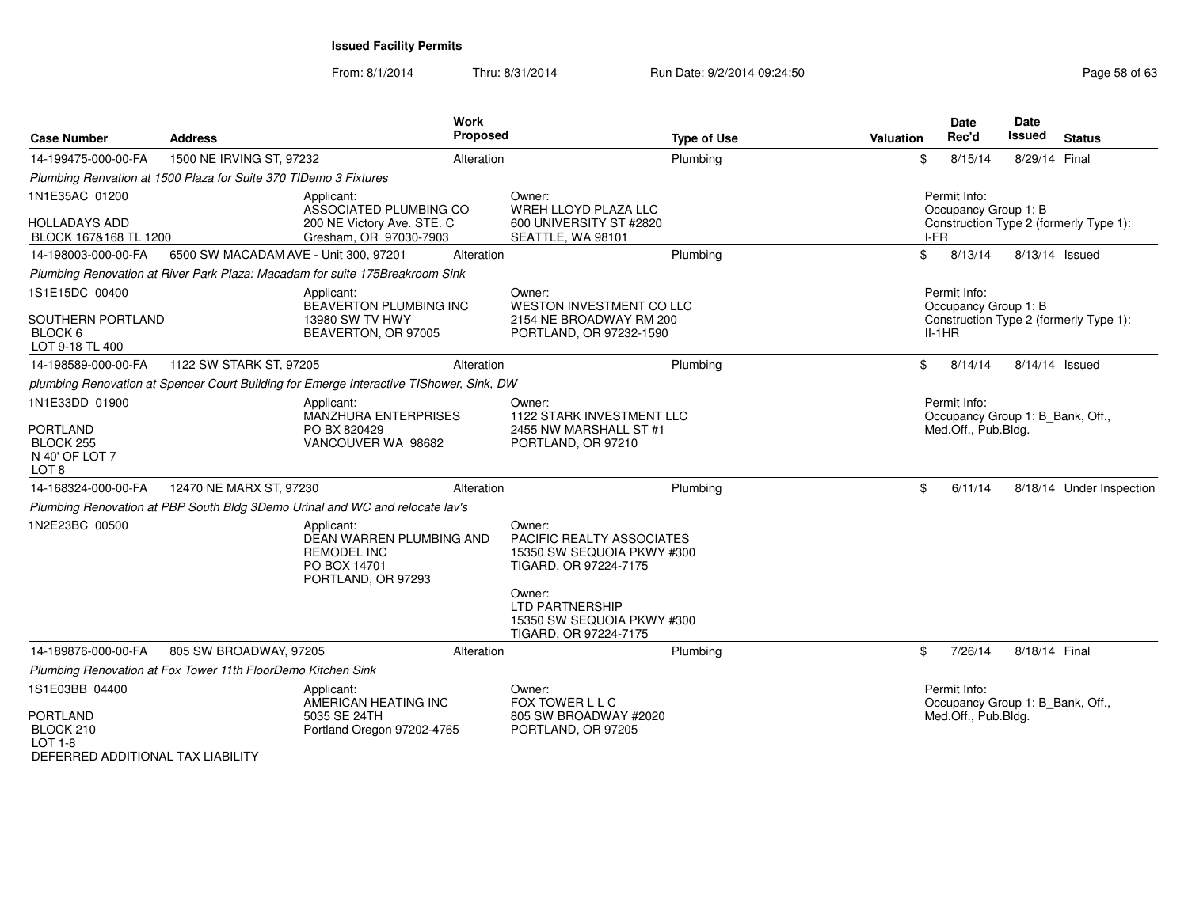From: 8/1/2014Thru: 8/31/2014 Run Date: 9/2/2014 09:24:50

| <b>Case Number</b>                                                                   | <b>Address</b>                                                   | <b>Work</b><br><b>Proposed</b>                                                                     |                                                                                                                                                                                       | <b>Type of Use</b> | Valuation | <b>Date</b><br>Rec'd                             | Date<br>Issued<br><b>Status</b>        |
|--------------------------------------------------------------------------------------|------------------------------------------------------------------|----------------------------------------------------------------------------------------------------|---------------------------------------------------------------------------------------------------------------------------------------------------------------------------------------|--------------------|-----------|--------------------------------------------------|----------------------------------------|
| 14-199475-000-00-FA                                                                  | 1500 NE IRVING ST, 97232                                         | Alteration                                                                                         |                                                                                                                                                                                       | Plumbing           | \$        | 8/15/14                                          | 8/29/14 Final                          |
|                                                                                      | Plumbing Renvation at 1500 Plaza for Suite 370 TIDemo 3 Fixtures |                                                                                                    |                                                                                                                                                                                       |                    |           |                                                  |                                        |
| 1N1E35AC 01200<br><b>HOLLADAYS ADD</b><br>BLOCK 167&168 TL 1200                      |                                                                  | Applicant:<br>ASSOCIATED PLUMBING CO<br>200 NE Victory Ave. STE. C<br>Gresham, OR 97030-7903       | Owner:<br>WREH LLOYD PLAZA LLC<br>600 UNIVERSITY ST #2820<br>SEATTLE, WA 98101                                                                                                        |                    |           | Permit Info:<br>Occupancy Group 1: B<br>I-FR     | Construction Type 2 (formerly Type 1): |
| 14-198003-000-00-FA                                                                  | 6500 SW MACADAM AVE - Unit 300, 97201                            | Alteration                                                                                         |                                                                                                                                                                                       | Plumbing           | \$        | 8/13/14                                          | 8/13/14 Issued                         |
|                                                                                      |                                                                  | Plumbing Renovation at River Park Plaza: Macadam for suite 175Breakroom Sink                       |                                                                                                                                                                                       |                    |           |                                                  |                                        |
| 1S1E15DC 00400<br>SOUTHERN PORTLAND<br>BLOCK <sub>6</sub><br>LOT 9-18 TL 400         |                                                                  | Applicant:<br>BEAVERTON PLUMBING INC<br>13980 SW TV HWY<br>BEAVERTON, OR 97005                     | Owner:<br>WESTON INVESTMENT CO LLC<br>2154 NE BROADWAY RM 200<br>PORTLAND, OR 97232-1590                                                                                              |                    |           | Permit Info:<br>Occupancy Group 1: B<br>$II-1HR$ | Construction Type 2 (formerly Type 1): |
| 14-198589-000-00-FA                                                                  | 1122 SW STARK ST, 97205                                          | Alteration                                                                                         |                                                                                                                                                                                       | Plumbing           | \$        | 8/14/14                                          | 8/14/14 Issued                         |
|                                                                                      |                                                                  | plumbing Renovation at Spencer Court Building for Emerge Interactive TIShower, Sink, DW            |                                                                                                                                                                                       |                    |           |                                                  |                                        |
| 1N1E33DD 01900<br><b>PORTLAND</b><br>BLOCK <sub>255</sub><br>N 40' OF LOT 7<br>LOT 8 |                                                                  | Applicant:<br>MANZHURA ENTERPRISES<br>PO BX 820429<br>VANCOUVER WA 98682                           | Owner:<br>1122 STARK INVESTMENT LLC<br>2455 NW MARSHALL ST #1<br>PORTLAND, OR 97210                                                                                                   |                    |           | Permit Info:<br>Med.Off., Pub.Bldg.              | Occupancy Group 1: B Bank, Off.,       |
| 14-168324-000-00-FA                                                                  | 12470 NE MARX ST, 97230                                          | Alteration                                                                                         |                                                                                                                                                                                       | Plumbing           | \$        | 6/11/14                                          | 8/18/14 Under Inspection               |
|                                                                                      |                                                                  | Plumbing Renovation at PBP South Bldg 3Demo Urinal and WC and relocate lav's                       |                                                                                                                                                                                       |                    |           |                                                  |                                        |
| 1N2E23BC 00500                                                                       |                                                                  | Applicant:<br>DEAN WARREN PLUMBING AND<br><b>REMODEL INC</b><br>PO BOX 14701<br>PORTLAND, OR 97293 | Owner:<br>PACIFIC REALTY ASSOCIATES<br>15350 SW SEQUOIA PKWY #300<br>TIGARD, OR 97224-7175<br>Owner:<br><b>LTD PARTNERSHIP</b><br>15350 SW SEQUOIA PKWY #300<br>TIGARD, OR 97224-7175 |                    |           |                                                  |                                        |
| 14-189876-000-00-FA                                                                  | 805 SW BROADWAY, 97205                                           | Alteration                                                                                         |                                                                                                                                                                                       | Plumbing           | \$        | 7/26/14                                          | 8/18/14 Final                          |
|                                                                                      | Plumbing Renovation at Fox Tower 11th FloorDemo Kitchen Sink     |                                                                                                    |                                                                                                                                                                                       |                    |           |                                                  |                                        |
| 1S1E03BB 04400<br><b>PORTLAND</b><br>BLOCK 210<br>$IOT 1-A$                          |                                                                  | Applicant:<br>AMERICAN HEATING INC<br>5035 SE 24TH<br>Portland Oregon 97202-4765                   | Owner:<br>FOX TOWER L L C<br>805 SW BROADWAY #2020<br>PORTLAND, OR 97205                                                                                                              |                    |           | Permit Info:<br>Med.Off., Pub.Bldg.              | Occupancy Group 1: B_Bank, Off.,       |

LOT 1-8 DEFERRED ADDITIONAL TAX LIABILITY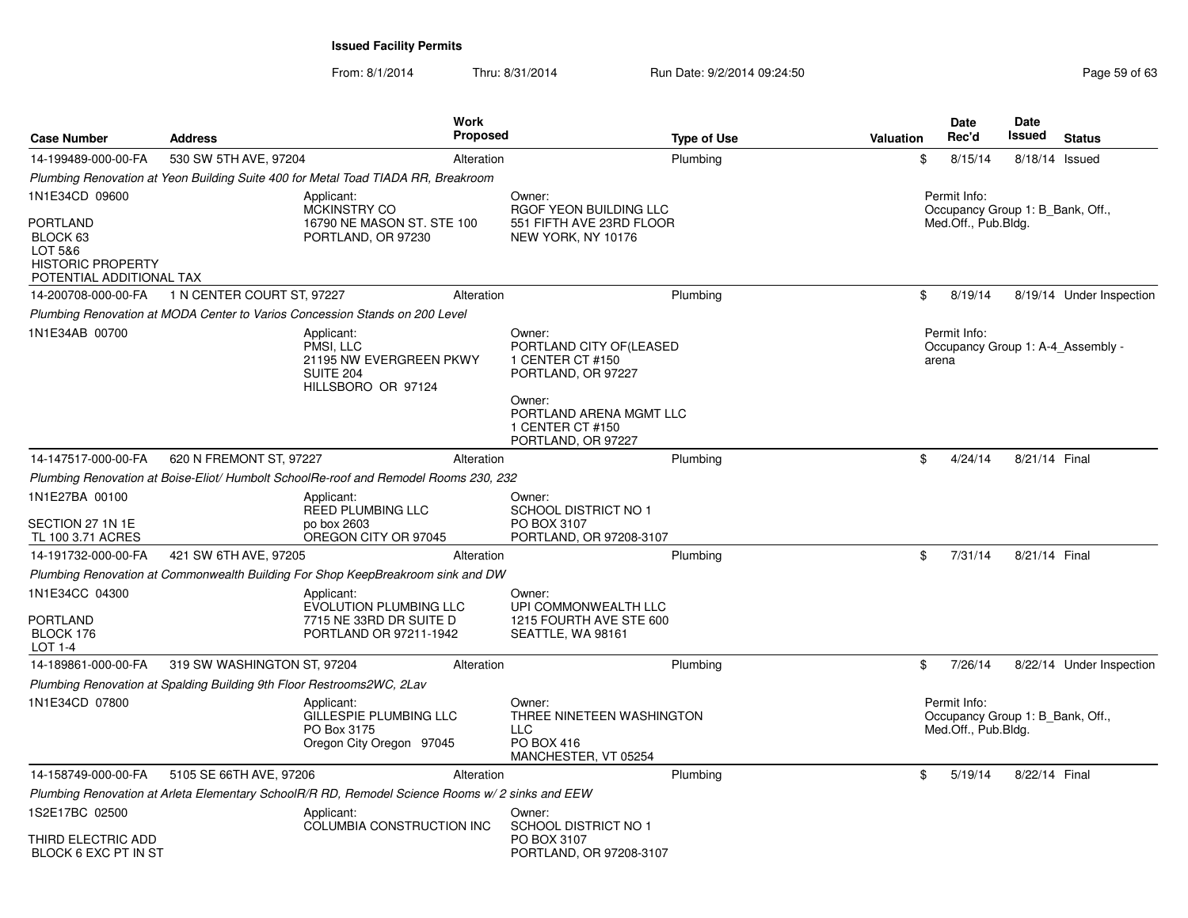From: 8/1/2014Thru: 8/31/2014 Run Date: 9/2/2014 09:24:50 Run Date: 9/2/2014 09:24:50

| <b>Case Number</b>                                                                                               | <b>Address</b>                                                        | <b>Work</b><br><b>Proposed</b>                                                                   |                                                                                                                                                            | <b>Type of Use</b> | <b>Valuation</b> | <b>Date</b><br>Rec'd                                                    | Date<br><b>Issued</b> | <b>Status</b>                     |
|------------------------------------------------------------------------------------------------------------------|-----------------------------------------------------------------------|--------------------------------------------------------------------------------------------------|------------------------------------------------------------------------------------------------------------------------------------------------------------|--------------------|------------------|-------------------------------------------------------------------------|-----------------------|-----------------------------------|
| 14-199489-000-00-FA                                                                                              | 530 SW 5TH AVE, 97204                                                 | Alteration                                                                                       |                                                                                                                                                            | Plumbing           | \$               | 8/15/14                                                                 | 8/18/14 Issued        |                                   |
|                                                                                                                  |                                                                       | Plumbing Renovation at Yeon Building Suite 400 for Metal Toad TIADA RR, Breakroom                |                                                                                                                                                            |                    |                  |                                                                         |                       |                                   |
| 1N1E34CD 09600<br><b>PORTLAND</b><br>BLOCK 63<br>LOT 5&6<br><b>HISTORIC PROPERTY</b><br>POTENTIAL ADDITIONAL TAX |                                                                       | Applicant:<br><b>MCKINSTRY CO</b><br>16790 NE MASON ST. STE 100<br>PORTLAND, OR 97230            | Owner:<br>RGOF YEON BUILDING LLC<br>551 FIFTH AVE 23RD FLOOR<br>NEW YORK, NY 10176                                                                         |                    |                  | Permit Info:<br>Occupancy Group 1: B Bank, Off.,<br>Med.Off., Pub.Bldg. |                       |                                   |
| 14-200708-000-00-FA                                                                                              | 1 N CENTER COURT ST, 97227                                            | Alteration                                                                                       |                                                                                                                                                            | Plumbing           | \$               | 8/19/14                                                                 |                       | 8/19/14 Under Inspection          |
|                                                                                                                  |                                                                       | Plumbing Renovation at MODA Center to Varios Concession Stands on 200 Level                      |                                                                                                                                                            |                    |                  |                                                                         |                       |                                   |
| 1N1E34AB 00700                                                                                                   |                                                                       | Applicant:<br>PMSI. LLC<br>21195 NW EVERGREEN PKWY<br><b>SUITE 204</b><br>HILLSBORO OR 97124     | Owner:<br>PORTLAND CITY OF(LEASED<br>1 CENTER CT #150<br>PORTLAND, OR 97227<br>Owner:<br>PORTLAND ARENA MGMT LLC<br>1 CENTER CT #150<br>PORTLAND, OR 97227 |                    |                  | Permit Info:<br>arena                                                   |                       | Occupancy Group 1: A-4 Assembly - |
| 14-147517-000-00-FA                                                                                              | 620 N FREMONT ST, 97227                                               | Alteration                                                                                       |                                                                                                                                                            | Plumbing           | \$               | 4/24/14                                                                 | 8/21/14 Final         |                                   |
|                                                                                                                  |                                                                       | Plumbing Renovation at Boise-Eliot/Humbolt SchoolRe-roof and Remodel Rooms 230, 232              |                                                                                                                                                            |                    |                  |                                                                         |                       |                                   |
| 1N1E27BA 00100<br>SECTION 27 1N 1E<br>TL 100 3.71 ACRES                                                          |                                                                       | Applicant:<br><b>REED PLUMBING LLC</b><br>po box 2603<br>OREGON CITY OR 97045                    | Owner:<br><b>SCHOOL DISTRICT NO 1</b><br>PO BOX 3107<br>PORTLAND, OR 97208-3107                                                                            |                    |                  |                                                                         |                       |                                   |
| 14-191732-000-00-FA                                                                                              | 421 SW 6TH AVE, 97205                                                 | Alteration                                                                                       |                                                                                                                                                            | Plumbing           | \$               | 7/31/14                                                                 | 8/21/14 Final         |                                   |
|                                                                                                                  |                                                                       | Plumbing Renovation at Commonwealth Building For Shop KeepBreakroom sink and DW                  |                                                                                                                                                            |                    |                  |                                                                         |                       |                                   |
| 1N1E34CC 04300<br>PORTLAND<br>BLOCK 176<br>LOT 1-4                                                               |                                                                       | Applicant:<br><b>EVOLUTION PLUMBING LLC</b><br>7715 NE 33RD DR SUITE D<br>PORTLAND OR 97211-1942 | Owner:<br>UPI COMMONWEALTH LLC<br>1215 FOURTH AVE STE 600<br>SEATTLE, WA 98161                                                                             |                    |                  |                                                                         |                       |                                   |
| 14-189861-000-00-FA                                                                                              | 319 SW WASHINGTON ST, 97204                                           | Alteration                                                                                       |                                                                                                                                                            | Plumbing           | \$               | 7/26/14                                                                 |                       | 8/22/14 Under Inspection          |
|                                                                                                                  | Plumbing Renovation at Spalding Building 9th Floor Restrooms2WC, 2Lav |                                                                                                  |                                                                                                                                                            |                    |                  |                                                                         |                       |                                   |
| 1N1E34CD 07800                                                                                                   |                                                                       | Applicant:<br>GILLESPIE PLUMBING LLC<br>PO Box 3175<br>Oregon City Oregon 97045                  | Owner:<br>THREE NINETEEN WASHINGTON<br>LLC<br>PO BOX 416<br>MANCHESTER, VT 05254                                                                           |                    |                  | Permit Info:<br>Occupancy Group 1: B Bank, Off.,<br>Med.Off., Pub.Bldg. |                       |                                   |
| 14-158749-000-00-FA                                                                                              | 5105 SE 66TH AVE, 97206                                               | Alteration                                                                                       |                                                                                                                                                            | Plumbing           | \$               | 5/19/14                                                                 | 8/22/14 Final         |                                   |
|                                                                                                                  |                                                                       | Plumbing Renovation at Arleta Elementary SchoolR/R RD, Remodel Science Rooms w/ 2 sinks and EEW  |                                                                                                                                                            |                    |                  |                                                                         |                       |                                   |
| 1S2E17BC 02500<br>THIRD ELECTRIC ADD<br>BLOCK 6 EXC PT IN ST                                                     |                                                                       | Applicant:<br>COLUMBIA CONSTRUCTION INC                                                          | Owner:<br><b>SCHOOL DISTRICT NO 1</b><br>PO BOX 3107<br>PORTLAND, OR 97208-3107                                                                            |                    |                  |                                                                         |                       |                                   |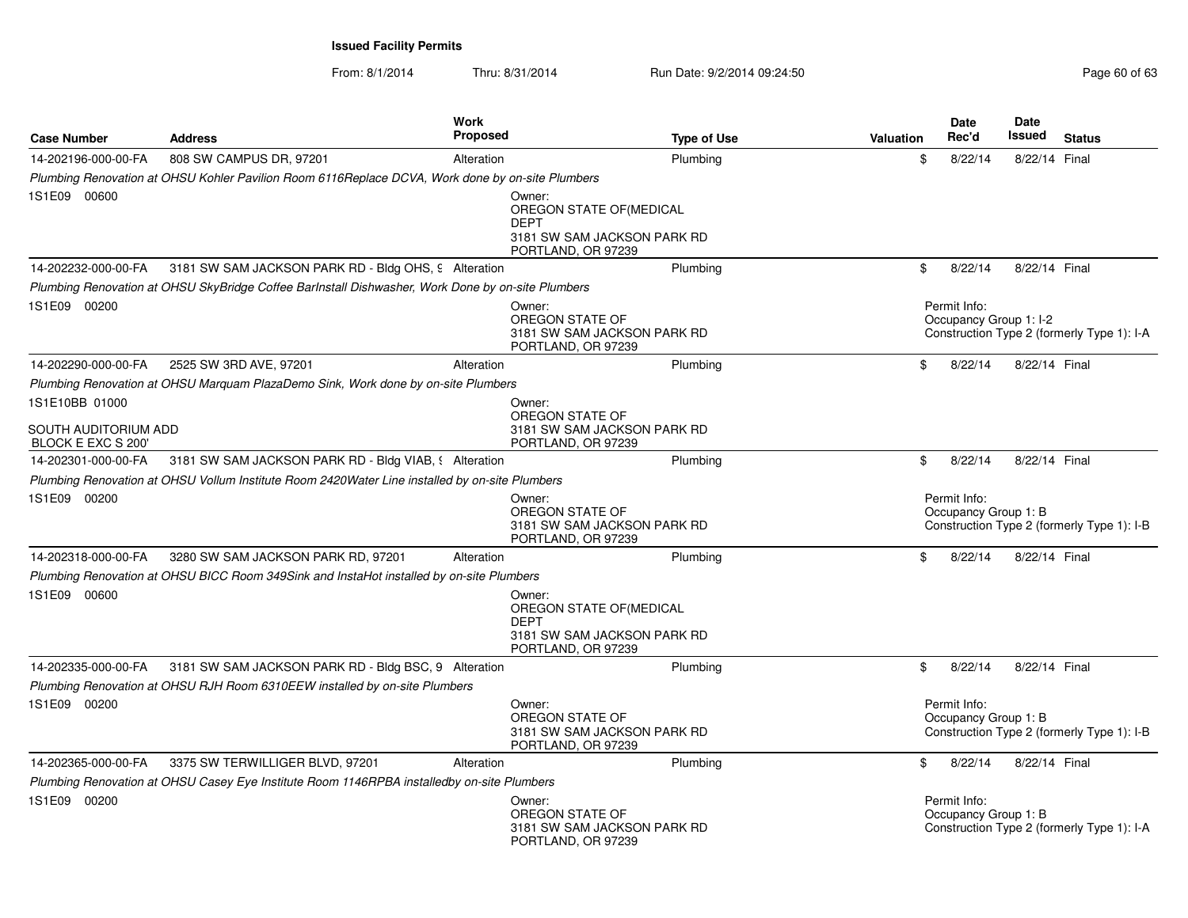| <b>Case Number</b>                         | <b>Address</b>                                                                                    | Work<br><b>Proposed</b> | <b>Type of Use</b>                                                                                     | Valuation | <b>Date</b><br>Rec'd                   | <b>Date</b><br>Issued<br><b>Status</b>     |
|--------------------------------------------|---------------------------------------------------------------------------------------------------|-------------------------|--------------------------------------------------------------------------------------------------------|-----------|----------------------------------------|--------------------------------------------|
| 14-202196-000-00-FA                        | 808 SW CAMPUS DR, 97201                                                                           | Alteration              | Plumbing                                                                                               | \$        | 8/22/14                                | 8/22/14 Final                              |
|                                            | Plumbing Renovation at OHSU Kohler Pavilion Room 6116Replace DCVA, Work done by on-site Plumbers  |                         |                                                                                                        |           |                                        |                                            |
| 1S1E09 00600                               |                                                                                                   |                         | Owner:<br>OREGON STATE OF (MEDICAL<br><b>DEPT</b><br>3181 SW SAM JACKSON PARK RD<br>PORTLAND, OR 97239 |           |                                        |                                            |
| 14-202232-000-00-FA                        | 3181 SW SAM JACKSON PARK RD - Bldg OHS, 9 Alteration                                              |                         | Plumbing                                                                                               | \$        | 8/22/14                                | 8/22/14 Final                              |
|                                            | Plumbing Renovation at OHSU SkyBridge Coffee Barlnstall Dishwasher, Work Done by on-site Plumbers |                         |                                                                                                        |           |                                        |                                            |
| 1S1E09 00200                               |                                                                                                   |                         | Owner:<br>OREGON STATE OF<br>3181 SW SAM JACKSON PARK RD<br>PORTLAND, OR 97239                         |           | Permit Info:<br>Occupancy Group 1: I-2 | Construction Type 2 (formerly Type 1): I-A |
| 14-202290-000-00-FA                        | 2525 SW 3RD AVE, 97201                                                                            | Alteration              | Plumbing                                                                                               | \$        | 8/22/14                                | 8/22/14 Final                              |
|                                            | Plumbing Renovation at OHSU Marquam PlazaDemo Sink, Work done by on-site Plumbers                 |                         |                                                                                                        |           |                                        |                                            |
| 1S1E10BB 01000                             |                                                                                                   |                         | Owner:<br>OREGON STATE OF                                                                              |           |                                        |                                            |
| SOUTH AUDITORIUM ADD<br>BLOCK E EXC S 200' |                                                                                                   |                         | 3181 SW SAM JACKSON PARK RD<br>PORTLAND, OR 97239                                                      |           |                                        |                                            |
| 14-202301-000-00-FA                        | 3181 SW SAM JACKSON PARK RD - Bldg VIAB, § Alteration                                             |                         | Plumbing                                                                                               | \$        | 8/22/14                                | 8/22/14 Final                              |
|                                            | Plumbing Renovation at OHSU Vollum Institute Room 2420Water Line installed by on-site Plumbers    |                         |                                                                                                        |           |                                        |                                            |
| 1S1E09 00200                               |                                                                                                   |                         | Owner:<br>OREGON STATE OF<br>3181 SW SAM JACKSON PARK RD<br>PORTLAND, OR 97239                         |           | Permit Info:<br>Occupancy Group 1: B   | Construction Type 2 (formerly Type 1): I-B |
| 14-202318-000-00-FA                        | 3280 SW SAM JACKSON PARK RD, 97201                                                                | Alteration              | Plumbing                                                                                               | \$        | 8/22/14                                | 8/22/14 Final                              |
|                                            | Plumbing Renovation at OHSU BICC Room 349Sink and InstaHot installed by on-site Plumbers          |                         |                                                                                                        |           |                                        |                                            |
| 1S1E09 00600                               |                                                                                                   |                         | Owner:<br>OREGON STATE OF (MEDICAL<br><b>DEPT</b><br>3181 SW SAM JACKSON PARK RD<br>PORTLAND, OR 97239 |           |                                        |                                            |
| 14-202335-000-00-FA                        | 3181 SW SAM JACKSON PARK RD - Bldg BSC, 9 Alteration                                              |                         | Plumbing                                                                                               | \$        | 8/22/14                                | 8/22/14 Final                              |
|                                            | Plumbing Renovation at OHSU RJH Room 6310EEW installed by on-site Plumbers                        |                         |                                                                                                        |           |                                        |                                            |
| 1S1E09 00200                               |                                                                                                   |                         | Owner:<br>OREGON STATE OF<br>3181 SW SAM JACKSON PARK RD<br>PORTLAND, OR 97239                         |           | Permit Info:<br>Occupancy Group 1: B   | Construction Type 2 (formerly Type 1): I-B |
| 14-202365-000-00-FA                        | 3375 SW TERWILLIGER BLVD, 97201                                                                   | Alteration              | Plumbing                                                                                               | \$        | 8/22/14                                | 8/22/14 Final                              |
|                                            | Plumbing Renovation at OHSU Casey Eye Institute Room 1146RPBA installedby on-site Plumbers        |                         |                                                                                                        |           |                                        |                                            |
| 1S1E09 00200                               |                                                                                                   |                         | Owner:<br>OREGON STATE OF<br>3181 SW SAM JACKSON PARK RD<br>PORTLAND, OR 97239                         |           | Permit Info:<br>Occupancy Group 1: B   | Construction Type 2 (formerly Type 1): I-A |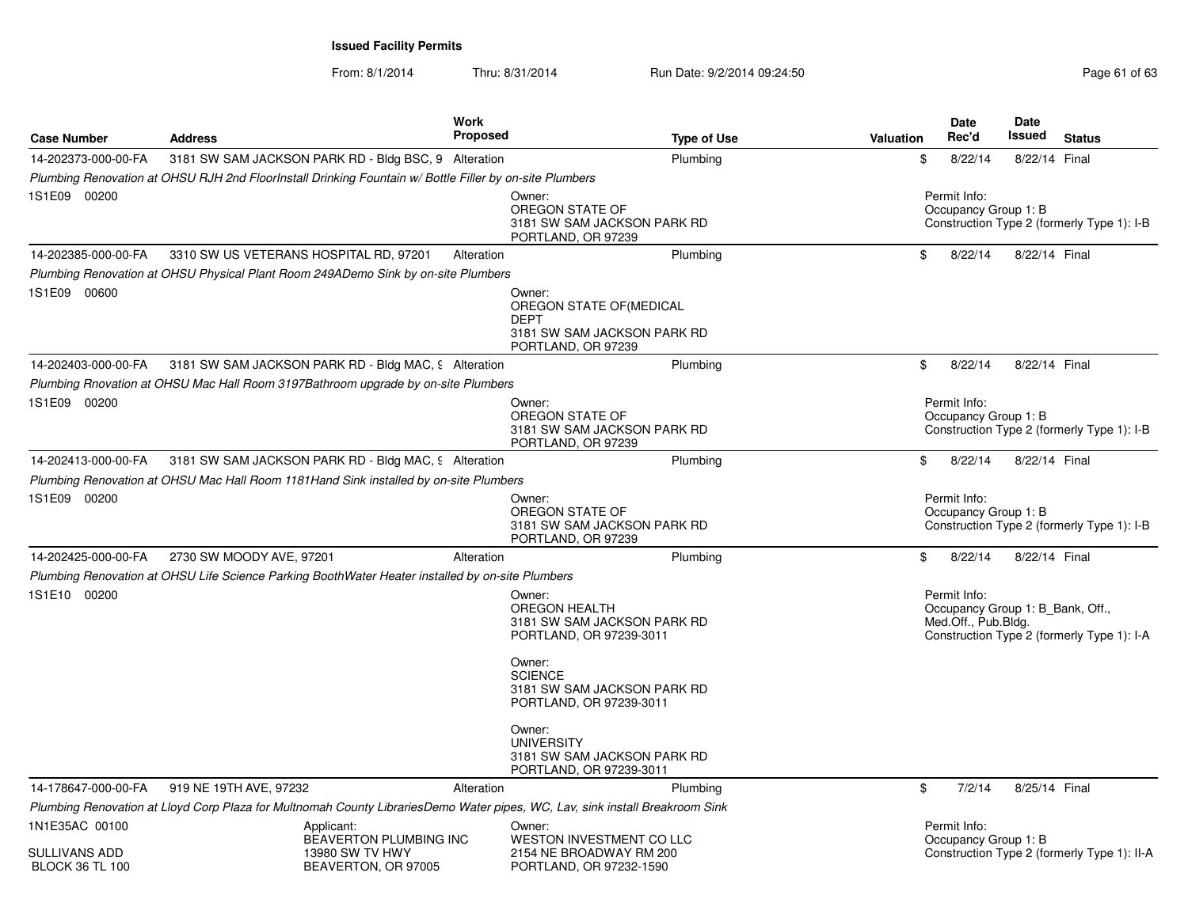|                                                                  |                                                                                   | Work<br><b>Proposed</b>                                                                                                                                         |                                                                                |           | Date<br>Rec'd                                                           | <b>Date</b><br>Issued | <b>Status</b>                               |
|------------------------------------------------------------------|-----------------------------------------------------------------------------------|-----------------------------------------------------------------------------------------------------------------------------------------------------------------|--------------------------------------------------------------------------------|-----------|-------------------------------------------------------------------------|-----------------------|---------------------------------------------|
| <b>Case Number</b>                                               | <b>Address</b>                                                                    |                                                                                                                                                                 | <b>Type of Use</b>                                                             | Valuation |                                                                         |                       |                                             |
| 14-202373-000-00-FA                                              |                                                                                   | 3181 SW SAM JACKSON PARK RD - Bldg BSC, 9 Alteration<br>Plumbing Renovation at OHSU RJH 2nd FloorInstall Drinking Fountain w/ Bottle Filler by on-site Plumbers | Plumbing                                                                       | \$        | 8/22/14                                                                 | 8/22/14 Final         |                                             |
| 1S1E09 00200                                                     |                                                                                   | Owner:                                                                                                                                                          | OREGON STATE OF<br>3181 SW SAM JACKSON PARK RD<br>PORTLAND, OR 97239           |           | Permit Info:<br>Occupancy Group 1: B                                    |                       | Construction Type 2 (formerly Type 1): I-B  |
| 14-202385-000-00-FA                                              | 3310 SW US VETERANS HOSPITAL RD, 97201                                            | Alteration                                                                                                                                                      | Plumbing                                                                       | \$        | 8/22/14                                                                 | 8/22/14 Final         |                                             |
|                                                                  | Plumbing Renovation at OHSU Physical Plant Room 249ADemo Sink by on-site Plumbers |                                                                                                                                                                 |                                                                                |           |                                                                         |                       |                                             |
| 1S1E09 00600                                                     |                                                                                   | Owner:<br><b>DEPT</b>                                                                                                                                           | OREGON STATE OF (MEDICAL<br>3181 SW SAM JACKSON PARK RD<br>PORTLAND, OR 97239  |           |                                                                         |                       |                                             |
| 14-202403-000-00-FA                                              |                                                                                   | 3181 SW SAM JACKSON PARK RD - Bldg MAC, 9 Alteration                                                                                                            | Plumbing                                                                       | \$        | 8/22/14                                                                 | 8/22/14 Final         |                                             |
|                                                                  | Plumbing Rnovation at OHSU Mac Hall Room 3197Bathroom upgrade by on-site Plumbers |                                                                                                                                                                 |                                                                                |           |                                                                         |                       |                                             |
| 1S1E09 00200                                                     |                                                                                   | Owner:                                                                                                                                                          | OREGON STATE OF<br>3181 SW SAM JACKSON PARK RD<br>PORTLAND, OR 97239           |           | Permit Info:<br>Occupancy Group 1: B                                    |                       | Construction Type 2 (formerly Type 1): I-B  |
| 14-202413-000-00-FA                                              |                                                                                   | 3181 SW SAM JACKSON PARK RD - Bldg MAC, 9 Alteration                                                                                                            | Plumbing                                                                       | \$        | 8/22/14                                                                 | 8/22/14 Final         |                                             |
|                                                                  |                                                                                   | Plumbing Renovation at OHSU Mac Hall Room 1181Hand Sink installed by on-site Plumbers                                                                           |                                                                                |           |                                                                         |                       |                                             |
| 1S1E09 00200                                                     |                                                                                   | Owner:                                                                                                                                                          | OREGON STATE OF<br>3181 SW SAM JACKSON PARK RD<br>PORTLAND, OR 97239           |           | Permit Info:<br>Occupancy Group 1: B                                    |                       | Construction Type 2 (formerly Type 1): I-B  |
| 14-202425-000-00-FA                                              | 2730 SW MOODY AVE, 97201                                                          | Alteration                                                                                                                                                      | Plumbing                                                                       | \$        | 8/22/14                                                                 | 8/22/14 Final         |                                             |
|                                                                  |                                                                                   | Plumbing Renovation at OHSU Life Science Parking BoothWater Heater installed by on-site Plumbers                                                                |                                                                                |           |                                                                         |                       |                                             |
| 1S1E10 00200                                                     |                                                                                   | Owner:                                                                                                                                                          | <b>OREGON HEALTH</b><br>3181 SW SAM JACKSON PARK RD<br>PORTLAND, OR 97239-3011 |           | Permit Info:<br>Occupancy Group 1: B_Bank, Off.,<br>Med.Off., Pub.Bldg. |                       | Construction Type 2 (formerly Type 1): I-A  |
|                                                                  |                                                                                   | Owner:<br><b>SCIENCE</b>                                                                                                                                        | 3181 SW SAM JACKSON PARK RD<br>PORTLAND, OR 97239-3011                         |           |                                                                         |                       |                                             |
|                                                                  |                                                                                   | Owner:                                                                                                                                                          | <b>UNIVERSITY</b><br>3181 SW SAM JACKSON PARK RD<br>PORTLAND, OR 97239-3011    |           |                                                                         |                       |                                             |
| 14-178647-000-00-FA                                              | 919 NE 19TH AVE, 97232                                                            | Alteration                                                                                                                                                      | Plumbing                                                                       | \$        | 7/2/14                                                                  | 8/25/14 Final         |                                             |
|                                                                  |                                                                                   | Plumbing Renovation at Lloyd Corp Plaza for Multnomah County LibrariesDemo Water pipes, WC, Lav, sink install Breakroom Sink                                    |                                                                                |           |                                                                         |                       |                                             |
| 1N1E35AC 00100<br><b>SULLIVANS ADD</b><br><b>BLOCK 36 TL 100</b> | Applicant:                                                                        | Owner:<br>BEAVERTON PLUMBING INC<br>13980 SW TV HWY<br>BEAVERTON, OR 97005                                                                                      | WESTON INVESTMENT CO LLC<br>2154 NE BROADWAY RM 200<br>PORTLAND, OR 97232-1590 |           | Permit Info:<br>Occupancy Group 1: B                                    |                       | Construction Type 2 (formerly Type 1): II-A |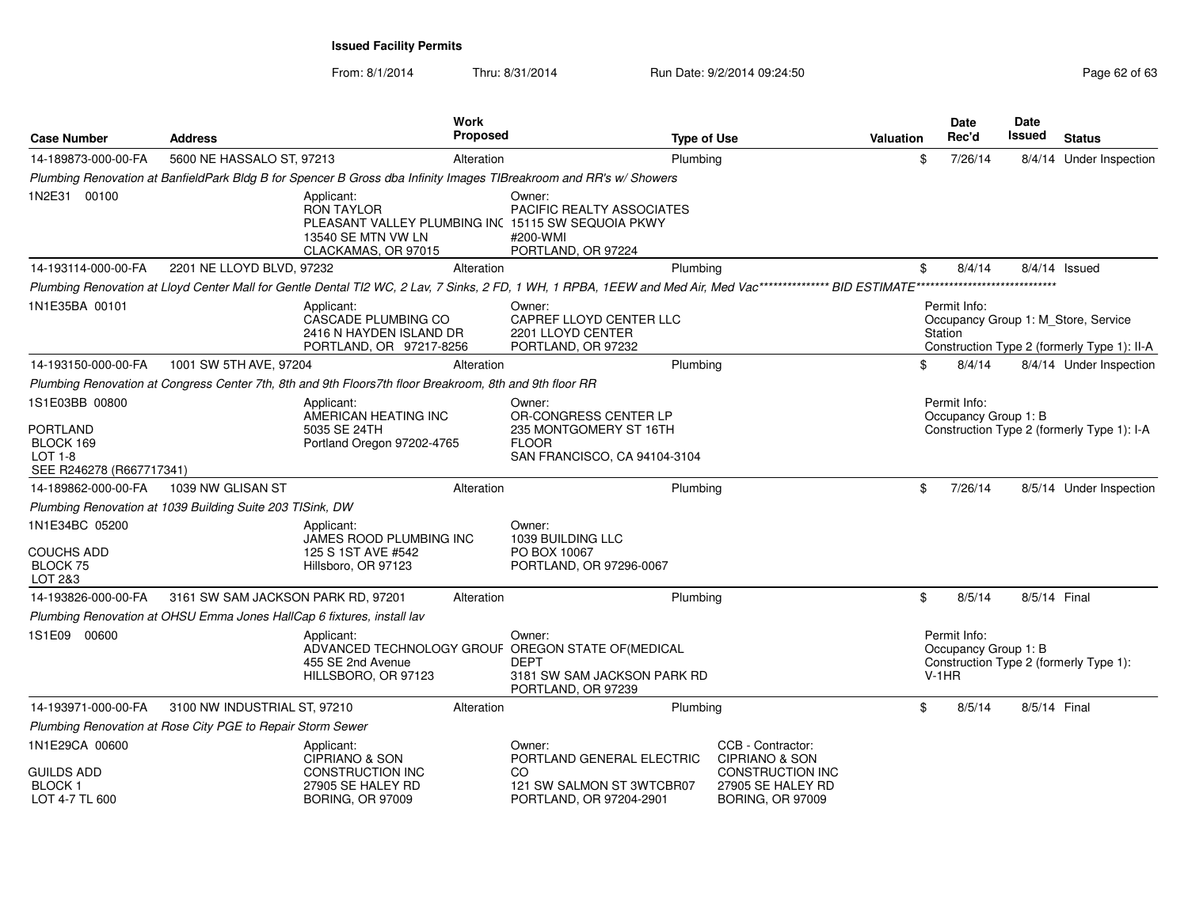| <b>Case Number</b>                                   | <b>Address</b>                                                         |                                                                                                         | Work<br><b>Proposed</b> |                                                                                                                             | <b>Type of Use</b>                                                      | Valuation | Date<br>Rec'd                                   | <b>Date</b><br>Issued | <b>Status</b>                                                                      |
|------------------------------------------------------|------------------------------------------------------------------------|---------------------------------------------------------------------------------------------------------|-------------------------|-----------------------------------------------------------------------------------------------------------------------------|-------------------------------------------------------------------------|-----------|-------------------------------------------------|-----------------------|------------------------------------------------------------------------------------|
| 14-189873-000-00-FA                                  | 5600 NE HASSALO ST, 97213                                              |                                                                                                         | Alteration              | Plumbing                                                                                                                    |                                                                         | \$        | 7/26/14                                         |                       | 8/4/14 Under Inspection                                                            |
|                                                      |                                                                        |                                                                                                         |                         | Plumbing Renovation at BanfieldPark Bldg B for Spencer B Gross dba Infinity Images TIBreakroom and RR's w/ Showers          |                                                                         |           |                                                 |                       |                                                                                    |
| 1N2E31 00100                                         |                                                                        | Applicant:<br><b>RON TAYLOR</b><br>13540 SE MTN VW LN<br>CLACKAMAS, OR 97015                            |                         | Owner:<br>PACIFIC REALTY ASSOCIATES<br>PLEASANT VALLEY PLUMBING INC 15115 SW SEQUOIA PKWY<br>#200-WMI<br>PORTLAND, OR 97224 |                                                                         |           |                                                 |                       |                                                                                    |
| 14-193114-000-00-FA                                  | 2201 NE LLOYD BLVD, 97232                                              |                                                                                                         | Alteration              | Plumbing                                                                                                                    |                                                                         | \$        | 8/4/14                                          |                       | 8/4/14 Issued                                                                      |
|                                                      |                                                                        |                                                                                                         |                         |                                                                                                                             |                                                                         |           |                                                 |                       |                                                                                    |
| 1N1E35BA 00101                                       |                                                                        | Applicant:<br>CASCADE PLUMBING CO<br>2416 N HAYDEN ISLAND DR<br>PORTLAND, OR 97217-8256                 |                         | Owner:<br>CAPREF LLOYD CENTER LLC<br>2201 LLOYD CENTER<br>PORTLAND, OR 97232                                                |                                                                         |           | Permit Info:<br>Station                         |                       | Occupancy Group 1: M_Store, Service<br>Construction Type 2 (formerly Type 1): II-A |
| 14-193150-000-00-FA                                  | 1001 SW 5TH AVE, 97204                                                 |                                                                                                         | Alteration              | Plumbing                                                                                                                    |                                                                         | \$        | 8/4/14                                          |                       | 8/4/14 Under Inspection                                                            |
|                                                      |                                                                        | Plumbing Renovation at Congress Center 7th, 8th and 9th Floors7th floor Breakroom, 8th and 9th floor RR |                         |                                                                                                                             |                                                                         |           |                                                 |                       |                                                                                    |
| 1S1E03BB 00800<br>PORTLAND                           |                                                                        | Applicant:<br>AMERICAN HEATING INC<br>5035 SE 24TH                                                      |                         | Owner:<br>OR-CONGRESS CENTER LP<br>235 MONTGOMERY ST 16TH                                                                   |                                                                         |           | Permit Info:<br>Occupancy Group 1: B            |                       | Construction Type 2 (formerly Type 1): I-A                                         |
| BLOCK 169<br>LOT 1-8<br>SEE R246278 (R667717341)     |                                                                        | Portland Oregon 97202-4765                                                                              |                         | <b>FLOOR</b><br>SAN FRANCISCO, CA 94104-3104                                                                                |                                                                         |           |                                                 |                       |                                                                                    |
| 14-189862-000-00-FA                                  | 1039 NW GLISAN ST                                                      |                                                                                                         | Alteration              | Plumbing                                                                                                                    |                                                                         | \$        | 7/26/14                                         |                       | 8/5/14 Under Inspection                                                            |
|                                                      | Plumbing Renovation at 1039 Building Suite 203 TISink, DW              |                                                                                                         |                         |                                                                                                                             |                                                                         |           |                                                 |                       |                                                                                    |
| 1N1E34BC 05200                                       |                                                                        | Applicant:<br>JAMES ROOD PLUMBING INC                                                                   |                         | Owner:<br>1039 BUILDING LLC                                                                                                 |                                                                         |           |                                                 |                       |                                                                                    |
| COUCHS ADD<br><b>BLOCK 75</b><br>LOT 2&3             |                                                                        | 125 S 1ST AVE #542<br>Hillsboro, OR 97123                                                               |                         | PO BOX 10067<br>PORTLAND, OR 97296-0067                                                                                     |                                                                         |           |                                                 |                       |                                                                                    |
| 14-193826-000-00-FA                                  | 3161 SW SAM JACKSON PARK RD, 97201                                     |                                                                                                         | Alteration              | Plumbing                                                                                                                    |                                                                         | \$        | 8/5/14                                          | 8/5/14 Final          |                                                                                    |
|                                                      | Plumbing Renovation at OHSU Emma Jones HallCap 6 fixtures, install lav |                                                                                                         |                         |                                                                                                                             |                                                                         |           |                                                 |                       |                                                                                    |
| 1S1E09 00600                                         |                                                                        | Applicant:<br>455 SE 2nd Avenue<br>HILLSBORO, OR 97123                                                  |                         | Owner:<br>ADVANCED TECHNOLOGY GROUF OREGON STATE OF (MEDICAL<br>DEPT<br>3181 SW SAM JACKSON PARK RD<br>PORTLAND, OR 97239   |                                                                         |           | Permit Info:<br>Occupancy Group 1: B<br>$V-1HR$ |                       | Construction Type 2 (formerly Type 1):                                             |
| 14-193971-000-00-FA                                  | 3100 NW INDUSTRIAL ST, 97210                                           |                                                                                                         | Alteration              | Plumbing                                                                                                                    |                                                                         | \$        | 8/5/14                                          | 8/5/14 Final          |                                                                                    |
|                                                      | Plumbing Renovation at Rose City PGE to Repair Storm Sewer             |                                                                                                         |                         |                                                                                                                             |                                                                         |           |                                                 |                       |                                                                                    |
| 1N1E29CA 00600                                       |                                                                        | Applicant:<br><b>CIPRIANO &amp; SON</b>                                                                 |                         | Owner:<br>PORTLAND GENERAL ELECTRIC                                                                                         | CCB - Contractor:<br><b>CIPRIANO &amp; SON</b>                          |           |                                                 |                       |                                                                                    |
| <b>GUILDS ADD</b><br><b>BLOCK1</b><br>LOT 4-7 TL 600 |                                                                        | <b>CONSTRUCTION INC</b><br>27905 SE HALEY RD<br><b>BORING, OR 97009</b>                                 |                         | CO<br>121 SW SALMON ST 3WTCBR07<br>PORTLAND, OR 97204-2901                                                                  | <b>CONSTRUCTION INC</b><br>27905 SE HALEY RD<br><b>BORING, OR 97009</b> |           |                                                 |                       |                                                                                    |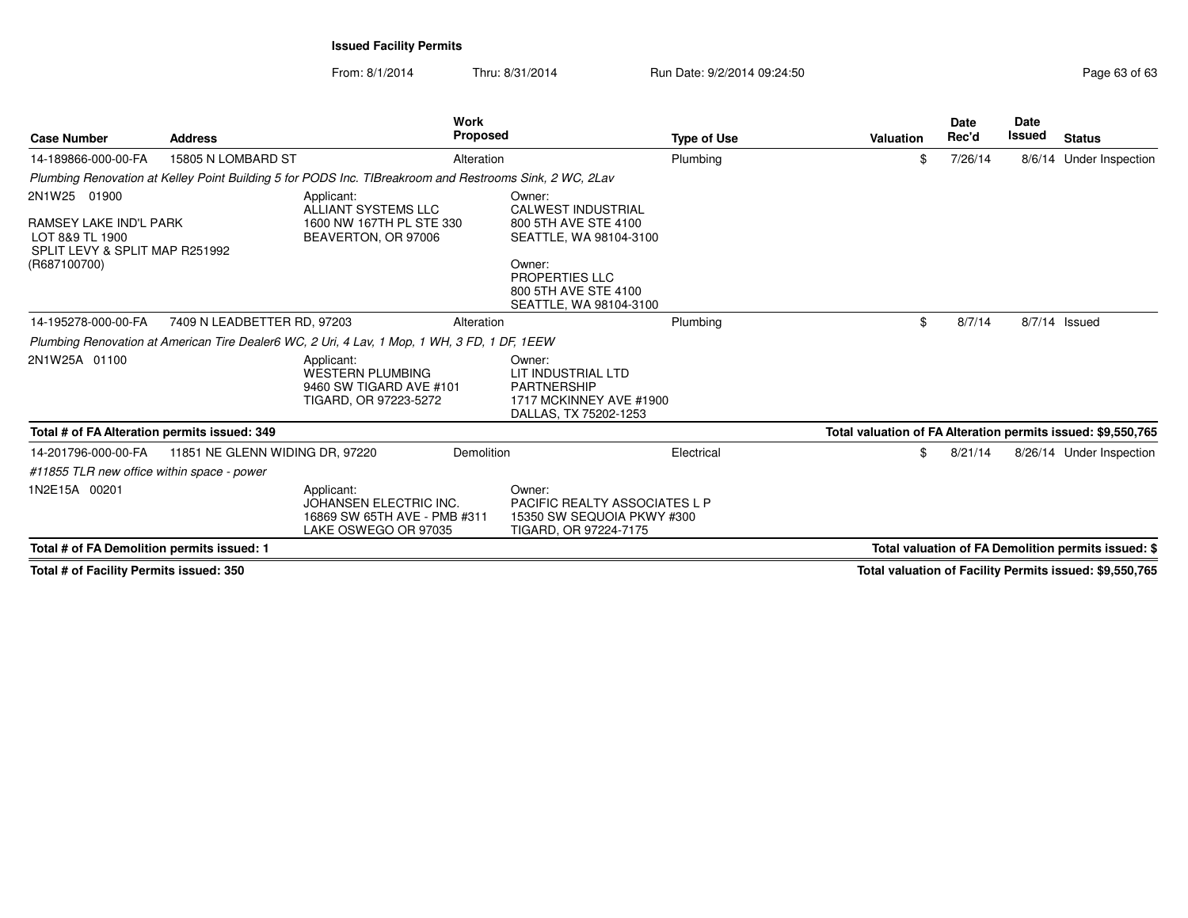From: 8/1/2014Thru: 8/31/2014 Run Date: 9/2/2014 09:24:50 Run Date: 9/2/2014 09:24:50

**StatusDate Rec'd Issued DateIssued Type of Use ValuationWork S** Proposed **Case Number Address***Plumbing Renovation at Kelley Point Building 5 for PODS Inc. TIBreakroom and Restrooms Sink, 2 WC, 2Lav*2N1W25 01900RAMSEY LAKE IND'L PARK LOT 8&9 TL 1900 SPLIT LEVY & SPLIT MAP R251992(R687100700)Applicant: ALLIANT SYSTEMS LLC 1600 NW 167TH PL STE 330BEAVERTON, OR 97006Owner: CALWEST INDUSTRIAL 800 5TH AVE STE 4100 SEATTLE, WA 98104-3100Owner: PROPERTIES LLC 800 5TH AVE STE 4100 SEATTLE, WA 98104-310014-189866-000-00-FAA 15805 N LOMBARD ST **Alteration** Alteration Plumbing Plumbing \$ 7/26/14 8/6/14 Under Inspection *Plumbing Renovation at American Tire Dealer6 WC, 2 Uri, 4 Lav, 1 Mop, 1 WH, 3 FD, 1 DF, 1EEW* Owner:2N1W25A 01100 Applicant: WESTERN PLUMBING 9460 SW TIGARD AVE #101TIGARD, OR 97223-5272 LIT INDUSTRIAL LTDPARTNERSHIP 1717 MCKINNEY AVE #1900DALLAS, TX 75202-125314-195278-000-00-FA7409 N LEADBETTER RD, 97203 Alteration Alteration Plumbing Plumbing \$ 8/7/14 8/7/14 Issued **Total # of FA Alteration permits issued: 349 Total valuation of FA Alteration permits issued: \$9,550,765** *#11855 TLR new office within space - power*1N2E15A 00201 Applicant: JOHANSEN ELECTRIC INC. 16869 SW 65TH AVE - PMB #311LAKE OSWEGO OR 97035Owner: PACIFIC REALTY ASSOCIATES L P15350 SW SEQUOIA PKWY #300TIGARD, OR 97224-717514-201796-000-00-FA 11851 NE GLENN WIDING DR, 97220 Demolition Electrical \$ 8/21/14 8/26/14 Under Inspection **Total # of FA Demolition permits issued: 1Total valuation of FA Demolition permits issued: \$**

**Total # of Facility Permits issued: 350**

**Total valuation of Facility Permits issued: \$9,550,765**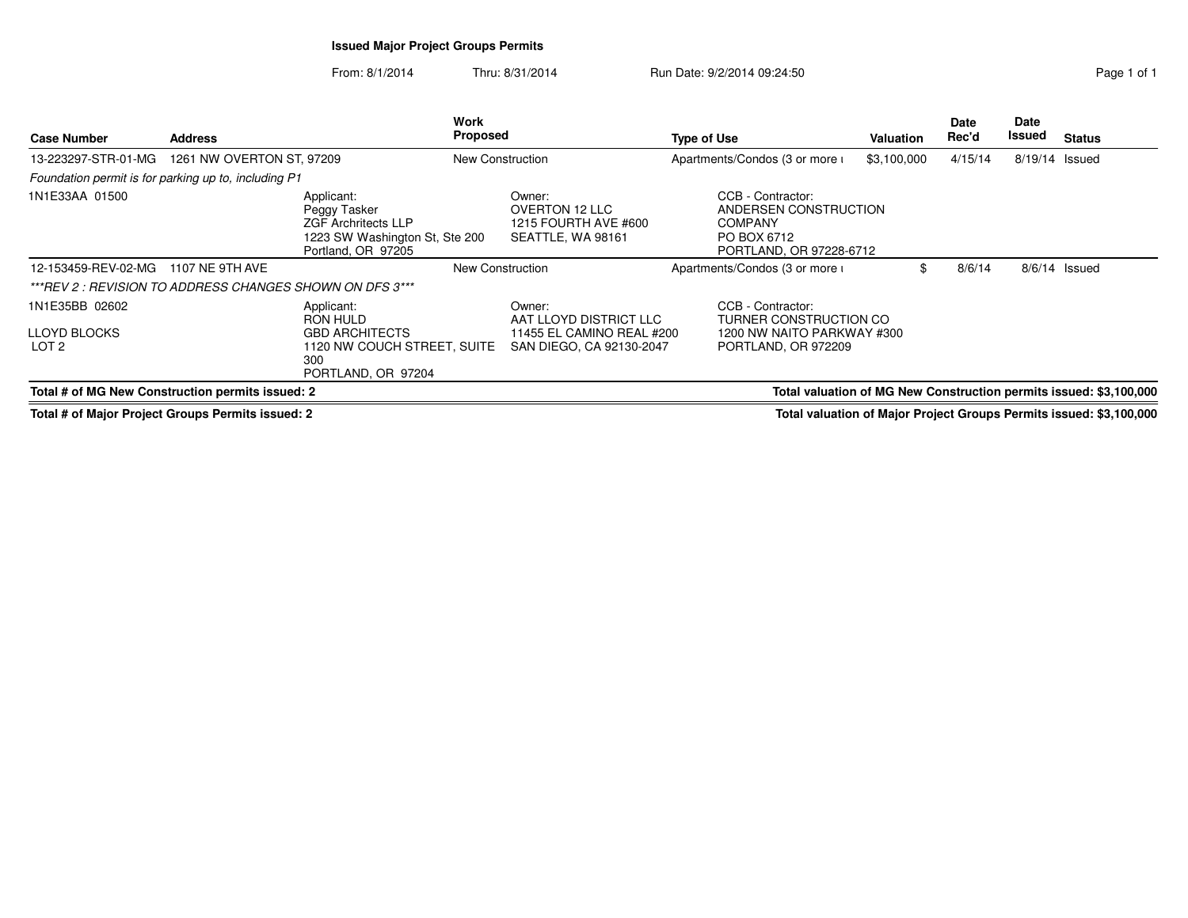## **Issued Major Project Groups Permits**

From: 8/1/2014Thru: 8/31/2014 Run Date: 9/2/2014 09:24:50 Run Date: 9/2/2014 09:24:50

| <b>Case Number</b>                                                                                         | <b>Address</b>            |                                                                                                                  | Work<br>Proposed |                                                                       | <b>Type of Use</b> |                                                                                                        | <b>Valuation</b> | Date<br>Rec'd | Date<br>Issued | <b>Status</b>                                                             |
|------------------------------------------------------------------------------------------------------------|---------------------------|------------------------------------------------------------------------------------------------------------------|------------------|-----------------------------------------------------------------------|--------------------|--------------------------------------------------------------------------------------------------------|------------------|---------------|----------------|---------------------------------------------------------------------------|
| 13-223297-STR-01-MG                                                                                        | 1261 NW OVERTON ST, 97209 |                                                                                                                  | New Construction |                                                                       |                    | Apartments/Condos (3 or more i                                                                         | \$3,100,000      | 4/15/14       | 8/19/14 Issued |                                                                           |
| Foundation permit is for parking up to, including P1                                                       |                           |                                                                                                                  |                  |                                                                       |                    |                                                                                                        |                  |               |                |                                                                           |
| 1N1E33AA 01500                                                                                             |                           | Applicant:<br>Peggy Tasker<br><b>ZGF Archritects LLP</b><br>1223 SW Washington St, Ste 200<br>Portland, OR 97205 |                  | Owner:<br>OVERTON 12 LLC<br>1215 FOURTH AVE #600<br>SEATTLE, WA 98161 |                    | CCB - Contractor:<br>ANDERSEN CONSTRUCTION<br><b>COMPANY</b><br>PO BOX 6712<br>PORTLAND, OR 97228-6712 |                  |               |                |                                                                           |
| 12-153459-REV-02-MG                                                                                        | 1107 NE 9TH AVE           |                                                                                                                  | New Construction |                                                                       |                    | Apartments/Condos (3 or more i                                                                         |                  | 8/6/14        |                | $8/6/14$ Issued                                                           |
| ***REV 2 : REVISION TO ADDRESS CHANGES SHOWN ON DFS 3***                                                   |                           |                                                                                                                  |                  |                                                                       |                    |                                                                                                        |                  |               |                |                                                                           |
| 1N1E35BB 02602                                                                                             |                           | Applicant:<br>RON HULD                                                                                           |                  | Owner:<br>AAT LLOYD DISTRICT LLC                                      |                    | CCB - Contractor:<br>TURNER CONSTRUCTION CO                                                            |                  |               |                |                                                                           |
| <b>LLOYD BLOCKS</b><br>LOT <sub>2</sub>                                                                    |                           | <b>GBD ARCHITECTS</b><br>1120 NW COUCH STREET, SUITE<br>300<br>PORTLAND, OR 97204                                |                  | 11455 EL CAMINO REAL #200<br>SAN DIEGO, CA 92130-2047                 |                    | 1200 NW NAITO PARKWAY #300<br>PORTLAND, OR 972209                                                      |                  |               |                |                                                                           |
| Total # of MG New Construction permits issued: 2                                                           |                           |                                                                                                                  |                  |                                                                       |                    |                                                                                                        |                  |               |                | Total valuation of MG New Construction permits issued: \$3,100,000        |
| $\overline{\mathbf{r}}$ . In the contract of $\mathbf{A}$ . In the contract of $\mathbf{A}$ , $\mathbf{A}$ |                           |                                                                                                                  |                  |                                                                       |                    |                                                                                                        |                  |               |                | Tatal coloration of Mater. Bustock Original Bernstein to cool. AO 400,000 |

**Total # of Major Project Groups Permits issued: 2**

**Total valuation of Major Project Groups Permits issued: \$3,100,000**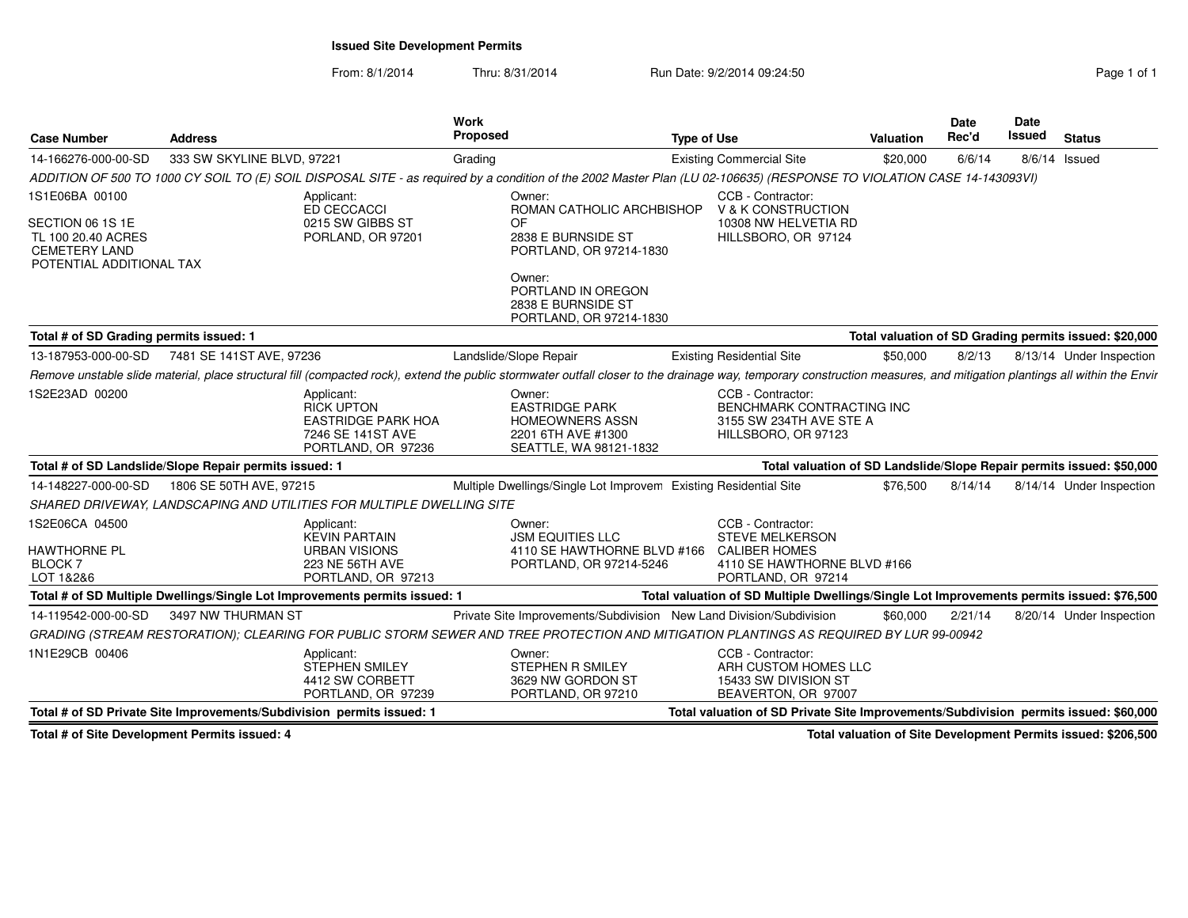**Issued Site Development Permits**

From: 8/1/2014Thru: 8/31/2014 Run Date: 9/2/2014 09:24:50 Run Date: 9/2/2014 09:24:50

| <b>Case Number</b>                                                     | <b>Address</b>                                                                                                                                                                                                          | Work<br><b>Proposed</b>                                              |                                                                                                           | <b>Type of Use</b> |                                                                                                  | Valuation | Date<br>Rec'd | <b>Date</b><br><b>Issued</b> | <b>Status</b>                                                                        |
|------------------------------------------------------------------------|-------------------------------------------------------------------------------------------------------------------------------------------------------------------------------------------------------------------------|----------------------------------------------------------------------|-----------------------------------------------------------------------------------------------------------|--------------------|--------------------------------------------------------------------------------------------------|-----------|---------------|------------------------------|--------------------------------------------------------------------------------------|
| 14-166276-000-00-SD                                                    | 333 SW SKYLINE BLVD, 97221                                                                                                                                                                                              | Grading                                                              |                                                                                                           |                    | <b>Existing Commercial Site</b>                                                                  | \$20,000  | 6/6/14        |                              | 8/6/14 Issued                                                                        |
|                                                                        | ADDITION OF 500 TO 1000 CY SOIL TO (E) SOIL DISPOSAL SITE - as required by a condition of the 2002 Master Plan (LU 02-106635) (RESPONSE TO VIOLATION CASE 14-143093VI)                                                  |                                                                      |                                                                                                           |                    |                                                                                                  |           |               |                              |                                                                                      |
| 1S1E06BA 00100<br>SECTION 06 1S 1E                                     | Applicant:<br>ED CECCACCI                                                                                                                                                                                               | 0215 SW GIBBS ST                                                     | Owner:<br>ROMAN CATHOLIC ARCHBISHOP<br>OF                                                                 |                    | CCB - Contractor:<br>V & K CONSTRUCTION<br>10308 NW HELVETIA RD                                  |           |               |                              |                                                                                      |
| TL 100 20.40 ACRES<br><b>CEMETERY LAND</b><br>POTENTIAL ADDITIONAL TAX |                                                                                                                                                                                                                         | PORLAND, OR 97201                                                    | 2838 E BURNSIDE ST<br>PORTLAND, OR 97214-1830                                                             |                    | HILLSBORO, OR 97124                                                                              |           |               |                              |                                                                                      |
|                                                                        |                                                                                                                                                                                                                         |                                                                      | Owner:<br>PORTLAND IN OREGON<br>2838 E BURNSIDE ST<br>PORTLAND, OR 97214-1830                             |                    |                                                                                                  |           |               |                              |                                                                                      |
| Total # of SD Grading permits issued: 1                                |                                                                                                                                                                                                                         |                                                                      |                                                                                                           |                    |                                                                                                  |           |               |                              | Total valuation of SD Grading permits issued: \$20,000                               |
|                                                                        | 13-187953-000-00-SD 7481 SE 141ST AVE, 97236                                                                                                                                                                            |                                                                      | Landslide/Slope Repair                                                                                    |                    | <b>Existing Residential Site</b>                                                                 | \$50,000  | 8/2/13        |                              | 8/13/14 Under Inspection                                                             |
|                                                                        | Remove unstable slide material, place structural fill (compacted rock), extend the public stormwater outfall closer to the drainage way, temporary construction measures, and mitigation plantings all within the Envir |                                                                      |                                                                                                           |                    |                                                                                                  |           |               |                              |                                                                                      |
| 1S2E23AD 00200                                                         | Applicant:<br><b>RICK UPTON</b>                                                                                                                                                                                         | <b>EASTRIDGE PARK HOA</b><br>7246 SE 141ST AVE<br>PORTLAND, OR 97236 | Owner:<br><b>EASTRIDGE PARK</b><br><b>HOMEOWNERS ASSN</b><br>2201 6TH AVE #1300<br>SEATTLE, WA 98121-1832 |                    | CCB - Contractor:<br>BENCHMARK CONTRACTING INC<br>3155 SW 234TH AVE STE A<br>HILLSBORO, OR 97123 |           |               |                              |                                                                                      |
|                                                                        | Total # of SD Landslide/Slope Repair permits issued: 1                                                                                                                                                                  |                                                                      |                                                                                                           |                    | Total valuation of SD Landslide/Slope Repair permits issued: \$50,000                            |           |               |                              |                                                                                      |
| 14-148227-000-00-SD                                                    | 1806 SE 50TH AVE, 97215                                                                                                                                                                                                 |                                                                      | Multiple Dwellings/Single Lot Improvem Existing Residential Site                                          |                    |                                                                                                  | \$76,500  | 8/14/14       |                              | 8/14/14 Under Inspection                                                             |
|                                                                        | SHARED DRIVEWAY, LANDSCAPING AND UTILITIES FOR MULTIPLE DWELLING SITE                                                                                                                                                   |                                                                      |                                                                                                           |                    |                                                                                                  |           |               |                              |                                                                                      |
| 1S2E06CA 04500                                                         | Applicant:<br><b>KEVIN PARTAIN</b>                                                                                                                                                                                      |                                                                      | Owner:<br><b>JSM EQUITIES LLC</b>                                                                         |                    | CCB - Contractor:<br><b>STEVE MELKERSON</b>                                                      |           |               |                              |                                                                                      |
| <b>HAWTHORNE PL</b><br><b>BLOCK 7</b><br>LOT 1&2&6                     |                                                                                                                                                                                                                         | <b>URBAN VISIONS</b><br>223 NE 56TH AVE<br>PORTLAND, OR 97213        | 4110 SE HAWTHORNE BLVD #166 CALIBER HOMES<br>PORTLAND, OR 97214-5246                                      |                    | 4110 SE HAWTHORNE BLVD #166<br>PORTLAND, OR 97214                                                |           |               |                              |                                                                                      |
|                                                                        | Total # of SD Multiple Dwellings/Single Lot Improvements permits issued: 1                                                                                                                                              |                                                                      |                                                                                                           |                    | Total valuation of SD Multiple Dwellings/Single Lot Improvements permits issued: \$76,500        |           |               |                              |                                                                                      |
| 14-119542-000-00-SD                                                    | 3497 NW THURMAN ST                                                                                                                                                                                                      |                                                                      | Private Site Improvements/Subdivision New Land Division/Subdivision                                       |                    |                                                                                                  | \$60,000  | 2/21/14       |                              | 8/20/14 Under Inspection                                                             |
|                                                                        | GRADING (STREAM RESTORATION); CLEARING FOR PUBLIC STORM SEWER AND TREE PROTECTION AND MITIGATION PLANTINGS AS REQUIRED BY LUR 99-00942                                                                                  |                                                                      |                                                                                                           |                    |                                                                                                  |           |               |                              |                                                                                      |
| 1N1E29CB 00406                                                         | Applicant:                                                                                                                                                                                                              | <b>STEPHEN SMILEY</b><br>4412 SW CORBETT<br>PORTLAND, OR 97239       | Owner:<br><b>STEPHEN R SMILEY</b><br>3629 NW GORDON ST<br>PORTLAND, OR 97210                              |                    | CCB - Contractor:<br>ARH CUSTOM HOMES LLC<br>15433 SW DIVISION ST<br>BEAVERTON, OR 97007         |           |               |                              |                                                                                      |
| Total # of SD Private Site Improvements/Subdivision permits issued: 1  |                                                                                                                                                                                                                         |                                                                      |                                                                                                           |                    |                                                                                                  |           |               |                              | Total valuation of SD Private Site Improvements/Subdivision permits issued: \$60,000 |

**Total # of Site Development Permits issued: 4**

**Total valuation of Site Development Permits issued: \$206,500**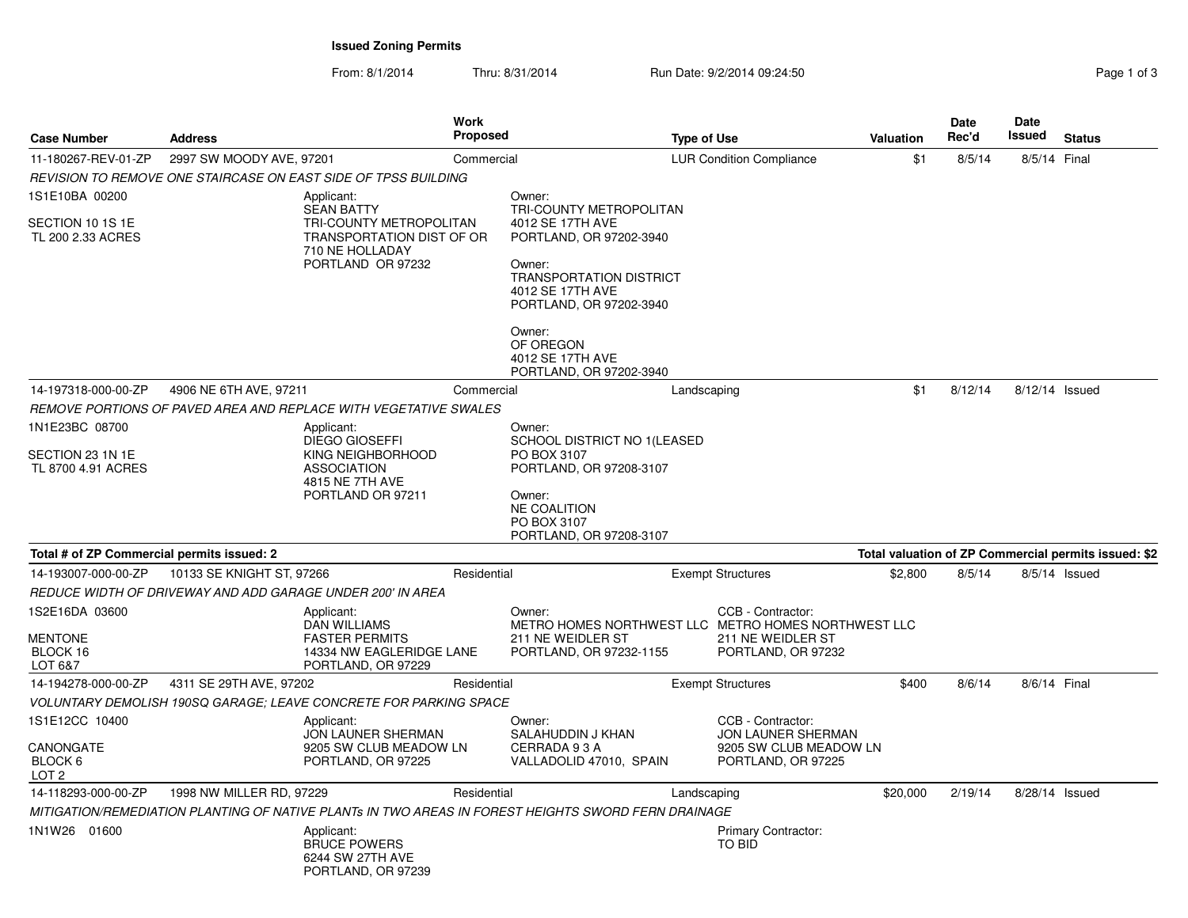**Issued Zoning Permits**

From: 8/1/2014Thru: 8/31/2014 **Run Date: 9/2/2014 09:24:50** Page 1 of 3/31/2014

| Page 1 of 3 |  |  |
|-------------|--|--|
|             |  |  |

| <b>Case Number</b>                                  | <b>Address</b>            | Work                                                                                                              | <b>Proposed</b> |                                                                                                                                                                   | <b>Type of Use</b> |                                              | <b>Valuation</b> | <b>Date</b><br>Rec'd | Date<br><b>Issued</b> | <b>Status</b>                                        |
|-----------------------------------------------------|---------------------------|-------------------------------------------------------------------------------------------------------------------|-----------------|-------------------------------------------------------------------------------------------------------------------------------------------------------------------|--------------------|----------------------------------------------|------------------|----------------------|-----------------------|------------------------------------------------------|
| 11-180267-REV-01-ZP                                 | 2997 SW MOODY AVE, 97201  |                                                                                                                   | Commercial      |                                                                                                                                                                   |                    | <b>LUR Condition Compliance</b>              | \$1              | 8/5/14               | 8/5/14 Final          |                                                      |
|                                                     |                           | REVISION TO REMOVE ONE STAIRCASE ON EAST SIDE OF TPSS BUILDING                                                    |                 |                                                                                                                                                                   |                    |                                              |                  |                      |                       |                                                      |
| 1S1E10BA 00200                                      |                           | Applicant:                                                                                                        |                 | Owner:                                                                                                                                                            |                    |                                              |                  |                      |                       |                                                      |
| SECTION 10 1S 1E<br>TL 200 2.33 ACRES               |                           | <b>SEAN BATTY</b><br>TRI-COUNTY METROPOLITAN<br>TRANSPORTATION DIST OF OR<br>710 NE HOLLADAY<br>PORTLAND OR 97232 |                 | TRI-COUNTY METROPOLITAN<br>4012 SE 17TH AVE<br>PORTLAND, OR 97202-3940<br>Owner:<br><b>TRANSPORTATION DISTRICT</b><br>4012 SE 17TH AVE<br>PORTLAND, OR 97202-3940 |                    |                                              |                  |                      |                       |                                                      |
|                                                     |                           |                                                                                                                   |                 | Owner:<br>OF OREGON<br>4012 SE 17TH AVE<br>PORTLAND, OR 97202-3940                                                                                                |                    |                                              |                  |                      |                       |                                                      |
| 14-197318-000-00-ZP                                 | 4906 NE 6TH AVE, 97211    |                                                                                                                   | Commercial      |                                                                                                                                                                   | Landscaping        |                                              | \$1              | 8/12/14              | 8/12/14 Issued        |                                                      |
|                                                     |                           | REMOVE PORTIONS OF PAVED AREA AND REPLACE WITH VEGETATIVE SWALES                                                  |                 |                                                                                                                                                                   |                    |                                              |                  |                      |                       |                                                      |
| 1N1E23BC 08700                                      |                           | Applicant:                                                                                                        |                 | Owner:                                                                                                                                                            |                    |                                              |                  |                      |                       |                                                      |
| SECTION 23 1N 1E                                    |                           | DIEGO GIOSEFFI<br>KING NEIGHBORHOOD                                                                               |                 | SCHOOL DISTRICT NO 1(LEASED<br>PO BOX 3107                                                                                                                        |                    |                                              |                  |                      |                       |                                                      |
| TL 8700 4.91 ACRES                                  |                           | <b>ASSOCIATION</b><br>4815 NE 7TH AVE                                                                             |                 | PORTLAND, OR 97208-3107                                                                                                                                           |                    |                                              |                  |                      |                       |                                                      |
|                                                     |                           | PORTLAND OR 97211                                                                                                 |                 | Owner:<br><b>NE COALITION</b><br>PO BOX 3107<br>PORTLAND, OR 97208-3107                                                                                           |                    |                                              |                  |                      |                       |                                                      |
| Total # of ZP Commercial permits issued: 2          |                           |                                                                                                                   |                 |                                                                                                                                                                   |                    |                                              |                  |                      |                       | Total valuation of ZP Commercial permits issued: \$2 |
| 14-193007-000-00-ZP                                 | 10133 SE KNIGHT ST, 97266 |                                                                                                                   | Residential     |                                                                                                                                                                   |                    | <b>Exempt Structures</b>                     | \$2,800          | 8/5/14               |                       | 8/5/14 Issued                                        |
|                                                     |                           | REDUCE WIDTH OF DRIVEWAY AND ADD GARAGE UNDER 200' IN AREA                                                        |                 |                                                                                                                                                                   |                    |                                              |                  |                      |                       |                                                      |
| 1S2E16DA 03600<br><b>MENTONE</b>                    |                           | Applicant:<br><b>DAN WILLIAMS</b><br><b>FASTER PERMITS</b>                                                        |                 | Owner:<br>METRO HOMES NORTHWEST LLC METRO HOMES NORTHWEST LLC<br>211 NE WEIDLER ST                                                                                |                    | CCB - Contractor:<br>211 NE WEIDLER ST       |                  |                      |                       |                                                      |
| BLOCK 16<br>LOT 6&7                                 |                           | 14334 NW EAGLERIDGE LANE<br>PORTLAND, OR 97229                                                                    |                 | PORTLAND, OR 97232-1155                                                                                                                                           |                    | PORTLAND, OR 97232                           |                  |                      |                       |                                                      |
| 14-194278-000-00-ZP                                 | 4311 SE 29TH AVE, 97202   |                                                                                                                   | Residential     |                                                                                                                                                                   |                    | <b>Exempt Structures</b>                     | \$400            | 8/6/14               | 8/6/14 Final          |                                                      |
|                                                     |                           | VOLUNTARY DEMOLISH 190SQ GARAGE; LEAVE CONCRETE FOR PARKING SPACE                                                 |                 |                                                                                                                                                                   |                    |                                              |                  |                      |                       |                                                      |
| 1S1E12CC 10400                                      |                           | Applicant:                                                                                                        |                 | Owner:<br>SALAHUDDIN J KHAN                                                                                                                                       |                    | CCB - Contractor:<br>JON LAUNER SHERMAN      |                  |                      |                       |                                                      |
| CANONGATE<br>BLOCK <sub>6</sub><br>LOT <sub>2</sub> |                           | JON LAUNER SHERMAN<br>9205 SW CLUB MEADOW LN<br>PORTLAND, OR 97225                                                |                 | CERRADA 93A<br>VALLADOLID 47010, SPAIN                                                                                                                            |                    | 9205 SW CLUB MEADOW LN<br>PORTLAND, OR 97225 |                  |                      |                       |                                                      |
| 14-118293-000-00-ZP                                 | 1998 NW MILLER RD, 97229  |                                                                                                                   | Residential     |                                                                                                                                                                   | Landscaping        |                                              | \$20,000         | 2/19/14              | 8/28/14 Issued        |                                                      |
|                                                     |                           | MITIGATION/REMEDIATION PLANTING OF NATIVE PLANTs IN TWO AREAS IN FOREST HEIGHTS SWORD FERN DRAINAGE               |                 |                                                                                                                                                                   |                    |                                              |                  |                      |                       |                                                      |
| 1N1W26 01600                                        |                           | Applicant:<br><b>BRUCE POWERS</b><br>6244 SW 27TH AVE<br>PORTLAND, OR 97239                                       |                 |                                                                                                                                                                   |                    | Primary Contractor:<br>TO BID                |                  |                      |                       |                                                      |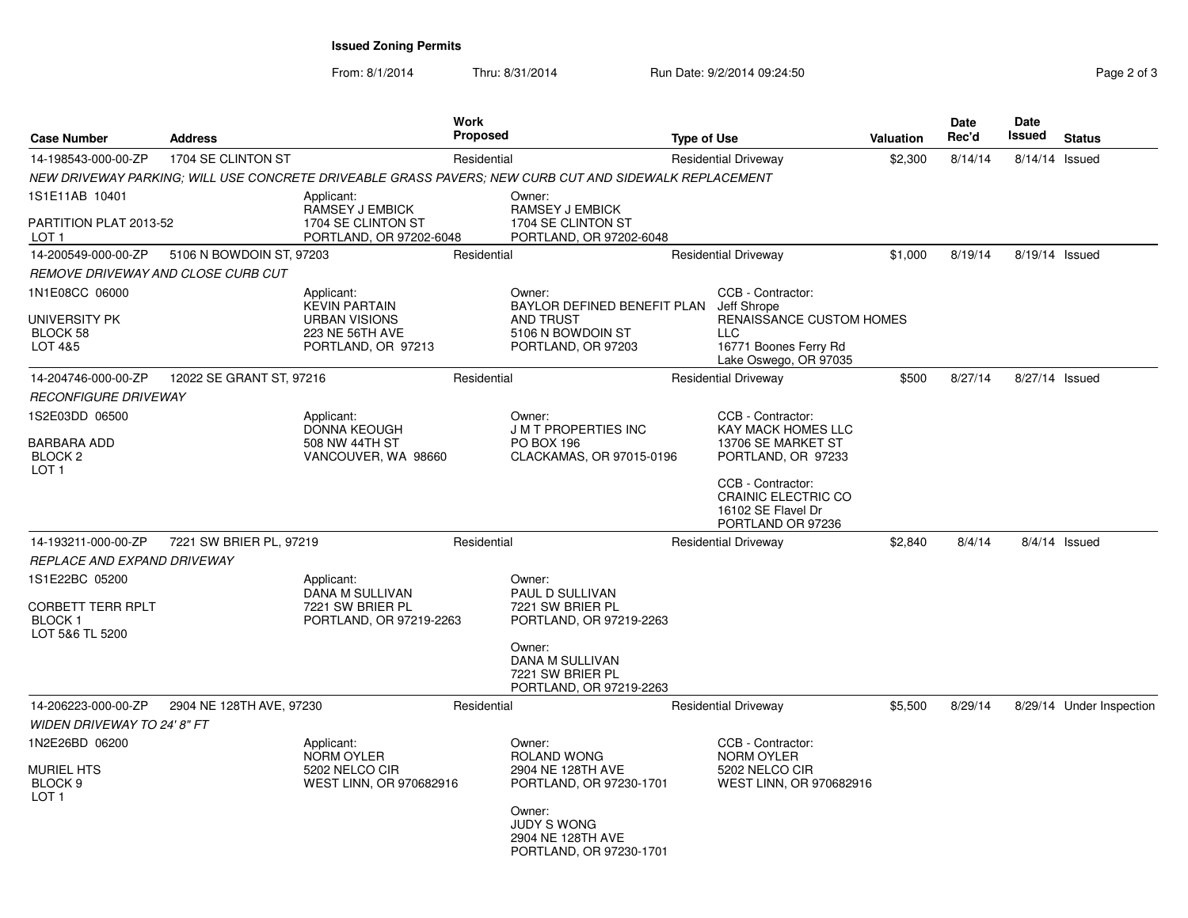**Issued Zoning Permits**

| <b>Case Number</b>                                                      | Address                  |                                                                                       | Work<br><b>Proposed</b> |                                                                                                       | <b>Type of Use</b> |                                                                                                         | <b>Valuation</b> | Date<br>Rec'd | Date<br>Issued  | <b>Status</b>            |
|-------------------------------------------------------------------------|--------------------------|---------------------------------------------------------------------------------------|-------------------------|-------------------------------------------------------------------------------------------------------|--------------------|---------------------------------------------------------------------------------------------------------|------------------|---------------|-----------------|--------------------------|
| 14-198543-000-00-ZP                                                     | 1704 SE CLINTON ST       |                                                                                       | Residential             |                                                                                                       |                    | <b>Residential Driveway</b>                                                                             | \$2,300          | 8/14/14       | 8/14/14 Issued  |                          |
|                                                                         |                          |                                                                                       |                         | NEW DRIVEWAY PARKING: WILL USE CONCRETE DRIVEABLE GRASS PAVERS: NEW CURB CUT AND SIDEWALK REPLACEMENT |                    |                                                                                                         |                  |               |                 |                          |
| 1S1E11AB 10401                                                          |                          | Applicant:                                                                            |                         | Owner:                                                                                                |                    |                                                                                                         |                  |               |                 |                          |
| PARTITION PLAT 2013-52<br>LOT 1                                         |                          | RAMSEY J EMBICK<br>1704 SE CLINTON ST<br>PORTLAND, OR 97202-6048                      |                         | RAMSEY J EMBICK<br>1704 SE CLINTON ST<br>PORTLAND, OR 97202-6048                                      |                    |                                                                                                         |                  |               |                 |                          |
| 14-200549-000-00-ZP                                                     | 5106 N BOWDOIN ST, 97203 |                                                                                       | Residential             |                                                                                                       |                    | <b>Residential Driveway</b>                                                                             | \$1,000          | 8/19/14       | 8/19/14 Issued  |                          |
| <i>REMOVE DRIVEWAY AND CLOSE CURB CUT</i>                               |                          |                                                                                       |                         |                                                                                                       |                    |                                                                                                         |                  |               |                 |                          |
| 1N1E08CC 06000                                                          |                          | Applicant:                                                                            |                         | Owner:                                                                                                |                    | CCB - Contractor:                                                                                       |                  |               |                 |                          |
| UNIVERSITY PK<br>BLOCK 58<br>LOT 4&5                                    |                          | <b>KEVIN PARTAIN</b><br><b>URBAN VISIONS</b><br>223 NE 56TH AVE<br>PORTLAND, OR 97213 |                         | BAYLOR DEFINED BENEFIT PLAN<br><b>AND TRUST</b><br>5106 N BOWDOIN ST<br>PORTLAND, OR 97203            |                    | Jeff Shrope<br>RENAISSANCE CUSTOM HOMES<br><b>LLC</b><br>16771 Boones Ferry Rd<br>Lake Oswego, OR 97035 |                  |               |                 |                          |
| 14-204746-000-00-ZP                                                     | 12022 SE GRANT ST, 97216 |                                                                                       | Residential             |                                                                                                       |                    | <b>Residential Driveway</b>                                                                             | \$500            | 8/27/14       | 8/27/14 Issued  |                          |
| <i>RECONFIGURE DRIVEWAY</i>                                             |                          |                                                                                       |                         |                                                                                                       |                    |                                                                                                         |                  |               |                 |                          |
| 1S2E03DD 06500                                                          |                          | Applicant:                                                                            |                         | Owner:                                                                                                |                    | CCB - Contractor:                                                                                       |                  |               |                 |                          |
| BARBARA ADD<br>BLOCK <sub>2</sub><br>LOT 1                              |                          | <b>DONNA KEOUGH</b><br>508 NW 44TH ST<br>VANCOUVER, WA 98660                          |                         | <b>J M T PROPERTIES INC</b><br><b>PO BOX 196</b><br>CLACKAMAS, OR 97015-0196                          |                    | <b>KAY MACK HOMES LLC</b><br>13706 SE MARKET ST<br>PORTLAND, OR 97233                                   |                  |               |                 |                          |
|                                                                         |                          |                                                                                       |                         |                                                                                                       |                    | CCB - Contractor:<br>CRAINIC ELECTRIC CO<br>16102 SE Flavel Dr<br>PORTLAND OR 97236                     |                  |               |                 |                          |
| 14-193211-000-00-ZP                                                     | 7221 SW BRIER PL, 97219  |                                                                                       | Residential             |                                                                                                       |                    | <b>Residential Driveway</b>                                                                             | \$2,840          | 8/4/14        | $8/4/14$ Issued |                          |
| <i>REPLACE AND EXPAND DRIVEWAY</i>                                      |                          |                                                                                       |                         |                                                                                                       |                    |                                                                                                         |                  |               |                 |                          |
| 1S1E22BC 05200<br>CORBETT TERR RPLT<br><b>BLOCK1</b><br>LOT 5&6 TL 5200 |                          | Applicant:<br>DANA M SULLIVAN<br>7221 SW BRIER PL<br>PORTLAND, OR 97219-2263          |                         | Owner:<br><b>PAUL D SULLIVAN</b><br>7221 SW BRIER PL<br>PORTLAND, OR 97219-2263                       |                    |                                                                                                         |                  |               |                 |                          |
|                                                                         |                          |                                                                                       |                         | Owner:<br>DANA M SULLIVAN<br>7221 SW BRIER PL<br>PORTLAND, OR 97219-2263                              |                    |                                                                                                         |                  |               |                 |                          |
| 14-206223-000-00-ZP                                                     | 2904 NE 128TH AVE, 97230 |                                                                                       | Residential             |                                                                                                       |                    | <b>Residential Driveway</b>                                                                             | \$5,500          | 8/29/14       |                 | 8/29/14 Under Inspection |
| <b>WIDEN DRIVEWAY TO 24' 8" FT</b>                                      |                          |                                                                                       |                         |                                                                                                       |                    |                                                                                                         |                  |               |                 |                          |
| 1N2E26BD 06200<br>MURIEL HTS                                            |                          | Applicant:<br>NORM OYLER<br>5202 NELCO CIR                                            |                         | Owner:<br>ROLAND WONG<br>2904 NE 128TH AVE                                                            |                    | CCB - Contractor:<br>NORM OYLER<br>5202 NELCO CIR                                                       |                  |               |                 |                          |
| BLOCK 9<br>LOT 1                                                        |                          | WEST LINN, OR 970682916                                                               |                         | PORTLAND, OR 97230-1701                                                                               |                    | WEST LINN, OR 970682916                                                                                 |                  |               |                 |                          |
|                                                                         |                          |                                                                                       |                         | Owner:<br><b>JUDY S WONG</b><br>2904 NE 128TH AVE<br>PORTLAND, OR 97230-1701                          |                    |                                                                                                         |                  |               |                 |                          |